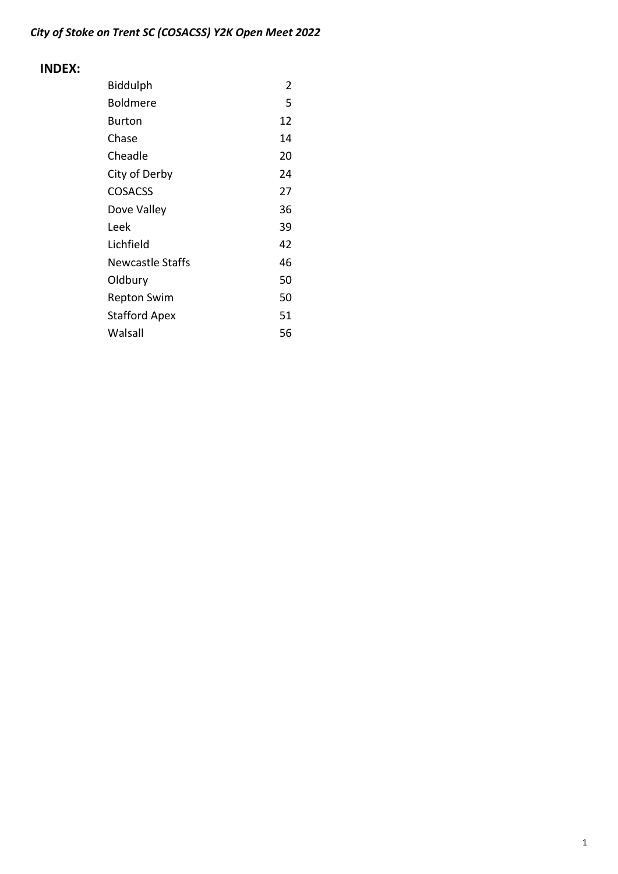## INDEX:

| Biddulph                | 2  |
|-------------------------|----|
| Boldmere                | 5  |
| Burton                  | 12 |
| Chase                   | 14 |
| Cheadle                 | 20 |
| City of Derby           | 24 |
| <b>COSACSS</b>          | 27 |
| Dove Valley             | 36 |
| Leek                    | 39 |
| Lichfield               | 42 |
| <b>Newcastle Staffs</b> | 46 |
| Oldbury                 | 50 |
| Repton Swim             | 50 |
| <b>Stafford Apex</b>    | 51 |
| Walsall                 | 56 |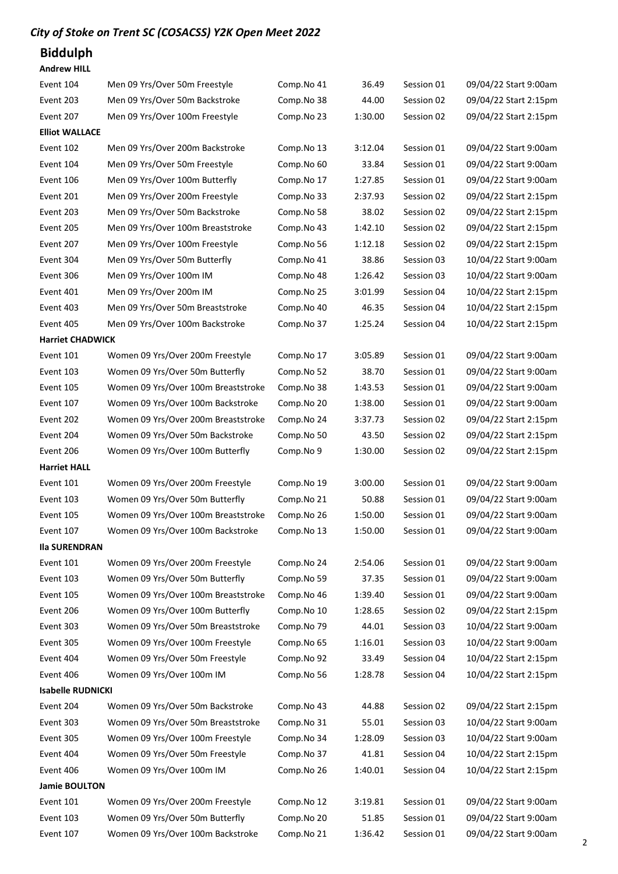# Biddulph

| Event 104                | Men 09 Yrs/Over 50m Freestyle                                        | Comp.No 41 | 36.49   | Session 01 | 09/04/22 Start 9:00am                          |
|--------------------------|----------------------------------------------------------------------|------------|---------|------------|------------------------------------------------|
| Event 203                | Men 09 Yrs/Over 50m Backstroke                                       | Comp.No 38 | 44.00   | Session 02 | 09/04/22 Start 2:15pm                          |
| Event 207                | Men 09 Yrs/Over 100m Freestyle                                       | Comp.No 23 | 1:30.00 | Session 02 | 09/04/22 Start 2:15pm                          |
| <b>Elliot WALLACE</b>    |                                                                      |            |         |            |                                                |
| Event 102                | Men 09 Yrs/Over 200m Backstroke                                      | Comp.No 13 | 3:12.04 | Session 01 | 09/04/22 Start 9:00am                          |
| Event 104                | Men 09 Yrs/Over 50m Freestyle                                        | Comp.No 60 | 33.84   | Session 01 | 09/04/22 Start 9:00am                          |
| Event 106                | Men 09 Yrs/Over 100m Butterfly                                       | Comp.No 17 | 1:27.85 | Session 01 | 09/04/22 Start 9:00am                          |
| Event 201                | Men 09 Yrs/Over 200m Freestyle                                       | Comp.No 33 | 2:37.93 | Session 02 | 09/04/22 Start 2:15pm                          |
| Event 203                | Men 09 Yrs/Over 50m Backstroke                                       | Comp.No 58 | 38.02   | Session 02 | 09/04/22 Start 2:15pm                          |
| Event 205                | Men 09 Yrs/Over 100m Breaststroke                                    | Comp.No 43 | 1:42.10 | Session 02 | 09/04/22 Start 2:15pm                          |
| Event 207                | Men 09 Yrs/Over 100m Freestyle                                       | Comp.No 56 | 1:12.18 | Session 02 | 09/04/22 Start 2:15pm                          |
| Event 304                | Men 09 Yrs/Over 50m Butterfly                                        | Comp.No 41 | 38.86   | Session 03 | 10/04/22 Start 9:00am                          |
| Event 306                | Men 09 Yrs/Over 100m IM                                              | Comp.No 48 | 1:26.42 | Session 03 | 10/04/22 Start 9:00am                          |
| Event 401                | Men 09 Yrs/Over 200m IM                                              | Comp.No 25 | 3:01.99 | Session 04 | 10/04/22 Start 2:15pm                          |
| Event 403                | Men 09 Yrs/Over 50m Breaststroke                                     | Comp.No 40 | 46.35   | Session 04 | 10/04/22 Start 2:15pm                          |
| Event 405                | Men 09 Yrs/Over 100m Backstroke                                      | Comp.No 37 | 1:25.24 | Session 04 | 10/04/22 Start 2:15pm                          |
| <b>Harriet CHADWICK</b>  |                                                                      |            |         |            |                                                |
| Event 101                | Women 09 Yrs/Over 200m Freestyle                                     | Comp.No 17 | 3:05.89 | Session 01 | 09/04/22 Start 9:00am                          |
| Event 103                | Women 09 Yrs/Over 50m Butterfly                                      | Comp.No 52 | 38.70   | Session 01 | 09/04/22 Start 9:00am                          |
| Event 105                | Women 09 Yrs/Over 100m Breaststroke                                  | Comp.No 38 | 1:43.53 | Session 01 | 09/04/22 Start 9:00am                          |
| Event 107                | Women 09 Yrs/Over 100m Backstroke                                    | Comp.No 20 | 1:38.00 | Session 01 | 09/04/22 Start 9:00am                          |
| Event 202                | Women 09 Yrs/Over 200m Breaststroke                                  | Comp.No 24 | 3:37.73 | Session 02 | 09/04/22 Start 2:15pm                          |
| Event 204                | Women 09 Yrs/Over 50m Backstroke                                     | Comp.No 50 | 43.50   | Session 02 | 09/04/22 Start 2:15pm                          |
| Event 206                | Women 09 Yrs/Over 100m Butterfly                                     | Comp.No 9  | 1:30.00 | Session 02 | 09/04/22 Start 2:15pm                          |
| <b>Harriet HALL</b>      |                                                                      |            |         |            |                                                |
| Event 101                | Women 09 Yrs/Over 200m Freestyle                                     | Comp.No 19 | 3:00.00 | Session 01 | 09/04/22 Start 9:00am                          |
| Event 103                | Women 09 Yrs/Over 50m Butterfly                                      | Comp.No 21 | 50.88   | Session 01 | 09/04/22 Start 9:00am                          |
| Event 105                | Women 09 Yrs/Over 100m Breaststroke                                  | Comp.No 26 | 1:50.00 | Session 01 | 09/04/22 Start 9:00am                          |
| Event 107                | Women 09 Yrs/Over 100m Backstroke                                    | Comp.No 13 | 1:50.00 | Session 01 | 09/04/22 Start 9:00am                          |
| <b>Ila SURENDRAN</b>     |                                                                      |            |         |            |                                                |
| Event 101                | Women 09 Yrs/Over 200m Freestyle                                     | Comp.No 24 | 2:54.06 | Session 01 | 09/04/22 Start 9:00am                          |
| Event 103                | Women 09 Yrs/Over 50m Butterfly                                      | Comp.No 59 | 37.35   | Session 01 | 09/04/22 Start 9:00am                          |
| Event 105                | Women 09 Yrs/Over 100m Breaststroke                                  | Comp.No 46 | 1:39.40 | Session 01 | 09/04/22 Start 9:00am                          |
| Event 206                | Women 09 Yrs/Over 100m Butterfly                                     | Comp.No 10 | 1:28.65 | Session 02 | 09/04/22 Start 2:15pm                          |
| Event 303                | Women 09 Yrs/Over 50m Breaststroke                                   | Comp.No 79 | 44.01   | Session 03 | 10/04/22 Start 9:00am                          |
| Event 305                | Women 09 Yrs/Over 100m Freestyle                                     | Comp.No 65 | 1:16.01 | Session 03 | 10/04/22 Start 9:00am                          |
| Event 404                |                                                                      |            |         |            |                                                |
| Event 406                | Women 09 Yrs/Over 50m Freestyle                                      | Comp.No 92 | 33.49   | Session 04 | 10/04/22 Start 2:15pm                          |
|                          | Women 09 Yrs/Over 100m IM                                            | Comp.No 56 | 1:28.78 | Session 04 | 10/04/22 Start 2:15pm                          |
| <b>Isabelle RUDNICKI</b> |                                                                      |            |         |            |                                                |
| Event 204                | Women 09 Yrs/Over 50m Backstroke                                     | Comp.No 43 | 44.88   | Session 02 | 09/04/22 Start 2:15pm                          |
| Event 303                | Women 09 Yrs/Over 50m Breaststroke                                   | Comp.No 31 | 55.01   | Session 03 | 10/04/22 Start 9:00am                          |
| Event 305                | Women 09 Yrs/Over 100m Freestyle                                     | Comp.No 34 | 1:28.09 | Session 03 | 10/04/22 Start 9:00am                          |
| Event 404                | Women 09 Yrs/Over 50m Freestyle                                      | Comp.No 37 | 41.81   | Session 04 | 10/04/22 Start 2:15pm                          |
| Event 406                | Women 09 Yrs/Over 100m IM                                            | Comp.No 26 | 1:40.01 | Session 04 | 10/04/22 Start 2:15pm                          |
| Jamie BOULTON            |                                                                      |            |         |            |                                                |
| Event 101                | Women 09 Yrs/Over 200m Freestyle                                     | Comp.No 12 | 3:19.81 | Session 01 | 09/04/22 Start 9:00am                          |
| Event 103<br>Event 107   | Women 09 Yrs/Over 50m Butterfly<br>Women 09 Yrs/Over 100m Backstroke | Comp.No 20 | 51.85   | Session 01 | 09/04/22 Start 9:00am<br>09/04/22 Start 9:00am |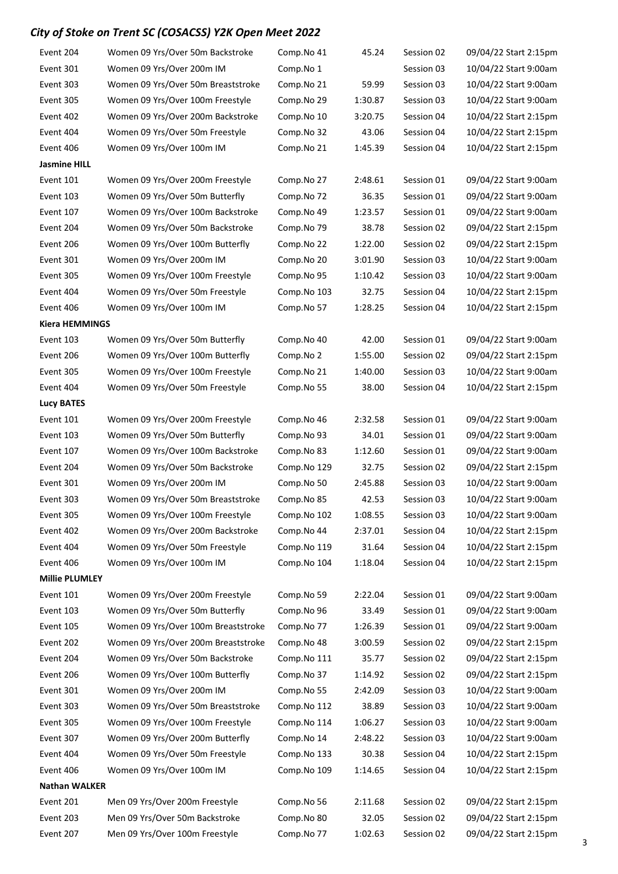| Event 204             | Women 09 Yrs/Over 50m Backstroke    | Comp.No 41  | 45.24   | Session 02 | 09/04/22 Start 2:15pm |
|-----------------------|-------------------------------------|-------------|---------|------------|-----------------------|
| Event 301             | Women 09 Yrs/Over 200m IM           | Comp.No 1   |         | Session 03 | 10/04/22 Start 9:00am |
| Event 303             | Women 09 Yrs/Over 50m Breaststroke  | Comp.No 21  | 59.99   | Session 03 | 10/04/22 Start 9:00am |
| Event 305             | Women 09 Yrs/Over 100m Freestyle    | Comp.No 29  | 1:30.87 | Session 03 | 10/04/22 Start 9:00am |
| Event 402             | Women 09 Yrs/Over 200m Backstroke   | Comp.No 10  | 3:20.75 | Session 04 | 10/04/22 Start 2:15pm |
| Event 404             | Women 09 Yrs/Over 50m Freestyle     | Comp.No 32  | 43.06   | Session 04 | 10/04/22 Start 2:15pm |
| Event 406             | Women 09 Yrs/Over 100m IM           | Comp.No 21  | 1:45.39 | Session 04 | 10/04/22 Start 2:15pm |
| <b>Jasmine HILL</b>   |                                     |             |         |            |                       |
| Event 101             | Women 09 Yrs/Over 200m Freestyle    | Comp.No 27  | 2:48.61 | Session 01 | 09/04/22 Start 9:00am |
| Event 103             | Women 09 Yrs/Over 50m Butterfly     | Comp.No 72  | 36.35   | Session 01 | 09/04/22 Start 9:00am |
| Event 107             | Women 09 Yrs/Over 100m Backstroke   | Comp.No 49  | 1:23.57 | Session 01 | 09/04/22 Start 9:00am |
| Event 204             | Women 09 Yrs/Over 50m Backstroke    | Comp.No 79  | 38.78   | Session 02 | 09/04/22 Start 2:15pm |
| Event 206             | Women 09 Yrs/Over 100m Butterfly    | Comp.No 22  | 1:22.00 | Session 02 | 09/04/22 Start 2:15pm |
| Event 301             | Women 09 Yrs/Over 200m IM           | Comp.No 20  | 3:01.90 | Session 03 | 10/04/22 Start 9:00am |
| Event 305             | Women 09 Yrs/Over 100m Freestyle    | Comp.No 95  | 1:10.42 | Session 03 | 10/04/22 Start 9:00am |
| Event 404             | Women 09 Yrs/Over 50m Freestyle     | Comp.No 103 | 32.75   | Session 04 | 10/04/22 Start 2:15pm |
| Event 406             | Women 09 Yrs/Over 100m IM           | Comp.No 57  | 1:28.25 | Session 04 | 10/04/22 Start 2:15pm |
| <b>Kiera HEMMINGS</b> |                                     |             |         |            |                       |
| Event 103             | Women 09 Yrs/Over 50m Butterfly     | Comp.No 40  | 42.00   | Session 01 | 09/04/22 Start 9:00am |
| Event 206             | Women 09 Yrs/Over 100m Butterfly    | Comp.No 2   | 1:55.00 | Session 02 | 09/04/22 Start 2:15pm |
| Event 305             | Women 09 Yrs/Over 100m Freestyle    | Comp.No 21  | 1:40.00 | Session 03 | 10/04/22 Start 9:00am |
| Event 404             | Women 09 Yrs/Over 50m Freestyle     | Comp.No 55  | 38.00   | Session 04 | 10/04/22 Start 2:15pm |
| <b>Lucy BATES</b>     |                                     |             |         |            |                       |
| Event 101             | Women 09 Yrs/Over 200m Freestyle    | Comp.No 46  | 2:32.58 | Session 01 | 09/04/22 Start 9:00am |
| Event 103             | Women 09 Yrs/Over 50m Butterfly     | Comp.No 93  | 34.01   | Session 01 | 09/04/22 Start 9:00am |
| Event 107             | Women 09 Yrs/Over 100m Backstroke   | Comp.No 83  | 1:12.60 | Session 01 | 09/04/22 Start 9:00am |
| Event 204             | Women 09 Yrs/Over 50m Backstroke    | Comp.No 129 | 32.75   | Session 02 | 09/04/22 Start 2:15pm |
| Event 301             | Women 09 Yrs/Over 200m IM           | Comp.No 50  | 2:45.88 | Session 03 | 10/04/22 Start 9:00am |
| Event 303             | Women 09 Yrs/Over 50m Breaststroke  | Comp.No 85  | 42.53   | Session 03 | 10/04/22 Start 9:00am |
| Event 305             | Women 09 Yrs/Over 100m Freestyle    | Comp.No 102 | 1:08.55 | Session 03 | 10/04/22 Start 9:00am |
| Event 402             | Women 09 Yrs/Over 200m Backstroke   | Comp.No 44  | 2:37.01 | Session 04 | 10/04/22 Start 2:15pm |
| Event 404             | Women 09 Yrs/Over 50m Freestyle     | Comp.No 119 | 31.64   | Session 04 | 10/04/22 Start 2:15pm |
| Event 406             | Women 09 Yrs/Over 100m IM           | Comp.No 104 | 1:18.04 | Session 04 | 10/04/22 Start 2:15pm |
| <b>Millie PLUMLEY</b> |                                     |             |         |            |                       |
| Event 101             | Women 09 Yrs/Over 200m Freestyle    | Comp.No 59  | 2:22.04 | Session 01 | 09/04/22 Start 9:00am |
| Event 103             | Women 09 Yrs/Over 50m Butterfly     | Comp.No 96  | 33.49   | Session 01 | 09/04/22 Start 9:00am |
| Event 105             | Women 09 Yrs/Over 100m Breaststroke | Comp.No 77  | 1:26.39 | Session 01 | 09/04/22 Start 9:00am |
| Event 202             | Women 09 Yrs/Over 200m Breaststroke | Comp.No 48  | 3:00.59 | Session 02 | 09/04/22 Start 2:15pm |
| Event 204             | Women 09 Yrs/Over 50m Backstroke    | Comp.No 111 | 35.77   | Session 02 | 09/04/22 Start 2:15pm |
| Event 206             | Women 09 Yrs/Over 100m Butterfly    | Comp.No 37  | 1:14.92 | Session 02 | 09/04/22 Start 2:15pm |
| Event 301             | Women 09 Yrs/Over 200m IM           | Comp.No 55  | 2:42.09 | Session 03 | 10/04/22 Start 9:00am |
| Event 303             | Women 09 Yrs/Over 50m Breaststroke  | Comp.No 112 | 38.89   | Session 03 | 10/04/22 Start 9:00am |
| Event 305             | Women 09 Yrs/Over 100m Freestyle    | Comp.No 114 | 1:06.27 | Session 03 | 10/04/22 Start 9:00am |
| Event 307             | Women 09 Yrs/Over 200m Butterfly    | Comp.No 14  | 2:48.22 | Session 03 | 10/04/22 Start 9:00am |
| Event 404             | Women 09 Yrs/Over 50m Freestyle     | Comp.No 133 | 30.38   | Session 04 | 10/04/22 Start 2:15pm |
| Event 406             | Women 09 Yrs/Over 100m IM           | Comp.No 109 | 1:14.65 | Session 04 | 10/04/22 Start 2:15pm |
| <b>Nathan WALKER</b>  |                                     |             |         |            |                       |
| Event 201             | Men 09 Yrs/Over 200m Freestyle      | Comp.No 56  | 2:11.68 | Session 02 | 09/04/22 Start 2:15pm |
| Event 203             | Men 09 Yrs/Over 50m Backstroke      | Comp.No 80  | 32.05   | Session 02 | 09/04/22 Start 2:15pm |
| Event 207             | Men 09 Yrs/Over 100m Freestyle      | Comp.No 77  | 1:02.63 | Session 02 | 09/04/22 Start 2:15pm |
|                       |                                     |             |         |            |                       |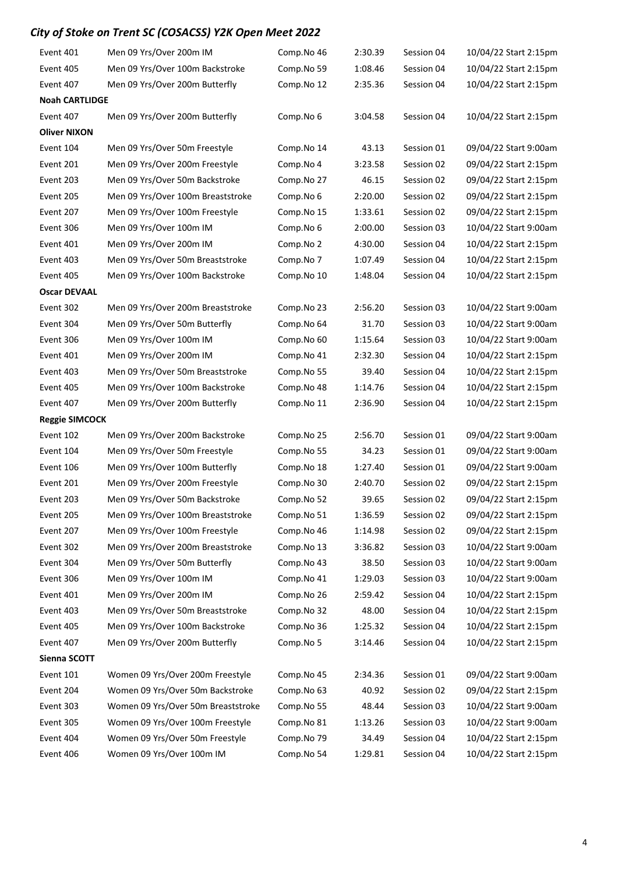| Event 401             | Men 09 Yrs/Over 200m IM            | Comp.No 46 | 2:30.39 | Session 04 | 10/04/22 Start 2:15pm |
|-----------------------|------------------------------------|------------|---------|------------|-----------------------|
| Event 405             | Men 09 Yrs/Over 100m Backstroke    | Comp.No 59 | 1:08.46 | Session 04 | 10/04/22 Start 2:15pm |
| Event 407             | Men 09 Yrs/Over 200m Butterfly     | Comp.No 12 | 2:35.36 | Session 04 | 10/04/22 Start 2:15pm |
| <b>Noah CARTLIDGE</b> |                                    |            |         |            |                       |
| Event 407             | Men 09 Yrs/Over 200m Butterfly     | Comp.No 6  | 3:04.58 | Session 04 | 10/04/22 Start 2:15pm |
| <b>Oliver NIXON</b>   |                                    |            |         |            |                       |
| Event 104             | Men 09 Yrs/Over 50m Freestyle      | Comp.No 14 | 43.13   | Session 01 | 09/04/22 Start 9:00am |
| Event 201             | Men 09 Yrs/Over 200m Freestyle     | Comp.No 4  | 3:23.58 | Session 02 | 09/04/22 Start 2:15pm |
| Event 203             | Men 09 Yrs/Over 50m Backstroke     | Comp.No 27 | 46.15   | Session 02 | 09/04/22 Start 2:15pm |
| Event 205             | Men 09 Yrs/Over 100m Breaststroke  | Comp.No 6  | 2:20.00 | Session 02 | 09/04/22 Start 2:15pm |
| Event 207             | Men 09 Yrs/Over 100m Freestyle     | Comp.No 15 | 1:33.61 | Session 02 | 09/04/22 Start 2:15pm |
| Event 306             | Men 09 Yrs/Over 100m IM            | Comp.No 6  | 2:00.00 | Session 03 | 10/04/22 Start 9:00am |
| Event 401             | Men 09 Yrs/Over 200m IM            | Comp.No 2  | 4:30.00 | Session 04 | 10/04/22 Start 2:15pm |
| Event 403             | Men 09 Yrs/Over 50m Breaststroke   | Comp.No 7  | 1:07.49 | Session 04 | 10/04/22 Start 2:15pm |
| Event 405             | Men 09 Yrs/Over 100m Backstroke    | Comp.No 10 | 1:48.04 | Session 04 | 10/04/22 Start 2:15pm |
| <b>Oscar DEVAAL</b>   |                                    |            |         |            |                       |
| Event 302             | Men 09 Yrs/Over 200m Breaststroke  | Comp.No 23 | 2:56.20 | Session 03 | 10/04/22 Start 9:00am |
| Event 304             | Men 09 Yrs/Over 50m Butterfly      | Comp.No 64 | 31.70   | Session 03 | 10/04/22 Start 9:00am |
| Event 306             | Men 09 Yrs/Over 100m IM            | Comp.No 60 | 1:15.64 | Session 03 | 10/04/22 Start 9:00am |
| Event 401             | Men 09 Yrs/Over 200m IM            | Comp.No 41 | 2:32.30 | Session 04 | 10/04/22 Start 2:15pm |
| Event 403             | Men 09 Yrs/Over 50m Breaststroke   | Comp.No 55 | 39.40   | Session 04 | 10/04/22 Start 2:15pm |
| Event 405             | Men 09 Yrs/Over 100m Backstroke    | Comp.No 48 | 1:14.76 | Session 04 | 10/04/22 Start 2:15pm |
| Event 407             | Men 09 Yrs/Over 200m Butterfly     | Comp.No 11 | 2:36.90 | Session 04 | 10/04/22 Start 2:15pm |
| <b>Reggie SIMCOCK</b> |                                    |            |         |            |                       |
| Event 102             |                                    | Comp.No 25 | 2:56.70 | Session 01 | 09/04/22 Start 9:00am |
|                       | Men 09 Yrs/Over 200m Backstroke    |            |         |            |                       |
| Event 104             | Men 09 Yrs/Over 50m Freestyle      | Comp.No 55 | 34.23   | Session 01 | 09/04/22 Start 9:00am |
| Event 106             | Men 09 Yrs/Over 100m Butterfly     | Comp.No 18 | 1:27.40 | Session 01 | 09/04/22 Start 9:00am |
| Event 201             | Men 09 Yrs/Over 200m Freestyle     | Comp.No 30 | 2:40.70 | Session 02 | 09/04/22 Start 2:15pm |
| Event 203             | Men 09 Yrs/Over 50m Backstroke     | Comp.No 52 | 39.65   | Session 02 | 09/04/22 Start 2:15pm |
| Event 205             | Men 09 Yrs/Over 100m Breaststroke  | Comp.No 51 | 1:36.59 | Session 02 | 09/04/22 Start 2:15pm |
| Event 207             | Men 09 Yrs/Over 100m Freestyle     | Comp.No 46 | 1:14.98 | Session 02 | 09/04/22 Start 2:15pm |
| Event 302             | Men 09 Yrs/Over 200m Breaststroke  | Comp.No 13 | 3:36.82 | Session 03 | 10/04/22 Start 9:00am |
| Event 304             | Men 09 Yrs/Over 50m Butterfly      | Comp.No 43 | 38.50   | Session 03 | 10/04/22 Start 9:00am |
| Event 306             | Men 09 Yrs/Over 100m IM            | Comp.No 41 | 1:29.03 | Session 03 | 10/04/22 Start 9:00am |
| Event 401             | Men 09 Yrs/Over 200m IM            | Comp.No 26 | 2:59.42 | Session 04 | 10/04/22 Start 2:15pm |
| Event 403             | Men 09 Yrs/Over 50m Breaststroke   | Comp.No 32 | 48.00   | Session 04 | 10/04/22 Start 2:15pm |
| Event 405             | Men 09 Yrs/Over 100m Backstroke    | Comp.No 36 | 1:25.32 | Session 04 | 10/04/22 Start 2:15pm |
| Event 407             | Men 09 Yrs/Over 200m Butterfly     | Comp.No 5  | 3:14.46 | Session 04 | 10/04/22 Start 2:15pm |
| Sienna SCOTT          |                                    |            |         |            |                       |
| Event 101             | Women 09 Yrs/Over 200m Freestyle   | Comp.No 45 | 2:34.36 | Session 01 | 09/04/22 Start 9:00am |
| Event 204             | Women 09 Yrs/Over 50m Backstroke   | Comp.No 63 | 40.92   | Session 02 | 09/04/22 Start 2:15pm |
| Event 303             | Women 09 Yrs/Over 50m Breaststroke | Comp.No 55 | 48.44   | Session 03 | 10/04/22 Start 9:00am |
| Event 305             | Women 09 Yrs/Over 100m Freestyle   | Comp.No 81 | 1:13.26 | Session 03 | 10/04/22 Start 9:00am |
| Event 404             | Women 09 Yrs/Over 50m Freestyle    | Comp.No 79 | 34.49   | Session 04 | 10/04/22 Start 2:15pm |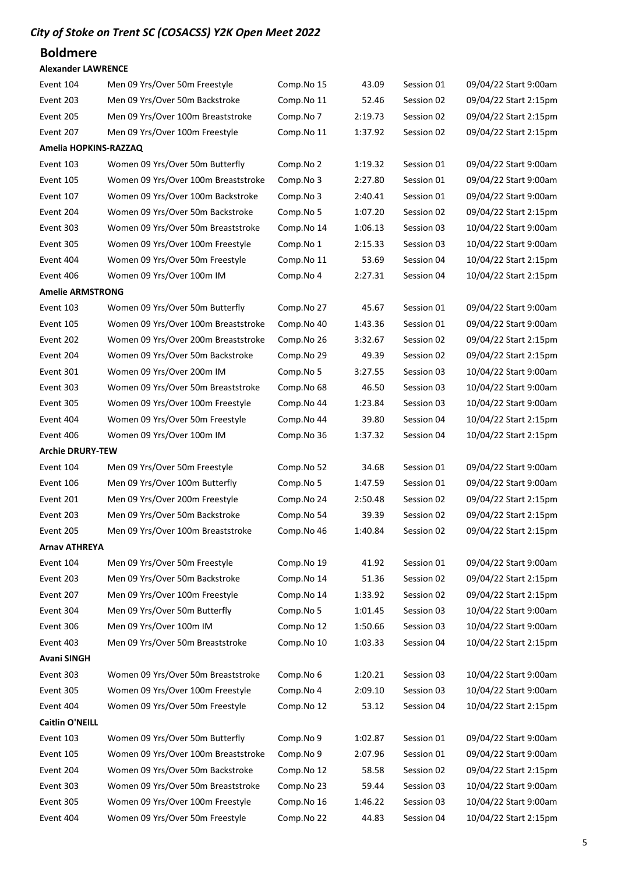### Boldmere

#### Alexander LAWRENCE

| Event 104               | Men 09 Yrs/Over 50m Freestyle       | Comp.No 15 | 43.09   | Session 01 | 09/04/22 Start 9:00am |
|-------------------------|-------------------------------------|------------|---------|------------|-----------------------|
| Event 203               | Men 09 Yrs/Over 50m Backstroke      | Comp.No 11 | 52.46   | Session 02 | 09/04/22 Start 2:15pm |
| Event 205               | Men 09 Yrs/Over 100m Breaststroke   | Comp.No 7  | 2:19.73 | Session 02 | 09/04/22 Start 2:15pm |
| Event 207               | Men 09 Yrs/Over 100m Freestyle      | Comp.No 11 | 1:37.92 | Session 02 | 09/04/22 Start 2:15pm |
| Amelia HOPKINS-RAZZAQ   |                                     |            |         |            |                       |
| Event 103               | Women 09 Yrs/Over 50m Butterfly     | Comp.No 2  | 1:19.32 | Session 01 | 09/04/22 Start 9:00am |
| Event 105               | Women 09 Yrs/Over 100m Breaststroke | Comp.No 3  | 2:27.80 | Session 01 | 09/04/22 Start 9:00am |
| Event 107               | Women 09 Yrs/Over 100m Backstroke   | Comp.No 3  | 2:40.41 | Session 01 | 09/04/22 Start 9:00am |
| Event 204               | Women 09 Yrs/Over 50m Backstroke    | Comp.No 5  | 1:07.20 | Session 02 | 09/04/22 Start 2:15pm |
| Event 303               | Women 09 Yrs/Over 50m Breaststroke  | Comp.No 14 | 1:06.13 | Session 03 | 10/04/22 Start 9:00am |
| Event 305               | Women 09 Yrs/Over 100m Freestyle    | Comp.No 1  | 2:15.33 | Session 03 | 10/04/22 Start 9:00am |
| Event 404               | Women 09 Yrs/Over 50m Freestyle     | Comp.No 11 | 53.69   | Session 04 | 10/04/22 Start 2:15pm |
| Event 406               | Women 09 Yrs/Over 100m IM           | Comp.No 4  | 2:27.31 | Session 04 | 10/04/22 Start 2:15pm |
| <b>Amelie ARMSTRONG</b> |                                     |            |         |            |                       |
| Event 103               | Women 09 Yrs/Over 50m Butterfly     | Comp.No 27 | 45.67   | Session 01 | 09/04/22 Start 9:00am |
| Event 105               | Women 09 Yrs/Over 100m Breaststroke | Comp.No 40 | 1:43.36 | Session 01 | 09/04/22 Start 9:00am |
| Event 202               | Women 09 Yrs/Over 200m Breaststroke | Comp.No 26 | 3:32.67 | Session 02 | 09/04/22 Start 2:15pm |
| Event 204               | Women 09 Yrs/Over 50m Backstroke    | Comp.No 29 | 49.39   | Session 02 | 09/04/22 Start 2:15pm |
| Event 301               | Women 09 Yrs/Over 200m IM           | Comp.No 5  | 3:27.55 | Session 03 | 10/04/22 Start 9:00am |
| Event 303               | Women 09 Yrs/Over 50m Breaststroke  | Comp.No 68 | 46.50   | Session 03 | 10/04/22 Start 9:00am |
| Event 305               | Women 09 Yrs/Over 100m Freestyle    | Comp.No 44 | 1:23.84 | Session 03 | 10/04/22 Start 9:00am |
| Event 404               | Women 09 Yrs/Over 50m Freestyle     | Comp.No 44 | 39.80   | Session 04 | 10/04/22 Start 2:15pm |
| Event 406               | Women 09 Yrs/Over 100m IM           | Comp.No 36 | 1:37.32 | Session 04 | 10/04/22 Start 2:15pm |
| <b>Archie DRURY-TEW</b> |                                     |            |         |            |                       |
| Event 104               | Men 09 Yrs/Over 50m Freestyle       | Comp.No 52 | 34.68   | Session 01 | 09/04/22 Start 9:00am |
| Event 106               | Men 09 Yrs/Over 100m Butterfly      | Comp.No 5  | 1:47.59 | Session 01 | 09/04/22 Start 9:00am |
| Event 201               | Men 09 Yrs/Over 200m Freestyle      | Comp.No 24 | 2:50.48 | Session 02 | 09/04/22 Start 2:15pm |
| Event 203               | Men 09 Yrs/Over 50m Backstroke      | Comp.No 54 | 39.39   | Session 02 | 09/04/22 Start 2:15pm |
| Event 205               | Men 09 Yrs/Over 100m Breaststroke   | Comp.No 46 | 1:40.84 | Session 02 | 09/04/22 Start 2:15pm |
| <b>Arnav ATHREYA</b>    |                                     |            |         |            |                       |
| Event 104               | Men 09 Yrs/Over 50m Freestyle       | Comp.No 19 | 41.92   | Session 01 | 09/04/22 Start 9:00am |
| Event 203               | Men 09 Yrs/Over 50m Backstroke      | Comp.No 14 | 51.36   | Session 02 | 09/04/22 Start 2:15pm |
| Event 207               | Men 09 Yrs/Over 100m Freestyle      | Comp.No 14 | 1:33.92 | Session 02 | 09/04/22 Start 2:15pm |
| Event 304               | Men 09 Yrs/Over 50m Butterfly       | Comp.No 5  | 1:01.45 | Session 03 | 10/04/22 Start 9:00am |
| Event 306               | Men 09 Yrs/Over 100m IM             | Comp.No 12 | 1:50.66 | Session 03 | 10/04/22 Start 9:00am |
| Event 403               | Men 09 Yrs/Over 50m Breaststroke    | Comp.No 10 | 1:03.33 | Session 04 | 10/04/22 Start 2:15pm |
| <b>Avani SINGH</b>      |                                     |            |         |            |                       |
| Event 303               | Women 09 Yrs/Over 50m Breaststroke  | Comp.No 6  | 1:20.21 | Session 03 | 10/04/22 Start 9:00am |
| Event 305               | Women 09 Yrs/Over 100m Freestyle    | Comp.No 4  | 2:09.10 | Session 03 | 10/04/22 Start 9:00am |
| Event 404               | Women 09 Yrs/Over 50m Freestyle     | Comp.No 12 | 53.12   | Session 04 | 10/04/22 Start 2:15pm |
| <b>Caitlin O'NEILL</b>  |                                     |            |         |            |                       |
| Event 103               | Women 09 Yrs/Over 50m Butterfly     | Comp.No 9  | 1:02.87 | Session 01 | 09/04/22 Start 9:00am |
| Event 105               | Women 09 Yrs/Over 100m Breaststroke | Comp.No 9  | 2:07.96 | Session 01 | 09/04/22 Start 9:00am |
| Event 204               | Women 09 Yrs/Over 50m Backstroke    | Comp.No 12 | 58.58   | Session 02 | 09/04/22 Start 2:15pm |
| Event 303               | Women 09 Yrs/Over 50m Breaststroke  | Comp.No 23 | 59.44   | Session 03 | 10/04/22 Start 9:00am |
| Event 305               | Women 09 Yrs/Over 100m Freestyle    | Comp.No 16 | 1:46.22 | Session 03 | 10/04/22 Start 9:00am |
| Event 404               | Women 09 Yrs/Over 50m Freestyle     | Comp.No 22 | 44.83   | Session 04 | 10/04/22 Start 2:15pm |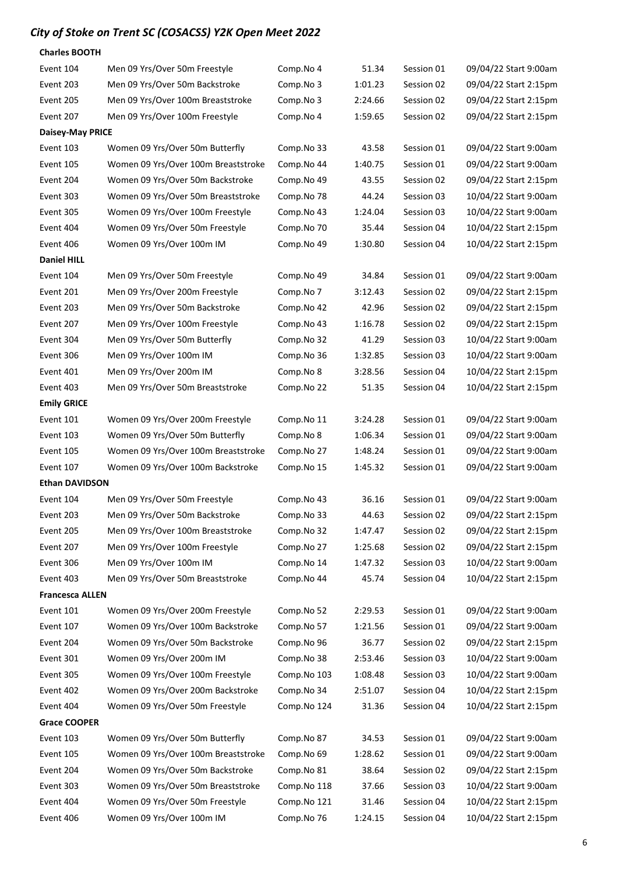| <b>Charles BOOTH</b>    |                                     |             |         |            |                       |
|-------------------------|-------------------------------------|-------------|---------|------------|-----------------------|
| Event 104               | Men 09 Yrs/Over 50m Freestyle       | Comp.No 4   | 51.34   | Session 01 | 09/04/22 Start 9:00am |
| Event 203               | Men 09 Yrs/Over 50m Backstroke      | Comp.No 3   | 1:01.23 | Session 02 | 09/04/22 Start 2:15pm |
| Event 205               | Men 09 Yrs/Over 100m Breaststroke   | Comp.No 3   | 2:24.66 | Session 02 | 09/04/22 Start 2:15pm |
| Event 207               | Men 09 Yrs/Over 100m Freestyle      | Comp.No 4   | 1:59.65 | Session 02 | 09/04/22 Start 2:15pm |
| <b>Daisey-May PRICE</b> |                                     |             |         |            |                       |
| Event 103               | Women 09 Yrs/Over 50m Butterfly     | Comp.No 33  | 43.58   | Session 01 | 09/04/22 Start 9:00am |
| Event 105               | Women 09 Yrs/Over 100m Breaststroke | Comp.No 44  | 1:40.75 | Session 01 | 09/04/22 Start 9:00am |
| Event 204               | Women 09 Yrs/Over 50m Backstroke    | Comp.No 49  | 43.55   | Session 02 | 09/04/22 Start 2:15pm |
| Event 303               | Women 09 Yrs/Over 50m Breaststroke  | Comp.No 78  | 44.24   | Session 03 | 10/04/22 Start 9:00am |
| Event 305               | Women 09 Yrs/Over 100m Freestyle    | Comp.No 43  | 1:24.04 | Session 03 | 10/04/22 Start 9:00am |
| Event 404               | Women 09 Yrs/Over 50m Freestyle     | Comp.No 70  | 35.44   | Session 04 | 10/04/22 Start 2:15pm |
| Event 406               | Women 09 Yrs/Over 100m IM           | Comp.No 49  | 1:30.80 | Session 04 | 10/04/22 Start 2:15pm |
| <b>Daniel HILL</b>      |                                     |             |         |            |                       |
| Event 104               | Men 09 Yrs/Over 50m Freestyle       | Comp.No 49  | 34.84   | Session 01 | 09/04/22 Start 9:00am |
| Event 201               | Men 09 Yrs/Over 200m Freestyle      | Comp.No 7   | 3:12.43 | Session 02 | 09/04/22 Start 2:15pm |
| Event 203               | Men 09 Yrs/Over 50m Backstroke      | Comp.No 42  | 42.96   | Session 02 | 09/04/22 Start 2:15pm |
| Event 207               | Men 09 Yrs/Over 100m Freestyle      | Comp.No 43  | 1:16.78 | Session 02 | 09/04/22 Start 2:15pm |
| Event 304               | Men 09 Yrs/Over 50m Butterfly       | Comp.No 32  | 41.29   | Session 03 | 10/04/22 Start 9:00am |
| Event 306               | Men 09 Yrs/Over 100m IM             | Comp.No 36  | 1:32.85 | Session 03 | 10/04/22 Start 9:00am |
| Event 401               | Men 09 Yrs/Over 200m IM             | Comp.No 8   | 3:28.56 | Session 04 | 10/04/22 Start 2:15pm |
| Event 403               | Men 09 Yrs/Over 50m Breaststroke    | Comp.No 22  | 51.35   | Session 04 | 10/04/22 Start 2:15pm |
| <b>Emily GRICE</b>      |                                     |             |         |            |                       |
| Event 101               | Women 09 Yrs/Over 200m Freestyle    | Comp.No 11  | 3:24.28 | Session 01 | 09/04/22 Start 9:00am |
| Event 103               | Women 09 Yrs/Over 50m Butterfly     | Comp.No 8   | 1:06.34 | Session 01 | 09/04/22 Start 9:00am |
| Event 105               | Women 09 Yrs/Over 100m Breaststroke | Comp.No 27  | 1:48.24 | Session 01 | 09/04/22 Start 9:00am |
| Event 107               | Women 09 Yrs/Over 100m Backstroke   | Comp.No 15  | 1:45.32 | Session 01 | 09/04/22 Start 9:00am |
| <b>Ethan DAVIDSON</b>   |                                     |             |         |            |                       |
| Event 104               | Men 09 Yrs/Over 50m Freestyle       | Comp.No 43  | 36.16   | Session 01 | 09/04/22 Start 9:00am |
| Event 203               | Men 09 Yrs/Over 50m Backstroke      | Comp.No 33  | 44.63   | Session 02 | 09/04/22 Start 2:15pm |
| Event 205               | Men 09 Yrs/Over 100m Breaststroke   | Comp.No 32  | 1:47.47 | Session 02 | 09/04/22 Start 2:15pm |
| Event 207               | Men 09 Yrs/Over 100m Freestyle      | Comp.No 27  | 1:25.68 | Session 02 | 09/04/22 Start 2:15pm |
| Event 306               | Men 09 Yrs/Over 100m IM             | Comp.No 14  | 1:47.32 | Session 03 | 10/04/22 Start 9:00am |
| Event 403               | Men 09 Yrs/Over 50m Breaststroke    | Comp.No 44  | 45.74   | Session 04 | 10/04/22 Start 2:15pm |
| <b>Francesca ALLEN</b>  |                                     |             |         |            |                       |
| Event 101               | Women 09 Yrs/Over 200m Freestyle    | Comp.No 52  | 2:29.53 | Session 01 | 09/04/22 Start 9:00am |
| Event 107               | Women 09 Yrs/Over 100m Backstroke   | Comp.No 57  | 1:21.56 | Session 01 | 09/04/22 Start 9:00am |
| Event 204               | Women 09 Yrs/Over 50m Backstroke    | Comp.No 96  | 36.77   | Session 02 | 09/04/22 Start 2:15pm |
| Event 301               | Women 09 Yrs/Over 200m IM           | Comp.No 38  | 2:53.46 | Session 03 | 10/04/22 Start 9:00am |
| Event 305               | Women 09 Yrs/Over 100m Freestyle    | Comp.No 103 | 1:08.48 | Session 03 | 10/04/22 Start 9:00am |
| Event 402               | Women 09 Yrs/Over 200m Backstroke   | Comp.No 34  | 2:51.07 | Session 04 | 10/04/22 Start 2:15pm |
| Event 404               | Women 09 Yrs/Over 50m Freestyle     | Comp.No 124 | 31.36   | Session 04 | 10/04/22 Start 2:15pm |
| <b>Grace COOPER</b>     |                                     |             |         |            |                       |
| Event 103               | Women 09 Yrs/Over 50m Butterfly     | Comp.No 87  | 34.53   | Session 01 | 09/04/22 Start 9:00am |
| Event 105               | Women 09 Yrs/Over 100m Breaststroke | Comp.No 69  | 1:28.62 | Session 01 | 09/04/22 Start 9:00am |
| Event 204               | Women 09 Yrs/Over 50m Backstroke    | Comp.No 81  | 38.64   | Session 02 | 09/04/22 Start 2:15pm |
| Event 303               | Women 09 Yrs/Over 50m Breaststroke  | Comp.No 118 | 37.66   | Session 03 | 10/04/22 Start 9:00am |
| Event 404               | Women 09 Yrs/Over 50m Freestyle     | Comp.No 121 | 31.46   | Session 04 | 10/04/22 Start 2:15pm |
| Event 406               | Women 09 Yrs/Over 100m IM           | Comp.No 76  | 1:24.15 | Session 04 | 10/04/22 Start 2:15pm |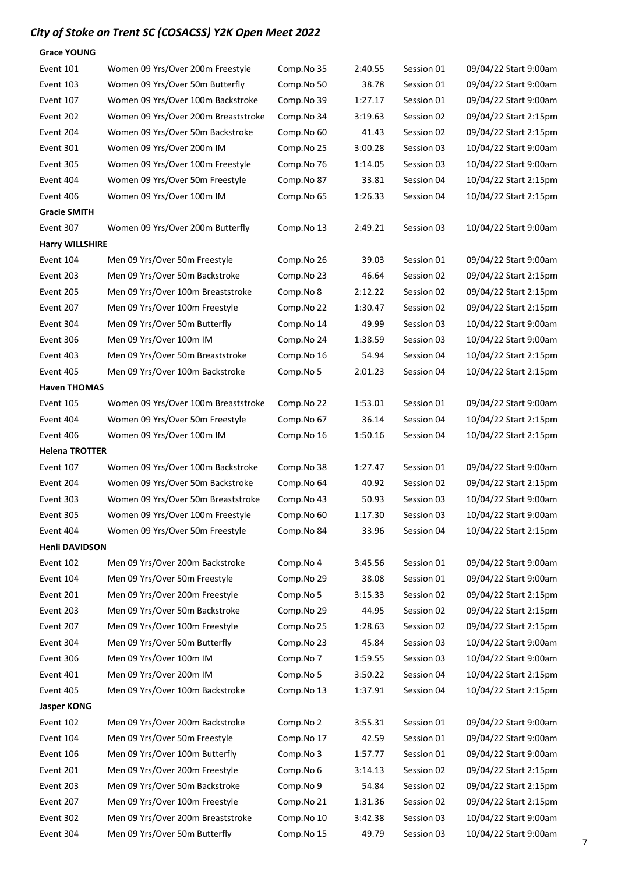| <b>Grace YOUNG</b>     |                                     |            |         |            |                       |
|------------------------|-------------------------------------|------------|---------|------------|-----------------------|
| Event 101              | Women 09 Yrs/Over 200m Freestyle    | Comp.No 35 | 2:40.55 | Session 01 | 09/04/22 Start 9:00am |
| Event 103              | Women 09 Yrs/Over 50m Butterfly     | Comp.No 50 | 38.78   | Session 01 | 09/04/22 Start 9:00am |
| Event 107              | Women 09 Yrs/Over 100m Backstroke   | Comp.No 39 | 1:27.17 | Session 01 | 09/04/22 Start 9:00am |
| Event 202              | Women 09 Yrs/Over 200m Breaststroke | Comp.No 34 | 3:19.63 | Session 02 | 09/04/22 Start 2:15pm |
| Event 204              | Women 09 Yrs/Over 50m Backstroke    | Comp.No 60 | 41.43   | Session 02 | 09/04/22 Start 2:15pm |
| Event 301              | Women 09 Yrs/Over 200m IM           | Comp.No 25 | 3:00.28 | Session 03 | 10/04/22 Start 9:00am |
| Event 305              | Women 09 Yrs/Over 100m Freestyle    | Comp.No 76 | 1:14.05 | Session 03 | 10/04/22 Start 9:00am |
| Event 404              | Women 09 Yrs/Over 50m Freestyle     | Comp.No 87 | 33.81   | Session 04 | 10/04/22 Start 2:15pm |
| Event 406              | Women 09 Yrs/Over 100m IM           | Comp.No 65 | 1:26.33 | Session 04 | 10/04/22 Start 2:15pm |
| <b>Gracie SMITH</b>    |                                     |            |         |            |                       |
| Event 307              | Women 09 Yrs/Over 200m Butterfly    | Comp.No 13 | 2:49.21 | Session 03 | 10/04/22 Start 9:00am |
| <b>Harry WILLSHIRE</b> |                                     |            |         |            |                       |
| Event 104              | Men 09 Yrs/Over 50m Freestyle       | Comp.No 26 | 39.03   | Session 01 | 09/04/22 Start 9:00am |
| Event 203              | Men 09 Yrs/Over 50m Backstroke      | Comp.No 23 | 46.64   | Session 02 | 09/04/22 Start 2:15pm |
| Event 205              | Men 09 Yrs/Over 100m Breaststroke   | Comp.No 8  | 2:12.22 | Session 02 | 09/04/22 Start 2:15pm |
| Event 207              | Men 09 Yrs/Over 100m Freestyle      | Comp.No 22 | 1:30.47 | Session 02 | 09/04/22 Start 2:15pm |
| Event 304              | Men 09 Yrs/Over 50m Butterfly       | Comp.No 14 | 49.99   | Session 03 | 10/04/22 Start 9:00am |
| Event 306              | Men 09 Yrs/Over 100m IM             | Comp.No 24 | 1:38.59 | Session 03 | 10/04/22 Start 9:00am |
| Event 403              | Men 09 Yrs/Over 50m Breaststroke    | Comp.No 16 | 54.94   | Session 04 | 10/04/22 Start 2:15pm |
| Event 405              | Men 09 Yrs/Over 100m Backstroke     | Comp.No 5  | 2:01.23 | Session 04 | 10/04/22 Start 2:15pm |
| <b>Haven THOMAS</b>    |                                     |            |         |            |                       |
| Event 105              | Women 09 Yrs/Over 100m Breaststroke | Comp.No 22 | 1:53.01 | Session 01 | 09/04/22 Start 9:00am |
| Event 404              | Women 09 Yrs/Over 50m Freestyle     | Comp.No 67 | 36.14   | Session 04 | 10/04/22 Start 2:15pm |
| Event 406              | Women 09 Yrs/Over 100m IM           | Comp.No 16 | 1:50.16 | Session 04 | 10/04/22 Start 2:15pm |
| <b>Helena TROTTER</b>  |                                     |            |         |            |                       |
| Event 107              | Women 09 Yrs/Over 100m Backstroke   | Comp.No 38 | 1:27.47 | Session 01 | 09/04/22 Start 9:00am |
| Event 204              | Women 09 Yrs/Over 50m Backstroke    | Comp.No 64 | 40.92   | Session 02 | 09/04/22 Start 2:15pm |
| Event 303              | Women 09 Yrs/Over 50m Breaststroke  | Comp.No 43 | 50.93   | Session 03 | 10/04/22 Start 9:00am |
| Event 305              | Women 09 Yrs/Over 100m Freestyle    | Comp.No 60 | 1:17.30 | Session 03 | 10/04/22 Start 9:00am |
| Event 404              | Women 09 Yrs/Over 50m Freestyle     | Comp.No 84 | 33.96   | Session 04 | 10/04/22 Start 2:15pm |
| <b>Henli DAVIDSON</b>  |                                     |            |         |            |                       |
| Event 102              | Men 09 Yrs/Over 200m Backstroke     | Comp.No 4  | 3:45.56 | Session 01 | 09/04/22 Start 9:00am |
| Event 104              | Men 09 Yrs/Over 50m Freestyle       | Comp.No 29 | 38.08   | Session 01 | 09/04/22 Start 9:00am |
| Event 201              | Men 09 Yrs/Over 200m Freestyle      | Comp.No 5  | 3:15.33 | Session 02 | 09/04/22 Start 2:15pm |
| Event 203              | Men 09 Yrs/Over 50m Backstroke      | Comp.No 29 | 44.95   | Session 02 | 09/04/22 Start 2:15pm |
| Event 207              | Men 09 Yrs/Over 100m Freestyle      | Comp.No 25 | 1:28.63 | Session 02 | 09/04/22 Start 2:15pm |
| Event 304              | Men 09 Yrs/Over 50m Butterfly       | Comp.No 23 | 45.84   | Session 03 | 10/04/22 Start 9:00am |
| Event 306              | Men 09 Yrs/Over 100m IM             | Comp.No 7  | 1:59.55 | Session 03 | 10/04/22 Start 9:00am |
| Event 401              | Men 09 Yrs/Over 200m IM             | Comp.No 5  | 3:50.22 | Session 04 | 10/04/22 Start 2:15pm |
| Event 405              | Men 09 Yrs/Over 100m Backstroke     | Comp.No 13 | 1:37.91 | Session 04 | 10/04/22 Start 2:15pm |
| <b>Jasper KONG</b>     |                                     |            |         |            |                       |
| Event 102              | Men 09 Yrs/Over 200m Backstroke     | Comp.No 2  | 3:55.31 | Session 01 | 09/04/22 Start 9:00am |
| Event 104              | Men 09 Yrs/Over 50m Freestyle       | Comp.No 17 | 42.59   | Session 01 | 09/04/22 Start 9:00am |
| Event 106              | Men 09 Yrs/Over 100m Butterfly      | Comp.No 3  | 1:57.77 | Session 01 | 09/04/22 Start 9:00am |
| Event 201              | Men 09 Yrs/Over 200m Freestyle      | Comp.No 6  | 3:14.13 | Session 02 | 09/04/22 Start 2:15pm |
| Event 203              | Men 09 Yrs/Over 50m Backstroke      | Comp.No 9  | 54.84   | Session 02 | 09/04/22 Start 2:15pm |
| Event 207              | Men 09 Yrs/Over 100m Freestyle      | Comp.No 21 | 1:31.36 | Session 02 | 09/04/22 Start 2:15pm |
| Event 302              | Men 09 Yrs/Over 200m Breaststroke   | Comp.No 10 | 3:42.38 | Session 03 | 10/04/22 Start 9:00am |
| Event 304              | Men 09 Yrs/Over 50m Butterfly       | Comp.No 15 | 49.79   | Session 03 | 10/04/22 Start 9:00am |
|                        |                                     |            |         |            |                       |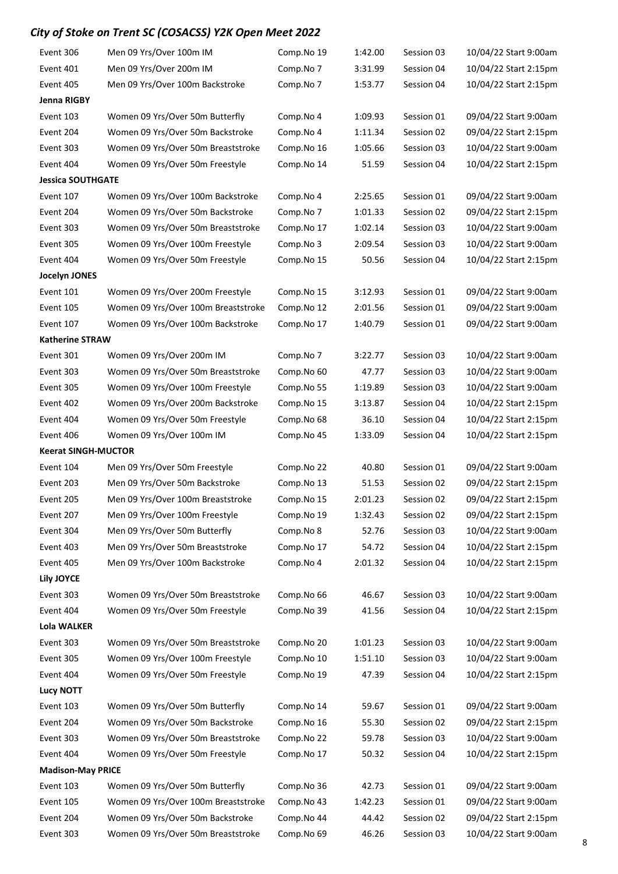| Event 306                  | Men 09 Yrs/Over 100m IM             | Comp.No 19 | 1:42.00 | Session 03 | 10/04/22 Start 9:00am |
|----------------------------|-------------------------------------|------------|---------|------------|-----------------------|
| Event 401                  | Men 09 Yrs/Over 200m IM             | Comp.No 7  | 3:31.99 | Session 04 | 10/04/22 Start 2:15pm |
| Event 405                  | Men 09 Yrs/Over 100m Backstroke     | Comp.No 7  | 1:53.77 | Session 04 | 10/04/22 Start 2:15pm |
| Jenna RIGBY                |                                     |            |         |            |                       |
| Event 103                  | Women 09 Yrs/Over 50m Butterfly     | Comp.No 4  | 1:09.93 | Session 01 | 09/04/22 Start 9:00am |
| Event 204                  | Women 09 Yrs/Over 50m Backstroke    | Comp.No 4  | 1:11.34 | Session 02 | 09/04/22 Start 2:15pm |
| Event 303                  | Women 09 Yrs/Over 50m Breaststroke  | Comp.No 16 | 1:05.66 | Session 03 | 10/04/22 Start 9:00am |
| Event 404                  | Women 09 Yrs/Over 50m Freestyle     | Comp.No 14 | 51.59   | Session 04 | 10/04/22 Start 2:15pm |
| <b>Jessica SOUTHGATE</b>   |                                     |            |         |            |                       |
| Event 107                  | Women 09 Yrs/Over 100m Backstroke   | Comp.No 4  | 2:25.65 | Session 01 | 09/04/22 Start 9:00am |
| Event 204                  | Women 09 Yrs/Over 50m Backstroke    | Comp.No 7  | 1:01.33 | Session 02 | 09/04/22 Start 2:15pm |
| Event 303                  | Women 09 Yrs/Over 50m Breaststroke  | Comp.No 17 | 1:02.14 | Session 03 | 10/04/22 Start 9:00am |
| Event 305                  | Women 09 Yrs/Over 100m Freestyle    | Comp.No 3  | 2:09.54 | Session 03 | 10/04/22 Start 9:00am |
| Event 404                  | Women 09 Yrs/Over 50m Freestyle     | Comp.No 15 | 50.56   | Session 04 | 10/04/22 Start 2:15pm |
| Jocelyn JONES              |                                     |            |         |            |                       |
| Event 101                  | Women 09 Yrs/Over 200m Freestyle    | Comp.No 15 | 3:12.93 | Session 01 | 09/04/22 Start 9:00am |
| Event 105                  | Women 09 Yrs/Over 100m Breaststroke | Comp.No 12 | 2:01.56 | Session 01 | 09/04/22 Start 9:00am |
| Event 107                  | Women 09 Yrs/Over 100m Backstroke   | Comp.No 17 | 1:40.79 | Session 01 | 09/04/22 Start 9:00am |
| <b>Katherine STRAW</b>     |                                     |            |         |            |                       |
| Event 301                  | Women 09 Yrs/Over 200m IM           | Comp.No 7  | 3:22.77 | Session 03 | 10/04/22 Start 9:00am |
| Event 303                  | Women 09 Yrs/Over 50m Breaststroke  | Comp.No 60 | 47.77   | Session 03 | 10/04/22 Start 9:00am |
| Event 305                  | Women 09 Yrs/Over 100m Freestyle    | Comp.No 55 | 1:19.89 | Session 03 | 10/04/22 Start 9:00am |
| Event 402                  | Women 09 Yrs/Over 200m Backstroke   | Comp.No 15 | 3:13.87 | Session 04 | 10/04/22 Start 2:15pm |
| Event 404                  | Women 09 Yrs/Over 50m Freestyle     | Comp.No 68 | 36.10   | Session 04 | 10/04/22 Start 2:15pm |
| Event 406                  | Women 09 Yrs/Over 100m IM           | Comp.No 45 | 1:33.09 | Session 04 | 10/04/22 Start 2:15pm |
| <b>Keerat SINGH-MUCTOR</b> |                                     |            |         |            |                       |
| Event 104                  | Men 09 Yrs/Over 50m Freestyle       | Comp.No 22 | 40.80   | Session 01 | 09/04/22 Start 9:00am |
| Event 203                  | Men 09 Yrs/Over 50m Backstroke      | Comp.No 13 | 51.53   | Session 02 | 09/04/22 Start 2:15pm |
| Event 205                  | Men 09 Yrs/Over 100m Breaststroke   | Comp.No 15 | 2:01.23 | Session 02 | 09/04/22 Start 2:15pm |
| Event 207                  | Men 09 Yrs/Over 100m Freestyle      | Comp.No 19 | 1:32.43 | Session 02 | 09/04/22 Start 2:15pm |
| Event 304                  | Men 09 Yrs/Over 50m Butterfly       | Comp.No 8  | 52.76   | Session 03 | 10/04/22 Start 9:00am |
| Event 403                  | Men 09 Yrs/Over 50m Breaststroke    | Comp.No 17 | 54.72   | Session 04 | 10/04/22 Start 2:15pm |
| Event 405                  | Men 09 Yrs/Over 100m Backstroke     | Comp.No 4  | 2:01.32 | Session 04 | 10/04/22 Start 2:15pm |
| Lily JOYCE                 |                                     |            |         |            |                       |
| Event 303                  | Women 09 Yrs/Over 50m Breaststroke  | Comp.No 66 | 46.67   | Session 03 | 10/04/22 Start 9:00am |
| Event 404                  | Women 09 Yrs/Over 50m Freestyle     | Comp.No 39 | 41.56   | Session 04 | 10/04/22 Start 2:15pm |
| Lola WALKER                |                                     |            |         |            |                       |
| Event 303                  | Women 09 Yrs/Over 50m Breaststroke  | Comp.No 20 | 1:01.23 | Session 03 | 10/04/22 Start 9:00am |
| Event 305                  | Women 09 Yrs/Over 100m Freestyle    | Comp.No 10 | 1:51.10 | Session 03 | 10/04/22 Start 9:00am |
| Event 404                  | Women 09 Yrs/Over 50m Freestyle     | Comp.No 19 | 47.39   | Session 04 | 10/04/22 Start 2:15pm |
| <b>Lucy NOTT</b>           |                                     |            |         |            |                       |
| Event 103                  | Women 09 Yrs/Over 50m Butterfly     | Comp.No 14 | 59.67   | Session 01 | 09/04/22 Start 9:00am |
| Event 204                  | Women 09 Yrs/Over 50m Backstroke    | Comp.No 16 | 55.30   | Session 02 | 09/04/22 Start 2:15pm |
| Event 303                  | Women 09 Yrs/Over 50m Breaststroke  | Comp.No 22 | 59.78   | Session 03 | 10/04/22 Start 9:00am |
| Event 404                  | Women 09 Yrs/Over 50m Freestyle     | Comp.No 17 | 50.32   | Session 04 | 10/04/22 Start 2:15pm |
| <b>Madison-May PRICE</b>   |                                     |            |         |            |                       |
| Event 103                  | Women 09 Yrs/Over 50m Butterfly     | Comp.No 36 | 42.73   | Session 01 | 09/04/22 Start 9:00am |
| Event 105                  | Women 09 Yrs/Over 100m Breaststroke | Comp.No 43 | 1:42.23 | Session 01 | 09/04/22 Start 9:00am |
| Event 204                  | Women 09 Yrs/Over 50m Backstroke    | Comp.No 44 | 44.42   | Session 02 | 09/04/22 Start 2:15pm |
| Event 303                  | Women 09 Yrs/Over 50m Breaststroke  | Comp.No 69 | 46.26   | Session 03 | 10/04/22 Start 9:00am |
|                            |                                     |            |         |            |                       |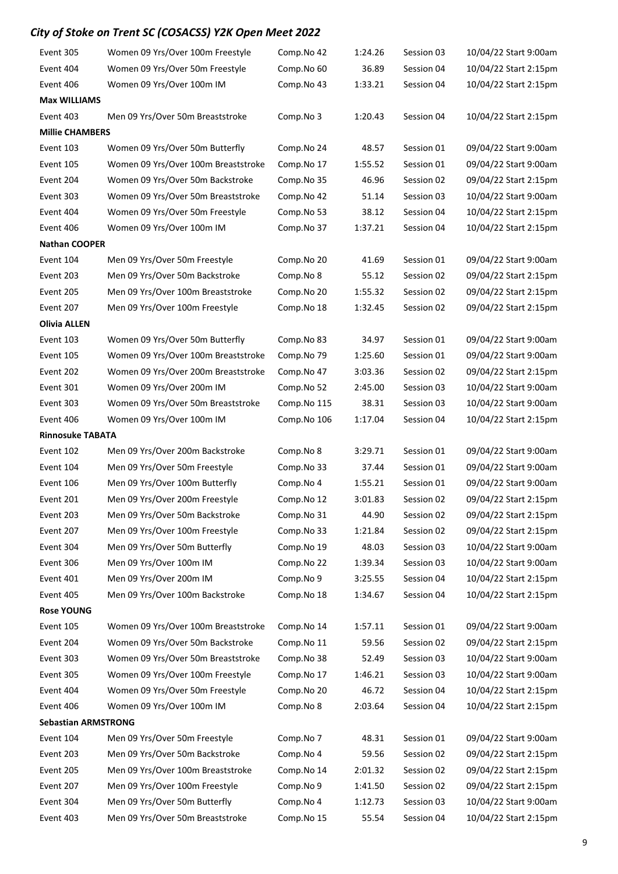| Event 305                  | Women 09 Yrs/Over 100m Freestyle    | Comp.No 42  | 1:24.26 | Session 03 | 10/04/22 Start 9:00am |  |  |  |
|----------------------------|-------------------------------------|-------------|---------|------------|-----------------------|--|--|--|
| Event 404                  | Women 09 Yrs/Over 50m Freestyle     | Comp.No 60  | 36.89   | Session 04 | 10/04/22 Start 2:15pm |  |  |  |
| Event 406                  | Women 09 Yrs/Over 100m IM           | Comp.No 43  | 1:33.21 | Session 04 | 10/04/22 Start 2:15pm |  |  |  |
| <b>Max WILLIAMS</b>        |                                     |             |         |            |                       |  |  |  |
| Event 403                  | Men 09 Yrs/Over 50m Breaststroke    | Comp.No 3   | 1:20.43 | Session 04 | 10/04/22 Start 2:15pm |  |  |  |
| <b>Millie CHAMBERS</b>     |                                     |             |         |            |                       |  |  |  |
| Event 103                  | Women 09 Yrs/Over 50m Butterfly     | Comp.No 24  | 48.57   | Session 01 | 09/04/22 Start 9:00am |  |  |  |
| Event 105                  | Women 09 Yrs/Over 100m Breaststroke | Comp.No 17  | 1:55.52 | Session 01 | 09/04/22 Start 9:00am |  |  |  |
| Event 204                  | Women 09 Yrs/Over 50m Backstroke    | Comp.No 35  | 46.96   | Session 02 | 09/04/22 Start 2:15pm |  |  |  |
| Event 303                  | Women 09 Yrs/Over 50m Breaststroke  | Comp.No 42  | 51.14   | Session 03 | 10/04/22 Start 9:00am |  |  |  |
| Event 404                  | Women 09 Yrs/Over 50m Freestyle     | Comp.No 53  | 38.12   | Session 04 | 10/04/22 Start 2:15pm |  |  |  |
| Event 406                  | Women 09 Yrs/Over 100m IM           | Comp.No 37  | 1:37.21 | Session 04 | 10/04/22 Start 2:15pm |  |  |  |
| <b>Nathan COOPER</b>       |                                     |             |         |            |                       |  |  |  |
| Event 104                  | Men 09 Yrs/Over 50m Freestyle       | Comp.No 20  | 41.69   | Session 01 | 09/04/22 Start 9:00am |  |  |  |
| Event 203                  | Men 09 Yrs/Over 50m Backstroke      | Comp.No 8   | 55.12   | Session 02 | 09/04/22 Start 2:15pm |  |  |  |
| Event 205                  | Men 09 Yrs/Over 100m Breaststroke   | Comp.No 20  | 1:55.32 | Session 02 | 09/04/22 Start 2:15pm |  |  |  |
| Event 207                  | Men 09 Yrs/Over 100m Freestyle      | Comp.No 18  | 1:32.45 | Session 02 | 09/04/22 Start 2:15pm |  |  |  |
| <b>Olivia ALLEN</b>        |                                     |             |         |            |                       |  |  |  |
| Event 103                  | Women 09 Yrs/Over 50m Butterfly     | Comp.No 83  | 34.97   | Session 01 | 09/04/22 Start 9:00am |  |  |  |
| Event 105                  | Women 09 Yrs/Over 100m Breaststroke | Comp.No 79  | 1:25.60 | Session 01 | 09/04/22 Start 9:00am |  |  |  |
| Event 202                  | Women 09 Yrs/Over 200m Breaststroke | Comp.No 47  | 3:03.36 | Session 02 | 09/04/22 Start 2:15pm |  |  |  |
| Event 301                  | Women 09 Yrs/Over 200m IM           | Comp.No 52  | 2:45.00 | Session 03 | 10/04/22 Start 9:00am |  |  |  |
| Event 303                  | Women 09 Yrs/Over 50m Breaststroke  | Comp.No 115 | 38.31   | Session 03 | 10/04/22 Start 9:00am |  |  |  |
| Event 406                  | Women 09 Yrs/Over 100m IM           | Comp.No 106 | 1:17.04 | Session 04 | 10/04/22 Start 2:15pm |  |  |  |
| <b>Rinnosuke TABATA</b>    |                                     |             |         |            |                       |  |  |  |
| Event 102                  | Men 09 Yrs/Over 200m Backstroke     | Comp.No 8   | 3:29.71 | Session 01 | 09/04/22 Start 9:00am |  |  |  |
| Event 104                  | Men 09 Yrs/Over 50m Freestyle       | Comp.No 33  | 37.44   | Session 01 | 09/04/22 Start 9:00am |  |  |  |
| Event 106                  | Men 09 Yrs/Over 100m Butterfly      | Comp.No 4   | 1:55.21 | Session 01 | 09/04/22 Start 9:00am |  |  |  |
| Event 201                  | Men 09 Yrs/Over 200m Freestyle      | Comp.No 12  | 3:01.83 | Session 02 | 09/04/22 Start 2:15pm |  |  |  |
| Event 203                  | Men 09 Yrs/Over 50m Backstroke      | Comp.No 31  | 44.90   | Session 02 | 09/04/22 Start 2:15pm |  |  |  |
| Event 207                  | Men 09 Yrs/Over 100m Freestyle      | Comp.No 33  | 1:21.84 | Session 02 | 09/04/22 Start 2:15pm |  |  |  |
| Event 304                  | Men 09 Yrs/Over 50m Butterfly       | Comp.No 19  | 48.03   | Session 03 | 10/04/22 Start 9:00am |  |  |  |
| Event 306                  | Men 09 Yrs/Over 100m IM             | Comp.No 22  | 1:39.34 | Session 03 | 10/04/22 Start 9:00am |  |  |  |
| Event 401                  | Men 09 Yrs/Over 200m IM             | Comp.No 9   | 3:25.55 | Session 04 | 10/04/22 Start 2:15pm |  |  |  |
| Event 405                  | Men 09 Yrs/Over 100m Backstroke     | Comp.No 18  | 1:34.67 | Session 04 | 10/04/22 Start 2:15pm |  |  |  |
| <b>Rose YOUNG</b>          |                                     |             |         |            |                       |  |  |  |
| Event 105                  | Women 09 Yrs/Over 100m Breaststroke | Comp.No 14  | 1:57.11 | Session 01 | 09/04/22 Start 9:00am |  |  |  |
| Event 204                  | Women 09 Yrs/Over 50m Backstroke    | Comp.No 11  | 59.56   | Session 02 | 09/04/22 Start 2:15pm |  |  |  |
| Event 303                  | Women 09 Yrs/Over 50m Breaststroke  | Comp.No 38  | 52.49   | Session 03 | 10/04/22 Start 9:00am |  |  |  |
| Event 305                  | Women 09 Yrs/Over 100m Freestyle    | Comp.No 17  | 1:46.21 | Session 03 | 10/04/22 Start 9:00am |  |  |  |
| Event 404                  | Women 09 Yrs/Over 50m Freestyle     | Comp.No 20  | 46.72   | Session 04 | 10/04/22 Start 2:15pm |  |  |  |
| Event 406                  | Women 09 Yrs/Over 100m IM           | Comp.No 8   | 2:03.64 | Session 04 | 10/04/22 Start 2:15pm |  |  |  |
| <b>Sebastian ARMSTRONG</b> |                                     |             |         |            |                       |  |  |  |
| Event 104                  | Men 09 Yrs/Over 50m Freestyle       | Comp.No 7   | 48.31   | Session 01 | 09/04/22 Start 9:00am |  |  |  |
| Event 203                  | Men 09 Yrs/Over 50m Backstroke      | Comp.No 4   | 59.56   | Session 02 | 09/04/22 Start 2:15pm |  |  |  |
| Event 205                  | Men 09 Yrs/Over 100m Breaststroke   | Comp.No 14  | 2:01.32 | Session 02 | 09/04/22 Start 2:15pm |  |  |  |
| Event 207                  | Men 09 Yrs/Over 100m Freestyle      | Comp.No 9   | 1:41.50 | Session 02 | 09/04/22 Start 2:15pm |  |  |  |
| Event 304                  | Men 09 Yrs/Over 50m Butterfly       | Comp.No 4   | 1:12.73 | Session 03 | 10/04/22 Start 9:00am |  |  |  |
| Event 403                  | Men 09 Yrs/Over 50m Breaststroke    | Comp.No 15  | 55.54   | Session 04 | 10/04/22 Start 2:15pm |  |  |  |

9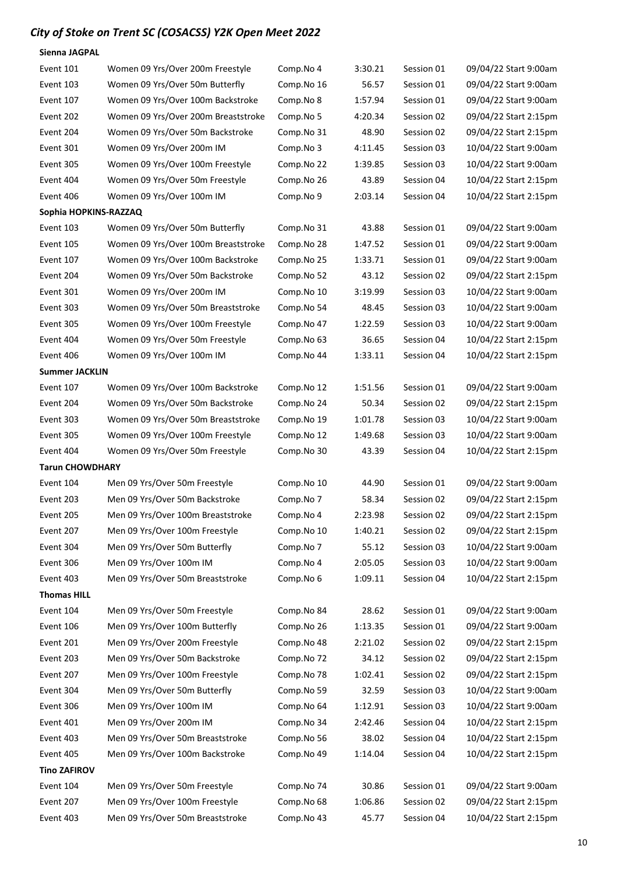Sienna JAGPAL

| Event 101              | Women 09 Yrs/Over 200m Freestyle    | Comp.No 4  | 3:30.21 | Session 01 | 09/04/22 Start 9:00am |
|------------------------|-------------------------------------|------------|---------|------------|-----------------------|
| Event 103              | Women 09 Yrs/Over 50m Butterfly     | Comp.No 16 | 56.57   | Session 01 | 09/04/22 Start 9:00am |
| Event 107              | Women 09 Yrs/Over 100m Backstroke   | Comp.No 8  | 1:57.94 | Session 01 | 09/04/22 Start 9:00am |
| Event 202              | Women 09 Yrs/Over 200m Breaststroke | Comp.No 5  | 4:20.34 | Session 02 | 09/04/22 Start 2:15pm |
| Event 204              | Women 09 Yrs/Over 50m Backstroke    | Comp.No 31 | 48.90   | Session 02 | 09/04/22 Start 2:15pm |
| Event 301              | Women 09 Yrs/Over 200m IM           | Comp.No 3  | 4:11.45 | Session 03 | 10/04/22 Start 9:00am |
| Event 305              | Women 09 Yrs/Over 100m Freestyle    | Comp.No 22 | 1:39.85 | Session 03 | 10/04/22 Start 9:00am |
| Event 404              | Women 09 Yrs/Over 50m Freestyle     | Comp.No 26 | 43.89   | Session 04 | 10/04/22 Start 2:15pm |
| Event 406              | Women 09 Yrs/Over 100m IM           | Comp.No 9  | 2:03.14 | Session 04 | 10/04/22 Start 2:15pm |
| Sophia HOPKINS-RAZZAQ  |                                     |            |         |            |                       |
| Event 103              | Women 09 Yrs/Over 50m Butterfly     | Comp.No 31 | 43.88   | Session 01 | 09/04/22 Start 9:00am |
| Event 105              | Women 09 Yrs/Over 100m Breaststroke | Comp.No 28 | 1:47.52 | Session 01 | 09/04/22 Start 9:00am |
| Event 107              | Women 09 Yrs/Over 100m Backstroke   | Comp.No 25 | 1:33.71 | Session 01 | 09/04/22 Start 9:00am |
| Event 204              | Women 09 Yrs/Over 50m Backstroke    | Comp.No 52 | 43.12   | Session 02 | 09/04/22 Start 2:15pm |
| Event 301              | Women 09 Yrs/Over 200m IM           | Comp.No 10 | 3:19.99 | Session 03 | 10/04/22 Start 9:00am |
| Event 303              | Women 09 Yrs/Over 50m Breaststroke  | Comp.No 54 | 48.45   | Session 03 | 10/04/22 Start 9:00am |
| Event 305              | Women 09 Yrs/Over 100m Freestyle    | Comp.No 47 | 1:22.59 | Session 03 | 10/04/22 Start 9:00am |
| Event 404              | Women 09 Yrs/Over 50m Freestyle     | Comp.No 63 | 36.65   | Session 04 | 10/04/22 Start 2:15pm |
| Event 406              | Women 09 Yrs/Over 100m IM           | Comp.No 44 | 1:33.11 | Session 04 | 10/04/22 Start 2:15pm |
| <b>Summer JACKLIN</b>  |                                     |            |         |            |                       |
| Event 107              | Women 09 Yrs/Over 100m Backstroke   | Comp.No 12 | 1:51.56 | Session 01 | 09/04/22 Start 9:00am |
| Event 204              | Women 09 Yrs/Over 50m Backstroke    | Comp.No 24 | 50.34   | Session 02 | 09/04/22 Start 2:15pm |
| Event 303              | Women 09 Yrs/Over 50m Breaststroke  | Comp.No 19 | 1:01.78 | Session 03 | 10/04/22 Start 9:00am |
| Event 305              | Women 09 Yrs/Over 100m Freestyle    | Comp.No 12 | 1:49.68 | Session 03 | 10/04/22 Start 9:00am |
| Event 404              | Women 09 Yrs/Over 50m Freestyle     | Comp.No 30 | 43.39   | Session 04 | 10/04/22 Start 2:15pm |
| <b>Tarun CHOWDHARY</b> |                                     |            |         |            |                       |
| Event 104              | Men 09 Yrs/Over 50m Freestyle       | Comp.No 10 | 44.90   | Session 01 | 09/04/22 Start 9:00am |
| Event 203              | Men 09 Yrs/Over 50m Backstroke      | Comp.No 7  | 58.34   | Session 02 | 09/04/22 Start 2:15pm |
| Event 205              | Men 09 Yrs/Over 100m Breaststroke   | Comp.No 4  | 2:23.98 | Session 02 | 09/04/22 Start 2:15pm |
| Event 207              | Men 09 Yrs/Over 100m Freestyle      | Comp.No 10 | 1:40.21 | Session 02 | 09/04/22 Start 2:15pm |
| Event 304              | Men 09 Yrs/Over 50m Butterfly       | Comp.No 7  | 55.12   | Session 03 | 10/04/22 Start 9:00am |
| Event 306              | Men 09 Yrs/Over 100m IM             | Comp.No 4  | 2:05.05 | Session 03 | 10/04/22 Start 9:00am |
| Event 403              | Men 09 Yrs/Over 50m Breaststroke    | Comp.No 6  | 1:09.11 | Session 04 | 10/04/22 Start 2:15pm |
| <b>Thomas HILL</b>     |                                     |            |         |            |                       |
| Event 104              | Men 09 Yrs/Over 50m Freestyle       | Comp.No 84 | 28.62   | Session 01 | 09/04/22 Start 9:00am |
| Event 106              | Men 09 Yrs/Over 100m Butterfly      | Comp.No 26 | 1:13.35 | Session 01 | 09/04/22 Start 9:00am |
| Event 201              | Men 09 Yrs/Over 200m Freestyle      | Comp.No 48 | 2:21.02 | Session 02 | 09/04/22 Start 2:15pm |
| Event 203              | Men 09 Yrs/Over 50m Backstroke      | Comp.No 72 | 34.12   | Session 02 | 09/04/22 Start 2:15pm |
| Event 207              | Men 09 Yrs/Over 100m Freestyle      | Comp.No 78 | 1:02.41 | Session 02 | 09/04/22 Start 2:15pm |
| Event 304              | Men 09 Yrs/Over 50m Butterfly       | Comp.No 59 | 32.59   | Session 03 | 10/04/22 Start 9:00am |
| Event 306              | Men 09 Yrs/Over 100m IM             | Comp.No 64 | 1:12.91 | Session 03 | 10/04/22 Start 9:00am |
| Event 401              | Men 09 Yrs/Over 200m IM             | Comp.No 34 | 2:42.46 | Session 04 | 10/04/22 Start 2:15pm |
| Event 403              | Men 09 Yrs/Over 50m Breaststroke    | Comp.No 56 | 38.02   | Session 04 | 10/04/22 Start 2:15pm |
| Event 405              | Men 09 Yrs/Over 100m Backstroke     | Comp.No 49 | 1:14.04 | Session 04 | 10/04/22 Start 2:15pm |
| <b>Tino ZAFIROV</b>    |                                     |            |         |            |                       |
| Event 104              | Men 09 Yrs/Over 50m Freestyle       | Comp.No 74 | 30.86   | Session 01 | 09/04/22 Start 9:00am |
| Event 207              | Men 09 Yrs/Over 100m Freestyle      | Comp.No 68 | 1:06.86 | Session 02 | 09/04/22 Start 2:15pm |
| Event 403              | Men 09 Yrs/Over 50m Breaststroke    | Comp.No 43 | 45.77   | Session 04 | 10/04/22 Start 2:15pm |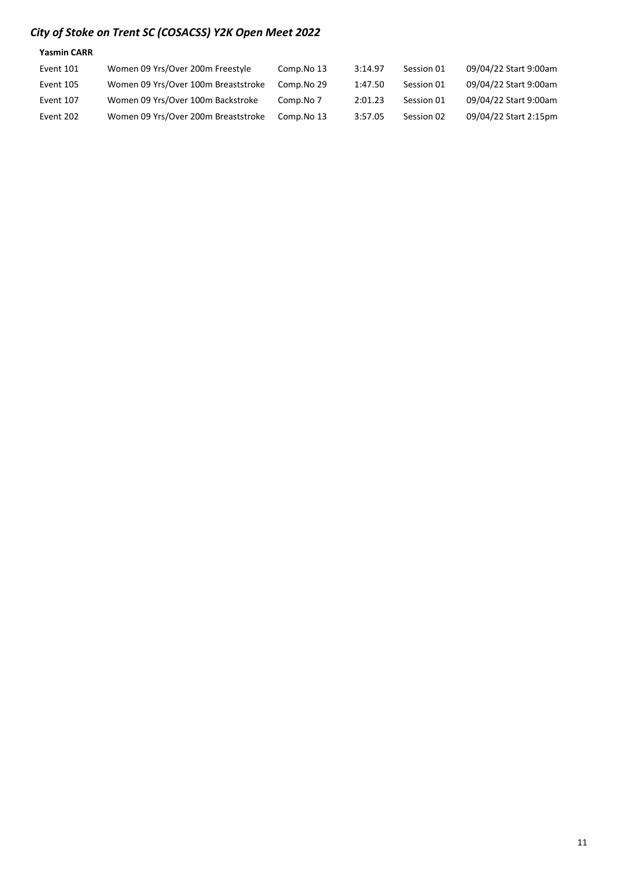| <b>Yasmin CARR</b> |                                     |            |         |            |                       |
|--------------------|-------------------------------------|------------|---------|------------|-----------------------|
| Event 101          | Women 09 Yrs/Over 200m Freestyle    | Comp.No 13 | 3:14.97 | Session 01 | 09/04/22 Start 9:00am |
| Event 105          | Women 09 Yrs/Over 100m Breaststroke | Comp.No 29 | 1:47.50 | Session 01 | 09/04/22 Start 9:00am |
| Event 107          | Women 09 Yrs/Over 100m Backstroke   | Comp.No 7  | 2:01.23 | Session 01 | 09/04/22 Start 9:00am |
| Event 202          | Women 09 Yrs/Over 200m Breaststroke | Comp.No 13 | 3:57.05 | Session 02 | 09/04/22 Start 2:15pm |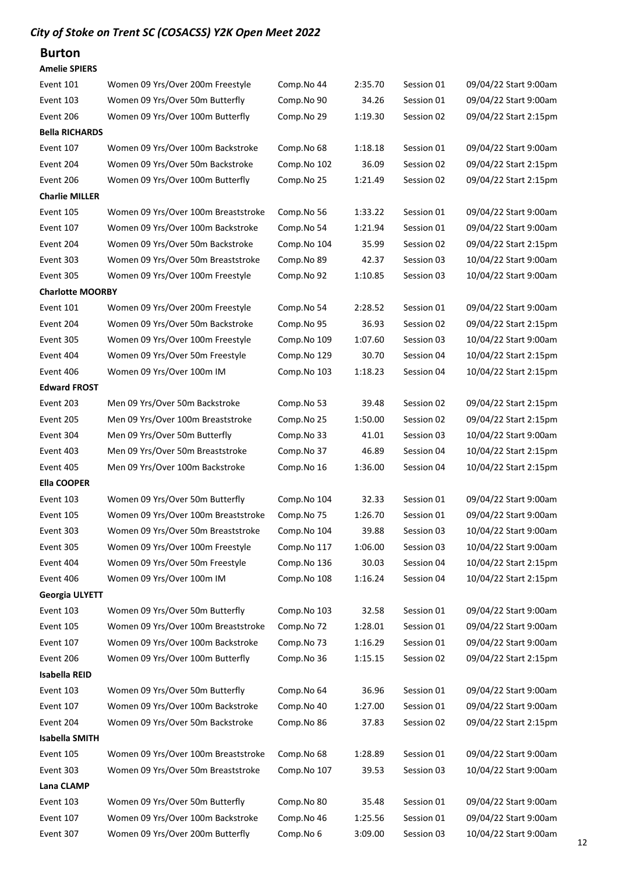### Burton

| <b>Amelie SPIERS</b> |  |
|----------------------|--|
|                      |  |

| Event 101               | Women 09 Yrs/Over 200m Freestyle    | Comp.No 44  | 2:35.70 | Session 01 | 09/04/22 Start 9:00am |
|-------------------------|-------------------------------------|-------------|---------|------------|-----------------------|
| Event 103               | Women 09 Yrs/Over 50m Butterfly     | Comp.No 90  | 34.26   | Session 01 | 09/04/22 Start 9:00am |
| Event 206               | Women 09 Yrs/Over 100m Butterfly    | Comp.No 29  | 1:19.30 | Session 02 | 09/04/22 Start 2:15pm |
| <b>Bella RICHARDS</b>   |                                     |             |         |            |                       |
| Event 107               | Women 09 Yrs/Over 100m Backstroke   | Comp.No 68  | 1:18.18 | Session 01 | 09/04/22 Start 9:00am |
| Event 204               | Women 09 Yrs/Over 50m Backstroke    | Comp.No 102 | 36.09   | Session 02 | 09/04/22 Start 2:15pm |
| Event 206               | Women 09 Yrs/Over 100m Butterfly    | Comp.No 25  | 1:21.49 | Session 02 | 09/04/22 Start 2:15pm |
| <b>Charlie MILLER</b>   |                                     |             |         |            |                       |
| Event 105               | Women 09 Yrs/Over 100m Breaststroke | Comp.No 56  | 1:33.22 | Session 01 | 09/04/22 Start 9:00am |
| Event 107               | Women 09 Yrs/Over 100m Backstroke   | Comp.No 54  | 1:21.94 | Session 01 | 09/04/22 Start 9:00am |
| Event 204               | Women 09 Yrs/Over 50m Backstroke    | Comp.No 104 | 35.99   | Session 02 | 09/04/22 Start 2:15pm |
| Event 303               | Women 09 Yrs/Over 50m Breaststroke  | Comp.No 89  | 42.37   | Session 03 | 10/04/22 Start 9:00am |
| Event 305               | Women 09 Yrs/Over 100m Freestyle    | Comp.No 92  | 1:10.85 | Session 03 | 10/04/22 Start 9:00am |
| <b>Charlotte MOORBY</b> |                                     |             |         |            |                       |
| Event 101               | Women 09 Yrs/Over 200m Freestyle    | Comp.No 54  | 2:28.52 | Session 01 | 09/04/22 Start 9:00am |
| Event 204               | Women 09 Yrs/Over 50m Backstroke    | Comp.No 95  | 36.93   | Session 02 | 09/04/22 Start 2:15pm |
| Event 305               | Women 09 Yrs/Over 100m Freestyle    | Comp.No 109 | 1:07.60 | Session 03 | 10/04/22 Start 9:00am |
| Event 404               | Women 09 Yrs/Over 50m Freestyle     | Comp.No 129 | 30.70   | Session 04 | 10/04/22 Start 2:15pm |
| Event 406               | Women 09 Yrs/Over 100m IM           | Comp.No 103 | 1:18.23 | Session 04 | 10/04/22 Start 2:15pm |
| <b>Edward FROST</b>     |                                     |             |         |            |                       |
| Event 203               | Men 09 Yrs/Over 50m Backstroke      | Comp.No 53  | 39.48   | Session 02 | 09/04/22 Start 2:15pm |
| Event 205               | Men 09 Yrs/Over 100m Breaststroke   | Comp.No 25  | 1:50.00 | Session 02 | 09/04/22 Start 2:15pm |
| Event 304               | Men 09 Yrs/Over 50m Butterfly       | Comp.No 33  | 41.01   | Session 03 | 10/04/22 Start 9:00am |
| Event 403               | Men 09 Yrs/Over 50m Breaststroke    | Comp.No 37  | 46.89   | Session 04 | 10/04/22 Start 2:15pm |
| Event 405               | Men 09 Yrs/Over 100m Backstroke     | Comp.No 16  | 1:36.00 | Session 04 | 10/04/22 Start 2:15pm |
| <b>Ella COOPER</b>      |                                     |             |         |            |                       |
| Event 103               | Women 09 Yrs/Over 50m Butterfly     | Comp.No 104 | 32.33   | Session 01 | 09/04/22 Start 9:00am |
| Event 105               | Women 09 Yrs/Over 100m Breaststroke | Comp.No 75  | 1:26.70 | Session 01 | 09/04/22 Start 9:00am |
| Event 303               | Women 09 Yrs/Over 50m Breaststroke  | Comp.No 104 | 39.88   | Session 03 | 10/04/22 Start 9:00am |
| Event 305               | Women 09 Yrs/Over 100m Freestyle    | Comp.No 117 | 1:06.00 | Session 03 | 10/04/22 Start 9:00am |
| Event 404               | Women 09 Yrs/Over 50m Freestyle     | Comp.No 136 | 30.03   | Session 04 | 10/04/22 Start 2:15pm |
| Event 406               | Women 09 Yrs/Over 100m IM           | Comp.No 108 | 1:16.24 | Session 04 | 10/04/22 Start 2:15pm |
| Georgia ULYETT          |                                     |             |         |            |                       |
| Event 103               | Women 09 Yrs/Over 50m Butterfly     | Comp.No 103 | 32.58   | Session 01 | 09/04/22 Start 9:00am |
| Event 105               | Women 09 Yrs/Over 100m Breaststroke | Comp.No 72  | 1:28.01 | Session 01 | 09/04/22 Start 9:00am |
| Event 107               | Women 09 Yrs/Over 100m Backstroke   | Comp.No 73  | 1:16.29 | Session 01 | 09/04/22 Start 9:00am |
| Event 206               | Women 09 Yrs/Over 100m Butterfly    | Comp.No 36  | 1:15.15 | Session 02 | 09/04/22 Start 2:15pm |
| <b>Isabella REID</b>    |                                     |             |         |            |                       |
| Event 103               | Women 09 Yrs/Over 50m Butterfly     | Comp.No 64  | 36.96   | Session 01 | 09/04/22 Start 9:00am |
| Event 107               | Women 09 Yrs/Over 100m Backstroke   | Comp.No 40  | 1:27.00 | Session 01 | 09/04/22 Start 9:00am |
| Event 204               | Women 09 Yrs/Over 50m Backstroke    | Comp.No 86  | 37.83   | Session 02 | 09/04/22 Start 2:15pm |
| <b>Isabella SMITH</b>   |                                     |             |         |            |                       |
| Event 105               | Women 09 Yrs/Over 100m Breaststroke | Comp.No 68  | 1:28.89 | Session 01 | 09/04/22 Start 9:00am |
| Event 303               | Women 09 Yrs/Over 50m Breaststroke  | Comp.No 107 | 39.53   | Session 03 | 10/04/22 Start 9:00am |
| Lana CLAMP              |                                     |             |         |            |                       |
| Event 103               | Women 09 Yrs/Over 50m Butterfly     | Comp.No 80  | 35.48   | Session 01 | 09/04/22 Start 9:00am |
| Event 107               | Women 09 Yrs/Over 100m Backstroke   | Comp.No 46  | 1:25.56 | Session 01 | 09/04/22 Start 9:00am |
| Event 307               | Women 09 Yrs/Over 200m Butterfly    | Comp.No 6   | 3:09.00 | Session 03 | 10/04/22 Start 9:00am |
|                         |                                     |             |         |            |                       |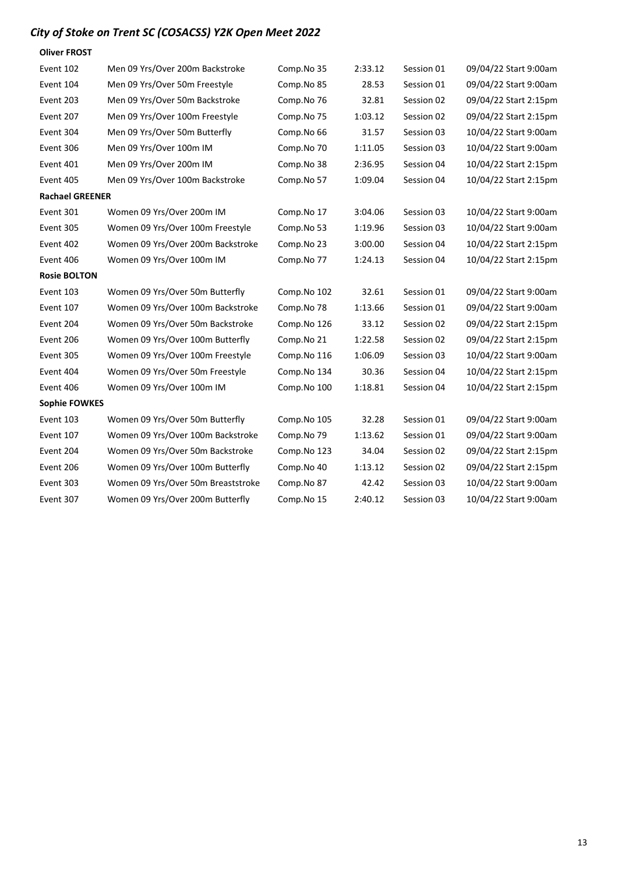| <b>Oliver FROST</b>    |                                    |             |         |            |                       |
|------------------------|------------------------------------|-------------|---------|------------|-----------------------|
| Event 102              | Men 09 Yrs/Over 200m Backstroke    | Comp.No 35  | 2:33.12 | Session 01 | 09/04/22 Start 9:00am |
| Event 104              | Men 09 Yrs/Over 50m Freestyle      | Comp.No 85  | 28.53   | Session 01 | 09/04/22 Start 9:00am |
| Event 203              | Men 09 Yrs/Over 50m Backstroke     | Comp.No 76  | 32.81   | Session 02 | 09/04/22 Start 2:15pm |
| Event 207              | Men 09 Yrs/Over 100m Freestyle     | Comp.No 75  | 1:03.12 | Session 02 | 09/04/22 Start 2:15pm |
| Event 304              | Men 09 Yrs/Over 50m Butterfly      | Comp.No 66  | 31.57   | Session 03 | 10/04/22 Start 9:00am |
| Event 306              | Men 09 Yrs/Over 100m IM            | Comp.No 70  | 1:11.05 | Session 03 | 10/04/22 Start 9:00am |
| Event 401              | Men 09 Yrs/Over 200m IM            | Comp.No 38  | 2:36.95 | Session 04 | 10/04/22 Start 2:15pm |
| Event 405              | Men 09 Yrs/Over 100m Backstroke    | Comp.No 57  | 1:09.04 | Session 04 | 10/04/22 Start 2:15pm |
| <b>Rachael GREENER</b> |                                    |             |         |            |                       |
| Event 301              | Women 09 Yrs/Over 200m IM          | Comp.No 17  | 3:04.06 | Session 03 | 10/04/22 Start 9:00am |
| Event 305              | Women 09 Yrs/Over 100m Freestyle   | Comp.No 53  | 1:19.96 | Session 03 | 10/04/22 Start 9:00am |
| Event 402              | Women 09 Yrs/Over 200m Backstroke  | Comp.No 23  | 3:00.00 | Session 04 | 10/04/22 Start 2:15pm |
| Event 406              | Women 09 Yrs/Over 100m IM          | Comp.No 77  | 1:24.13 | Session 04 | 10/04/22 Start 2:15pm |
| <b>Rosie BOLTON</b>    |                                    |             |         |            |                       |
| Event 103              | Women 09 Yrs/Over 50m Butterfly    | Comp.No 102 | 32.61   | Session 01 | 09/04/22 Start 9:00am |
| Event 107              | Women 09 Yrs/Over 100m Backstroke  | Comp.No 78  | 1:13.66 | Session 01 | 09/04/22 Start 9:00am |
| Event 204              | Women 09 Yrs/Over 50m Backstroke   | Comp.No 126 | 33.12   | Session 02 | 09/04/22 Start 2:15pm |
| Event 206              | Women 09 Yrs/Over 100m Butterfly   | Comp.No 21  | 1:22.58 | Session 02 | 09/04/22 Start 2:15pm |
| Event 305              | Women 09 Yrs/Over 100m Freestyle   | Comp.No 116 | 1:06.09 | Session 03 | 10/04/22 Start 9:00am |
| Event 404              | Women 09 Yrs/Over 50m Freestyle    | Comp.No 134 | 30.36   | Session 04 | 10/04/22 Start 2:15pm |
| Event 406              | Women 09 Yrs/Over 100m IM          | Comp.No 100 | 1:18.81 | Session 04 | 10/04/22 Start 2:15pm |
| <b>Sophie FOWKES</b>   |                                    |             |         |            |                       |
| Event 103              | Women 09 Yrs/Over 50m Butterfly    | Comp.No 105 | 32.28   | Session 01 | 09/04/22 Start 9:00am |
| Event 107              | Women 09 Yrs/Over 100m Backstroke  | Comp.No 79  | 1:13.62 | Session 01 | 09/04/22 Start 9:00am |
| Event 204              | Women 09 Yrs/Over 50m Backstroke   | Comp.No 123 | 34.04   | Session 02 | 09/04/22 Start 2:15pm |
| Event 206              | Women 09 Yrs/Over 100m Butterfly   | Comp.No 40  | 1:13.12 | Session 02 | 09/04/22 Start 2:15pm |
| Event 303              | Women 09 Yrs/Over 50m Breaststroke | Comp.No 87  | 42.42   | Session 03 | 10/04/22 Start 9:00am |
| Event 307              | Women 09 Yrs/Over 200m Butterfly   | Comp.No 15  | 2:40.12 | Session 03 | 10/04/22 Start 9:00am |
|                        |                                    |             |         |            |                       |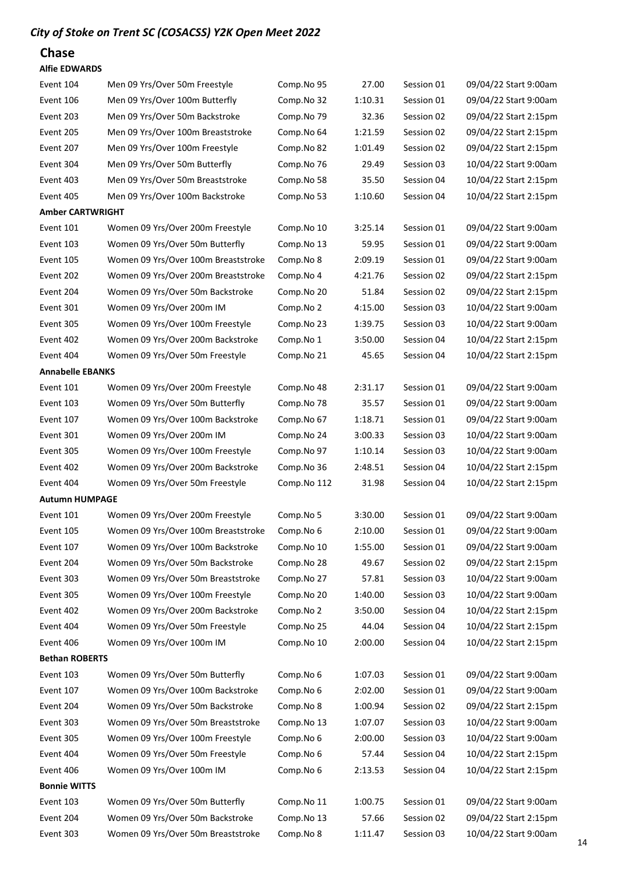#### Chase

#### Alfie EDWARDS

| Event 104               | Men 09 Yrs/Over 50m Freestyle       | Comp.No 95  | 27.00   | Session 01 | 09/04/22 Start 9:00am |
|-------------------------|-------------------------------------|-------------|---------|------------|-----------------------|
| Event 106               | Men 09 Yrs/Over 100m Butterfly      | Comp.No 32  | 1:10.31 | Session 01 | 09/04/22 Start 9:00am |
| Event 203               | Men 09 Yrs/Over 50m Backstroke      | Comp.No 79  | 32.36   | Session 02 | 09/04/22 Start 2:15pm |
| Event 205               | Men 09 Yrs/Over 100m Breaststroke   | Comp.No 64  | 1:21.59 | Session 02 | 09/04/22 Start 2:15pm |
| Event 207               | Men 09 Yrs/Over 100m Freestyle      | Comp.No 82  | 1:01.49 | Session 02 | 09/04/22 Start 2:15pm |
| Event 304               | Men 09 Yrs/Over 50m Butterfly       | Comp.No 76  | 29.49   | Session 03 | 10/04/22 Start 9:00am |
| Event 403               | Men 09 Yrs/Over 50m Breaststroke    | Comp.No 58  | 35.50   | Session 04 | 10/04/22 Start 2:15pm |
| Event 405               | Men 09 Yrs/Over 100m Backstroke     | Comp.No 53  | 1:10.60 | Session 04 | 10/04/22 Start 2:15pm |
| <b>Amber CARTWRIGHT</b> |                                     |             |         |            |                       |
| Event 101               | Women 09 Yrs/Over 200m Freestyle    | Comp.No 10  | 3:25.14 | Session 01 | 09/04/22 Start 9:00am |
| Event 103               | Women 09 Yrs/Over 50m Butterfly     | Comp.No 13  | 59.95   | Session 01 | 09/04/22 Start 9:00am |
| Event 105               | Women 09 Yrs/Over 100m Breaststroke | Comp.No 8   | 2:09.19 | Session 01 | 09/04/22 Start 9:00am |
| Event 202               | Women 09 Yrs/Over 200m Breaststroke | Comp.No 4   | 4:21.76 | Session 02 | 09/04/22 Start 2:15pm |
| Event 204               | Women 09 Yrs/Over 50m Backstroke    | Comp.No 20  | 51.84   | Session 02 | 09/04/22 Start 2:15pm |
| Event 301               | Women 09 Yrs/Over 200m IM           | Comp.No 2   | 4:15.00 | Session 03 | 10/04/22 Start 9:00am |
| Event 305               | Women 09 Yrs/Over 100m Freestyle    | Comp.No 23  | 1:39.75 | Session 03 | 10/04/22 Start 9:00am |
| Event 402               | Women 09 Yrs/Over 200m Backstroke   | Comp.No 1   | 3:50.00 | Session 04 | 10/04/22 Start 2:15pm |
| Event 404               | Women 09 Yrs/Over 50m Freestyle     | Comp.No 21  | 45.65   | Session 04 | 10/04/22 Start 2:15pm |
| <b>Annabelle EBANKS</b> |                                     |             |         |            |                       |
| Event 101               | Women 09 Yrs/Over 200m Freestyle    | Comp.No 48  | 2:31.17 | Session 01 | 09/04/22 Start 9:00am |
| Event 103               | Women 09 Yrs/Over 50m Butterfly     | Comp.No 78  | 35.57   | Session 01 | 09/04/22 Start 9:00am |
| Event 107               | Women 09 Yrs/Over 100m Backstroke   | Comp.No 67  | 1:18.71 | Session 01 | 09/04/22 Start 9:00am |
| Event 301               | Women 09 Yrs/Over 200m IM           | Comp.No 24  | 3:00.33 | Session 03 | 10/04/22 Start 9:00am |
| Event 305               | Women 09 Yrs/Over 100m Freestyle    | Comp.No 97  | 1:10.14 | Session 03 | 10/04/22 Start 9:00am |
| Event 402               | Women 09 Yrs/Over 200m Backstroke   | Comp.No 36  | 2:48.51 | Session 04 | 10/04/22 Start 2:15pm |
| Event 404               | Women 09 Yrs/Over 50m Freestyle     | Comp.No 112 | 31.98   | Session 04 | 10/04/22 Start 2:15pm |
| <b>Autumn HUMPAGE</b>   |                                     |             |         |            |                       |
| Event 101               | Women 09 Yrs/Over 200m Freestyle    | Comp.No 5   | 3:30.00 | Session 01 | 09/04/22 Start 9:00am |
| Event 105               | Women 09 Yrs/Over 100m Breaststroke | Comp.No 6   | 2:10.00 | Session 01 | 09/04/22 Start 9:00am |
| Event 107               | Women 09 Yrs/Over 100m Backstroke   | Comp.No 10  | 1:55.00 | Session 01 | 09/04/22 Start 9:00am |
| Event 204               | Women 09 Yrs/Over 50m Backstroke    | Comp.No 28  | 49.67   | Session 02 | 09/04/22 Start 2:15pm |
| Event 303               | Women 09 Yrs/Over 50m Breaststroke  | Comp.No 27  | 57.81   | Session 03 | 10/04/22 Start 9:00am |
| Event 305               | Women 09 Yrs/Over 100m Freestyle    | Comp.No 20  | 1:40.00 | Session 03 | 10/04/22 Start 9:00am |
| Event 402               | Women 09 Yrs/Over 200m Backstroke   | Comp.No 2   | 3:50.00 | Session 04 | 10/04/22 Start 2:15pm |
| Event 404               | Women 09 Yrs/Over 50m Freestyle     | Comp.No 25  | 44.04   | Session 04 | 10/04/22 Start 2:15pm |
| Event 406               | Women 09 Yrs/Over 100m IM           | Comp.No 10  | 2:00.00 | Session 04 | 10/04/22 Start 2:15pm |
| <b>Bethan ROBERTS</b>   |                                     |             |         |            |                       |
| Event 103               | Women 09 Yrs/Over 50m Butterfly     | Comp.No 6   | 1:07.03 | Session 01 | 09/04/22 Start 9:00am |
| Event 107               | Women 09 Yrs/Over 100m Backstroke   | Comp.No 6   | 2:02.00 | Session 01 | 09/04/22 Start 9:00am |
| Event 204               | Women 09 Yrs/Over 50m Backstroke    | Comp.No 8   | 1:00.94 | Session 02 | 09/04/22 Start 2:15pm |
| Event 303               | Women 09 Yrs/Over 50m Breaststroke  | Comp.No 13  | 1:07.07 | Session 03 | 10/04/22 Start 9:00am |
| Event 305               | Women 09 Yrs/Over 100m Freestyle    | Comp.No 6   | 2:00.00 | Session 03 | 10/04/22 Start 9:00am |
| Event 404               | Women 09 Yrs/Over 50m Freestyle     | Comp.No 6   | 57.44   | Session 04 | 10/04/22 Start 2:15pm |
| Event 406               | Women 09 Yrs/Over 100m IM           | Comp.No 6   | 2:13.53 | Session 04 | 10/04/22 Start 2:15pm |
| <b>Bonnie WITTS</b>     |                                     |             |         |            |                       |
| Event 103               | Women 09 Yrs/Over 50m Butterfly     | Comp.No 11  | 1:00.75 | Session 01 | 09/04/22 Start 9:00am |
| Event 204               | Women 09 Yrs/Over 50m Backstroke    | Comp.No 13  | 57.66   | Session 02 | 09/04/22 Start 2:15pm |
| Event 303               | Women 09 Yrs/Over 50m Breaststroke  | Comp.No 8   | 1:11.47 | Session 03 | 10/04/22 Start 9:00am |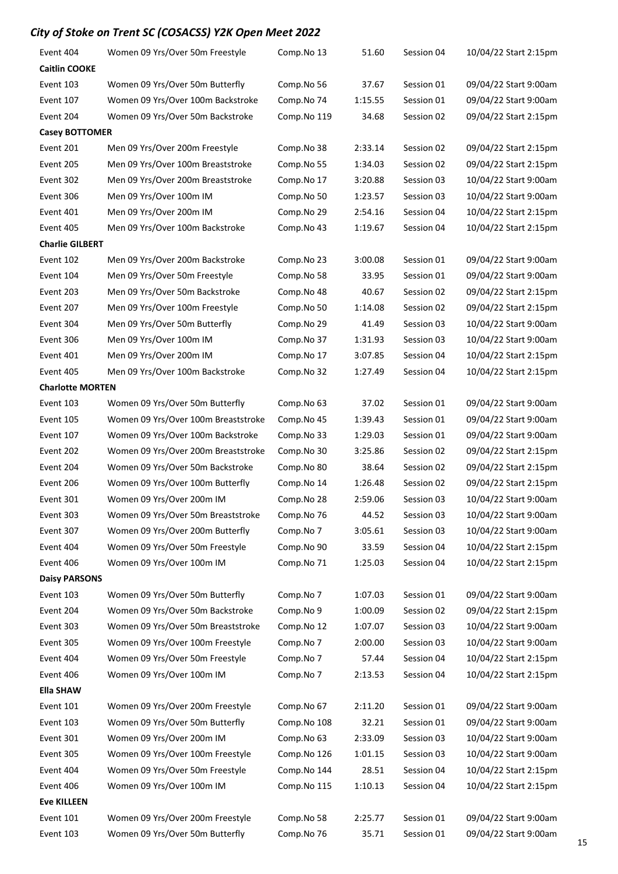| Event 404               | Women 09 Yrs/Over 50m Freestyle     | Comp.No 13  | 51.60   | Session 04 | 10/04/22 Start 2:15pm |
|-------------------------|-------------------------------------|-------------|---------|------------|-----------------------|
| <b>Caitlin COOKE</b>    |                                     |             |         |            |                       |
| Event 103               | Women 09 Yrs/Over 50m Butterfly     | Comp.No 56  | 37.67   | Session 01 | 09/04/22 Start 9:00am |
| Event 107               | Women 09 Yrs/Over 100m Backstroke   | Comp.No 74  | 1:15.55 | Session 01 | 09/04/22 Start 9:00am |
| Event 204               | Women 09 Yrs/Over 50m Backstroke    | Comp.No 119 | 34.68   | Session 02 | 09/04/22 Start 2:15pm |
| <b>Casey BOTTOMER</b>   |                                     |             |         |            |                       |
| Event 201               | Men 09 Yrs/Over 200m Freestyle      | Comp.No 38  | 2:33.14 | Session 02 | 09/04/22 Start 2:15pm |
| Event 205               | Men 09 Yrs/Over 100m Breaststroke   | Comp.No 55  | 1:34.03 | Session 02 | 09/04/22 Start 2:15pm |
| Event 302               | Men 09 Yrs/Over 200m Breaststroke   | Comp.No 17  | 3:20.88 | Session 03 | 10/04/22 Start 9:00am |
| Event 306               | Men 09 Yrs/Over 100m IM             | Comp.No 50  | 1:23.57 | Session 03 | 10/04/22 Start 9:00am |
| Event 401               | Men 09 Yrs/Over 200m IM             | Comp.No 29  | 2:54.16 | Session 04 | 10/04/22 Start 2:15pm |
| Event 405               | Men 09 Yrs/Over 100m Backstroke     | Comp.No 43  | 1:19.67 | Session 04 | 10/04/22 Start 2:15pm |
| <b>Charlie GILBERT</b>  |                                     |             |         |            |                       |
| Event 102               | Men 09 Yrs/Over 200m Backstroke     | Comp.No 23  | 3:00.08 | Session 01 | 09/04/22 Start 9:00am |
| Event 104               | Men 09 Yrs/Over 50m Freestyle       | Comp.No 58  | 33.95   | Session 01 | 09/04/22 Start 9:00am |
| Event 203               | Men 09 Yrs/Over 50m Backstroke      | Comp.No 48  | 40.67   | Session 02 | 09/04/22 Start 2:15pm |
| Event 207               | Men 09 Yrs/Over 100m Freestyle      | Comp.No 50  | 1:14.08 | Session 02 | 09/04/22 Start 2:15pm |
| Event 304               | Men 09 Yrs/Over 50m Butterfly       | Comp.No 29  | 41.49   | Session 03 | 10/04/22 Start 9:00am |
| Event 306               | Men 09 Yrs/Over 100m IM             | Comp.No 37  | 1:31.93 | Session 03 | 10/04/22 Start 9:00am |
| Event 401               | Men 09 Yrs/Over 200m IM             | Comp.No 17  | 3:07.85 | Session 04 | 10/04/22 Start 2:15pm |
| Event 405               | Men 09 Yrs/Over 100m Backstroke     | Comp.No 32  | 1:27.49 | Session 04 | 10/04/22 Start 2:15pm |
| <b>Charlotte MORTEN</b> |                                     |             |         |            |                       |
| Event 103               | Women 09 Yrs/Over 50m Butterfly     | Comp.No 63  | 37.02   | Session 01 | 09/04/22 Start 9:00am |
| Event 105               | Women 09 Yrs/Over 100m Breaststroke | Comp.No 45  | 1:39.43 | Session 01 | 09/04/22 Start 9:00am |
| Event 107               | Women 09 Yrs/Over 100m Backstroke   | Comp.No 33  | 1:29.03 | Session 01 | 09/04/22 Start 9:00am |
| Event 202               | Women 09 Yrs/Over 200m Breaststroke | Comp.No 30  | 3:25.86 | Session 02 | 09/04/22 Start 2:15pm |
| Event 204               | Women 09 Yrs/Over 50m Backstroke    | Comp.No 80  | 38.64   | Session 02 | 09/04/22 Start 2:15pm |
| Event 206               | Women 09 Yrs/Over 100m Butterfly    | Comp.No 14  | 1:26.48 | Session 02 | 09/04/22 Start 2:15pm |
| Event 301               | Women 09 Yrs/Over 200m IM           | Comp.No 28  | 2:59.06 | Session 03 | 10/04/22 Start 9:00am |
| Event 303               | Women 09 Yrs/Over 50m Breaststroke  | Comp.No 76  | 44.52   | Session 03 | 10/04/22 Start 9:00am |
| Event 307               | Women 09 Yrs/Over 200m Butterfly    | Comp.No 7   | 3:05.61 | Session 03 | 10/04/22 Start 9:00am |
| Event 404               | Women 09 Yrs/Over 50m Freestyle     | Comp.No 90  | 33.59   | Session 04 | 10/04/22 Start 2:15pm |
| Event 406               | Women 09 Yrs/Over 100m IM           | Comp.No 71  | 1:25.03 | Session 04 | 10/04/22 Start 2:15pm |
| <b>Daisy PARSONS</b>    |                                     |             |         |            |                       |
| Event 103               | Women 09 Yrs/Over 50m Butterfly     | Comp.No 7   | 1:07.03 | Session 01 | 09/04/22 Start 9:00am |
| Event 204               | Women 09 Yrs/Over 50m Backstroke    | Comp.No 9   | 1:00.09 | Session 02 | 09/04/22 Start 2:15pm |
| Event 303               | Women 09 Yrs/Over 50m Breaststroke  | Comp.No 12  | 1:07.07 | Session 03 | 10/04/22 Start 9:00am |
| Event 305               | Women 09 Yrs/Over 100m Freestyle    | Comp.No 7   | 2:00.00 | Session 03 | 10/04/22 Start 9:00am |
| Event 404               | Women 09 Yrs/Over 50m Freestyle     | Comp.No 7   | 57.44   | Session 04 | 10/04/22 Start 2:15pm |
| Event 406               | Women 09 Yrs/Over 100m IM           | Comp.No 7   | 2:13.53 | Session 04 | 10/04/22 Start 2:15pm |
| <b>Ella SHAW</b>        |                                     |             |         |            |                       |
| Event 101               | Women 09 Yrs/Over 200m Freestyle    | Comp.No 67  | 2:11.20 | Session 01 | 09/04/22 Start 9:00am |
| Event 103               | Women 09 Yrs/Over 50m Butterfly     | Comp.No 108 | 32.21   | Session 01 | 09/04/22 Start 9:00am |
| Event 301               | Women 09 Yrs/Over 200m IM           | Comp.No 63  | 2:33.09 | Session 03 | 10/04/22 Start 9:00am |
| Event 305               | Women 09 Yrs/Over 100m Freestyle    | Comp.No 126 | 1:01.15 | Session 03 | 10/04/22 Start 9:00am |
| Event 404               | Women 09 Yrs/Over 50m Freestyle     | Comp.No 144 | 28.51   | Session 04 | 10/04/22 Start 2:15pm |
| Event 406               | Women 09 Yrs/Over 100m IM           | Comp.No 115 | 1:10.13 | Session 04 | 10/04/22 Start 2:15pm |
| <b>Eve KILLEEN</b>      |                                     |             |         |            |                       |
| Event 101               | Women 09 Yrs/Over 200m Freestyle    | Comp.No 58  | 2:25.77 | Session 01 | 09/04/22 Start 9:00am |
| Event 103               | Women 09 Yrs/Over 50m Butterfly     | Comp.No 76  | 35.71   | Session 01 | 09/04/22 Start 9:00am |
|                         |                                     |             |         |            |                       |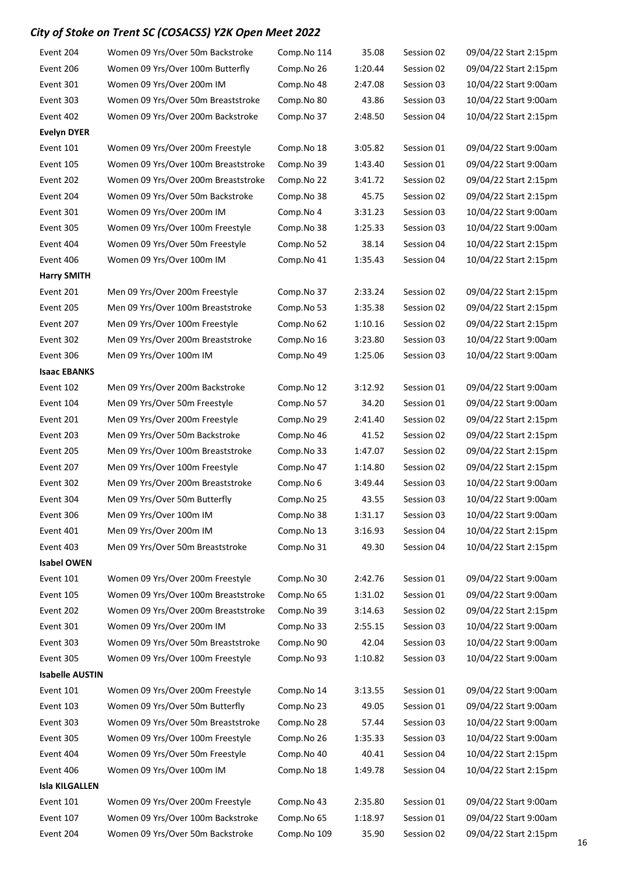| Event 204              | Women 09 Yrs/Over 50m Backstroke    | Comp.No 114 | 35.08   | Session 02 | 09/04/22 Start 2:15pm |
|------------------------|-------------------------------------|-------------|---------|------------|-----------------------|
| Event 206              | Women 09 Yrs/Over 100m Butterfly    | Comp.No 26  | 1:20.44 | Session 02 | 09/04/22 Start 2:15pm |
| Event 301              | Women 09 Yrs/Over 200m IM           | Comp.No 48  | 2:47.08 | Session 03 | 10/04/22 Start 9:00am |
| Event 303              | Women 09 Yrs/Over 50m Breaststroke  | Comp.No 80  | 43.86   | Session 03 | 10/04/22 Start 9:00am |
| Event 402              | Women 09 Yrs/Over 200m Backstroke   | Comp.No 37  | 2:48.50 | Session 04 | 10/04/22 Start 2:15pm |
| <b>Evelyn DYER</b>     |                                     |             |         |            |                       |
| Event 101              | Women 09 Yrs/Over 200m Freestyle    | Comp.No 18  | 3:05.82 | Session 01 | 09/04/22 Start 9:00am |
| Event 105              | Women 09 Yrs/Over 100m Breaststroke | Comp.No 39  | 1:43.40 | Session 01 | 09/04/22 Start 9:00am |
| Event 202              | Women 09 Yrs/Over 200m Breaststroke | Comp.No 22  | 3:41.72 | Session 02 | 09/04/22 Start 2:15pm |
| Event 204              | Women 09 Yrs/Over 50m Backstroke    | Comp.No 38  | 45.75   | Session 02 | 09/04/22 Start 2:15pm |
| Event 301              | Women 09 Yrs/Over 200m IM           | Comp.No 4   | 3:31.23 | Session 03 | 10/04/22 Start 9:00am |
| Event 305              | Women 09 Yrs/Over 100m Freestyle    | Comp.No 38  | 1:25.33 | Session 03 | 10/04/22 Start 9:00am |
| Event 404              | Women 09 Yrs/Over 50m Freestyle     | Comp.No 52  | 38.14   | Session 04 | 10/04/22 Start 2:15pm |
| Event 406              | Women 09 Yrs/Over 100m IM           | Comp.No 41  | 1:35.43 | Session 04 | 10/04/22 Start 2:15pm |
| <b>Harry SMITH</b>     |                                     |             |         |            |                       |
| Event 201              | Men 09 Yrs/Over 200m Freestyle      | Comp.No 37  | 2:33.24 | Session 02 | 09/04/22 Start 2:15pm |
| Event 205              | Men 09 Yrs/Over 100m Breaststroke   | Comp.No 53  | 1:35.38 | Session 02 | 09/04/22 Start 2:15pm |
| Event 207              | Men 09 Yrs/Over 100m Freestyle      | Comp.No 62  | 1:10.16 | Session 02 | 09/04/22 Start 2:15pm |
| Event 302              | Men 09 Yrs/Over 200m Breaststroke   | Comp.No 16  | 3:23.80 | Session 03 | 10/04/22 Start 9:00am |
| Event 306              | Men 09 Yrs/Over 100m IM             | Comp.No 49  | 1:25.06 | Session 03 | 10/04/22 Start 9:00am |
| <b>Isaac EBANKS</b>    |                                     |             |         |            |                       |
| Event 102              | Men 09 Yrs/Over 200m Backstroke     | Comp.No 12  | 3:12.92 | Session 01 | 09/04/22 Start 9:00am |
| Event 104              | Men 09 Yrs/Over 50m Freestyle       | Comp.No 57  | 34.20   | Session 01 | 09/04/22 Start 9:00am |
| Event 201              | Men 09 Yrs/Over 200m Freestyle      | Comp.No 29  | 2:41.40 | Session 02 | 09/04/22 Start 2:15pm |
| Event 203              | Men 09 Yrs/Over 50m Backstroke      | Comp.No 46  | 41.52   | Session 02 | 09/04/22 Start 2:15pm |
| Event 205              | Men 09 Yrs/Over 100m Breaststroke   | Comp.No 33  | 1:47.07 | Session 02 | 09/04/22 Start 2:15pm |
| Event 207              | Men 09 Yrs/Over 100m Freestyle      | Comp.No 47  | 1:14.80 | Session 02 | 09/04/22 Start 2:15pm |
| Event 302              | Men 09 Yrs/Over 200m Breaststroke   | Comp.No 6   | 3:49.44 | Session 03 | 10/04/22 Start 9:00am |
| Event 304              | Men 09 Yrs/Over 50m Butterfly       | Comp.No 25  | 43.55   | Session 03 | 10/04/22 Start 9:00am |
| Event 306              | Men 09 Yrs/Over 100m IM             | Comp.No 38  | 1:31.17 | Session 03 | 10/04/22 Start 9:00am |
| Event 401              | Men 09 Yrs/Over 200m IM             | Comp.No 13  | 3:16.93 | Session 04 | 10/04/22 Start 2:15pm |
| Event 403              | Men 09 Yrs/Over 50m Breaststroke    | Comp.No 31  | 49.30   | Session 04 | 10/04/22 Start 2:15pm |
| <b>Isabel OWEN</b>     |                                     |             |         |            |                       |
| Event 101              | Women 09 Yrs/Over 200m Freestyle    | Comp.No 30  | 2:42.76 | Session 01 | 09/04/22 Start 9:00am |
| Event 105              | Women 09 Yrs/Over 100m Breaststroke | Comp.No 65  | 1:31.02 | Session 01 | 09/04/22 Start 9:00am |
| Event 202              | Women 09 Yrs/Over 200m Breaststroke | Comp.No 39  | 3:14.63 | Session 02 | 09/04/22 Start 2:15pm |
| Event 301              | Women 09 Yrs/Over 200m IM           | Comp.No 33  | 2:55.15 | Session 03 | 10/04/22 Start 9:00am |
| Event 303              | Women 09 Yrs/Over 50m Breaststroke  | Comp.No 90  | 42.04   | Session 03 | 10/04/22 Start 9:00am |
| Event 305              | Women 09 Yrs/Over 100m Freestyle    | Comp.No 93  | 1:10.82 | Session 03 | 10/04/22 Start 9:00am |
| <b>Isabelle AUSTIN</b> |                                     |             |         |            |                       |
| Event 101              | Women 09 Yrs/Over 200m Freestyle    | Comp.No 14  | 3:13.55 | Session 01 | 09/04/22 Start 9:00am |
| Event 103              | Women 09 Yrs/Over 50m Butterfly     | Comp.No 23  | 49.05   | Session 01 | 09/04/22 Start 9:00am |
| Event 303              | Women 09 Yrs/Over 50m Breaststroke  | Comp.No 28  | 57.44   | Session 03 | 10/04/22 Start 9:00am |
| Event 305              | Women 09 Yrs/Over 100m Freestyle    | Comp.No 26  | 1:35.33 | Session 03 | 10/04/22 Start 9:00am |
| Event 404              | Women 09 Yrs/Over 50m Freestyle     | Comp.No 40  | 40.41   | Session 04 | 10/04/22 Start 2:15pm |
| Event 406              | Women 09 Yrs/Over 100m IM           | Comp.No 18  | 1:49.78 | Session 04 | 10/04/22 Start 2:15pm |
| <b>Isla KILGALLEN</b>  |                                     |             |         |            |                       |
| Event 101              | Women 09 Yrs/Over 200m Freestyle    | Comp.No 43  | 2:35.80 | Session 01 | 09/04/22 Start 9:00am |
| Event 107              | Women 09 Yrs/Over 100m Backstroke   | Comp.No 65  | 1:18.97 | Session 01 | 09/04/22 Start 9:00am |
| Event 204              | Women 09 Yrs/Over 50m Backstroke    | Comp.No 109 | 35.90   | Session 02 | 09/04/22 Start 2:15pm |
|                        |                                     |             |         |            |                       |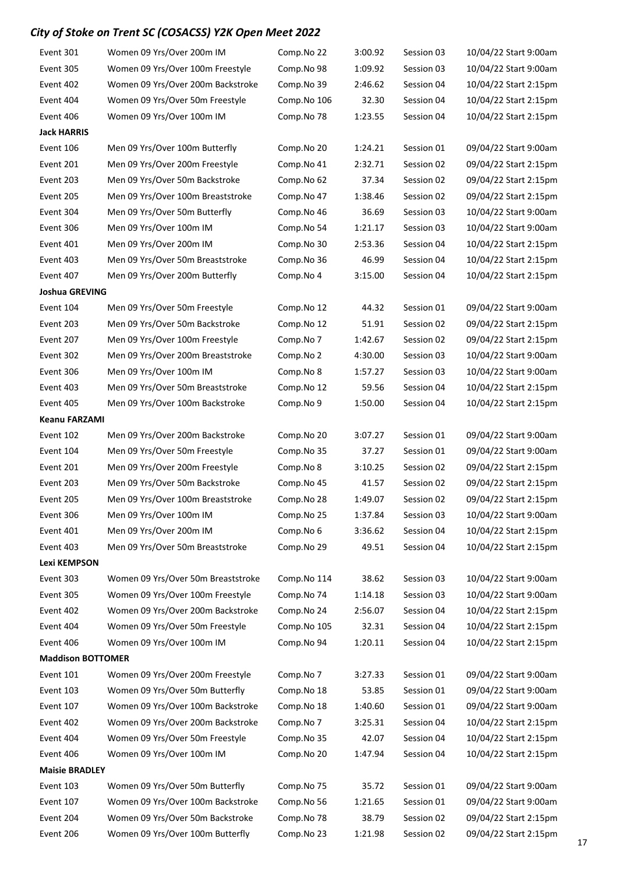| Event 301                | Women 09 Yrs/Over 200m IM          | Comp.No 22  | 3:00.92 | Session 03 | 10/04/22 Start 9:00am |
|--------------------------|------------------------------------|-------------|---------|------------|-----------------------|
| Event 305                | Women 09 Yrs/Over 100m Freestyle   | Comp.No 98  | 1:09.92 | Session 03 | 10/04/22 Start 9:00am |
| Event 402                | Women 09 Yrs/Over 200m Backstroke  | Comp.No 39  | 2:46.62 | Session 04 | 10/04/22 Start 2:15pm |
| Event 404                | Women 09 Yrs/Over 50m Freestyle    | Comp.No 106 | 32.30   | Session 04 | 10/04/22 Start 2:15pm |
| Event 406                | Women 09 Yrs/Over 100m IM          | Comp.No 78  | 1:23.55 | Session 04 | 10/04/22 Start 2:15pm |
| <b>Jack HARRIS</b>       |                                    |             |         |            |                       |
| Event 106                | Men 09 Yrs/Over 100m Butterfly     | Comp.No 20  | 1:24.21 | Session 01 | 09/04/22 Start 9:00am |
| Event 201                | Men 09 Yrs/Over 200m Freestyle     | Comp.No 41  | 2:32.71 | Session 02 | 09/04/22 Start 2:15pm |
| Event 203                | Men 09 Yrs/Over 50m Backstroke     | Comp.No 62  | 37.34   | Session 02 | 09/04/22 Start 2:15pm |
| Event 205                | Men 09 Yrs/Over 100m Breaststroke  | Comp.No 47  | 1:38.46 | Session 02 | 09/04/22 Start 2:15pm |
| Event 304                | Men 09 Yrs/Over 50m Butterfly      | Comp.No 46  | 36.69   | Session 03 | 10/04/22 Start 9:00am |
| Event 306                | Men 09 Yrs/Over 100m IM            | Comp.No 54  | 1:21.17 | Session 03 | 10/04/22 Start 9:00am |
| Event 401                | Men 09 Yrs/Over 200m IM            | Comp.No 30  | 2:53.36 | Session 04 | 10/04/22 Start 2:15pm |
| Event 403                | Men 09 Yrs/Over 50m Breaststroke   | Comp.No 36  | 46.99   | Session 04 | 10/04/22 Start 2:15pm |
| Event 407                | Men 09 Yrs/Over 200m Butterfly     | Comp.No 4   | 3:15.00 | Session 04 | 10/04/22 Start 2:15pm |
| Joshua GREVING           |                                    |             |         |            |                       |
| Event 104                | Men 09 Yrs/Over 50m Freestyle      | Comp.No 12  | 44.32   | Session 01 | 09/04/22 Start 9:00am |
| Event 203                | Men 09 Yrs/Over 50m Backstroke     | Comp.No 12  | 51.91   | Session 02 | 09/04/22 Start 2:15pm |
| Event 207                | Men 09 Yrs/Over 100m Freestyle     | Comp.No 7   | 1:42.67 | Session 02 | 09/04/22 Start 2:15pm |
| Event 302                | Men 09 Yrs/Over 200m Breaststroke  | Comp.No 2   | 4:30.00 | Session 03 | 10/04/22 Start 9:00am |
| Event 306                | Men 09 Yrs/Over 100m IM            | Comp.No 8   | 1:57.27 | Session 03 | 10/04/22 Start 9:00am |
| Event 403                | Men 09 Yrs/Over 50m Breaststroke   | Comp.No 12  | 59.56   | Session 04 | 10/04/22 Start 2:15pm |
| Event 405                | Men 09 Yrs/Over 100m Backstroke    | Comp.No 9   | 1:50.00 | Session 04 | 10/04/22 Start 2:15pm |
| <b>Keanu FARZAMI</b>     |                                    |             |         |            |                       |
| Event 102                | Men 09 Yrs/Over 200m Backstroke    | Comp.No 20  | 3:07.27 | Session 01 | 09/04/22 Start 9:00am |
| Event 104                | Men 09 Yrs/Over 50m Freestyle      | Comp.No 35  | 37.27   | Session 01 | 09/04/22 Start 9:00am |
| Event 201                | Men 09 Yrs/Over 200m Freestyle     | Comp.No 8   | 3:10.25 | Session 02 | 09/04/22 Start 2:15pm |
| Event 203                | Men 09 Yrs/Over 50m Backstroke     | Comp.No 45  | 41.57   | Session 02 | 09/04/22 Start 2:15pm |
| Event 205                | Men 09 Yrs/Over 100m Breaststroke  | Comp.No 28  | 1:49.07 | Session 02 | 09/04/22 Start 2:15pm |
| Event 306                | Men 09 Yrs/Over 100m IM            | Comp.No 25  | 1:37.84 | Session 03 | 10/04/22 Start 9:00am |
| Event 401                | Men 09 Yrs/Over 200m IM            | Comp.No 6   | 3:36.62 | Session 04 | 10/04/22 Start 2:15pm |
| Event 403                | Men 09 Yrs/Over 50m Breaststroke   | Comp.No 29  | 49.51   | Session 04 | 10/04/22 Start 2:15pm |
| Lexi KEMPSON             |                                    |             |         |            |                       |
| Event 303                | Women 09 Yrs/Over 50m Breaststroke | Comp.No 114 | 38.62   | Session 03 | 10/04/22 Start 9:00am |
| Event 305                | Women 09 Yrs/Over 100m Freestyle   | Comp.No 74  | 1:14.18 | Session 03 | 10/04/22 Start 9:00am |
| Event 402                | Women 09 Yrs/Over 200m Backstroke  | Comp.No 24  | 2:56.07 | Session 04 | 10/04/22 Start 2:15pm |
| Event 404                | Women 09 Yrs/Over 50m Freestyle    | Comp.No 105 | 32.31   | Session 04 | 10/04/22 Start 2:15pm |
| Event 406                | Women 09 Yrs/Over 100m IM          | Comp.No 94  | 1:20.11 | Session 04 | 10/04/22 Start 2:15pm |
| <b>Maddison BOTTOMER</b> |                                    |             |         |            |                       |
| Event 101                | Women 09 Yrs/Over 200m Freestyle   | Comp.No 7   | 3:27.33 | Session 01 | 09/04/22 Start 9:00am |
| Event 103                | Women 09 Yrs/Over 50m Butterfly    | Comp.No 18  | 53.85   | Session 01 | 09/04/22 Start 9:00am |
| Event 107                | Women 09 Yrs/Over 100m Backstroke  | Comp.No 18  | 1:40.60 | Session 01 | 09/04/22 Start 9:00am |
| Event 402                | Women 09 Yrs/Over 200m Backstroke  | Comp.No 7   | 3:25.31 | Session 04 | 10/04/22 Start 2:15pm |
| Event 404                | Women 09 Yrs/Over 50m Freestyle    | Comp.No 35  | 42.07   | Session 04 | 10/04/22 Start 2:15pm |
| Event 406                | Women 09 Yrs/Over 100m IM          | Comp.No 20  | 1:47.94 | Session 04 | 10/04/22 Start 2:15pm |
| <b>Maisie BRADLEY</b>    |                                    |             |         |            |                       |
| Event 103                | Women 09 Yrs/Over 50m Butterfly    | Comp.No 75  | 35.72   | Session 01 | 09/04/22 Start 9:00am |
| Event 107                | Women 09 Yrs/Over 100m Backstroke  | Comp.No 56  | 1:21.65 | Session 01 | 09/04/22 Start 9:00am |
| Event 204                | Women 09 Yrs/Over 50m Backstroke   | Comp.No 78  | 38.79   | Session 02 | 09/04/22 Start 2:15pm |
| Event 206                | Women 09 Yrs/Over 100m Butterfly   | Comp.No 23  | 1:21.98 | Session 02 | 09/04/22 Start 2:15pm |
|                          |                                    |             |         |            |                       |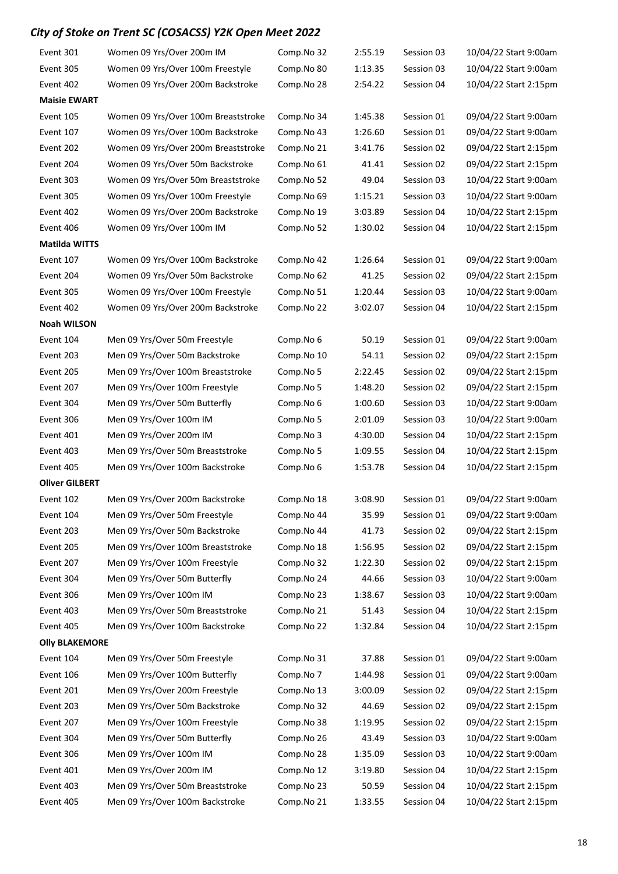| Event 301             | Women 09 Yrs/Over 200m IM           | Comp.No 32 | 2:55.19 | Session 03 | 10/04/22 Start 9:00am |
|-----------------------|-------------------------------------|------------|---------|------------|-----------------------|
| Event 305             | Women 09 Yrs/Over 100m Freestyle    | Comp.No 80 | 1:13.35 | Session 03 | 10/04/22 Start 9:00am |
| Event 402             | Women 09 Yrs/Over 200m Backstroke   | Comp.No 28 | 2:54.22 | Session 04 | 10/04/22 Start 2:15pm |
| <b>Maisie EWART</b>   |                                     |            |         |            |                       |
| Event 105             | Women 09 Yrs/Over 100m Breaststroke | Comp.No 34 | 1:45.38 | Session 01 | 09/04/22 Start 9:00am |
| Event 107             | Women 09 Yrs/Over 100m Backstroke   | Comp.No 43 | 1:26.60 | Session 01 | 09/04/22 Start 9:00am |
| Event 202             | Women 09 Yrs/Over 200m Breaststroke | Comp.No 21 | 3:41.76 | Session 02 | 09/04/22 Start 2:15pm |
| Event 204             | Women 09 Yrs/Over 50m Backstroke    | Comp.No 61 | 41.41   | Session 02 | 09/04/22 Start 2:15pm |
| Event 303             | Women 09 Yrs/Over 50m Breaststroke  | Comp.No 52 | 49.04   | Session 03 | 10/04/22 Start 9:00am |
| Event 305             | Women 09 Yrs/Over 100m Freestyle    | Comp.No 69 | 1:15.21 | Session 03 | 10/04/22 Start 9:00am |
| Event 402             | Women 09 Yrs/Over 200m Backstroke   | Comp.No 19 | 3:03.89 | Session 04 | 10/04/22 Start 2:15pm |
| Event 406             | Women 09 Yrs/Over 100m IM           | Comp.No 52 | 1:30.02 | Session 04 | 10/04/22 Start 2:15pm |
| <b>Matilda WITTS</b>  |                                     |            |         |            |                       |
| Event 107             | Women 09 Yrs/Over 100m Backstroke   | Comp.No 42 | 1:26.64 | Session 01 | 09/04/22 Start 9:00am |
| Event 204             | Women 09 Yrs/Over 50m Backstroke    | Comp.No 62 | 41.25   | Session 02 | 09/04/22 Start 2:15pm |
| Event 305             | Women 09 Yrs/Over 100m Freestyle    | Comp.No 51 | 1:20.44 | Session 03 | 10/04/22 Start 9:00am |
| Event 402             | Women 09 Yrs/Over 200m Backstroke   | Comp.No 22 | 3:02.07 | Session 04 | 10/04/22 Start 2:15pm |
| <b>Noah WILSON</b>    |                                     |            |         |            |                       |
| Event 104             | Men 09 Yrs/Over 50m Freestyle       | Comp.No 6  | 50.19   | Session 01 | 09/04/22 Start 9:00am |
| Event 203             | Men 09 Yrs/Over 50m Backstroke      | Comp.No 10 | 54.11   | Session 02 | 09/04/22 Start 2:15pm |
| Event 205             | Men 09 Yrs/Over 100m Breaststroke   | Comp.No 5  | 2:22.45 | Session 02 | 09/04/22 Start 2:15pm |
| Event 207             | Men 09 Yrs/Over 100m Freestyle      | Comp.No 5  | 1:48.20 | Session 02 | 09/04/22 Start 2:15pm |
| Event 304             | Men 09 Yrs/Over 50m Butterfly       | Comp.No 6  | 1:00.60 | Session 03 | 10/04/22 Start 9:00am |
| Event 306             | Men 09 Yrs/Over 100m IM             | Comp.No 5  | 2:01.09 | Session 03 | 10/04/22 Start 9:00am |
| Event 401             | Men 09 Yrs/Over 200m IM             | Comp.No 3  | 4:30.00 | Session 04 | 10/04/22 Start 2:15pm |
| Event 403             | Men 09 Yrs/Over 50m Breaststroke    | Comp.No 5  | 1:09.55 | Session 04 | 10/04/22 Start 2:15pm |
| Event 405             | Men 09 Yrs/Over 100m Backstroke     | Comp.No 6  | 1:53.78 | Session 04 | 10/04/22 Start 2:15pm |
| <b>Oliver GILBERT</b> |                                     |            |         |            |                       |
| Event 102             | Men 09 Yrs/Over 200m Backstroke     | Comp.No 18 | 3:08.90 | Session 01 | 09/04/22 Start 9:00am |
| Event 104             | Men 09 Yrs/Over 50m Freestyle       | Comp.No 44 | 35.99   | Session 01 | 09/04/22 Start 9:00am |
| Event 203             | Men 09 Yrs/Over 50m Backstroke      | Comp.No 44 | 41.73   | Session 02 | 09/04/22 Start 2:15pm |
| Event 205             | Men 09 Yrs/Over 100m Breaststroke   | Comp.No 18 | 1:56.95 | Session 02 | 09/04/22 Start 2:15pm |
| Event 207             | Men 09 Yrs/Over 100m Freestyle      | Comp.No 32 | 1:22.30 | Session 02 | 09/04/22 Start 2:15pm |
| Event 304             | Men 09 Yrs/Over 50m Butterfly       | Comp.No 24 | 44.66   | Session 03 | 10/04/22 Start 9:00am |
| Event 306             | Men 09 Yrs/Over 100m IM             | Comp.No 23 | 1:38.67 | Session 03 | 10/04/22 Start 9:00am |
| Event 403             | Men 09 Yrs/Over 50m Breaststroke    | Comp.No 21 | 51.43   | Session 04 | 10/04/22 Start 2:15pm |
| Event 405             | Men 09 Yrs/Over 100m Backstroke     | Comp.No 22 | 1:32.84 | Session 04 | 10/04/22 Start 2:15pm |
| <b>Olly BLAKEMORE</b> |                                     |            |         |            |                       |
| Event 104             | Men 09 Yrs/Over 50m Freestyle       | Comp.No 31 | 37.88   | Session 01 | 09/04/22 Start 9:00am |
| Event 106             | Men 09 Yrs/Over 100m Butterfly      | Comp.No 7  | 1:44.98 | Session 01 | 09/04/22 Start 9:00am |
| Event 201             | Men 09 Yrs/Over 200m Freestyle      | Comp.No 13 | 3:00.09 | Session 02 | 09/04/22 Start 2:15pm |
| Event 203             | Men 09 Yrs/Over 50m Backstroke      | Comp.No 32 | 44.69   | Session 02 | 09/04/22 Start 2:15pm |
| Event 207             | Men 09 Yrs/Over 100m Freestyle      | Comp.No 38 | 1:19.95 | Session 02 | 09/04/22 Start 2:15pm |
| Event 304             | Men 09 Yrs/Over 50m Butterfly       | Comp.No 26 | 43.49   | Session 03 | 10/04/22 Start 9:00am |
| Event 306             | Men 09 Yrs/Over 100m IM             | Comp.No 28 | 1:35.09 | Session 03 | 10/04/22 Start 9:00am |
| Event 401             | Men 09 Yrs/Over 200m IM             | Comp.No 12 | 3:19.80 | Session 04 | 10/04/22 Start 2:15pm |
| Event 403             | Men 09 Yrs/Over 50m Breaststroke    | Comp.No 23 | 50.59   | Session 04 | 10/04/22 Start 2:15pm |
| Event 405             | Men 09 Yrs/Over 100m Backstroke     | Comp.No 21 | 1:33.55 | Session 04 | 10/04/22 Start 2:15pm |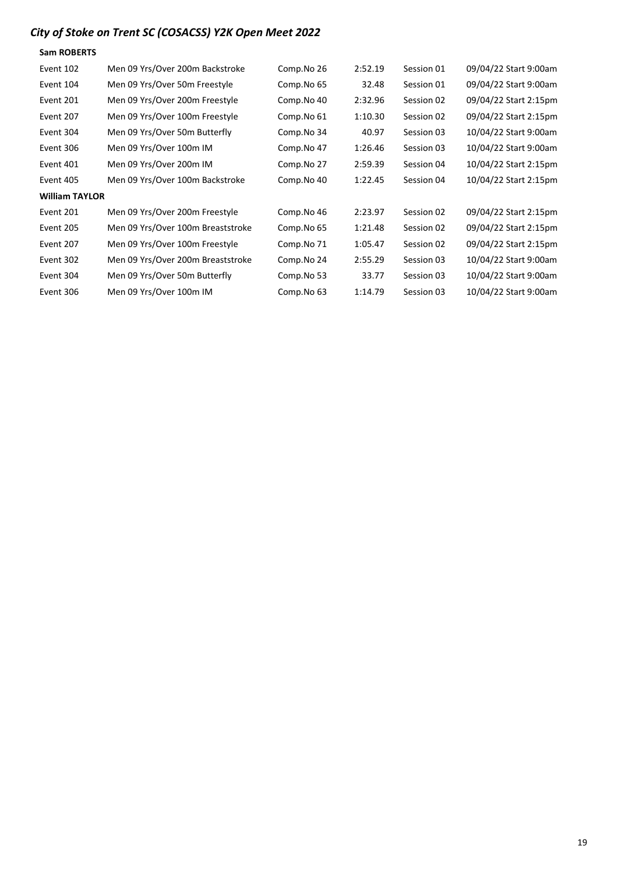| <b>Sam ROBERTS</b>    |                                   |            |         |            |                       |
|-----------------------|-----------------------------------|------------|---------|------------|-----------------------|
| Event 102             | Men 09 Yrs/Over 200m Backstroke   | Comp.No 26 | 2:52.19 | Session 01 | 09/04/22 Start 9:00am |
| Event 104             | Men 09 Yrs/Over 50m Freestyle     | Comp.No 65 | 32.48   | Session 01 | 09/04/22 Start 9:00am |
| Event 201             | Men 09 Yrs/Over 200m Freestyle    | Comp.No 40 | 2:32.96 | Session 02 | 09/04/22 Start 2:15pm |
| Event 207             | Men 09 Yrs/Over 100m Freestyle    | Comp.No 61 | 1:10.30 | Session 02 | 09/04/22 Start 2:15pm |
| Event 304             | Men 09 Yrs/Over 50m Butterfly     | Comp.No 34 | 40.97   | Session 03 | 10/04/22 Start 9:00am |
| Event 306             | Men 09 Yrs/Over 100m IM           | Comp.No 47 | 1:26.46 | Session 03 | 10/04/22 Start 9:00am |
| Event 401             | Men 09 Yrs/Over 200m IM           | Comp.No 27 | 2:59.39 | Session 04 | 10/04/22 Start 2:15pm |
| Event 405             | Men 09 Yrs/Over 100m Backstroke   | Comp.No 40 | 1:22.45 | Session 04 | 10/04/22 Start 2:15pm |
| <b>William TAYLOR</b> |                                   |            |         |            |                       |
| Event 201             | Men 09 Yrs/Over 200m Freestyle    | Comp.No 46 | 2:23.97 | Session 02 | 09/04/22 Start 2:15pm |
| Event 205             | Men 09 Yrs/Over 100m Breaststroke | Comp.No 65 | 1:21.48 | Session 02 | 09/04/22 Start 2:15pm |
| Event 207             | Men 09 Yrs/Over 100m Freestyle    | Comp.No 71 | 1:05.47 | Session 02 | 09/04/22 Start 2:15pm |
| Event 302             | Men 09 Yrs/Over 200m Breaststroke | Comp.No 24 | 2:55.29 | Session 03 | 10/04/22 Start 9:00am |
| Event 304             | Men 09 Yrs/Over 50m Butterfly     | Comp.No 53 | 33.77   | Session 03 | 10/04/22 Start 9:00am |
| Event 306             | Men 09 Yrs/Over 100m IM           | Comp.No 63 | 1:14.79 | Session 03 | 10/04/22 Start 9:00am |
|                       |                                   |            |         |            |                       |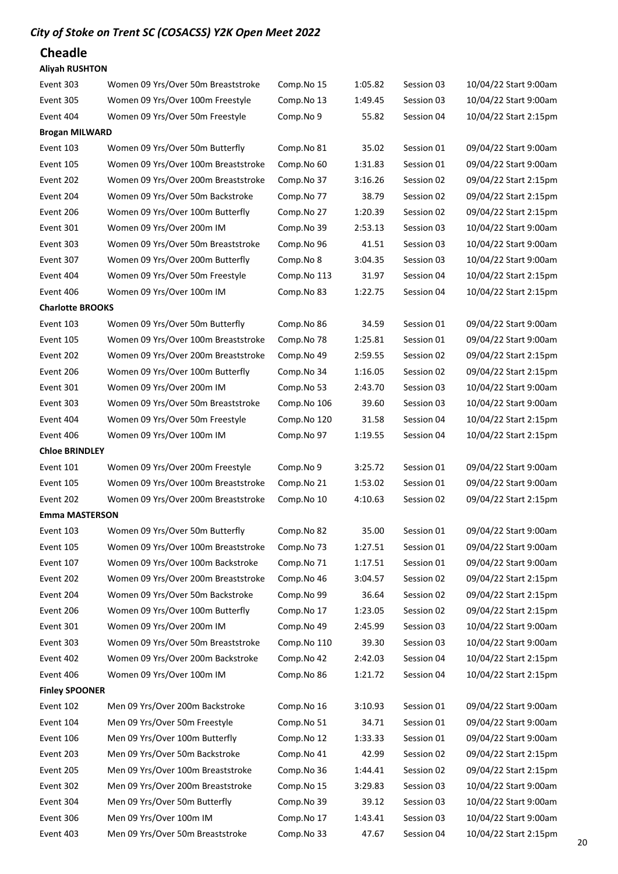### Cheadle

#### Aliyah RUSHTON

| Event 303               | Women 09 Yrs/Over 50m Breaststroke  | Comp.No 15  | 1:05.82 | Session 03 | 10/04/22 Start 9:00am |
|-------------------------|-------------------------------------|-------------|---------|------------|-----------------------|
| Event 305               | Women 09 Yrs/Over 100m Freestyle    | Comp.No 13  | 1:49.45 | Session 03 | 10/04/22 Start 9:00am |
| Event 404               | Women 09 Yrs/Over 50m Freestyle     | Comp.No 9   | 55.82   | Session 04 | 10/04/22 Start 2:15pm |
| <b>Brogan MILWARD</b>   |                                     |             |         |            |                       |
| Event 103               | Women 09 Yrs/Over 50m Butterfly     | Comp.No 81  | 35.02   | Session 01 | 09/04/22 Start 9:00am |
| Event 105               | Women 09 Yrs/Over 100m Breaststroke | Comp.No 60  | 1:31.83 | Session 01 | 09/04/22 Start 9:00am |
| Event 202               | Women 09 Yrs/Over 200m Breaststroke | Comp.No 37  | 3:16.26 | Session 02 | 09/04/22 Start 2:15pm |
| Event 204               | Women 09 Yrs/Over 50m Backstroke    | Comp.No 77  | 38.79   | Session 02 | 09/04/22 Start 2:15pm |
| Event 206               | Women 09 Yrs/Over 100m Butterfly    | Comp.No 27  | 1:20.39 | Session 02 | 09/04/22 Start 2:15pm |
| Event 301               | Women 09 Yrs/Over 200m IM           | Comp.No 39  | 2:53.13 | Session 03 | 10/04/22 Start 9:00am |
| Event 303               | Women 09 Yrs/Over 50m Breaststroke  | Comp.No 96  | 41.51   | Session 03 | 10/04/22 Start 9:00am |
| Event 307               | Women 09 Yrs/Over 200m Butterfly    | Comp.No 8   | 3:04.35 | Session 03 | 10/04/22 Start 9:00am |
| Event 404               | Women 09 Yrs/Over 50m Freestyle     | Comp.No 113 | 31.97   | Session 04 | 10/04/22 Start 2:15pm |
| Event 406               | Women 09 Yrs/Over 100m IM           | Comp.No 83  | 1:22.75 | Session 04 | 10/04/22 Start 2:15pm |
| <b>Charlotte BROOKS</b> |                                     |             |         |            |                       |
| Event 103               | Women 09 Yrs/Over 50m Butterfly     | Comp.No 86  | 34.59   | Session 01 | 09/04/22 Start 9:00am |
| Event 105               | Women 09 Yrs/Over 100m Breaststroke | Comp.No 78  | 1:25.81 | Session 01 | 09/04/22 Start 9:00am |
| Event 202               | Women 09 Yrs/Over 200m Breaststroke | Comp.No 49  | 2:59.55 | Session 02 | 09/04/22 Start 2:15pm |
| Event 206               | Women 09 Yrs/Over 100m Butterfly    | Comp.No 34  | 1:16.05 | Session 02 | 09/04/22 Start 2:15pm |
| Event 301               | Women 09 Yrs/Over 200m IM           | Comp.No 53  | 2:43.70 | Session 03 | 10/04/22 Start 9:00am |
| Event 303               | Women 09 Yrs/Over 50m Breaststroke  | Comp.No 106 | 39.60   | Session 03 | 10/04/22 Start 9:00am |
| Event 404               | Women 09 Yrs/Over 50m Freestyle     | Comp.No 120 | 31.58   | Session 04 | 10/04/22 Start 2:15pm |
| Event 406               | Women 09 Yrs/Over 100m IM           | Comp.No 97  | 1:19.55 | Session 04 | 10/04/22 Start 2:15pm |
| <b>Chloe BRINDLEY</b>   |                                     |             |         |            |                       |
| Event 101               | Women 09 Yrs/Over 200m Freestyle    | Comp.No 9   | 3:25.72 | Session 01 | 09/04/22 Start 9:00am |
| Event 105               | Women 09 Yrs/Over 100m Breaststroke | Comp.No 21  | 1:53.02 | Session 01 | 09/04/22 Start 9:00am |
| Event 202               | Women 09 Yrs/Over 200m Breaststroke | Comp.No 10  | 4:10.63 | Session 02 | 09/04/22 Start 2:15pm |
| <b>Emma MASTERSON</b>   |                                     |             |         |            |                       |
| Event 103               | Women 09 Yrs/Over 50m Butterfly     | Comp.No 82  | 35.00   | Session 01 | 09/04/22 Start 9:00am |
| Event 105               | Women 09 Yrs/Over 100m Breaststroke | Comp.No 73  | 1:27.51 | Session 01 | 09/04/22 Start 9:00am |
| Event 107               | Women 09 Yrs/Over 100m Backstroke   | Comp.No 71  | 1:17.51 | Session 01 | 09/04/22 Start 9:00am |
| Event 202               | Women 09 Yrs/Over 200m Breaststroke | Comp.No 46  | 3:04.57 | Session 02 | 09/04/22 Start 2:15pm |
| Event 204               | Women 09 Yrs/Over 50m Backstroke    | Comp.No 99  | 36.64   | Session 02 | 09/04/22 Start 2:15pm |
| Event 206               | Women 09 Yrs/Over 100m Butterfly    | Comp.No 17  | 1:23.05 | Session 02 | 09/04/22 Start 2:15pm |
| Event 301               | Women 09 Yrs/Over 200m IM           | Comp.No 49  | 2:45.99 | Session 03 | 10/04/22 Start 9:00am |
| Event 303               | Women 09 Yrs/Over 50m Breaststroke  | Comp.No 110 | 39.30   | Session 03 | 10/04/22 Start 9:00am |
| Event 402               | Women 09 Yrs/Over 200m Backstroke   | Comp.No 42  | 2:42.03 | Session 04 | 10/04/22 Start 2:15pm |
| Event 406               | Women 09 Yrs/Over 100m IM           | Comp.No 86  | 1:21.72 | Session 04 | 10/04/22 Start 2:15pm |
| <b>Finley SPOONER</b>   |                                     |             |         |            |                       |
| Event 102               | Men 09 Yrs/Over 200m Backstroke     | Comp.No 16  | 3:10.93 | Session 01 | 09/04/22 Start 9:00am |
| Event 104               | Men 09 Yrs/Over 50m Freestyle       | Comp.No 51  | 34.71   | Session 01 | 09/04/22 Start 9:00am |
| Event 106               | Men 09 Yrs/Over 100m Butterfly      | Comp.No 12  | 1:33.33 | Session 01 | 09/04/22 Start 9:00am |
| Event 203               | Men 09 Yrs/Over 50m Backstroke      | Comp.No 41  | 42.99   | Session 02 | 09/04/22 Start 2:15pm |
| Event 205               | Men 09 Yrs/Over 100m Breaststroke   | Comp.No 36  | 1:44.41 | Session 02 | 09/04/22 Start 2:15pm |
| Event 302               | Men 09 Yrs/Over 200m Breaststroke   | Comp.No 15  | 3:29.83 | Session 03 | 10/04/22 Start 9:00am |
| Event 304               | Men 09 Yrs/Over 50m Butterfly       | Comp.No 39  | 39.12   | Session 03 | 10/04/22 Start 9:00am |
| Event 306               | Men 09 Yrs/Over 100m IM             | Comp.No 17  | 1:43.41 | Session 03 | 10/04/22 Start 9:00am |
| Event 403               | Men 09 Yrs/Over 50m Breaststroke    | Comp.No 33  | 47.67   | Session 04 | 10/04/22 Start 2:15pm |
|                         |                                     |             |         |            |                       |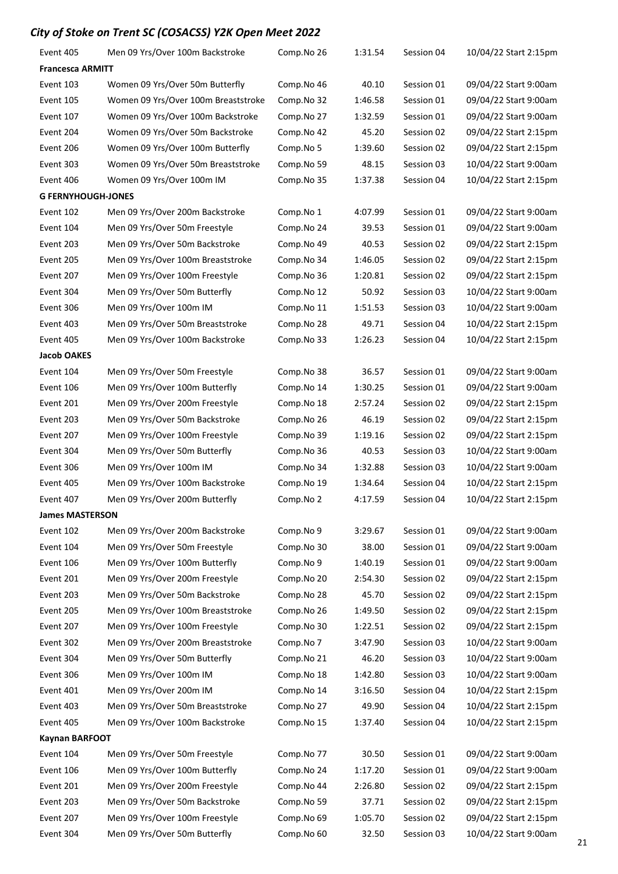| Event 405                 | Men 09 Yrs/Over 100m Backstroke     | Comp.No 26 | 1:31.54 | Session 04 | 10/04/22 Start 2:15pm |
|---------------------------|-------------------------------------|------------|---------|------------|-----------------------|
| <b>Francesca ARMITT</b>   |                                     |            |         |            |                       |
| Event 103                 | Women 09 Yrs/Over 50m Butterfly     | Comp.No 46 | 40.10   | Session 01 | 09/04/22 Start 9:00am |
| Event 105                 | Women 09 Yrs/Over 100m Breaststroke | Comp.No 32 | 1:46.58 | Session 01 | 09/04/22 Start 9:00am |
| Event 107                 | Women 09 Yrs/Over 100m Backstroke   | Comp.No 27 | 1:32.59 | Session 01 | 09/04/22 Start 9:00am |
| Event 204                 | Women 09 Yrs/Over 50m Backstroke    | Comp.No 42 | 45.20   | Session 02 | 09/04/22 Start 2:15pm |
| Event 206                 | Women 09 Yrs/Over 100m Butterfly    | Comp.No 5  | 1:39.60 | Session 02 | 09/04/22 Start 2:15pm |
| Event 303                 | Women 09 Yrs/Over 50m Breaststroke  | Comp.No 59 | 48.15   | Session 03 | 10/04/22 Start 9:00am |
| Event 406                 | Women 09 Yrs/Over 100m IM           | Comp.No 35 | 1:37.38 | Session 04 | 10/04/22 Start 2:15pm |
| <b>G FERNYHOUGH-JONES</b> |                                     |            |         |            |                       |
| Event 102                 | Men 09 Yrs/Over 200m Backstroke     | Comp.No 1  | 4:07.99 | Session 01 | 09/04/22 Start 9:00am |
| Event 104                 | Men 09 Yrs/Over 50m Freestyle       | Comp.No 24 | 39.53   | Session 01 | 09/04/22 Start 9:00am |
| Event 203                 | Men 09 Yrs/Over 50m Backstroke      | Comp.No 49 | 40.53   | Session 02 | 09/04/22 Start 2:15pm |
| Event 205                 | Men 09 Yrs/Over 100m Breaststroke   | Comp.No 34 | 1:46.05 | Session 02 | 09/04/22 Start 2:15pm |
| Event 207                 | Men 09 Yrs/Over 100m Freestyle      | Comp.No 36 | 1:20.81 | Session 02 | 09/04/22 Start 2:15pm |
| Event 304                 | Men 09 Yrs/Over 50m Butterfly       | Comp.No 12 | 50.92   | Session 03 | 10/04/22 Start 9:00am |
| Event 306                 | Men 09 Yrs/Over 100m IM             | Comp.No 11 | 1:51.53 | Session 03 | 10/04/22 Start 9:00am |
| Event 403                 | Men 09 Yrs/Over 50m Breaststroke    | Comp.No 28 | 49.71   | Session 04 | 10/04/22 Start 2:15pm |
| Event 405                 | Men 09 Yrs/Over 100m Backstroke     | Comp.No 33 | 1:26.23 | Session 04 | 10/04/22 Start 2:15pm |
| <b>Jacob OAKES</b>        |                                     |            |         |            |                       |
| Event 104                 | Men 09 Yrs/Over 50m Freestyle       | Comp.No 38 | 36.57   | Session 01 | 09/04/22 Start 9:00am |
| Event 106                 | Men 09 Yrs/Over 100m Butterfly      | Comp.No 14 | 1:30.25 | Session 01 | 09/04/22 Start 9:00am |
| Event 201                 | Men 09 Yrs/Over 200m Freestyle      | Comp.No 18 | 2:57.24 | Session 02 | 09/04/22 Start 2:15pm |
| Event 203                 | Men 09 Yrs/Over 50m Backstroke      | Comp.No 26 | 46.19   | Session 02 | 09/04/22 Start 2:15pm |
| Event 207                 | Men 09 Yrs/Over 100m Freestyle      | Comp.No 39 | 1:19.16 | Session 02 | 09/04/22 Start 2:15pm |
| Event 304                 | Men 09 Yrs/Over 50m Butterfly       | Comp.No 36 | 40.53   | Session 03 | 10/04/22 Start 9:00am |
| Event 306                 | Men 09 Yrs/Over 100m IM             | Comp.No 34 | 1:32.88 | Session 03 | 10/04/22 Start 9:00am |
| Event 405                 | Men 09 Yrs/Over 100m Backstroke     | Comp.No 19 | 1:34.64 | Session 04 | 10/04/22 Start 2:15pm |
| Event 407                 | Men 09 Yrs/Over 200m Butterfly      | Comp.No 2  | 4:17.59 | Session 04 | 10/04/22 Start 2:15pm |
| <b>James MASTERSON</b>    |                                     |            |         |            |                       |
| Event 102                 | Men 09 Yrs/Over 200m Backstroke     | Comp.No 9  | 3:29.67 | Session 01 | 09/04/22 Start 9:00am |
| Event 104                 | Men 09 Yrs/Over 50m Freestyle       | Comp.No 30 | 38.00   | Session 01 | 09/04/22 Start 9:00am |
| Event 106                 | Men 09 Yrs/Over 100m Butterfly      | Comp.No 9  | 1:40.19 | Session 01 | 09/04/22 Start 9:00am |
| Event 201                 | Men 09 Yrs/Over 200m Freestyle      | Comp.No 20 | 2:54.30 | Session 02 | 09/04/22 Start 2:15pm |
| Event 203                 | Men 09 Yrs/Over 50m Backstroke      | Comp.No 28 | 45.70   | Session 02 | 09/04/22 Start 2:15pm |
| Event 205                 | Men 09 Yrs/Over 100m Breaststroke   | Comp.No 26 | 1:49.50 | Session 02 | 09/04/22 Start 2:15pm |
| Event 207                 | Men 09 Yrs/Over 100m Freestyle      | Comp.No 30 | 1:22.51 | Session 02 | 09/04/22 Start 2:15pm |
| Event 302                 | Men 09 Yrs/Over 200m Breaststroke   | Comp.No 7  | 3:47.90 | Session 03 | 10/04/22 Start 9:00am |
| Event 304                 | Men 09 Yrs/Over 50m Butterfly       | Comp.No 21 | 46.20   | Session 03 | 10/04/22 Start 9:00am |
| Event 306                 | Men 09 Yrs/Over 100m IM             | Comp.No 18 | 1:42.80 | Session 03 | 10/04/22 Start 9:00am |
| Event 401                 | Men 09 Yrs/Over 200m IM             | Comp.No 14 | 3:16.50 | Session 04 | 10/04/22 Start 2:15pm |
| Event 403                 | Men 09 Yrs/Over 50m Breaststroke    | Comp.No 27 | 49.90   | Session 04 | 10/04/22 Start 2:15pm |
| Event 405                 | Men 09 Yrs/Over 100m Backstroke     | Comp.No 15 | 1:37.40 | Session 04 | 10/04/22 Start 2:15pm |
| <b>Kaynan BARFOOT</b>     |                                     |            |         |            |                       |
| Event 104                 | Men 09 Yrs/Over 50m Freestyle       | Comp.No 77 | 30.50   | Session 01 | 09/04/22 Start 9:00am |
| Event 106                 | Men 09 Yrs/Over 100m Butterfly      | Comp.No 24 | 1:17.20 | Session 01 | 09/04/22 Start 9:00am |
| Event 201                 | Men 09 Yrs/Over 200m Freestyle      | Comp.No 44 | 2:26.80 | Session 02 | 09/04/22 Start 2:15pm |
| Event 203                 | Men 09 Yrs/Over 50m Backstroke      | Comp.No 59 | 37.71   | Session 02 | 09/04/22 Start 2:15pm |
| Event 207                 | Men 09 Yrs/Over 100m Freestyle      | Comp.No 69 | 1:05.70 | Session 02 | 09/04/22 Start 2:15pm |
| Event 304                 | Men 09 Yrs/Over 50m Butterfly       | Comp.No 60 | 32.50   | Session 03 | 10/04/22 Start 9:00am |
|                           |                                     |            |         |            |                       |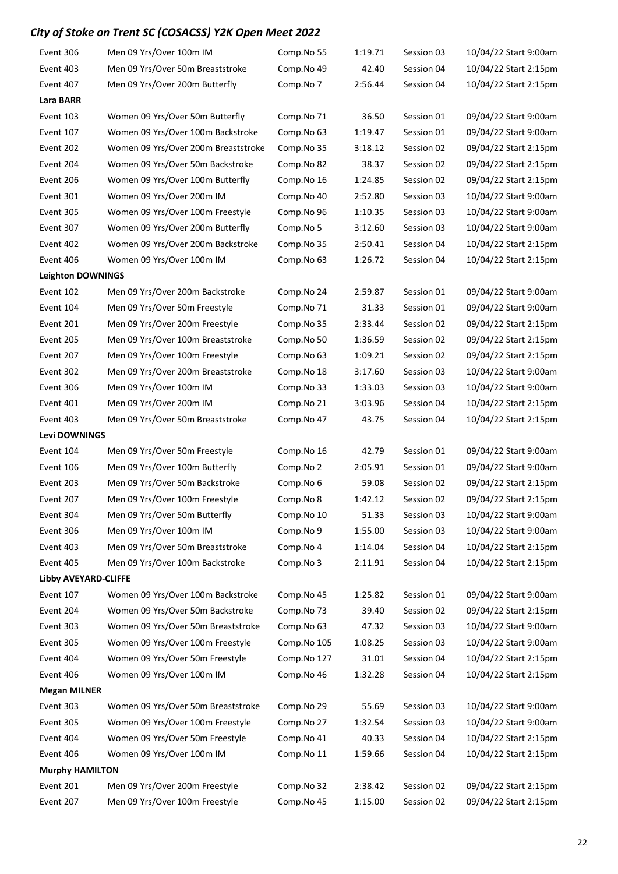| Event 306                | Men 09 Yrs/Over 100m IM             | Comp.No 55  | 1:19.71 | Session 03 | 10/04/22 Start 9:00am |
|--------------------------|-------------------------------------|-------------|---------|------------|-----------------------|
| Event 403                | Men 09 Yrs/Over 50m Breaststroke    | Comp.No 49  | 42.40   | Session 04 | 10/04/22 Start 2:15pm |
| Event 407                | Men 09 Yrs/Over 200m Butterfly      | Comp.No 7   | 2:56.44 | Session 04 | 10/04/22 Start 2:15pm |
| Lara BARR                |                                     |             |         |            |                       |
| Event 103                | Women 09 Yrs/Over 50m Butterfly     | Comp.No 71  | 36.50   | Session 01 | 09/04/22 Start 9:00am |
| Event 107                | Women 09 Yrs/Over 100m Backstroke   | Comp.No 63  | 1:19.47 | Session 01 | 09/04/22 Start 9:00am |
| Event 202                | Women 09 Yrs/Over 200m Breaststroke | Comp.No 35  | 3:18.12 | Session 02 | 09/04/22 Start 2:15pm |
| Event 204                | Women 09 Yrs/Over 50m Backstroke    | Comp.No 82  | 38.37   | Session 02 | 09/04/22 Start 2:15pm |
| Event 206                | Women 09 Yrs/Over 100m Butterfly    | Comp.No 16  | 1:24.85 | Session 02 | 09/04/22 Start 2:15pm |
| Event 301                | Women 09 Yrs/Over 200m IM           | Comp.No 40  | 2:52.80 | Session 03 | 10/04/22 Start 9:00am |
| Event 305                | Women 09 Yrs/Over 100m Freestyle    | Comp.No 96  | 1:10.35 | Session 03 | 10/04/22 Start 9:00am |
| Event 307                | Women 09 Yrs/Over 200m Butterfly    | Comp.No 5   | 3:12.60 | Session 03 | 10/04/22 Start 9:00am |
| Event 402                | Women 09 Yrs/Over 200m Backstroke   | Comp.No 35  | 2:50.41 | Session 04 | 10/04/22 Start 2:15pm |
| Event 406                | Women 09 Yrs/Over 100m IM           | Comp.No 63  | 1:26.72 | Session 04 | 10/04/22 Start 2:15pm |
| <b>Leighton DOWNINGS</b> |                                     |             |         |            |                       |
| Event 102                | Men 09 Yrs/Over 200m Backstroke     | Comp.No 24  | 2:59.87 | Session 01 | 09/04/22 Start 9:00am |
| Event 104                | Men 09 Yrs/Over 50m Freestyle       | Comp.No 71  | 31.33   | Session 01 | 09/04/22 Start 9:00am |
| Event 201                | Men 09 Yrs/Over 200m Freestyle      | Comp.No 35  | 2:33.44 | Session 02 | 09/04/22 Start 2:15pm |
| Event 205                | Men 09 Yrs/Over 100m Breaststroke   | Comp.No 50  | 1:36.59 | Session 02 | 09/04/22 Start 2:15pm |
| Event 207                | Men 09 Yrs/Over 100m Freestyle      | Comp.No 63  | 1:09.21 | Session 02 | 09/04/22 Start 2:15pm |
| Event 302                | Men 09 Yrs/Over 200m Breaststroke   | Comp.No 18  | 3:17.60 | Session 03 | 10/04/22 Start 9:00am |
| Event 306                | Men 09 Yrs/Over 100m IM             | Comp.No 33  | 1:33.03 | Session 03 | 10/04/22 Start 9:00am |
| Event 401                | Men 09 Yrs/Over 200m IM             | Comp.No 21  | 3:03.96 | Session 04 | 10/04/22 Start 2:15pm |
| Event 403                | Men 09 Yrs/Over 50m Breaststroke    | Comp.No 47  | 43.75   | Session 04 | 10/04/22 Start 2:15pm |
| <b>Levi DOWNINGS</b>     |                                     |             |         |            |                       |
| Event 104                | Men 09 Yrs/Over 50m Freestyle       | Comp.No 16  | 42.79   | Session 01 | 09/04/22 Start 9:00am |
| Event 106                | Men 09 Yrs/Over 100m Butterfly      | Comp.No 2   | 2:05.91 | Session 01 | 09/04/22 Start 9:00am |
| Event 203                | Men 09 Yrs/Over 50m Backstroke      | Comp.No 6   | 59.08   | Session 02 | 09/04/22 Start 2:15pm |
| Event 207                | Men 09 Yrs/Over 100m Freestyle      | Comp.No 8   | 1:42.12 | Session 02 | 09/04/22 Start 2:15pm |
| Event 304                | Men 09 Yrs/Over 50m Butterfly       | Comp.No 10  | 51.33   | Session 03 | 10/04/22 Start 9:00am |
| Event 306                | Men 09 Yrs/Over 100m IM             | Comp.No 9   | 1:55.00 | Session 03 | 10/04/22 Start 9:00am |
| Event 403                | Men 09 Yrs/Over 50m Breaststroke    | Comp.No 4   | 1:14.04 | Session 04 | 10/04/22 Start 2:15pm |
| Event 405                | Men 09 Yrs/Over 100m Backstroke     | Comp.No 3   | 2:11.91 | Session 04 | 10/04/22 Start 2:15pm |
| Libby AVEYARD-CLIFFE     |                                     |             |         |            |                       |
| Event 107                | Women 09 Yrs/Over 100m Backstroke   | Comp.No 45  | 1:25.82 | Session 01 | 09/04/22 Start 9:00am |
| Event 204                | Women 09 Yrs/Over 50m Backstroke    | Comp.No 73  | 39.40   | Session 02 | 09/04/22 Start 2:15pm |
| Event 303                | Women 09 Yrs/Over 50m Breaststroke  | Comp.No 63  | 47.32   | Session 03 | 10/04/22 Start 9:00am |
| Event 305                | Women 09 Yrs/Over 100m Freestyle    | Comp.No 105 | 1:08.25 | Session 03 | 10/04/22 Start 9:00am |
| Event 404                | Women 09 Yrs/Over 50m Freestyle     | Comp.No 127 | 31.01   | Session 04 | 10/04/22 Start 2:15pm |
| Event 406                | Women 09 Yrs/Over 100m IM           | Comp.No 46  | 1:32.28 | Session 04 | 10/04/22 Start 2:15pm |
| <b>Megan MILNER</b>      |                                     |             |         |            |                       |
| Event 303                | Women 09 Yrs/Over 50m Breaststroke  | Comp.No 29  | 55.69   | Session 03 | 10/04/22 Start 9:00am |
| Event 305                | Women 09 Yrs/Over 100m Freestyle    | Comp.No 27  | 1:32.54 | Session 03 | 10/04/22 Start 9:00am |
| Event 404                | Women 09 Yrs/Over 50m Freestyle     | Comp.No 41  | 40.33   | Session 04 | 10/04/22 Start 2:15pm |
| Event 406                | Women 09 Yrs/Over 100m IM           | Comp.No 11  | 1:59.66 | Session 04 | 10/04/22 Start 2:15pm |
| <b>Murphy HAMILTON</b>   |                                     |             |         |            |                       |
| Event 201                | Men 09 Yrs/Over 200m Freestyle      | Comp.No 32  | 2:38.42 | Session 02 | 09/04/22 Start 2:15pm |
| Event 207                | Men 09 Yrs/Over 100m Freestyle      | Comp.No 45  | 1:15.00 | Session 02 | 09/04/22 Start 2:15pm |
|                          |                                     |             |         |            |                       |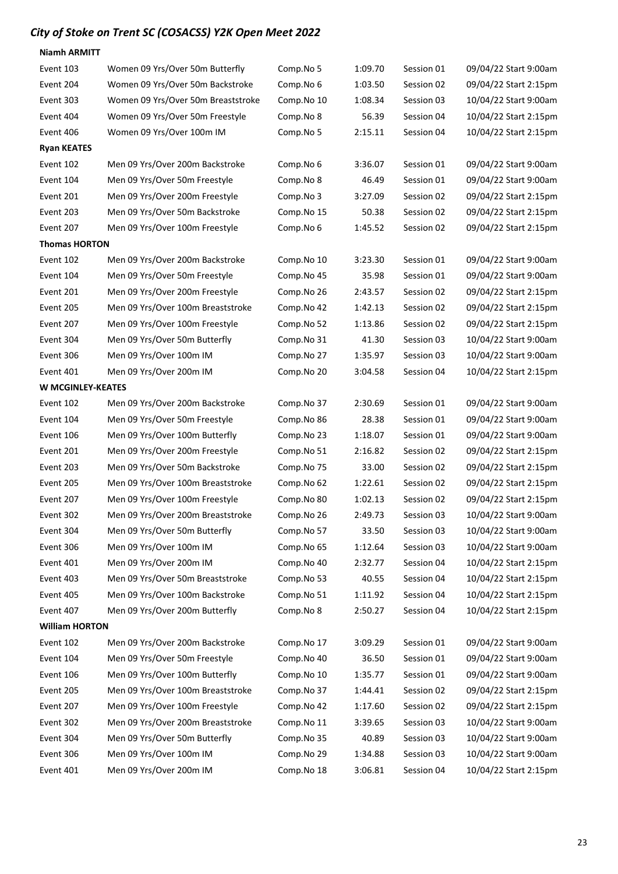| <b>Niamh ARMITT</b>      |                                    |            |         |            |                       |
|--------------------------|------------------------------------|------------|---------|------------|-----------------------|
| Event 103                | Women 09 Yrs/Over 50m Butterfly    | Comp.No 5  | 1:09.70 | Session 01 | 09/04/22 Start 9:00am |
| Event 204                | Women 09 Yrs/Over 50m Backstroke   | Comp.No 6  | 1:03.50 | Session 02 | 09/04/22 Start 2:15pm |
| Event 303                | Women 09 Yrs/Over 50m Breaststroke | Comp.No 10 | 1:08.34 | Session 03 | 10/04/22 Start 9:00am |
| Event 404                | Women 09 Yrs/Over 50m Freestyle    | Comp.No 8  | 56.39   | Session 04 | 10/04/22 Start 2:15pm |
| Event 406                | Women 09 Yrs/Over 100m IM          | Comp.No 5  | 2:15.11 | Session 04 | 10/04/22 Start 2:15pm |
| <b>Ryan KEATES</b>       |                                    |            |         |            |                       |
| Event 102                | Men 09 Yrs/Over 200m Backstroke    | Comp.No 6  | 3:36.07 | Session 01 | 09/04/22 Start 9:00am |
| Event 104                | Men 09 Yrs/Over 50m Freestyle      | Comp.No 8  | 46.49   | Session 01 | 09/04/22 Start 9:00am |
| Event 201                | Men 09 Yrs/Over 200m Freestyle     | Comp.No 3  | 3:27.09 | Session 02 | 09/04/22 Start 2:15pm |
| Event 203                | Men 09 Yrs/Over 50m Backstroke     | Comp.No 15 | 50.38   | Session 02 | 09/04/22 Start 2:15pm |
| Event 207                | Men 09 Yrs/Over 100m Freestyle     | Comp.No 6  | 1:45.52 | Session 02 | 09/04/22 Start 2:15pm |
| <b>Thomas HORTON</b>     |                                    |            |         |            |                       |
| Event 102                | Men 09 Yrs/Over 200m Backstroke    | Comp.No 10 | 3:23.30 | Session 01 | 09/04/22 Start 9:00am |
| Event 104                | Men 09 Yrs/Over 50m Freestyle      | Comp.No 45 | 35.98   | Session 01 | 09/04/22 Start 9:00am |
| Event 201                | Men 09 Yrs/Over 200m Freestyle     | Comp.No 26 | 2:43.57 | Session 02 | 09/04/22 Start 2:15pm |
| Event 205                | Men 09 Yrs/Over 100m Breaststroke  | Comp.No 42 | 1:42.13 | Session 02 | 09/04/22 Start 2:15pm |
| Event 207                | Men 09 Yrs/Over 100m Freestyle     | Comp.No 52 | 1:13.86 | Session 02 | 09/04/22 Start 2:15pm |
| Event 304                | Men 09 Yrs/Over 50m Butterfly      | Comp.No 31 | 41.30   | Session 03 | 10/04/22 Start 9:00am |
| Event 306                | Men 09 Yrs/Over 100m IM            | Comp.No 27 | 1:35.97 | Session 03 | 10/04/22 Start 9:00am |
| Event 401                | Men 09 Yrs/Over 200m IM            | Comp.No 20 | 3:04.58 | Session 04 | 10/04/22 Start 2:15pm |
| <b>W MCGINLEY-KEATES</b> |                                    |            |         |            |                       |
| Event 102                | Men 09 Yrs/Over 200m Backstroke    | Comp.No 37 | 2:30.69 | Session 01 | 09/04/22 Start 9:00am |
| Event 104                | Men 09 Yrs/Over 50m Freestyle      | Comp.No 86 | 28.38   | Session 01 | 09/04/22 Start 9:00am |
| Event 106                | Men 09 Yrs/Over 100m Butterfly     | Comp.No 23 | 1:18.07 | Session 01 | 09/04/22 Start 9:00am |
| Event 201                | Men 09 Yrs/Over 200m Freestyle     | Comp.No 51 | 2:16.82 | Session 02 | 09/04/22 Start 2:15pm |
| Event 203                | Men 09 Yrs/Over 50m Backstroke     | Comp.No 75 | 33.00   | Session 02 | 09/04/22 Start 2:15pm |
| Event 205                | Men 09 Yrs/Over 100m Breaststroke  | Comp.No 62 | 1:22.61 | Session 02 | 09/04/22 Start 2:15pm |
| Event 207                | Men 09 Yrs/Over 100m Freestyle     | Comp.No 80 | 1:02.13 | Session 02 | 09/04/22 Start 2:15pm |
| Event 302                | Men 09 Yrs/Over 200m Breaststroke  | Comp.No 26 | 2:49.73 | Session 03 | 10/04/22 Start 9:00am |
| Event 304                | Men 09 Yrs/Over 50m Butterfly      | Comp.No 57 | 33.50   | Session 03 | 10/04/22 Start 9:00am |
| Event 306                | Men 09 Yrs/Over 100m IM            | Comp.No 65 | 1:12.64 | Session 03 | 10/04/22 Start 9:00am |
| Event 401                | Men 09 Yrs/Over 200m IM            | Comp.No 40 | 2:32.77 | Session 04 | 10/04/22 Start 2:15pm |
| Event 403                | Men 09 Yrs/Over 50m Breaststroke   | Comp.No 53 | 40.55   | Session 04 | 10/04/22 Start 2:15pm |
| Event 405                | Men 09 Yrs/Over 100m Backstroke    | Comp.No 51 | 1:11.92 | Session 04 | 10/04/22 Start 2:15pm |
| Event 407                | Men 09 Yrs/Over 200m Butterfly     | Comp.No 8  | 2:50.27 | Session 04 | 10/04/22 Start 2:15pm |
| <b>William HORTON</b>    |                                    |            |         |            |                       |
| Event 102                | Men 09 Yrs/Over 200m Backstroke    | Comp.No 17 | 3:09.29 | Session 01 | 09/04/22 Start 9:00am |
| Event 104                | Men 09 Yrs/Over 50m Freestyle      | Comp.No 40 | 36.50   | Session 01 | 09/04/22 Start 9:00am |
| Event 106                | Men 09 Yrs/Over 100m Butterfly     | Comp.No 10 | 1:35.77 | Session 01 | 09/04/22 Start 9:00am |
| Event 205                | Men 09 Yrs/Over 100m Breaststroke  | Comp.No 37 | 1:44.41 | Session 02 | 09/04/22 Start 2:15pm |
| Event 207                | Men 09 Yrs/Over 100m Freestyle     | Comp.No 42 | 1:17.60 | Session 02 | 09/04/22 Start 2:15pm |
| Event 302                | Men 09 Yrs/Over 200m Breaststroke  | Comp.No 11 | 3:39.65 | Session 03 | 10/04/22 Start 9:00am |
| Event 304                | Men 09 Yrs/Over 50m Butterfly      | Comp.No 35 | 40.89   | Session 03 | 10/04/22 Start 9:00am |
| Event 306                | Men 09 Yrs/Over 100m IM            | Comp.No 29 | 1:34.88 | Session 03 | 10/04/22 Start 9:00am |
| Event 401                | Men 09 Yrs/Over 200m IM            | Comp.No 18 | 3:06.81 | Session 04 | 10/04/22 Start 2:15pm |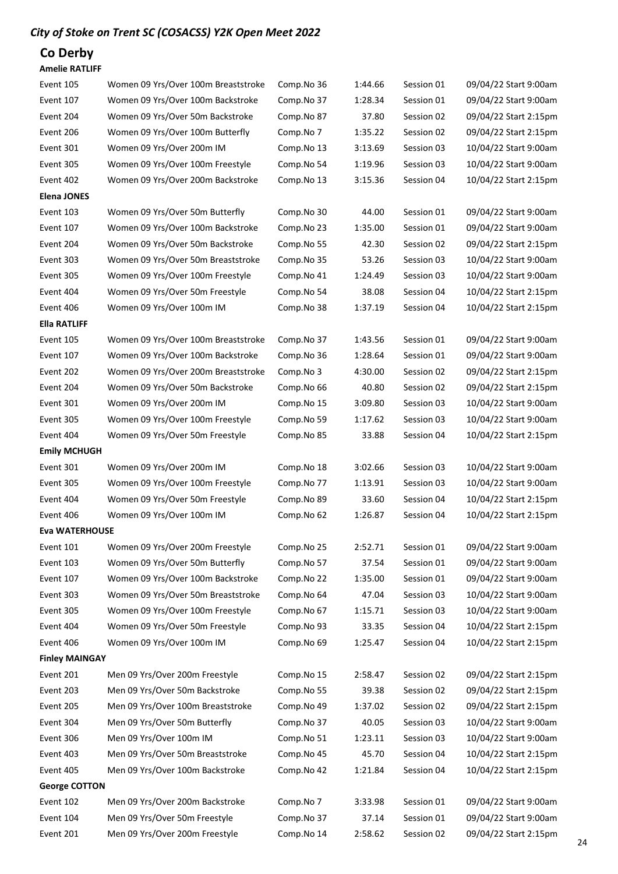# Co Derby

#### Amelie RATLIFF

| Event 105             | Women 09 Yrs/Over 100m Breaststroke | Comp.No 36 | 1:44.66 | Session 01 | 09/04/22 Start 9:00am |
|-----------------------|-------------------------------------|------------|---------|------------|-----------------------|
| Event 107             | Women 09 Yrs/Over 100m Backstroke   | Comp.No 37 | 1:28.34 | Session 01 | 09/04/22 Start 9:00am |
| Event 204             | Women 09 Yrs/Over 50m Backstroke    | Comp.No 87 | 37.80   | Session 02 | 09/04/22 Start 2:15pm |
| Event 206             | Women 09 Yrs/Over 100m Butterfly    | Comp.No 7  | 1:35.22 | Session 02 | 09/04/22 Start 2:15pm |
| Event 301             | Women 09 Yrs/Over 200m IM           | Comp.No 13 | 3:13.69 | Session 03 | 10/04/22 Start 9:00am |
| Event 305             | Women 09 Yrs/Over 100m Freestyle    | Comp.No 54 | 1:19.96 | Session 03 | 10/04/22 Start 9:00am |
| Event 402             | Women 09 Yrs/Over 200m Backstroke   | Comp.No 13 | 3:15.36 | Session 04 | 10/04/22 Start 2:15pm |
| <b>Elena JONES</b>    |                                     |            |         |            |                       |
| Event 103             | Women 09 Yrs/Over 50m Butterfly     | Comp.No 30 | 44.00   | Session 01 | 09/04/22 Start 9:00am |
| Event 107             | Women 09 Yrs/Over 100m Backstroke   | Comp.No 23 | 1:35.00 | Session 01 | 09/04/22 Start 9:00am |
| Event 204             | Women 09 Yrs/Over 50m Backstroke    | Comp.No 55 | 42.30   | Session 02 | 09/04/22 Start 2:15pm |
| Event 303             | Women 09 Yrs/Over 50m Breaststroke  | Comp.No 35 | 53.26   | Session 03 | 10/04/22 Start 9:00am |
| Event 305             | Women 09 Yrs/Over 100m Freestyle    | Comp.No 41 | 1:24.49 | Session 03 | 10/04/22 Start 9:00am |
| Event 404             | Women 09 Yrs/Over 50m Freestyle     | Comp.No 54 | 38.08   | Session 04 | 10/04/22 Start 2:15pm |
| Event 406             | Women 09 Yrs/Over 100m IM           | Comp.No 38 | 1:37.19 | Session 04 | 10/04/22 Start 2:15pm |
| <b>Ella RATLIFF</b>   |                                     |            |         |            |                       |
| Event 105             | Women 09 Yrs/Over 100m Breaststroke | Comp.No 37 | 1:43.56 | Session 01 | 09/04/22 Start 9:00am |
| Event 107             | Women 09 Yrs/Over 100m Backstroke   | Comp.No 36 | 1:28.64 | Session 01 | 09/04/22 Start 9:00am |
| Event 202             | Women 09 Yrs/Over 200m Breaststroke | Comp.No 3  | 4:30.00 | Session 02 | 09/04/22 Start 2:15pm |
| Event 204             | Women 09 Yrs/Over 50m Backstroke    | Comp.No 66 | 40.80   | Session 02 | 09/04/22 Start 2:15pm |
| Event 301             | Women 09 Yrs/Over 200m IM           | Comp.No 15 | 3:09.80 | Session 03 | 10/04/22 Start 9:00am |
| Event 305             | Women 09 Yrs/Over 100m Freestyle    | Comp.No 59 | 1:17.62 | Session 03 | 10/04/22 Start 9:00am |
| Event 404             | Women 09 Yrs/Over 50m Freestyle     | Comp.No 85 | 33.88   | Session 04 | 10/04/22 Start 2:15pm |
| <b>Emily MCHUGH</b>   |                                     |            |         |            |                       |
| Event 301             | Women 09 Yrs/Over 200m IM           | Comp.No 18 | 3:02.66 | Session 03 | 10/04/22 Start 9:00am |
| Event 305             | Women 09 Yrs/Over 100m Freestyle    | Comp.No 77 | 1:13.91 | Session 03 | 10/04/22 Start 9:00am |
| Event 404             | Women 09 Yrs/Over 50m Freestyle     | Comp.No 89 | 33.60   | Session 04 | 10/04/22 Start 2:15pm |
| Event 406             | Women 09 Yrs/Over 100m IM           | Comp.No 62 | 1:26.87 | Session 04 | 10/04/22 Start 2:15pm |
| <b>Eva WATERHOUSE</b> |                                     |            |         |            |                       |
| Event 101             | Women 09 Yrs/Over 200m Freestyle    | Comp.No 25 | 2:52.71 | Session 01 | 09/04/22 Start 9:00am |
| Event 103             | Women 09 Yrs/Over 50m Butterfly     | Comp.No 57 | 37.54   | Session 01 | 09/04/22 Start 9:00am |
| Event 107             | Women 09 Yrs/Over 100m Backstroke   | Comp.No 22 | 1:35.00 | Session 01 | 09/04/22 Start 9:00am |
| Event 303             | Women 09 Yrs/Over 50m Breaststroke  | Comp.No 64 | 47.04   | Session 03 | 10/04/22 Start 9:00am |
| Event 305             | Women 09 Yrs/Over 100m Freestyle    | Comp.No 67 | 1:15.71 | Session 03 | 10/04/22 Start 9:00am |
| Event 404             | Women 09 Yrs/Over 50m Freestyle     | Comp.No 93 | 33.35   | Session 04 | 10/04/22 Start 2:15pm |
| Event 406             | Women 09 Yrs/Over 100m IM           | Comp.No 69 | 1:25.47 | Session 04 | 10/04/22 Start 2:15pm |
| <b>Finley MAINGAY</b> |                                     |            |         |            |                       |
| Event 201             | Men 09 Yrs/Over 200m Freestyle      | Comp.No 15 | 2:58.47 | Session 02 | 09/04/22 Start 2:15pm |
| Event 203             | Men 09 Yrs/Over 50m Backstroke      | Comp.No 55 | 39.38   | Session 02 | 09/04/22 Start 2:15pm |
| Event 205             | Men 09 Yrs/Over 100m Breaststroke   | Comp.No 49 | 1:37.02 | Session 02 | 09/04/22 Start 2:15pm |
| Event 304             | Men 09 Yrs/Over 50m Butterfly       | Comp.No 37 | 40.05   | Session 03 | 10/04/22 Start 9:00am |
| Event 306             | Men 09 Yrs/Over 100m IM             | Comp.No 51 | 1:23.11 | Session 03 | 10/04/22 Start 9:00am |
| Event 403             | Men 09 Yrs/Over 50m Breaststroke    | Comp.No 45 | 45.70   | Session 04 | 10/04/22 Start 2:15pm |
| Event 405             | Men 09 Yrs/Over 100m Backstroke     | Comp.No 42 | 1:21.84 | Session 04 | 10/04/22 Start 2:15pm |
| <b>George COTTON</b>  |                                     |            |         |            |                       |
| Event 102             | Men 09 Yrs/Over 200m Backstroke     | Comp.No 7  | 3:33.98 | Session 01 | 09/04/22 Start 9:00am |
| Event 104             | Men 09 Yrs/Over 50m Freestyle       | Comp.No 37 | 37.14   | Session 01 | 09/04/22 Start 9:00am |
| Event 201             | Men 09 Yrs/Over 200m Freestyle      | Comp.No 14 | 2:58.62 | Session 02 | 09/04/22 Start 2:15pm |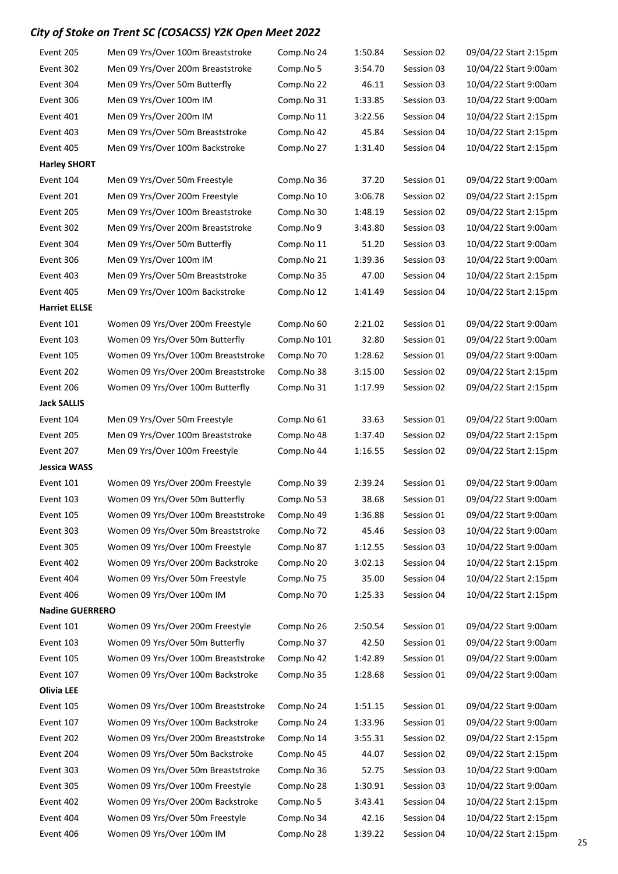| Event 205              | Men 09 Yrs/Over 100m Breaststroke                            | Comp.No 24               | 1:50.84          | Session 02               | 09/04/22 Start 2:15pm                          |
|------------------------|--------------------------------------------------------------|--------------------------|------------------|--------------------------|------------------------------------------------|
| Event 302              | Men 09 Yrs/Over 200m Breaststroke                            | Comp.No 5                | 3:54.70          | Session 03               | 10/04/22 Start 9:00am                          |
| Event 304              | Men 09 Yrs/Over 50m Butterfly                                | Comp.No 22               | 46.11            | Session 03               | 10/04/22 Start 9:00am                          |
| Event 306              | Men 09 Yrs/Over 100m IM                                      | Comp.No 31               | 1:33.85          | Session 03               | 10/04/22 Start 9:00am                          |
| Event 401              | Men 09 Yrs/Over 200m IM                                      | Comp.No 11               | 3:22.56          | Session 04               | 10/04/22 Start 2:15pm                          |
| Event 403              | Men 09 Yrs/Over 50m Breaststroke                             | Comp.No 42               | 45.84            | Session 04               | 10/04/22 Start 2:15pm                          |
| Event 405              | Men 09 Yrs/Over 100m Backstroke                              | Comp.No 27               | 1:31.40          | Session 04               | 10/04/22 Start 2:15pm                          |
| <b>Harley SHORT</b>    |                                                              |                          |                  |                          |                                                |
| Event 104              | Men 09 Yrs/Over 50m Freestyle                                | Comp.No 36               | 37.20            | Session 01               | 09/04/22 Start 9:00am                          |
| Event 201              | Men 09 Yrs/Over 200m Freestyle                               | Comp.No 10               | 3:06.78          | Session 02               | 09/04/22 Start 2:15pm                          |
| Event 205              | Men 09 Yrs/Over 100m Breaststroke                            | Comp.No 30               | 1:48.19          | Session 02               | 09/04/22 Start 2:15pm                          |
| Event 302              | Men 09 Yrs/Over 200m Breaststroke                            | Comp.No 9                | 3:43.80          | Session 03               | 10/04/22 Start 9:00am                          |
| Event 304              | Men 09 Yrs/Over 50m Butterfly                                | Comp.No 11               | 51.20            | Session 03               | 10/04/22 Start 9:00am                          |
| Event 306              | Men 09 Yrs/Over 100m IM                                      | Comp.No 21               | 1:39.36          | Session 03               | 10/04/22 Start 9:00am                          |
| Event 403              | Men 09 Yrs/Over 50m Breaststroke                             | Comp.No 35               | 47.00            | Session 04               | 10/04/22 Start 2:15pm                          |
| Event 405              | Men 09 Yrs/Over 100m Backstroke                              | Comp.No 12               | 1:41.49          | Session 04               | 10/04/22 Start 2:15pm                          |
| <b>Harriet ELLSE</b>   |                                                              |                          |                  |                          |                                                |
| Event 101              | Women 09 Yrs/Over 200m Freestyle                             | Comp.No 60               | 2:21.02          | Session 01               | 09/04/22 Start 9:00am                          |
| Event 103              | Women 09 Yrs/Over 50m Butterfly                              | Comp.No 101              | 32.80            | Session 01               | 09/04/22 Start 9:00am                          |
| Event 105              | Women 09 Yrs/Over 100m Breaststroke                          | Comp.No 70               | 1:28.62          | Session 01               | 09/04/22 Start 9:00am                          |
| Event 202              | Women 09 Yrs/Over 200m Breaststroke                          | Comp.No 38               | 3:15.00          | Session 02               | 09/04/22 Start 2:15pm                          |
| Event 206              | Women 09 Yrs/Over 100m Butterfly                             | Comp.No 31               | 1:17.99          | Session 02               | 09/04/22 Start 2:15pm                          |
| <b>Jack SALLIS</b>     |                                                              |                          |                  |                          |                                                |
| Event 104              | Men 09 Yrs/Over 50m Freestyle                                | Comp.No 61               | 33.63            | Session 01               | 09/04/22 Start 9:00am                          |
| Event 205              | Men 09 Yrs/Over 100m Breaststroke                            | Comp.No 48               | 1:37.40          | Session 02               | 09/04/22 Start 2:15pm                          |
| Event 207              | Men 09 Yrs/Over 100m Freestyle                               | Comp.No 44               | 1:16.55          | Session 02               | 09/04/22 Start 2:15pm                          |
| <b>Jessica WASS</b>    |                                                              |                          |                  |                          |                                                |
| Event 101              | Women 09 Yrs/Over 200m Freestyle                             | Comp.No 39               | 2:39.24          | Session 01               | 09/04/22 Start 9:00am                          |
| Event 103              | Women 09 Yrs/Over 50m Butterfly                              | Comp.No 53               | 38.68            | Session 01               | 09/04/22 Start 9:00am                          |
| Event 105              | Women 09 Yrs/Over 100m Breaststroke                          | Comp.No 49               | 1:36.88          | Session 01               | 09/04/22 Start 9:00am                          |
| Event 303              | Women 09 Yrs/Over 50m Breaststroke                           | Comp.No 72               | 45.46            | Session 03               | 10/04/22 Start 9:00am                          |
| Event 305              | Women 09 Yrs/Over 100m Freestyle                             | Comp.No 87               | 1:12.55          | Session 03               | 10/04/22 Start 9:00am                          |
| Event 402              | Women 09 Yrs/Over 200m Backstroke                            | Comp.No 20               | 3:02.13          | Session 04               | 10/04/22 Start 2:15pm                          |
| Event 404              | Women 09 Yrs/Over 50m Freestyle                              | Comp.No 75               | 35.00            | Session 04               | 10/04/22 Start 2:15pm                          |
| Event 406              | Women 09 Yrs/Over 100m IM                                    | Comp.No 70               | 1:25.33          | Session 04               | 10/04/22 Start 2:15pm                          |
| <b>Nadine GUERRERO</b> |                                                              |                          |                  |                          |                                                |
|                        |                                                              |                          | 2:50.54          |                          |                                                |
| Event 101<br>Event 103 | Women 09 Yrs/Over 200m Freestyle                             | Comp.No 26               |                  | Session 01               | 09/04/22 Start 9:00am                          |
|                        | Women 09 Yrs/Over 50m Butterfly                              | Comp.No 37               | 42.50            | Session 01               | 09/04/22 Start 9:00am                          |
| Event 105              | Women 09 Yrs/Over 100m Breaststroke                          | Comp.No 42               | 1:42.89          | Session 01               | 09/04/22 Start 9:00am                          |
| Event 107              | Women 09 Yrs/Over 100m Backstroke                            | Comp.No 35               | 1:28.68          | Session 01               | 09/04/22 Start 9:00am                          |
| <b>Olivia LEE</b>      |                                                              |                          |                  |                          |                                                |
| Event 105              | Women 09 Yrs/Over 100m Breaststroke                          | Comp.No 24               | 1:51.15          | Session 01               | 09/04/22 Start 9:00am                          |
| Event 107              | Women 09 Yrs/Over 100m Backstroke                            | Comp.No 24               | 1:33.96          | Session 01               | 09/04/22 Start 9:00am                          |
| Event 202              | Women 09 Yrs/Over 200m Breaststroke                          | Comp.No 14               | 3:55.31          | Session 02               | 09/04/22 Start 2:15pm                          |
| Event 204              | Women 09 Yrs/Over 50m Backstroke                             | Comp.No 45               | 44.07            | Session 02               | 09/04/22 Start 2:15pm                          |
| Event 303              | Women 09 Yrs/Over 50m Breaststroke                           | Comp.No 36               | 52.75            | Session 03               | 10/04/22 Start 9:00am                          |
| Event 305              | Women 09 Yrs/Over 100m Freestyle                             | Comp.No 28               | 1:30.91          | Session 03               | 10/04/22 Start 9:00am                          |
| Event 402              | Women 09 Yrs/Over 200m Backstroke                            | Comp.No 5                | 3:43.41          | Session 04               | 10/04/22 Start 2:15pm                          |
|                        |                                                              |                          |                  |                          |                                                |
| Event 404<br>Event 406 | Women 09 Yrs/Over 50m Freestyle<br>Women 09 Yrs/Over 100m IM | Comp.No 34<br>Comp.No 28 | 42.16<br>1:39.22 | Session 04<br>Session 04 | 10/04/22 Start 2:15pm<br>10/04/22 Start 2:15pm |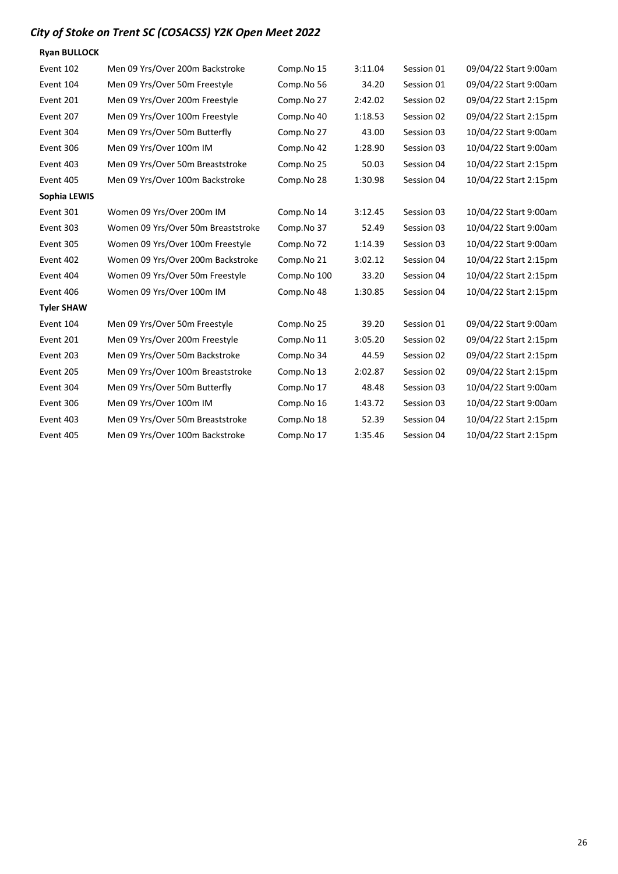| <b>Ryan BULLOCK</b> |                                    |             |         |            |                       |
|---------------------|------------------------------------|-------------|---------|------------|-----------------------|
| Event 102           | Men 09 Yrs/Over 200m Backstroke    | Comp.No 15  | 3:11.04 | Session 01 | 09/04/22 Start 9:00am |
| Event 104           | Men 09 Yrs/Over 50m Freestyle      | Comp.No 56  | 34.20   | Session 01 | 09/04/22 Start 9:00am |
| Event 201           | Men 09 Yrs/Over 200m Freestyle     | Comp.No 27  | 2:42.02 | Session 02 | 09/04/22 Start 2:15pm |
| Event 207           | Men 09 Yrs/Over 100m Freestyle     | Comp.No 40  | 1:18.53 | Session 02 | 09/04/22 Start 2:15pm |
| Event 304           | Men 09 Yrs/Over 50m Butterfly      | Comp.No 27  | 43.00   | Session 03 | 10/04/22 Start 9:00am |
| Event 306           | Men 09 Yrs/Over 100m IM            | Comp.No 42  | 1:28.90 | Session 03 | 10/04/22 Start 9:00am |
| Event 403           | Men 09 Yrs/Over 50m Breaststroke   | Comp.No 25  | 50.03   | Session 04 | 10/04/22 Start 2:15pm |
| Event 405           | Men 09 Yrs/Over 100m Backstroke    | Comp.No 28  | 1:30.98 | Session 04 | 10/04/22 Start 2:15pm |
| Sophia LEWIS        |                                    |             |         |            |                       |
| Event 301           | Women 09 Yrs/Over 200m IM          | Comp.No 14  | 3:12.45 | Session 03 | 10/04/22 Start 9:00am |
| Event 303           | Women 09 Yrs/Over 50m Breaststroke | Comp.No 37  | 52.49   | Session 03 | 10/04/22 Start 9:00am |
| Event 305           | Women 09 Yrs/Over 100m Freestyle   | Comp.No 72  | 1:14.39 | Session 03 | 10/04/22 Start 9:00am |
| Event 402           | Women 09 Yrs/Over 200m Backstroke  | Comp.No 21  | 3:02.12 | Session 04 | 10/04/22 Start 2:15pm |
| Event 404           | Women 09 Yrs/Over 50m Freestyle    | Comp.No 100 | 33.20   | Session 04 | 10/04/22 Start 2:15pm |
| Event 406           | Women 09 Yrs/Over 100m IM          | Comp.No 48  | 1:30.85 | Session 04 | 10/04/22 Start 2:15pm |
| <b>Tyler SHAW</b>   |                                    |             |         |            |                       |
| Event 104           | Men 09 Yrs/Over 50m Freestyle      | Comp.No 25  | 39.20   | Session 01 | 09/04/22 Start 9:00am |
| Event 201           | Men 09 Yrs/Over 200m Freestyle     | Comp.No 11  | 3:05.20 | Session 02 | 09/04/22 Start 2:15pm |
| Event 203           | Men 09 Yrs/Over 50m Backstroke     | Comp.No 34  | 44.59   | Session 02 | 09/04/22 Start 2:15pm |
| Event 205           | Men 09 Yrs/Over 100m Breaststroke  | Comp.No 13  | 2:02.87 | Session 02 | 09/04/22 Start 2:15pm |
| Event 304           | Men 09 Yrs/Over 50m Butterfly      | Comp.No 17  | 48.48   | Session 03 | 10/04/22 Start 9:00am |
| Event 306           | Men 09 Yrs/Over 100m IM            | Comp.No 16  | 1:43.72 | Session 03 | 10/04/22 Start 9:00am |
| Event 403           | Men 09 Yrs/Over 50m Breaststroke   | Comp.No 18  | 52.39   | Session 04 | 10/04/22 Start 2:15pm |
| Event 405           | Men 09 Yrs/Over 100m Backstroke    | Comp.No 17  | 1:35.46 | Session 04 | 10/04/22 Start 2:15pm |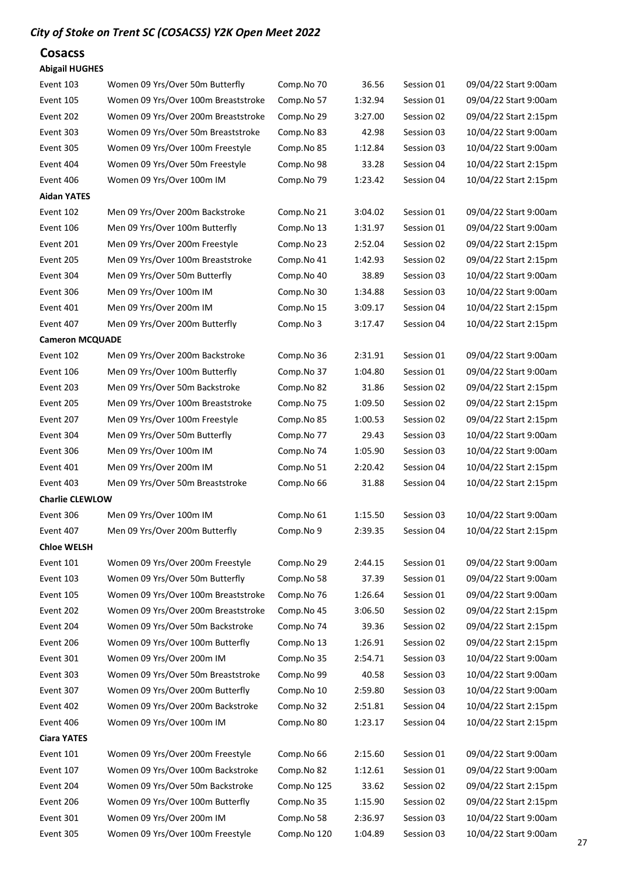#### Cosacss

#### Abigail HUGHES

| Event 103              | Women 09 Yrs/Over 50m Butterfly     | Comp.No 70  | 36.56   | Session 01 | 09/04/22 Start 9:00am |
|------------------------|-------------------------------------|-------------|---------|------------|-----------------------|
| Event 105              | Women 09 Yrs/Over 100m Breaststroke | Comp.No 57  | 1:32.94 | Session 01 | 09/04/22 Start 9:00am |
| Event 202              | Women 09 Yrs/Over 200m Breaststroke | Comp.No 29  | 3:27.00 | Session 02 | 09/04/22 Start 2:15pm |
| Event 303              | Women 09 Yrs/Over 50m Breaststroke  | Comp.No 83  | 42.98   | Session 03 | 10/04/22 Start 9:00am |
| Event 305              | Women 09 Yrs/Over 100m Freestyle    | Comp.No 85  | 1:12.84 | Session 03 | 10/04/22 Start 9:00am |
| Event 404              | Women 09 Yrs/Over 50m Freestyle     | Comp.No 98  | 33.28   | Session 04 | 10/04/22 Start 2:15pm |
| Event 406              | Women 09 Yrs/Over 100m IM           | Comp.No 79  | 1:23.42 | Session 04 | 10/04/22 Start 2:15pm |
| <b>Aidan YATES</b>     |                                     |             |         |            |                       |
| Event 102              | Men 09 Yrs/Over 200m Backstroke     | Comp.No 21  | 3:04.02 | Session 01 | 09/04/22 Start 9:00am |
| Event 106              | Men 09 Yrs/Over 100m Butterfly      | Comp.No 13  | 1:31.97 | Session 01 | 09/04/22 Start 9:00am |
| Event 201              | Men 09 Yrs/Over 200m Freestyle      | Comp.No 23  | 2:52.04 | Session 02 | 09/04/22 Start 2:15pm |
| Event 205              | Men 09 Yrs/Over 100m Breaststroke   | Comp.No 41  | 1:42.93 | Session 02 | 09/04/22 Start 2:15pm |
| Event 304              | Men 09 Yrs/Over 50m Butterfly       | Comp.No 40  | 38.89   | Session 03 | 10/04/22 Start 9:00am |
| Event 306              | Men 09 Yrs/Over 100m IM             | Comp.No 30  | 1:34.88 | Session 03 | 10/04/22 Start 9:00am |
| Event 401              | Men 09 Yrs/Over 200m IM             | Comp.No 15  | 3:09.17 | Session 04 | 10/04/22 Start 2:15pm |
| Event 407              | Men 09 Yrs/Over 200m Butterfly      | Comp.No 3   | 3:17.47 | Session 04 | 10/04/22 Start 2:15pm |
| <b>Cameron MCQUADE</b> |                                     |             |         |            |                       |
| Event 102              | Men 09 Yrs/Over 200m Backstroke     | Comp.No 36  | 2:31.91 | Session 01 | 09/04/22 Start 9:00am |
| Event 106              | Men 09 Yrs/Over 100m Butterfly      | Comp.No 37  | 1:04.80 | Session 01 | 09/04/22 Start 9:00am |
| Event 203              | Men 09 Yrs/Over 50m Backstroke      | Comp.No 82  | 31.86   | Session 02 | 09/04/22 Start 2:15pm |
| Event 205              | Men 09 Yrs/Over 100m Breaststroke   | Comp.No 75  | 1:09.50 | Session 02 | 09/04/22 Start 2:15pm |
| Event 207              | Men 09 Yrs/Over 100m Freestyle      | Comp.No 85  | 1:00.53 | Session 02 | 09/04/22 Start 2:15pm |
| Event 304              | Men 09 Yrs/Over 50m Butterfly       | Comp.No 77  | 29.43   | Session 03 | 10/04/22 Start 9:00am |
| Event 306              | Men 09 Yrs/Over 100m IM             | Comp.No 74  | 1:05.90 | Session 03 | 10/04/22 Start 9:00am |
| Event 401              | Men 09 Yrs/Over 200m IM             | Comp.No 51  | 2:20.42 | Session 04 | 10/04/22 Start 2:15pm |
| Event 403              | Men 09 Yrs/Over 50m Breaststroke    | Comp.No 66  | 31.88   | Session 04 | 10/04/22 Start 2:15pm |
| <b>Charlie CLEWLOW</b> |                                     |             |         |            |                       |
| Event 306              | Men 09 Yrs/Over 100m IM             | Comp.No 61  | 1:15.50 | Session 03 | 10/04/22 Start 9:00am |
| Event 407              | Men 09 Yrs/Over 200m Butterfly      | Comp.No 9   | 2:39.35 | Session 04 | 10/04/22 Start 2:15pm |
| <b>Chloe WELSH</b>     |                                     |             |         |            |                       |
| Event 101              | Women 09 Yrs/Over 200m Freestyle    | Comp.No 29  | 2:44.15 | Session 01 | 09/04/22 Start 9:00am |
| Event 103              | Women 09 Yrs/Over 50m Butterfly     | Comp.No 58  | 37.39   | Session 01 | 09/04/22 Start 9:00am |
| Event 105              | Women 09 Yrs/Over 100m Breaststroke | Comp.No 76  | 1:26.64 | Session 01 | 09/04/22 Start 9:00am |
| Event 202              | Women 09 Yrs/Over 200m Breaststroke | Comp.No 45  | 3:06.50 | Session 02 | 09/04/22 Start 2:15pm |
| Event 204              | Women 09 Yrs/Over 50m Backstroke    | Comp.No 74  | 39.36   | Session 02 | 09/04/22 Start 2:15pm |
| Event 206              | Women 09 Yrs/Over 100m Butterfly    | Comp.No 13  | 1:26.91 | Session 02 | 09/04/22 Start 2:15pm |
| Event 301              | Women 09 Yrs/Over 200m IM           | Comp.No 35  | 2:54.71 | Session 03 | 10/04/22 Start 9:00am |
| Event 303              | Women 09 Yrs/Over 50m Breaststroke  | Comp.No 99  | 40.58   | Session 03 | 10/04/22 Start 9:00am |
| Event 307              | Women 09 Yrs/Over 200m Butterfly    | Comp.No 10  | 2:59.80 | Session 03 | 10/04/22 Start 9:00am |
| Event 402              | Women 09 Yrs/Over 200m Backstroke   | Comp.No 32  | 2:51.81 | Session 04 | 10/04/22 Start 2:15pm |
| Event 406              | Women 09 Yrs/Over 100m IM           | Comp.No 80  | 1:23.17 | Session 04 | 10/04/22 Start 2:15pm |
| <b>Ciara YATES</b>     |                                     |             |         |            |                       |
| Event 101              | Women 09 Yrs/Over 200m Freestyle    | Comp.No 66  | 2:15.60 | Session 01 | 09/04/22 Start 9:00am |
| Event 107              | Women 09 Yrs/Over 100m Backstroke   | Comp.No 82  | 1:12.61 | Session 01 | 09/04/22 Start 9:00am |
| Event 204              | Women 09 Yrs/Over 50m Backstroke    | Comp.No 125 | 33.62   | Session 02 | 09/04/22 Start 2:15pm |
| Event 206              | Women 09 Yrs/Over 100m Butterfly    | Comp.No 35  | 1:15.90 | Session 02 | 09/04/22 Start 2:15pm |
| Event 301              | Women 09 Yrs/Over 200m IM           | Comp.No 58  | 2:36.97 | Session 03 | 10/04/22 Start 9:00am |
| Event 305              | Women 09 Yrs/Over 100m Freestyle    | Comp.No 120 | 1:04.89 | Session 03 | 10/04/22 Start 9:00am |
|                        |                                     |             |         |            |                       |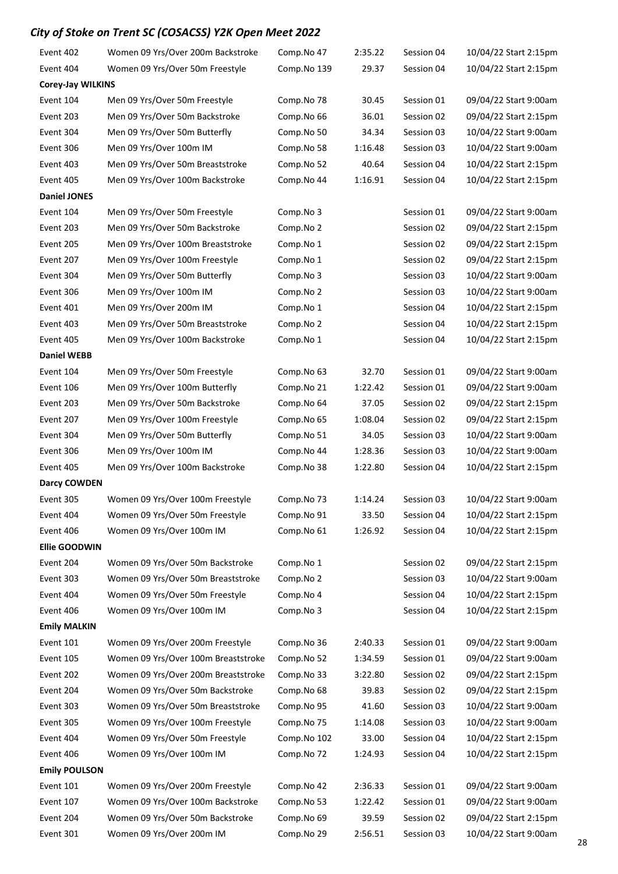| Event 402                | Women 09 Yrs/Over 200m Backstroke   | Comp.No 47  | 2:35.22 | Session 04 | 10/04/22 Start 2:15pm |
|--------------------------|-------------------------------------|-------------|---------|------------|-----------------------|
| Event 404                | Women 09 Yrs/Over 50m Freestyle     | Comp.No 139 | 29.37   | Session 04 | 10/04/22 Start 2:15pm |
| <b>Corey-Jay WILKINS</b> |                                     |             |         |            |                       |
| Event 104                | Men 09 Yrs/Over 50m Freestyle       | Comp.No 78  | 30.45   | Session 01 | 09/04/22 Start 9:00am |
| Event 203                | Men 09 Yrs/Over 50m Backstroke      | Comp.No 66  | 36.01   | Session 02 | 09/04/22 Start 2:15pm |
| Event 304                | Men 09 Yrs/Over 50m Butterfly       | Comp.No 50  | 34.34   | Session 03 | 10/04/22 Start 9:00am |
| Event 306                | Men 09 Yrs/Over 100m IM             | Comp.No 58  | 1:16.48 | Session 03 | 10/04/22 Start 9:00am |
| Event 403                | Men 09 Yrs/Over 50m Breaststroke    | Comp.No 52  | 40.64   | Session 04 | 10/04/22 Start 2:15pm |
| Event 405                | Men 09 Yrs/Over 100m Backstroke     | Comp.No 44  | 1:16.91 | Session 04 | 10/04/22 Start 2:15pm |
| <b>Daniel JONES</b>      |                                     |             |         |            |                       |
| Event 104                | Men 09 Yrs/Over 50m Freestyle       | Comp.No 3   |         | Session 01 | 09/04/22 Start 9:00am |
| Event 203                | Men 09 Yrs/Over 50m Backstroke      | Comp.No 2   |         | Session 02 | 09/04/22 Start 2:15pm |
| Event 205                | Men 09 Yrs/Over 100m Breaststroke   | Comp.No 1   |         | Session 02 | 09/04/22 Start 2:15pm |
| Event 207                | Men 09 Yrs/Over 100m Freestyle      | Comp.No 1   |         | Session 02 | 09/04/22 Start 2:15pm |
| Event 304                | Men 09 Yrs/Over 50m Butterfly       | Comp.No 3   |         | Session 03 | 10/04/22 Start 9:00am |
| Event 306                | Men 09 Yrs/Over 100m IM             | Comp.No 2   |         | Session 03 | 10/04/22 Start 9:00am |
| Event 401                | Men 09 Yrs/Over 200m IM             | Comp.No 1   |         | Session 04 | 10/04/22 Start 2:15pm |
| Event 403                | Men 09 Yrs/Over 50m Breaststroke    | Comp.No 2   |         | Session 04 | 10/04/22 Start 2:15pm |
| Event 405                | Men 09 Yrs/Over 100m Backstroke     | Comp.No 1   |         | Session 04 | 10/04/22 Start 2:15pm |
| <b>Daniel WEBB</b>       |                                     |             |         |            |                       |
| Event 104                | Men 09 Yrs/Over 50m Freestyle       | Comp.No 63  | 32.70   | Session 01 | 09/04/22 Start 9:00am |
| Event 106                | Men 09 Yrs/Over 100m Butterfly      | Comp.No 21  | 1:22.42 | Session 01 | 09/04/22 Start 9:00am |
| Event 203                | Men 09 Yrs/Over 50m Backstroke      | Comp.No 64  | 37.05   | Session 02 | 09/04/22 Start 2:15pm |
| Event 207                | Men 09 Yrs/Over 100m Freestyle      | Comp.No 65  | 1:08.04 | Session 02 | 09/04/22 Start 2:15pm |
| Event 304                | Men 09 Yrs/Over 50m Butterfly       | Comp.No 51  | 34.05   | Session 03 | 10/04/22 Start 9:00am |
| Event 306                | Men 09 Yrs/Over 100m IM             | Comp.No 44  | 1:28.36 | Session 03 | 10/04/22 Start 9:00am |
| Event 405                | Men 09 Yrs/Over 100m Backstroke     | Comp.No 38  | 1:22.80 | Session 04 | 10/04/22 Start 2:15pm |
| <b>Darcy COWDEN</b>      |                                     |             |         |            |                       |
| Event 305                | Women 09 Yrs/Over 100m Freestyle    | Comp.No 73  | 1:14.24 | Session 03 | 10/04/22 Start 9:00am |
| Event 404                | Women 09 Yrs/Over 50m Freestyle     | Comp.No 91  | 33.50   | Session 04 | 10/04/22 Start 2:15pm |
| Event 406                | Women 09 Yrs/Over 100m IM           | Comp.No 61  | 1:26.92 | Session 04 | 10/04/22 Start 2:15pm |
| <b>Ellie GOODWIN</b>     |                                     |             |         |            |                       |
| Event 204                | Women 09 Yrs/Over 50m Backstroke    | Comp.No 1   |         | Session 02 | 09/04/22 Start 2:15pm |
| Event 303                | Women 09 Yrs/Over 50m Breaststroke  | Comp.No 2   |         | Session 03 | 10/04/22 Start 9:00am |
| Event 404                | Women 09 Yrs/Over 50m Freestyle     | Comp.No 4   |         | Session 04 | 10/04/22 Start 2:15pm |
| Event 406                | Women 09 Yrs/Over 100m IM           | Comp.No 3   |         | Session 04 | 10/04/22 Start 2:15pm |
| <b>Emily MALKIN</b>      |                                     |             |         |            |                       |
| Event 101                | Women 09 Yrs/Over 200m Freestyle    | Comp.No 36  | 2:40.33 | Session 01 | 09/04/22 Start 9:00am |
| Event 105                | Women 09 Yrs/Over 100m Breaststroke | Comp.No 52  | 1:34.59 | Session 01 | 09/04/22 Start 9:00am |
| Event 202                | Women 09 Yrs/Over 200m Breaststroke | Comp.No 33  | 3:22.80 | Session 02 | 09/04/22 Start 2:15pm |
| Event 204                | Women 09 Yrs/Over 50m Backstroke    | Comp.No 68  | 39.83   | Session 02 | 09/04/22 Start 2:15pm |
| Event 303                | Women 09 Yrs/Over 50m Breaststroke  | Comp.No 95  | 41.60   | Session 03 | 10/04/22 Start 9:00am |
| Event 305                | Women 09 Yrs/Over 100m Freestyle    | Comp.No 75  | 1:14.08 | Session 03 | 10/04/22 Start 9:00am |
| Event 404                | Women 09 Yrs/Over 50m Freestyle     | Comp.No 102 | 33.00   | Session 04 | 10/04/22 Start 2:15pm |
| Event 406                | Women 09 Yrs/Over 100m IM           | Comp.No 72  | 1:24.93 | Session 04 | 10/04/22 Start 2:15pm |
| <b>Emily POULSON</b>     |                                     |             |         |            |                       |
| Event 101                | Women 09 Yrs/Over 200m Freestyle    | Comp.No 42  | 2:36.33 | Session 01 | 09/04/22 Start 9:00am |
| Event 107                | Women 09 Yrs/Over 100m Backstroke   | Comp.No 53  | 1:22.42 | Session 01 | 09/04/22 Start 9:00am |
| Event 204                | Women 09 Yrs/Over 50m Backstroke    | Comp.No 69  | 39.59   | Session 02 | 09/04/22 Start 2:15pm |
| Event 301                | Women 09 Yrs/Over 200m IM           | Comp.No 29  | 2:56.51 | Session 03 | 10/04/22 Start 9:00am |
|                          |                                     |             |         |            |                       |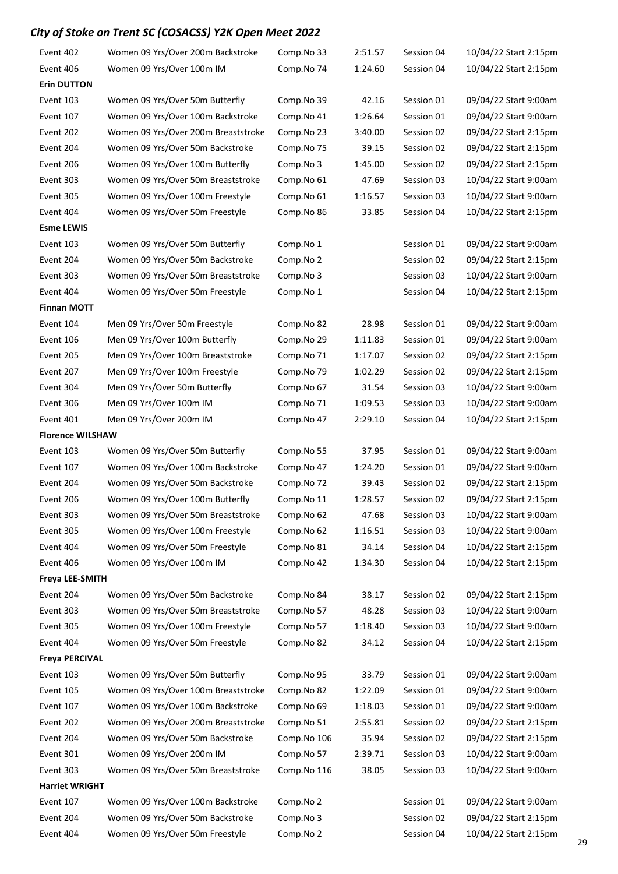| Event 402               | Women 09 Yrs/Over 200m Backstroke   | Comp.No 33  | 2:51.57 | Session 04 | 10/04/22 Start 2:15pm |
|-------------------------|-------------------------------------|-------------|---------|------------|-----------------------|
| Event 406               | Women 09 Yrs/Over 100m IM           | Comp.No 74  | 1:24.60 | Session 04 | 10/04/22 Start 2:15pm |
| <b>Erin DUTTON</b>      |                                     |             |         |            |                       |
| Event 103               | Women 09 Yrs/Over 50m Butterfly     | Comp.No 39  | 42.16   | Session 01 | 09/04/22 Start 9:00am |
| Event 107               | Women 09 Yrs/Over 100m Backstroke   | Comp.No 41  | 1:26.64 | Session 01 | 09/04/22 Start 9:00am |
| Event 202               | Women 09 Yrs/Over 200m Breaststroke | Comp.No 23  | 3:40.00 | Session 02 | 09/04/22 Start 2:15pm |
| Event 204               | Women 09 Yrs/Over 50m Backstroke    | Comp.No 75  | 39.15   | Session 02 | 09/04/22 Start 2:15pm |
| Event 206               | Women 09 Yrs/Over 100m Butterfly    | Comp.No 3   | 1:45.00 | Session 02 | 09/04/22 Start 2:15pm |
| Event 303               | Women 09 Yrs/Over 50m Breaststroke  | Comp.No 61  | 47.69   | Session 03 | 10/04/22 Start 9:00am |
| Event 305               | Women 09 Yrs/Over 100m Freestyle    | Comp.No 61  | 1:16.57 | Session 03 | 10/04/22 Start 9:00am |
| Event 404               | Women 09 Yrs/Over 50m Freestyle     | Comp.No 86  | 33.85   | Session 04 | 10/04/22 Start 2:15pm |
| <b>Esme LEWIS</b>       |                                     |             |         |            |                       |
| Event 103               | Women 09 Yrs/Over 50m Butterfly     | Comp.No 1   |         | Session 01 | 09/04/22 Start 9:00am |
| Event 204               | Women 09 Yrs/Over 50m Backstroke    | Comp.No 2   |         | Session 02 | 09/04/22 Start 2:15pm |
| Event 303               | Women 09 Yrs/Over 50m Breaststroke  | Comp.No 3   |         | Session 03 | 10/04/22 Start 9:00am |
| Event 404               | Women 09 Yrs/Over 50m Freestyle     | Comp.No 1   |         | Session 04 | 10/04/22 Start 2:15pm |
| <b>Finnan MOTT</b>      |                                     |             |         |            |                       |
| Event 104               | Men 09 Yrs/Over 50m Freestyle       | Comp.No 82  | 28.98   | Session 01 | 09/04/22 Start 9:00am |
| Event 106               | Men 09 Yrs/Over 100m Butterfly      | Comp.No 29  | 1:11.83 | Session 01 | 09/04/22 Start 9:00am |
| Event 205               | Men 09 Yrs/Over 100m Breaststroke   | Comp.No 71  | 1:17.07 | Session 02 | 09/04/22 Start 2:15pm |
| Event 207               | Men 09 Yrs/Over 100m Freestyle      | Comp.No 79  | 1:02.29 | Session 02 | 09/04/22 Start 2:15pm |
| Event 304               | Men 09 Yrs/Over 50m Butterfly       | Comp.No 67  | 31.54   | Session 03 | 10/04/22 Start 9:00am |
| Event 306               | Men 09 Yrs/Over 100m IM             | Comp.No 71  | 1:09.53 | Session 03 | 10/04/22 Start 9:00am |
| Event 401               | Men 09 Yrs/Over 200m IM             | Comp.No 47  | 2:29.10 | Session 04 | 10/04/22 Start 2:15pm |
| <b>Florence WILSHAW</b> |                                     |             |         |            |                       |
| Event 103               | Women 09 Yrs/Over 50m Butterfly     | Comp.No 55  | 37.95   | Session 01 | 09/04/22 Start 9:00am |
| Event 107               | Women 09 Yrs/Over 100m Backstroke   | Comp.No 47  | 1:24.20 | Session 01 | 09/04/22 Start 9:00am |
| Event 204               | Women 09 Yrs/Over 50m Backstroke    | Comp.No 72  | 39.43   | Session 02 | 09/04/22 Start 2:15pm |
| Event 206               | Women 09 Yrs/Over 100m Butterfly    | Comp.No 11  | 1:28.57 | Session 02 | 09/04/22 Start 2:15pm |
| Event 303               | Women 09 Yrs/Over 50m Breaststroke  | Comp.No 62  | 47.68   | Session 03 | 10/04/22 Start 9:00am |
| Event 305               | Women 09 Yrs/Over 100m Freestyle    | Comp.No 62  | 1:16.51 | Session 03 | 10/04/22 Start 9:00am |
| Event 404               | Women 09 Yrs/Over 50m Freestyle     | Comp.No 81  | 34.14   | Session 04 | 10/04/22 Start 2:15pm |
| Event 406               | Women 09 Yrs/Over 100m IM           | Comp.No 42  | 1:34.30 | Session 04 | 10/04/22 Start 2:15pm |
| <b>Freya LEE-SMITH</b>  |                                     |             |         |            |                       |
| Event 204               | Women 09 Yrs/Over 50m Backstroke    | Comp.No 84  | 38.17   | Session 02 | 09/04/22 Start 2:15pm |
| Event 303               | Women 09 Yrs/Over 50m Breaststroke  | Comp.No 57  | 48.28   | Session 03 | 10/04/22 Start 9:00am |
| Event 305               | Women 09 Yrs/Over 100m Freestyle    | Comp.No 57  | 1:18.40 | Session 03 | 10/04/22 Start 9:00am |
| Event 404               | Women 09 Yrs/Over 50m Freestyle     | Comp.No 82  | 34.12   | Session 04 | 10/04/22 Start 2:15pm |
| <b>Freya PERCIVAL</b>   |                                     |             |         |            |                       |
| Event 103               | Women 09 Yrs/Over 50m Butterfly     | Comp.No 95  | 33.79   | Session 01 | 09/04/22 Start 9:00am |
| Event 105               | Women 09 Yrs/Over 100m Breaststroke | Comp.No 82  | 1:22.09 | Session 01 | 09/04/22 Start 9:00am |
| Event 107               | Women 09 Yrs/Over 100m Backstroke   | Comp.No 69  | 1:18.03 | Session 01 | 09/04/22 Start 9:00am |
| Event 202               | Women 09 Yrs/Over 200m Breaststroke | Comp.No 51  | 2:55.81 | Session 02 | 09/04/22 Start 2:15pm |
| Event 204               | Women 09 Yrs/Over 50m Backstroke    | Comp.No 106 | 35.94   | Session 02 | 09/04/22 Start 2:15pm |
| Event 301               | Women 09 Yrs/Over 200m IM           | Comp.No 57  | 2:39.71 | Session 03 | 10/04/22 Start 9:00am |
| Event 303               | Women 09 Yrs/Over 50m Breaststroke  | Comp.No 116 | 38.05   | Session 03 | 10/04/22 Start 9:00am |
| <b>Harriet WRIGHT</b>   |                                     |             |         |            |                       |
| Event 107               | Women 09 Yrs/Over 100m Backstroke   | Comp.No 2   |         | Session 01 | 09/04/22 Start 9:00am |
| Event 204               | Women 09 Yrs/Over 50m Backstroke    | Comp.No 3   |         | Session 02 | 09/04/22 Start 2:15pm |
| Event 404               | Women 09 Yrs/Over 50m Freestyle     | Comp.No 2   |         | Session 04 | 10/04/22 Start 2:15pm |
|                         |                                     |             |         |            |                       |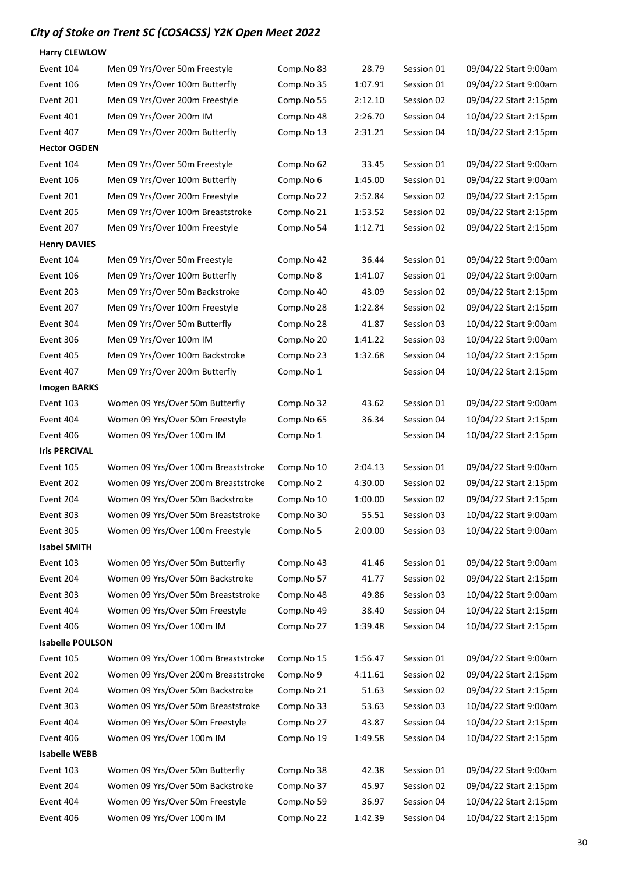| <b>Harry CLEWLOW</b>    |                                     |            |         |            |                       |
|-------------------------|-------------------------------------|------------|---------|------------|-----------------------|
| Event 104               | Men 09 Yrs/Over 50m Freestyle       | Comp.No 83 | 28.79   | Session 01 | 09/04/22 Start 9:00am |
| Event 106               | Men 09 Yrs/Over 100m Butterfly      | Comp.No 35 | 1:07.91 | Session 01 | 09/04/22 Start 9:00am |
| Event 201               | Men 09 Yrs/Over 200m Freestyle      | Comp.No 55 | 2:12.10 | Session 02 | 09/04/22 Start 2:15pm |
| Event 401               | Men 09 Yrs/Over 200m IM             | Comp.No 48 | 2:26.70 | Session 04 | 10/04/22 Start 2:15pm |
| Event 407               | Men 09 Yrs/Over 200m Butterfly      | Comp.No 13 | 2:31.21 | Session 04 | 10/04/22 Start 2:15pm |
| <b>Hector OGDEN</b>     |                                     |            |         |            |                       |
| Event 104               | Men 09 Yrs/Over 50m Freestyle       | Comp.No 62 | 33.45   | Session 01 | 09/04/22 Start 9:00am |
| Event 106               | Men 09 Yrs/Over 100m Butterfly      | Comp.No 6  | 1:45.00 | Session 01 | 09/04/22 Start 9:00am |
| Event 201               | Men 09 Yrs/Over 200m Freestyle      | Comp.No 22 | 2:52.84 | Session 02 | 09/04/22 Start 2:15pm |
| Event 205               | Men 09 Yrs/Over 100m Breaststroke   | Comp.No 21 | 1:53.52 | Session 02 | 09/04/22 Start 2:15pm |
| Event 207               | Men 09 Yrs/Over 100m Freestyle      | Comp.No 54 | 1:12.71 | Session 02 | 09/04/22 Start 2:15pm |
| <b>Henry DAVIES</b>     |                                     |            |         |            |                       |
| Event 104               | Men 09 Yrs/Over 50m Freestyle       | Comp.No 42 | 36.44   | Session 01 | 09/04/22 Start 9:00am |
| Event 106               | Men 09 Yrs/Over 100m Butterfly      | Comp.No 8  | 1:41.07 | Session 01 | 09/04/22 Start 9:00am |
| Event 203               | Men 09 Yrs/Over 50m Backstroke      | Comp.No 40 | 43.09   | Session 02 | 09/04/22 Start 2:15pm |
| Event 207               | Men 09 Yrs/Over 100m Freestyle      | Comp.No 28 | 1:22.84 | Session 02 | 09/04/22 Start 2:15pm |
| Event 304               | Men 09 Yrs/Over 50m Butterfly       | Comp.No 28 | 41.87   | Session 03 | 10/04/22 Start 9:00am |
| Event 306               | Men 09 Yrs/Over 100m IM             | Comp.No 20 | 1:41.22 | Session 03 | 10/04/22 Start 9:00am |
| Event 405               | Men 09 Yrs/Over 100m Backstroke     | Comp.No 23 | 1:32.68 | Session 04 | 10/04/22 Start 2:15pm |
| Event 407               | Men 09 Yrs/Over 200m Butterfly      | Comp.No 1  |         | Session 04 | 10/04/22 Start 2:15pm |
| <b>Imogen BARKS</b>     |                                     |            |         |            |                       |
| Event 103               | Women 09 Yrs/Over 50m Butterfly     | Comp.No 32 | 43.62   | Session 01 | 09/04/22 Start 9:00am |
| Event 404               | Women 09 Yrs/Over 50m Freestyle     | Comp.No 65 | 36.34   | Session 04 | 10/04/22 Start 2:15pm |
| Event 406               | Women 09 Yrs/Over 100m IM           | Comp.No 1  |         | Session 04 | 10/04/22 Start 2:15pm |
| <b>Iris PERCIVAL</b>    |                                     |            |         |            |                       |
| Event 105               | Women 09 Yrs/Over 100m Breaststroke | Comp.No 10 | 2:04.13 | Session 01 | 09/04/22 Start 9:00am |
| Event 202               | Women 09 Yrs/Over 200m Breaststroke | Comp.No 2  | 4:30.00 | Session 02 | 09/04/22 Start 2:15pm |
| Event 204               | Women 09 Yrs/Over 50m Backstroke    | Comp.No 10 | 1:00.00 | Session 02 | 09/04/22 Start 2:15pm |
| Event 303               | Women 09 Yrs/Over 50m Breaststroke  | Comp.No 30 | 55.51   | Session 03 | 10/04/22 Start 9:00am |
| Event 305               | Women 09 Yrs/Over 100m Freestyle    | Comp.No 5  | 2:00.00 | Session 03 | 10/04/22 Start 9:00am |
| <b>Isabel SMITH</b>     |                                     |            |         |            |                       |
| Event 103               | Women 09 Yrs/Over 50m Butterfly     | Comp.No 43 | 41.46   | Session 01 | 09/04/22 Start 9:00am |
| Event 204               | Women 09 Yrs/Over 50m Backstroke    | Comp.No 57 | 41.77   | Session 02 | 09/04/22 Start 2:15pm |
| Event 303               | Women 09 Yrs/Over 50m Breaststroke  | Comp.No 48 | 49.86   | Session 03 | 10/04/22 Start 9:00am |
| Event 404               | Women 09 Yrs/Over 50m Freestyle     | Comp.No 49 | 38.40   | Session 04 | 10/04/22 Start 2:15pm |
| Event 406               | Women 09 Yrs/Over 100m IM           | Comp.No 27 | 1:39.48 | Session 04 | 10/04/22 Start 2:15pm |
| <b>Isabelle POULSON</b> |                                     |            |         |            |                       |
| Event 105               | Women 09 Yrs/Over 100m Breaststroke | Comp.No 15 | 1:56.47 | Session 01 | 09/04/22 Start 9:00am |
| Event 202               | Women 09 Yrs/Over 200m Breaststroke | Comp.No 9  | 4:11.61 | Session 02 | 09/04/22 Start 2:15pm |
| Event 204               | Women 09 Yrs/Over 50m Backstroke    | Comp.No 21 | 51.63   | Session 02 | 09/04/22 Start 2:15pm |
| Event 303               | Women 09 Yrs/Over 50m Breaststroke  | Comp.No 33 | 53.63   | Session 03 | 10/04/22 Start 9:00am |
| Event 404               | Women 09 Yrs/Over 50m Freestyle     | Comp.No 27 | 43.87   | Session 04 | 10/04/22 Start 2:15pm |
| Event 406               | Women 09 Yrs/Over 100m IM           | Comp.No 19 | 1:49.58 | Session 04 | 10/04/22 Start 2:15pm |
| <b>Isabelle WEBB</b>    |                                     |            |         |            |                       |
| Event 103               | Women 09 Yrs/Over 50m Butterfly     | Comp.No 38 | 42.38   | Session 01 | 09/04/22 Start 9:00am |
| Event 204               | Women 09 Yrs/Over 50m Backstroke    | Comp.No 37 | 45.97   | Session 02 | 09/04/22 Start 2:15pm |
| Event 404               | Women 09 Yrs/Over 50m Freestyle     | Comp.No 59 | 36.97   | Session 04 | 10/04/22 Start 2:15pm |
| Event 406               | Women 09 Yrs/Over 100m IM           | Comp.No 22 | 1:42.39 | Session 04 | 10/04/22 Start 2:15pm |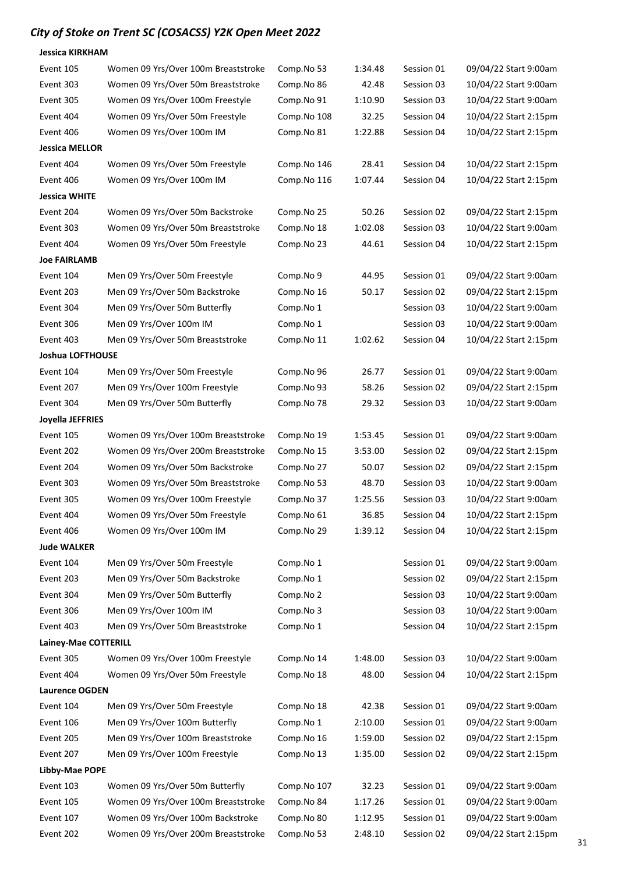| Jessica KIRKHAM             |                                     |             |         |            |                       |
|-----------------------------|-------------------------------------|-------------|---------|------------|-----------------------|
| Event 105                   | Women 09 Yrs/Over 100m Breaststroke | Comp.No 53  | 1:34.48 | Session 01 | 09/04/22 Start 9:00am |
| Event 303                   | Women 09 Yrs/Over 50m Breaststroke  | Comp.No 86  | 42.48   | Session 03 | 10/04/22 Start 9:00am |
| Event 305                   | Women 09 Yrs/Over 100m Freestyle    | Comp.No 91  | 1:10.90 | Session 03 | 10/04/22 Start 9:00am |
| Event 404                   | Women 09 Yrs/Over 50m Freestyle     | Comp.No 108 | 32.25   | Session 04 | 10/04/22 Start 2:15pm |
| Event 406                   | Women 09 Yrs/Over 100m IM           | Comp.No 81  | 1:22.88 | Session 04 | 10/04/22 Start 2:15pm |
| Jessica MELLOR              |                                     |             |         |            |                       |
| Event 404                   | Women 09 Yrs/Over 50m Freestyle     | Comp.No 146 | 28.41   | Session 04 | 10/04/22 Start 2:15pm |
| Event 406                   | Women 09 Yrs/Over 100m IM           | Comp.No 116 | 1:07.44 | Session 04 | 10/04/22 Start 2:15pm |
| Jessica WHITE               |                                     |             |         |            |                       |
| Event 204                   | Women 09 Yrs/Over 50m Backstroke    | Comp.No 25  | 50.26   | Session 02 | 09/04/22 Start 2:15pm |
| Event 303                   | Women 09 Yrs/Over 50m Breaststroke  | Comp.No 18  | 1:02.08 | Session 03 | 10/04/22 Start 9:00am |
| Event 404                   | Women 09 Yrs/Over 50m Freestyle     | Comp.No 23  | 44.61   | Session 04 | 10/04/22 Start 2:15pm |
| <b>Joe FAIRLAMB</b>         |                                     |             |         |            |                       |
| Event 104                   | Men 09 Yrs/Over 50m Freestyle       | Comp.No 9   | 44.95   | Session 01 | 09/04/22 Start 9:00am |
| Event 203                   | Men 09 Yrs/Over 50m Backstroke      | Comp.No 16  | 50.17   | Session 02 | 09/04/22 Start 2:15pm |
| Event 304                   | Men 09 Yrs/Over 50m Butterfly       | Comp.No 1   |         | Session 03 | 10/04/22 Start 9:00am |
| Event 306                   | Men 09 Yrs/Over 100m IM             | Comp.No 1   |         | Session 03 | 10/04/22 Start 9:00am |
| Event 403                   | Men 09 Yrs/Over 50m Breaststroke    | Comp.No 11  | 1:02.62 | Session 04 | 10/04/22 Start 2:15pm |
| Joshua LOFTHOUSE            |                                     |             |         |            |                       |
| Event 104                   | Men 09 Yrs/Over 50m Freestyle       | Comp.No 96  | 26.77   | Session 01 | 09/04/22 Start 9:00am |
| Event 207                   | Men 09 Yrs/Over 100m Freestyle      | Comp.No 93  | 58.26   | Session 02 | 09/04/22 Start 2:15pm |
| Event 304                   | Men 09 Yrs/Over 50m Butterfly       | Comp.No 78  | 29.32   | Session 03 | 10/04/22 Start 9:00am |
| Joyella JEFFRIES            |                                     |             |         |            |                       |
| Event 105                   | Women 09 Yrs/Over 100m Breaststroke | Comp.No 19  | 1:53.45 | Session 01 | 09/04/22 Start 9:00am |
| Event 202                   | Women 09 Yrs/Over 200m Breaststroke | Comp.No 15  | 3:53.00 | Session 02 | 09/04/22 Start 2:15pm |
| Event 204                   | Women 09 Yrs/Over 50m Backstroke    | Comp.No 27  | 50.07   | Session 02 | 09/04/22 Start 2:15pm |
| Event 303                   | Women 09 Yrs/Over 50m Breaststroke  | Comp.No 53  | 48.70   | Session 03 | 10/04/22 Start 9:00am |
| Event 305                   | Women 09 Yrs/Over 100m Freestyle    | Comp.No 37  | 1:25.56 | Session 03 | 10/04/22 Start 9:00am |
| Event 404                   | Women 09 Yrs/Over 50m Freestyle     | Comp.No 61  | 36.85   | Session 04 | 10/04/22 Start 2:15pm |
| Event 406                   | Women 09 Yrs/Over 100m IM           | Comp.No 29  | 1:39.12 | Session 04 | 10/04/22 Start 2:15pm |
| <b>Jude WALKER</b>          |                                     |             |         |            |                       |
| Event 104                   | Men 09 Yrs/Over 50m Freestyle       | Comp.No 1   |         | Session 01 | 09/04/22 Start 9:00am |
| Event 203                   | Men 09 Yrs/Over 50m Backstroke      | Comp.No 1   |         | Session 02 | 09/04/22 Start 2:15pm |
| Event 304                   | Men 09 Yrs/Over 50m Butterfly       | Comp.No 2   |         | Session 03 | 10/04/22 Start 9:00am |
| Event 306                   | Men 09 Yrs/Over 100m IM             | Comp.No 3   |         | Session 03 | 10/04/22 Start 9:00am |
| Event 403                   | Men 09 Yrs/Over 50m Breaststroke    | Comp.No 1   |         | Session 04 | 10/04/22 Start 2:15pm |
| Lainey-Mae COTTERILL        |                                     |             |         |            |                       |
| Event 305                   | Women 09 Yrs/Over 100m Freestyle    | Comp.No 14  | 1:48.00 | Session 03 | 10/04/22 Start 9:00am |
| Event 404                   | Women 09 Yrs/Over 50m Freestyle     | Comp.No 18  | 48.00   | Session 04 | 10/04/22 Start 2:15pm |
| <b>Laurence OGDEN</b>       |                                     |             |         |            |                       |
| Event 104                   | Men 09 Yrs/Over 50m Freestyle       | Comp.No 18  | 42.38   | Session 01 | 09/04/22 Start 9:00am |
| Event 106                   | Men 09 Yrs/Over 100m Butterfly      | Comp.No 1   | 2:10.00 | Session 01 | 09/04/22 Start 9:00am |
| Event 205                   | Men 09 Yrs/Over 100m Breaststroke   | Comp.No 16  | 1:59.00 | Session 02 | 09/04/22 Start 2:15pm |
| Event 207                   | Men 09 Yrs/Over 100m Freestyle      | Comp.No 13  | 1:35.00 | Session 02 | 09/04/22 Start 2:15pm |
|                             |                                     |             |         |            |                       |
| Libby-Mae POPE<br>Event 103 | Women 09 Yrs/Over 50m Butterfly     |             |         | Session 01 |                       |
|                             |                                     | Comp.No 107 | 32.23   |            | 09/04/22 Start 9:00am |
| Event 105                   | Women 09 Yrs/Over 100m Breaststroke | Comp.No 84  | 1:17.26 | Session 01 | 09/04/22 Start 9:00am |
| Event 107                   | Women 09 Yrs/Over 100m Backstroke   | Comp.No 80  | 1:12.95 | Session 01 | 09/04/22 Start 9:00am |
| Event 202                   | Women 09 Yrs/Over 200m Breaststroke | Comp.No 53  | 2:48.10 | Session 02 | 09/04/22 Start 2:15pm |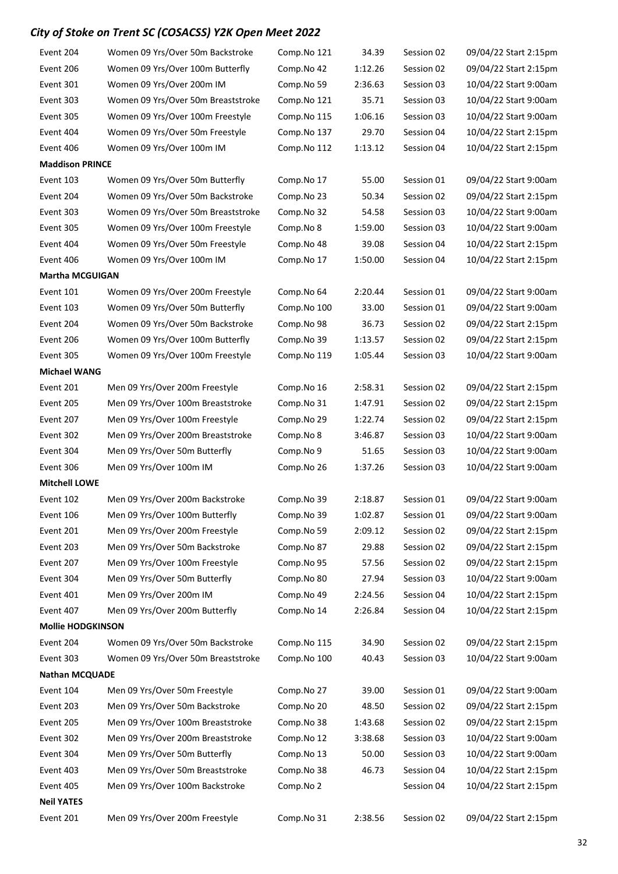| Event 204                | Women 09 Yrs/Over 50m Backstroke   | Comp.No 121 | 34.39   | Session 02 | 09/04/22 Start 2:15pm |
|--------------------------|------------------------------------|-------------|---------|------------|-----------------------|
| Event 206                | Women 09 Yrs/Over 100m Butterfly   | Comp.No 42  | 1:12.26 | Session 02 | 09/04/22 Start 2:15pm |
| Event 301                | Women 09 Yrs/Over 200m IM          | Comp.No 59  | 2:36.63 | Session 03 | 10/04/22 Start 9:00am |
| Event 303                | Women 09 Yrs/Over 50m Breaststroke | Comp.No 121 | 35.71   | Session 03 | 10/04/22 Start 9:00am |
| Event 305                | Women 09 Yrs/Over 100m Freestyle   | Comp.No 115 | 1:06.16 | Session 03 | 10/04/22 Start 9:00am |
| Event 404                | Women 09 Yrs/Over 50m Freestyle    | Comp.No 137 | 29.70   | Session 04 | 10/04/22 Start 2:15pm |
| Event 406                | Women 09 Yrs/Over 100m IM          | Comp.No 112 | 1:13.12 | Session 04 | 10/04/22 Start 2:15pm |
| <b>Maddison PRINCE</b>   |                                    |             |         |            |                       |
| Event 103                | Women 09 Yrs/Over 50m Butterfly    | Comp.No 17  | 55.00   | Session 01 | 09/04/22 Start 9:00am |
| Event 204                | Women 09 Yrs/Over 50m Backstroke   | Comp.No 23  | 50.34   | Session 02 | 09/04/22 Start 2:15pm |
| Event 303                | Women 09 Yrs/Over 50m Breaststroke | Comp.No 32  | 54.58   | Session 03 | 10/04/22 Start 9:00am |
| Event 305                | Women 09 Yrs/Over 100m Freestyle   | Comp.No 8   | 1:59.00 | Session 03 | 10/04/22 Start 9:00am |
| Event 404                | Women 09 Yrs/Over 50m Freestyle    | Comp.No 48  | 39.08   | Session 04 | 10/04/22 Start 2:15pm |
| Event 406                | Women 09 Yrs/Over 100m IM          | Comp.No 17  | 1:50.00 | Session 04 | 10/04/22 Start 2:15pm |
| <b>Martha MCGUIGAN</b>   |                                    |             |         |            |                       |
| Event 101                | Women 09 Yrs/Over 200m Freestyle   | Comp.No 64  | 2:20.44 | Session 01 | 09/04/22 Start 9:00am |
| Event 103                | Women 09 Yrs/Over 50m Butterfly    | Comp.No 100 | 33.00   | Session 01 | 09/04/22 Start 9:00am |
| Event 204                | Women 09 Yrs/Over 50m Backstroke   | Comp.No 98  | 36.73   | Session 02 | 09/04/22 Start 2:15pm |
| Event 206                | Women 09 Yrs/Over 100m Butterfly   | Comp.No 39  | 1:13.57 | Session 02 | 09/04/22 Start 2:15pm |
| Event 305                | Women 09 Yrs/Over 100m Freestyle   | Comp.No 119 | 1:05.44 | Session 03 | 10/04/22 Start 9:00am |
| <b>Michael WANG</b>      |                                    |             |         |            |                       |
| Event 201                | Men 09 Yrs/Over 200m Freestyle     | Comp.No 16  | 2:58.31 | Session 02 | 09/04/22 Start 2:15pm |
| Event 205                | Men 09 Yrs/Over 100m Breaststroke  | Comp.No 31  | 1:47.91 | Session 02 | 09/04/22 Start 2:15pm |
| Event 207                | Men 09 Yrs/Over 100m Freestyle     | Comp.No 29  | 1:22.74 | Session 02 | 09/04/22 Start 2:15pm |
| Event 302                | Men 09 Yrs/Over 200m Breaststroke  | Comp.No 8   | 3:46.87 | Session 03 | 10/04/22 Start 9:00am |
| Event 304                | Men 09 Yrs/Over 50m Butterfly      | Comp.No 9   | 51.65   | Session 03 | 10/04/22 Start 9:00am |
| Event 306                | Men 09 Yrs/Over 100m IM            | Comp.No 26  | 1:37.26 | Session 03 | 10/04/22 Start 9:00am |
| <b>Mitchell LOWE</b>     |                                    |             |         |            |                       |
| Event 102                | Men 09 Yrs/Over 200m Backstroke    | Comp.No 39  | 2:18.87 | Session 01 | 09/04/22 Start 9:00am |
| Event 106                | Men 09 Yrs/Over 100m Butterfly     | Comp.No 39  | 1:02.87 | Session 01 | 09/04/22 Start 9:00am |
| Event 201                | Men 09 Yrs/Over 200m Freestyle     | Comp.No 59  | 2:09.12 | Session 02 | 09/04/22 Start 2:15pm |
| Event 203                | Men 09 Yrs/Over 50m Backstroke     | Comp.No 87  | 29.88   | Session 02 | 09/04/22 Start 2:15pm |
| Event 207                | Men 09 Yrs/Over 100m Freestyle     | Comp.No 95  | 57.56   | Session 02 | 09/04/22 Start 2:15pm |
| Event 304                | Men 09 Yrs/Over 50m Butterfly      | Comp.No 80  | 27.94   | Session 03 | 10/04/22 Start 9:00am |
| Event 401                | Men 09 Yrs/Over 200m IM            | Comp.No 49  | 2:24.56 | Session 04 | 10/04/22 Start 2:15pm |
| Event 407                | Men 09 Yrs/Over 200m Butterfly     | Comp.No 14  | 2:26.84 | Session 04 | 10/04/22 Start 2:15pm |
| <b>Mollie HODGKINSON</b> |                                    |             |         |            |                       |
| Event 204                | Women 09 Yrs/Over 50m Backstroke   | Comp.No 115 | 34.90   | Session 02 | 09/04/22 Start 2:15pm |
| Event 303                | Women 09 Yrs/Over 50m Breaststroke | Comp.No 100 | 40.43   | Session 03 | 10/04/22 Start 9:00am |
| <b>Nathan MCQUADE</b>    |                                    |             |         |            |                       |
| Event 104                | Men 09 Yrs/Over 50m Freestyle      | Comp.No 27  | 39.00   | Session 01 | 09/04/22 Start 9:00am |
| Event 203                | Men 09 Yrs/Over 50m Backstroke     | Comp.No 20  | 48.50   | Session 02 | 09/04/22 Start 2:15pm |
| Event 205                | Men 09 Yrs/Over 100m Breaststroke  | Comp.No 38  | 1:43.68 | Session 02 | 09/04/22 Start 2:15pm |
| Event 302                | Men 09 Yrs/Over 200m Breaststroke  | Comp.No 12  | 3:38.68 | Session 03 | 10/04/22 Start 9:00am |
| Event 304                | Men 09 Yrs/Over 50m Butterfly      | Comp.No 13  | 50.00   | Session 03 | 10/04/22 Start 9:00am |
| Event 403                | Men 09 Yrs/Over 50m Breaststroke   | Comp.No 38  | 46.73   | Session 04 | 10/04/22 Start 2:15pm |
| Event 405                | Men 09 Yrs/Over 100m Backstroke    | Comp.No 2   |         | Session 04 | 10/04/22 Start 2:15pm |
| <b>Neil YATES</b>        |                                    |             |         |            |                       |
| Event 201                | Men 09 Yrs/Over 200m Freestyle     | Comp.No 31  | 2:38.56 | Session 02 | 09/04/22 Start 2:15pm |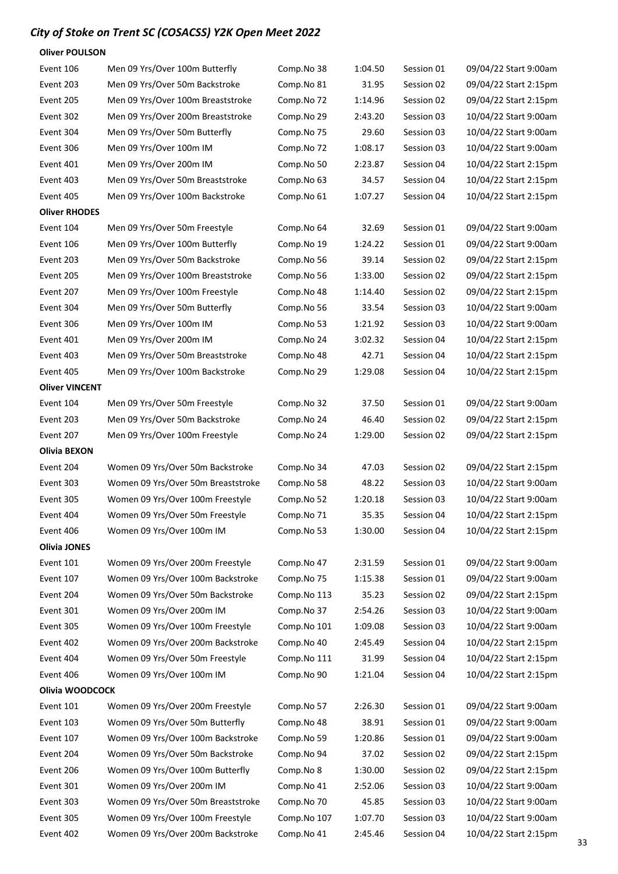Oliver POULSON

| Event 106             | Men 09 Yrs/Over 100m Butterfly     | Comp.No 38  | 1:04.50 | Session 01 | 09/04/22 Start 9:00am |
|-----------------------|------------------------------------|-------------|---------|------------|-----------------------|
| Event 203             | Men 09 Yrs/Over 50m Backstroke     | Comp.No 81  | 31.95   | Session 02 | 09/04/22 Start 2:15pm |
| Event 205             | Men 09 Yrs/Over 100m Breaststroke  | Comp.No 72  | 1:14.96 | Session 02 | 09/04/22 Start 2:15pm |
| Event 302             | Men 09 Yrs/Over 200m Breaststroke  | Comp.No 29  | 2:43.20 | Session 03 | 10/04/22 Start 9:00am |
| Event 304             | Men 09 Yrs/Over 50m Butterfly      | Comp.No 75  | 29.60   | Session 03 | 10/04/22 Start 9:00am |
| Event 306             | Men 09 Yrs/Over 100m IM            | Comp.No 72  | 1:08.17 | Session 03 | 10/04/22 Start 9:00am |
| Event 401             | Men 09 Yrs/Over 200m IM            | Comp.No 50  | 2:23.87 | Session 04 | 10/04/22 Start 2:15pm |
| Event 403             | Men 09 Yrs/Over 50m Breaststroke   | Comp.No 63  | 34.57   | Session 04 | 10/04/22 Start 2:15pm |
| Event 405             | Men 09 Yrs/Over 100m Backstroke    | Comp.No 61  | 1:07.27 | Session 04 | 10/04/22 Start 2:15pm |
| <b>Oliver RHODES</b>  |                                    |             |         |            |                       |
| Event 104             | Men 09 Yrs/Over 50m Freestyle      | Comp.No 64  | 32.69   | Session 01 | 09/04/22 Start 9:00am |
| Event 106             | Men 09 Yrs/Over 100m Butterfly     | Comp.No 19  | 1:24.22 | Session 01 | 09/04/22 Start 9:00am |
| Event 203             | Men 09 Yrs/Over 50m Backstroke     | Comp.No 56  | 39.14   | Session 02 | 09/04/22 Start 2:15pm |
| Event 205             | Men 09 Yrs/Over 100m Breaststroke  | Comp.No 56  | 1:33.00 | Session 02 | 09/04/22 Start 2:15pm |
| Event 207             | Men 09 Yrs/Over 100m Freestyle     | Comp.No 48  | 1:14.40 | Session 02 | 09/04/22 Start 2:15pm |
| Event 304             | Men 09 Yrs/Over 50m Butterfly      | Comp.No 56  | 33.54   | Session 03 | 10/04/22 Start 9:00am |
| Event 306             | Men 09 Yrs/Over 100m IM            | Comp.No 53  | 1:21.92 | Session 03 | 10/04/22 Start 9:00am |
| Event 401             | Men 09 Yrs/Over 200m IM            | Comp.No 24  | 3:02.32 | Session 04 | 10/04/22 Start 2:15pm |
| Event 403             | Men 09 Yrs/Over 50m Breaststroke   | Comp.No 48  | 42.71   | Session 04 | 10/04/22 Start 2:15pm |
| Event 405             | Men 09 Yrs/Over 100m Backstroke    | Comp.No 29  | 1:29.08 | Session 04 | 10/04/22 Start 2:15pm |
| <b>Oliver VINCENT</b> |                                    |             |         |            |                       |
| Event 104             | Men 09 Yrs/Over 50m Freestyle      | Comp.No 32  | 37.50   | Session 01 | 09/04/22 Start 9:00am |
| Event 203             | Men 09 Yrs/Over 50m Backstroke     | Comp.No 24  | 46.40   | Session 02 | 09/04/22 Start 2:15pm |
| Event 207             | Men 09 Yrs/Over 100m Freestyle     | Comp.No 24  | 1:29.00 | Session 02 | 09/04/22 Start 2:15pm |
| Olivia BEXON          |                                    |             |         |            |                       |
| Event 204             | Women 09 Yrs/Over 50m Backstroke   | Comp.No 34  | 47.03   | Session 02 | 09/04/22 Start 2:15pm |
| Event 303             | Women 09 Yrs/Over 50m Breaststroke | Comp.No 58  | 48.22   | Session 03 | 10/04/22 Start 9:00am |
| Event 305             | Women 09 Yrs/Over 100m Freestyle   | Comp.No 52  | 1:20.18 | Session 03 | 10/04/22 Start 9:00am |
| Event 404             | Women 09 Yrs/Over 50m Freestyle    | Comp.No 71  | 35.35   | Session 04 | 10/04/22 Start 2:15pm |
| Event 406             | Women 09 Yrs/Over 100m IM          | Comp.No 53  | 1:30.00 | Session 04 | 10/04/22 Start 2:15pm |
| <b>Olivia JONES</b>   |                                    |             |         |            |                       |
| Event 101             | Women 09 Yrs/Over 200m Freestyle   | Comp.No 47  | 2:31.59 | Session 01 | 09/04/22 Start 9:00am |
| Event 107             | Women 09 Yrs/Over 100m Backstroke  | Comp.No 75  | 1:15.38 | Session 01 | 09/04/22 Start 9:00am |
| Event 204             | Women 09 Yrs/Over 50m Backstroke   | Comp.No 113 | 35.23   | Session 02 | 09/04/22 Start 2:15pm |
| Event 301             | Women 09 Yrs/Over 200m IM          | Comp.No 37  | 2:54.26 | Session 03 | 10/04/22 Start 9:00am |
| Event 305             | Women 09 Yrs/Over 100m Freestyle   | Comp.No 101 | 1:09.08 | Session 03 | 10/04/22 Start 9:00am |
| Event 402             | Women 09 Yrs/Over 200m Backstroke  | Comp.No 40  | 2:45.49 | Session 04 | 10/04/22 Start 2:15pm |
| Event 404             | Women 09 Yrs/Over 50m Freestyle    | Comp.No 111 | 31.99   | Session 04 | 10/04/22 Start 2:15pm |
| Event 406             | Women 09 Yrs/Over 100m IM          | Comp.No 90  | 1:21.04 | Session 04 | 10/04/22 Start 2:15pm |
| Olivia WOODCOCK       |                                    |             |         |            |                       |
| Event 101             | Women 09 Yrs/Over 200m Freestyle   | Comp.No 57  | 2:26.30 | Session 01 | 09/04/22 Start 9:00am |
| Event 103             | Women 09 Yrs/Over 50m Butterfly    | Comp.No 48  | 38.91   | Session 01 | 09/04/22 Start 9:00am |
| Event 107             | Women 09 Yrs/Over 100m Backstroke  | Comp.No 59  | 1:20.86 | Session 01 | 09/04/22 Start 9:00am |
| Event 204             | Women 09 Yrs/Over 50m Backstroke   | Comp.No 94  | 37.02   | Session 02 | 09/04/22 Start 2:15pm |
| Event 206             | Women 09 Yrs/Over 100m Butterfly   | Comp.No 8   | 1:30.00 | Session 02 | 09/04/22 Start 2:15pm |
| Event 301             | Women 09 Yrs/Over 200m IM          | Comp.No 41  | 2:52.06 | Session 03 | 10/04/22 Start 9:00am |
| Event 303             | Women 09 Yrs/Over 50m Breaststroke | Comp.No 70  | 45.85   | Session 03 | 10/04/22 Start 9:00am |
| Event 305             | Women 09 Yrs/Over 100m Freestyle   | Comp.No 107 | 1:07.70 | Session 03 | 10/04/22 Start 9:00am |
| Event 402             | Women 09 Yrs/Over 200m Backstroke  | Comp.No 41  | 2:45.46 | Session 04 | 10/04/22 Start 2:15pm |
|                       |                                    |             |         |            |                       |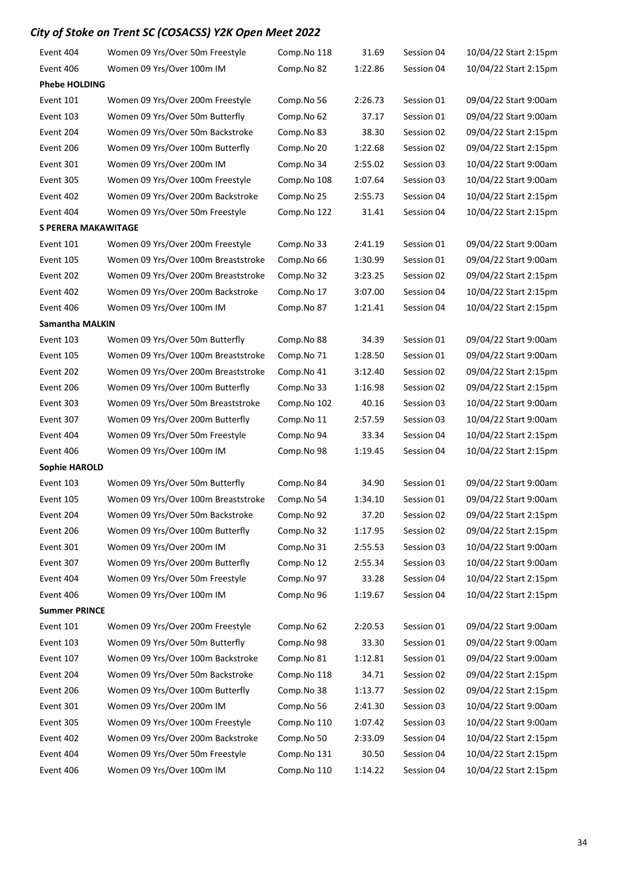| Event 404              | Women 09 Yrs/Over 50m Freestyle     | Comp.No 118 | 31.69   | Session 04 | 10/04/22 Start 2:15pm |
|------------------------|-------------------------------------|-------------|---------|------------|-----------------------|
| Event 406              | Women 09 Yrs/Over 100m IM           | Comp.No 82  | 1:22.86 | Session 04 | 10/04/22 Start 2:15pm |
| <b>Phebe HOLDING</b>   |                                     |             |         |            |                       |
| Event 101              | Women 09 Yrs/Over 200m Freestyle    | Comp.No 56  | 2:26.73 | Session 01 | 09/04/22 Start 9:00am |
| Event 103              | Women 09 Yrs/Over 50m Butterfly     | Comp.No 62  | 37.17   | Session 01 | 09/04/22 Start 9:00am |
| Event 204              | Women 09 Yrs/Over 50m Backstroke    | Comp.No 83  | 38.30   | Session 02 | 09/04/22 Start 2:15pm |
| Event 206              | Women 09 Yrs/Over 100m Butterfly    | Comp.No 20  | 1:22.68 | Session 02 | 09/04/22 Start 2:15pm |
| Event 301              | Women 09 Yrs/Over 200m IM           | Comp.No 34  | 2:55.02 | Session 03 | 10/04/22 Start 9:00am |
| Event 305              | Women 09 Yrs/Over 100m Freestyle    | Comp.No 108 | 1:07.64 | Session 03 | 10/04/22 Start 9:00am |
| Event 402              | Women 09 Yrs/Over 200m Backstroke   | Comp.No 25  | 2:55.73 | Session 04 | 10/04/22 Start 2:15pm |
| Event 404              | Women 09 Yrs/Over 50m Freestyle     | Comp.No 122 | 31.41   | Session 04 | 10/04/22 Start 2:15pm |
| S PERERA MAKAWITAGE    |                                     |             |         |            |                       |
| Event 101              | Women 09 Yrs/Over 200m Freestyle    | Comp.No 33  | 2:41.19 | Session 01 | 09/04/22 Start 9:00am |
| Event 105              | Women 09 Yrs/Over 100m Breaststroke | Comp.No 66  | 1:30.99 | Session 01 | 09/04/22 Start 9:00am |
| Event 202              | Women 09 Yrs/Over 200m Breaststroke | Comp.No 32  | 3:23.25 | Session 02 | 09/04/22 Start 2:15pm |
| Event 402              | Women 09 Yrs/Over 200m Backstroke   | Comp.No 17  | 3:07.00 | Session 04 | 10/04/22 Start 2:15pm |
| Event 406              | Women 09 Yrs/Over 100m IM           | Comp.No 87  | 1:21.41 | Session 04 | 10/04/22 Start 2:15pm |
| <b>Samantha MALKIN</b> |                                     |             |         |            |                       |
| Event 103              | Women 09 Yrs/Over 50m Butterfly     | Comp.No 88  | 34.39   | Session 01 | 09/04/22 Start 9:00am |
| Event 105              | Women 09 Yrs/Over 100m Breaststroke | Comp.No 71  | 1:28.50 | Session 01 | 09/04/22 Start 9:00am |
| Event 202              | Women 09 Yrs/Over 200m Breaststroke | Comp.No 41  | 3:12.40 | Session 02 | 09/04/22 Start 2:15pm |
| Event 206              | Women 09 Yrs/Over 100m Butterfly    | Comp.No 33  | 1:16.98 | Session 02 | 09/04/22 Start 2:15pm |
| Event 303              | Women 09 Yrs/Over 50m Breaststroke  | Comp.No 102 | 40.16   | Session 03 | 10/04/22 Start 9:00am |
| Event 307              | Women 09 Yrs/Over 200m Butterfly    | Comp.No 11  | 2:57.59 | Session 03 | 10/04/22 Start 9:00am |
| Event 404              | Women 09 Yrs/Over 50m Freestyle     | Comp.No 94  | 33.34   | Session 04 | 10/04/22 Start 2:15pm |
| Event 406              | Women 09 Yrs/Over 100m IM           | Comp.No 98  | 1:19.45 | Session 04 | 10/04/22 Start 2:15pm |
| <b>Sophie HAROLD</b>   |                                     |             |         |            |                       |
| Event 103              | Women 09 Yrs/Over 50m Butterfly     | Comp.No 84  | 34.90   | Session 01 | 09/04/22 Start 9:00am |
| Event 105              | Women 09 Yrs/Over 100m Breaststroke | Comp.No 54  | 1:34.10 | Session 01 | 09/04/22 Start 9:00am |
| Event 204              | Women 09 Yrs/Over 50m Backstroke    | Comp.No 92  | 37.20   | Session 02 | 09/04/22 Start 2:15pm |
| Event 206              | Women 09 Yrs/Over 100m Butterfly    | Comp.No 32  | 1:17.95 | Session 02 | 09/04/22 Start 2:15pm |
| Event 301              | Women 09 Yrs/Over 200m IM           | Comp.No 31  | 2:55.53 | Session 03 | 10/04/22 Start 9:00am |
| Event 307              | Women 09 Yrs/Over 200m Butterfly    | Comp.No 12  | 2:55.34 | Session 03 | 10/04/22 Start 9:00am |
| Event 404              | Women 09 Yrs/Over 50m Freestyle     | Comp.No 97  | 33.28   | Session 04 | 10/04/22 Start 2:15pm |
| Event 406              | Women 09 Yrs/Over 100m IM           | Comp.No 96  | 1:19.67 | Session 04 | 10/04/22 Start 2:15pm |
| <b>Summer PRINCE</b>   |                                     |             |         |            |                       |
| Event 101              | Women 09 Yrs/Over 200m Freestyle    | Comp.No 62  | 2:20.53 | Session 01 | 09/04/22 Start 9:00am |
| Event 103              | Women 09 Yrs/Over 50m Butterfly     | Comp.No 98  | 33.30   | Session 01 | 09/04/22 Start 9:00am |
| Event 107              | Women 09 Yrs/Over 100m Backstroke   | Comp.No 81  | 1:12.81 | Session 01 | 09/04/22 Start 9:00am |
| Event 204              | Women 09 Yrs/Over 50m Backstroke    | Comp.No 118 | 34.71   | Session 02 | 09/04/22 Start 2:15pm |
| Event 206              | Women 09 Yrs/Over 100m Butterfly    | Comp.No 38  | 1:13.77 | Session 02 | 09/04/22 Start 2:15pm |
| Event 301              | Women 09 Yrs/Over 200m IM           | Comp.No 56  | 2:41.30 | Session 03 | 10/04/22 Start 9:00am |
| Event 305              | Women 09 Yrs/Over 100m Freestyle    | Comp.No 110 | 1:07.42 | Session 03 | 10/04/22 Start 9:00am |
| Event 402              | Women 09 Yrs/Over 200m Backstroke   | Comp.No 50  | 2:33.09 | Session 04 | 10/04/22 Start 2:15pm |
| Event 404              | Women 09 Yrs/Over 50m Freestyle     | Comp.No 131 | 30.50   | Session 04 | 10/04/22 Start 2:15pm |
| Event 406              | Women 09 Yrs/Over 100m IM           | Comp.No 110 | 1:14.22 | Session 04 | 10/04/22 Start 2:15pm |
|                        |                                     |             |         |            |                       |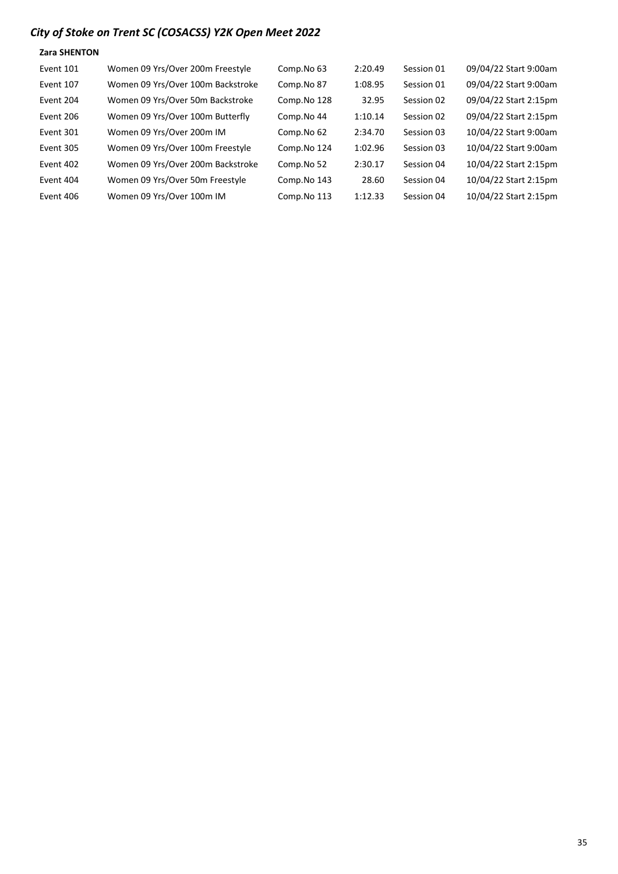#### Zara SHENTON

| Event 101 | Women 09 Yrs/Over 200m Freestyle  | Comp.No 63  | 2:20.49 | Session 01 | 09/04/22 Start 9:00am |
|-----------|-----------------------------------|-------------|---------|------------|-----------------------|
| Event 107 | Women 09 Yrs/Over 100m Backstroke | Comp.No 87  | 1:08.95 | Session 01 | 09/04/22 Start 9:00am |
| Event 204 | Women 09 Yrs/Over 50m Backstroke  | Comp.No 128 | 32.95   | Session 02 | 09/04/22 Start 2:15pm |
| Event 206 | Women 09 Yrs/Over 100m Butterfly  | Comp.No 44  | 1:10.14 | Session 02 | 09/04/22 Start 2:15pm |
| Event 301 | Women 09 Yrs/Over 200m IM         | Comp.No 62  | 2:34.70 | Session 03 | 10/04/22 Start 9:00am |
| Event 305 | Women 09 Yrs/Over 100m Freestyle  | Comp.No 124 | 1:02.96 | Session 03 | 10/04/22 Start 9:00am |
| Event 402 | Women 09 Yrs/Over 200m Backstroke | Comp.No 52  | 2:30.17 | Session 04 | 10/04/22 Start 2:15pm |
| Event 404 | Women 09 Yrs/Over 50m Freestyle   | Comp.No 143 | 28.60   | Session 04 | 10/04/22 Start 2:15pm |
| Event 406 | Women 09 Yrs/Over 100m IM         | Comp.No 113 | 1:12.33 | Session 04 | 10/04/22 Start 2:15pm |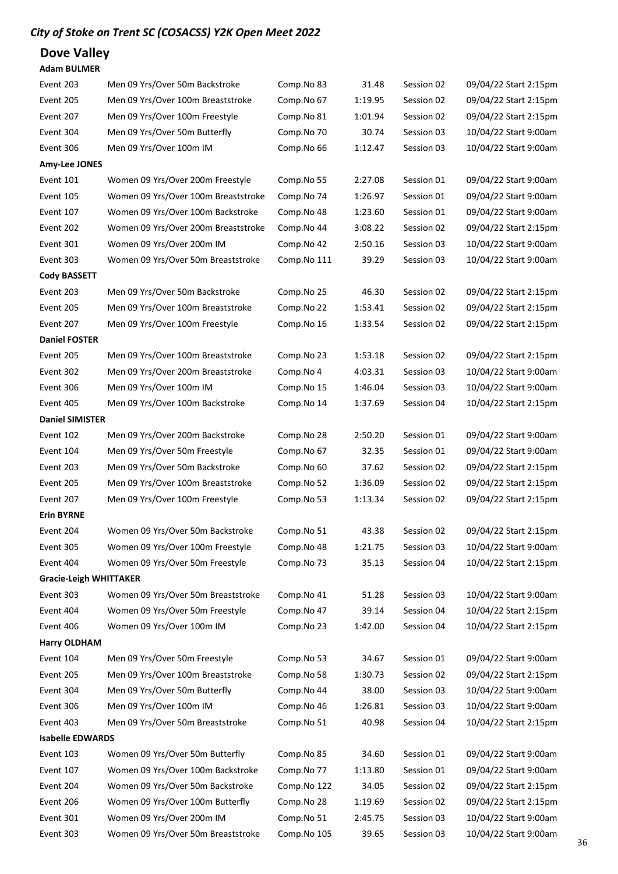Dove Valley

#### Adam BULMER

| Event 203                     | Men 09 Yrs/Over 50m Backstroke      | Comp.No 83  | 31.48   | Session 02 | 09/04/22 Start 2:15pm |
|-------------------------------|-------------------------------------|-------------|---------|------------|-----------------------|
| Event 205                     | Men 09 Yrs/Over 100m Breaststroke   | Comp.No 67  | 1:19.95 | Session 02 | 09/04/22 Start 2:15pm |
| Event 207                     | Men 09 Yrs/Over 100m Freestyle      | Comp.No 81  | 1:01.94 | Session 02 | 09/04/22 Start 2:15pm |
| Event 304                     | Men 09 Yrs/Over 50m Butterfly       | Comp.No 70  | 30.74   | Session 03 | 10/04/22 Start 9:00am |
| Event 306                     | Men 09 Yrs/Over 100m IM             | Comp.No 66  | 1:12.47 | Session 03 | 10/04/22 Start 9:00am |
| <b>Amy-Lee JONES</b>          |                                     |             |         |            |                       |
| Event 101                     | Women 09 Yrs/Over 200m Freestyle    | Comp.No 55  | 2:27.08 | Session 01 | 09/04/22 Start 9:00am |
| Event 105                     | Women 09 Yrs/Over 100m Breaststroke | Comp.No 74  | 1:26.97 | Session 01 | 09/04/22 Start 9:00am |
| Event 107                     | Women 09 Yrs/Over 100m Backstroke   | Comp.No 48  | 1:23.60 | Session 01 | 09/04/22 Start 9:00am |
| Event 202                     | Women 09 Yrs/Over 200m Breaststroke | Comp.No 44  | 3:08.22 | Session 02 | 09/04/22 Start 2:15pm |
| Event 301                     | Women 09 Yrs/Over 200m IM           | Comp.No 42  | 2:50.16 | Session 03 | 10/04/22 Start 9:00am |
| Event 303                     | Women 09 Yrs/Over 50m Breaststroke  | Comp.No 111 | 39.29   | Session 03 | 10/04/22 Start 9:00am |
| <b>Cody BASSETT</b>           |                                     |             |         |            |                       |
| Event 203                     | Men 09 Yrs/Over 50m Backstroke      | Comp.No 25  | 46.30   | Session 02 | 09/04/22 Start 2:15pm |
| Event 205                     | Men 09 Yrs/Over 100m Breaststroke   | Comp.No 22  | 1:53.41 | Session 02 | 09/04/22 Start 2:15pm |
| Event 207                     | Men 09 Yrs/Over 100m Freestyle      | Comp.No 16  | 1:33.54 | Session 02 | 09/04/22 Start 2:15pm |
| <b>Daniel FOSTER</b>          |                                     |             |         |            |                       |
| Event 205                     | Men 09 Yrs/Over 100m Breaststroke   | Comp.No 23  | 1:53.18 | Session 02 | 09/04/22 Start 2:15pm |
| Event 302                     | Men 09 Yrs/Over 200m Breaststroke   | Comp.No 4   | 4:03.31 | Session 03 | 10/04/22 Start 9:00am |
| Event 306                     | Men 09 Yrs/Over 100m IM             | Comp.No 15  | 1:46.04 | Session 03 | 10/04/22 Start 9:00am |
| Event 405                     | Men 09 Yrs/Over 100m Backstroke     | Comp.No 14  | 1:37.69 | Session 04 | 10/04/22 Start 2:15pm |
| <b>Daniel SIMISTER</b>        |                                     |             |         |            |                       |
| Event 102                     | Men 09 Yrs/Over 200m Backstroke     | Comp.No 28  | 2:50.20 | Session 01 | 09/04/22 Start 9:00am |
| Event 104                     | Men 09 Yrs/Over 50m Freestyle       | Comp.No 67  | 32.35   | Session 01 | 09/04/22 Start 9:00am |
| Event 203                     | Men 09 Yrs/Over 50m Backstroke      | Comp.No 60  | 37.62   | Session 02 | 09/04/22 Start 2:15pm |
| Event 205                     | Men 09 Yrs/Over 100m Breaststroke   | Comp.No 52  | 1:36.09 | Session 02 | 09/04/22 Start 2:15pm |
| Event 207                     | Men 09 Yrs/Over 100m Freestyle      | Comp.No 53  | 1:13.34 | Session 02 | 09/04/22 Start 2:15pm |
| <b>Erin BYRNE</b>             |                                     |             |         |            |                       |
| Event 204                     | Women 09 Yrs/Over 50m Backstroke    | Comp.No 51  | 43.38   | Session 02 | 09/04/22 Start 2:15pm |
| Event 305                     | Women 09 Yrs/Over 100m Freestyle    | Comp.No 48  | 1:21.75 | Session 03 | 10/04/22 Start 9:00am |
| Event 404                     | Women 09 Yrs/Over 50m Freestyle     | Comp.No 73  | 35.13   | Session 04 | 10/04/22 Start 2:15pm |
| <b>Gracie-Leigh WHITTAKER</b> |                                     |             |         |            |                       |
| Event 303                     | Women 09 Yrs/Over 50m Breaststroke  | Comp.No 41  | 51.28   | Session 03 | 10/04/22 Start 9:00am |
| Event 404                     | Women 09 Yrs/Over 50m Freestyle     | Comp.No 47  | 39.14   | Session 04 | 10/04/22 Start 2:15pm |
| Event 406                     | Women 09 Yrs/Over 100m IM           | Comp.No 23  | 1:42.00 | Session 04 | 10/04/22 Start 2:15pm |
| <b>Harry OLDHAM</b>           |                                     |             |         |            |                       |
| Event 104                     | Men 09 Yrs/Over 50m Freestyle       | Comp.No 53  | 34.67   | Session 01 | 09/04/22 Start 9:00am |
| Event 205                     | Men 09 Yrs/Over 100m Breaststroke   | Comp.No 58  | 1:30.73 | Session 02 | 09/04/22 Start 2:15pm |
| Event 304                     | Men 09 Yrs/Over 50m Butterfly       | Comp.No 44  | 38.00   | Session 03 | 10/04/22 Start 9:00am |
| Event 306                     | Men 09 Yrs/Over 100m IM             | Comp.No 46  | 1:26.81 | Session 03 | 10/04/22 Start 9:00am |
| Event 403                     | Men 09 Yrs/Over 50m Breaststroke    | Comp.No 51  | 40.98   | Session 04 | 10/04/22 Start 2:15pm |
| <b>Isabelle EDWARDS</b>       |                                     |             |         |            |                       |
| Event 103                     | Women 09 Yrs/Over 50m Butterfly     | Comp.No 85  | 34.60   | Session 01 | 09/04/22 Start 9:00am |
| Event 107                     | Women 09 Yrs/Over 100m Backstroke   | Comp.No 77  | 1:13.80 | Session 01 | 09/04/22 Start 9:00am |
| Event 204                     | Women 09 Yrs/Over 50m Backstroke    | Comp.No 122 | 34.05   | Session 02 | 09/04/22 Start 2:15pm |
| Event 206                     | Women 09 Yrs/Over 100m Butterfly    | Comp.No 28  | 1:19.69 | Session 02 | 09/04/22 Start 2:15pm |
| Event 301                     | Women 09 Yrs/Over 200m IM           | Comp.No 51  | 2:45.75 | Session 03 | 10/04/22 Start 9:00am |
| Event 303                     | Women 09 Yrs/Over 50m Breaststroke  | Comp.No 105 | 39.65   | Session 03 | 10/04/22 Start 9:00am |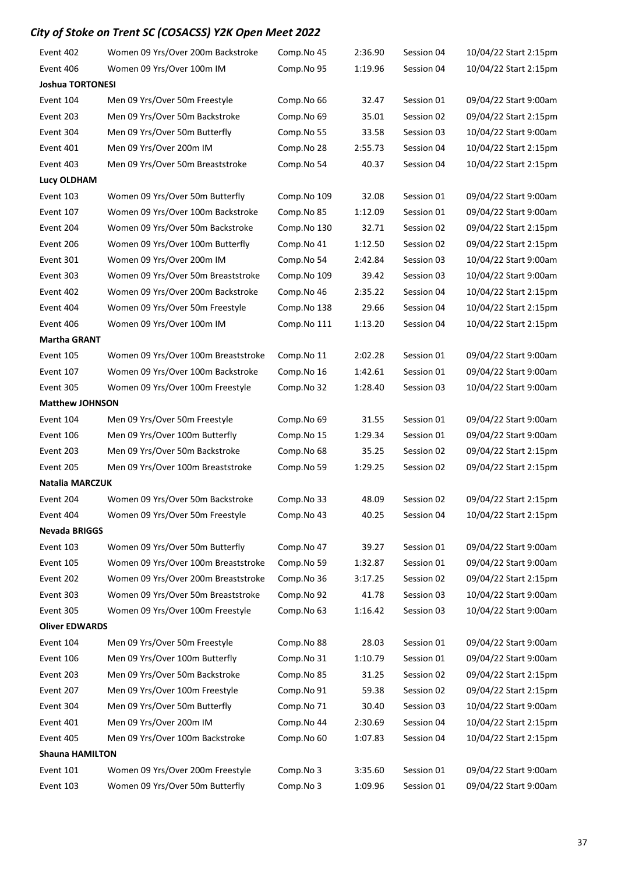| Event 402               | Women 09 Yrs/Over 200m Backstroke   | Comp.No 45  | 2:36.90 | Session 04 | 10/04/22 Start 2:15pm |
|-------------------------|-------------------------------------|-------------|---------|------------|-----------------------|
| Event 406               | Women 09 Yrs/Over 100m IM           | Comp.No 95  | 1:19.96 | Session 04 | 10/04/22 Start 2:15pm |
| <b>Joshua TORTONESI</b> |                                     |             |         |            |                       |
| Event 104               | Men 09 Yrs/Over 50m Freestyle       | Comp.No 66  | 32.47   | Session 01 | 09/04/22 Start 9:00am |
| Event 203               | Men 09 Yrs/Over 50m Backstroke      | Comp.No 69  | 35.01   | Session 02 | 09/04/22 Start 2:15pm |
| Event 304               | Men 09 Yrs/Over 50m Butterfly       | Comp.No 55  | 33.58   | Session 03 | 10/04/22 Start 9:00am |
| Event 401               | Men 09 Yrs/Over 200m IM             | Comp.No 28  | 2:55.73 | Session 04 | 10/04/22 Start 2:15pm |
| Event 403               | Men 09 Yrs/Over 50m Breaststroke    | Comp.No 54  | 40.37   | Session 04 | 10/04/22 Start 2:15pm |
| <b>Lucy OLDHAM</b>      |                                     |             |         |            |                       |
| Event 103               | Women 09 Yrs/Over 50m Butterfly     | Comp.No 109 | 32.08   | Session 01 | 09/04/22 Start 9:00am |
| Event 107               | Women 09 Yrs/Over 100m Backstroke   | Comp.No 85  | 1:12.09 | Session 01 | 09/04/22 Start 9:00am |
| Event 204               | Women 09 Yrs/Over 50m Backstroke    | Comp.No 130 | 32.71   | Session 02 | 09/04/22 Start 2:15pm |
| Event 206               | Women 09 Yrs/Over 100m Butterfly    | Comp.No 41  | 1:12.50 | Session 02 | 09/04/22 Start 2:15pm |
| Event 301               | Women 09 Yrs/Over 200m IM           | Comp.No 54  | 2:42.84 | Session 03 | 10/04/22 Start 9:00am |
| Event 303               | Women 09 Yrs/Over 50m Breaststroke  | Comp.No 109 | 39.42   | Session 03 | 10/04/22 Start 9:00am |
| Event 402               | Women 09 Yrs/Over 200m Backstroke   | Comp.No 46  | 2:35.22 | Session 04 | 10/04/22 Start 2:15pm |
| Event 404               | Women 09 Yrs/Over 50m Freestyle     | Comp.No 138 | 29.66   | Session 04 | 10/04/22 Start 2:15pm |
| Event 406               | Women 09 Yrs/Over 100m IM           | Comp.No 111 | 1:13.20 | Session 04 | 10/04/22 Start 2:15pm |
| <b>Martha GRANT</b>     |                                     |             |         |            |                       |
| Event 105               | Women 09 Yrs/Over 100m Breaststroke | Comp.No 11  | 2:02.28 | Session 01 | 09/04/22 Start 9:00am |
| Event 107               | Women 09 Yrs/Over 100m Backstroke   | Comp.No 16  | 1:42.61 | Session 01 | 09/04/22 Start 9:00am |
| Event 305               | Women 09 Yrs/Over 100m Freestyle    | Comp.No 32  | 1:28.40 | Session 03 | 10/04/22 Start 9:00am |
| <b>Matthew JOHNSON</b>  |                                     |             |         |            |                       |
| Event 104               | Men 09 Yrs/Over 50m Freestyle       | Comp.No 69  | 31.55   | Session 01 | 09/04/22 Start 9:00am |
| Event 106               | Men 09 Yrs/Over 100m Butterfly      | Comp.No 15  | 1:29.34 | Session 01 | 09/04/22 Start 9:00am |
| Event 203               | Men 09 Yrs/Over 50m Backstroke      | Comp.No 68  | 35.25   | Session 02 | 09/04/22 Start 2:15pm |
| Event 205               | Men 09 Yrs/Over 100m Breaststroke   | Comp.No 59  | 1:29.25 | Session 02 | 09/04/22 Start 2:15pm |
| Natalia MARCZUK         |                                     |             |         |            |                       |
| Event 204               | Women 09 Yrs/Over 50m Backstroke    | Comp.No 33  | 48.09   | Session 02 | 09/04/22 Start 2:15pm |
| Event 404               | Women 09 Yrs/Over 50m Freestyle     | Comp.No 43  | 40.25   | Session 04 | 10/04/22 Start 2:15pm |
| <b>Nevada BRIGGS</b>    |                                     |             |         |            |                       |
| Event 103               | Women 09 Yrs/Over 50m Butterfly     | Comp.No 47  | 39.27   | Session 01 | 09/04/22 Start 9:00am |
| Event 105               | Women 09 Yrs/Over 100m Breaststroke | Comp.No 59  | 1:32.87 | Session 01 | 09/04/22 Start 9:00am |
| Event 202               | Women 09 Yrs/Over 200m Breaststroke | Comp.No 36  | 3:17.25 | Session 02 | 09/04/22 Start 2:15pm |
| Event 303               | Women 09 Yrs/Over 50m Breaststroke  | Comp.No 92  | 41.78   | Session 03 | 10/04/22 Start 9:00am |
| Event 305               | Women 09 Yrs/Over 100m Freestyle    | Comp.No 63  | 1:16.42 | Session 03 | 10/04/22 Start 9:00am |
| <b>Oliver EDWARDS</b>   |                                     |             |         |            |                       |
| Event 104               | Men 09 Yrs/Over 50m Freestyle       | Comp.No 88  | 28.03   | Session 01 | 09/04/22 Start 9:00am |
| Event 106               | Men 09 Yrs/Over 100m Butterfly      | Comp.No 31  | 1:10.79 | Session 01 | 09/04/22 Start 9:00am |
| Event 203               | Men 09 Yrs/Over 50m Backstroke      | Comp.No 85  | 31.25   | Session 02 | 09/04/22 Start 2:15pm |
| Event 207               | Men 09 Yrs/Over 100m Freestyle      | Comp.No 91  | 59.38   | Session 02 | 09/04/22 Start 2:15pm |
| Event 304               | Men 09 Yrs/Over 50m Butterfly       | Comp.No 71  | 30.40   | Session 03 | 10/04/22 Start 9:00am |
| Event 401               | Men 09 Yrs/Over 200m IM             | Comp.No 44  | 2:30.69 | Session 04 | 10/04/22 Start 2:15pm |
| Event 405               | Men 09 Yrs/Over 100m Backstroke     | Comp.No 60  | 1:07.83 | Session 04 | 10/04/22 Start 2:15pm |
| <b>Shauna HAMILTON</b>  |                                     |             |         |            |                       |
| Event 101               | Women 09 Yrs/Over 200m Freestyle    | Comp.No 3   | 3:35.60 | Session 01 | 09/04/22 Start 9:00am |
| Event 103               | Women 09 Yrs/Over 50m Butterfly     | Comp.No 3   | 1:09.96 | Session 01 | 09/04/22 Start 9:00am |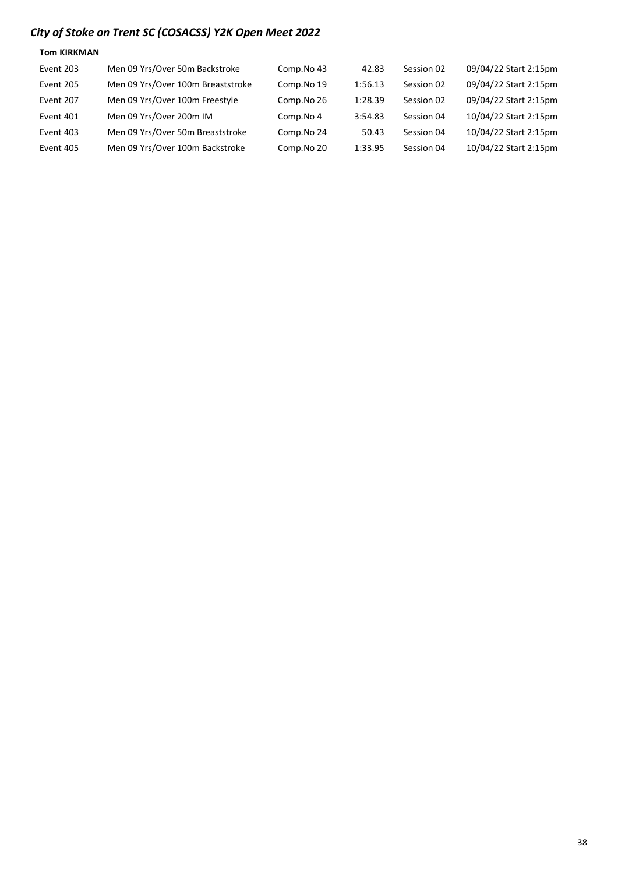| <b>Tom KIRKMAN</b> |                                   |            |         |            |                       |
|--------------------|-----------------------------------|------------|---------|------------|-----------------------|
| Event 203          | Men 09 Yrs/Over 50m Backstroke    | Comp.No 43 | 42.83   | Session 02 | 09/04/22 Start 2:15pm |
| Event 205          | Men 09 Yrs/Over 100m Breaststroke | Comp.No 19 | 1:56.13 | Session 02 | 09/04/22 Start 2:15pm |
| Event 207          | Men 09 Yrs/Over 100m Freestyle    | Comp.No 26 | 1:28.39 | Session 02 | 09/04/22 Start 2:15pm |
| Event 401          | Men 09 Yrs/Over 200m IM           | Comp.No 4  | 3:54.83 | Session 04 | 10/04/22 Start 2:15pm |
| Event 403          | Men 09 Yrs/Over 50m Breaststroke  | Comp.No 24 | 50.43   | Session 04 | 10/04/22 Start 2:15pm |
| Event 405          | Men 09 Yrs/Over 100m Backstroke   | Comp.No 20 | 1:33.95 | Session 04 | 10/04/22 Start 2:15pm |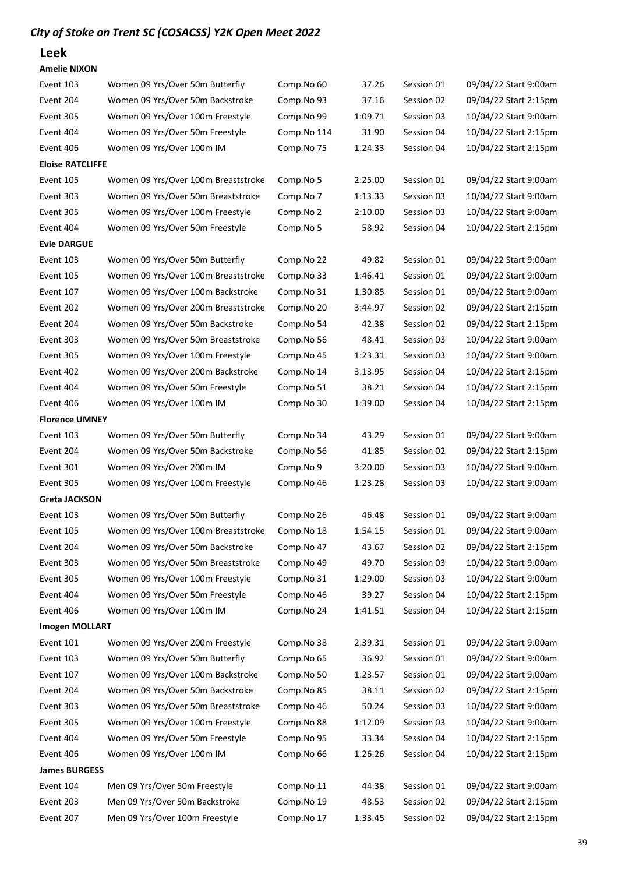### Leek

| Event 103               | Women 09 Yrs/Over 50m Butterfly     | Comp.No 60  | 37.26   | Session 01 | 09/04/22 Start 9:00am |
|-------------------------|-------------------------------------|-------------|---------|------------|-----------------------|
| Event 204               | Women 09 Yrs/Over 50m Backstroke    | Comp.No 93  | 37.16   | Session 02 | 09/04/22 Start 2:15pm |
| Event 305               | Women 09 Yrs/Over 100m Freestyle    | Comp.No 99  | 1:09.71 | Session 03 | 10/04/22 Start 9:00am |
| Event 404               | Women 09 Yrs/Over 50m Freestyle     | Comp.No 114 | 31.90   | Session 04 | 10/04/22 Start 2:15pm |
| Event 406               | Women 09 Yrs/Over 100m IM           | Comp.No 75  | 1:24.33 | Session 04 | 10/04/22 Start 2:15pm |
| <b>Eloise RATCLIFFE</b> |                                     |             |         |            |                       |
| Event 105               | Women 09 Yrs/Over 100m Breaststroke | Comp.No 5   | 2:25.00 | Session 01 | 09/04/22 Start 9:00am |
| Event 303               | Women 09 Yrs/Over 50m Breaststroke  | Comp.No 7   | 1:13.33 | Session 03 | 10/04/22 Start 9:00am |
| Event 305               | Women 09 Yrs/Over 100m Freestyle    | Comp.No 2   | 2:10.00 | Session 03 | 10/04/22 Start 9:00am |
| Event 404               | Women 09 Yrs/Over 50m Freestyle     | Comp.No 5   | 58.92   | Session 04 | 10/04/22 Start 2:15pm |
| <b>Evie DARGUE</b>      |                                     |             |         |            |                       |
| Event 103               | Women 09 Yrs/Over 50m Butterfly     | Comp.No 22  | 49.82   | Session 01 | 09/04/22 Start 9:00am |
| Event 105               | Women 09 Yrs/Over 100m Breaststroke | Comp.No 33  | 1:46.41 | Session 01 | 09/04/22 Start 9:00am |
| Event 107               | Women 09 Yrs/Over 100m Backstroke   | Comp.No 31  | 1:30.85 | Session 01 | 09/04/22 Start 9:00am |
| Event 202               | Women 09 Yrs/Over 200m Breaststroke | Comp.No 20  | 3:44.97 | Session 02 | 09/04/22 Start 2:15pm |
| Event 204               | Women 09 Yrs/Over 50m Backstroke    | Comp.No 54  | 42.38   | Session 02 | 09/04/22 Start 2:15pm |
| Event 303               | Women 09 Yrs/Over 50m Breaststroke  | Comp.No 56  | 48.41   | Session 03 | 10/04/22 Start 9:00am |
| Event 305               | Women 09 Yrs/Over 100m Freestyle    | Comp.No 45  | 1:23.31 | Session 03 | 10/04/22 Start 9:00am |
| Event 402               | Women 09 Yrs/Over 200m Backstroke   | Comp.No 14  | 3:13.95 | Session 04 | 10/04/22 Start 2:15pm |
| Event 404               | Women 09 Yrs/Over 50m Freestyle     | Comp.No 51  | 38.21   | Session 04 | 10/04/22 Start 2:15pm |
| Event 406               | Women 09 Yrs/Over 100m IM           | Comp.No 30  | 1:39.00 | Session 04 | 10/04/22 Start 2:15pm |
| <b>Florence UMNEY</b>   |                                     |             |         |            |                       |
| Event 103               | Women 09 Yrs/Over 50m Butterfly     | Comp.No 34  | 43.29   | Session 01 | 09/04/22 Start 9:00am |
| Event 204               | Women 09 Yrs/Over 50m Backstroke    | Comp.No 56  | 41.85   | Session 02 | 09/04/22 Start 2:15pm |
| Event 301               | Women 09 Yrs/Over 200m IM           | Comp.No 9   | 3:20.00 | Session 03 | 10/04/22 Start 9:00am |
| Event 305               | Women 09 Yrs/Over 100m Freestyle    | Comp.No 46  | 1:23.28 | Session 03 | 10/04/22 Start 9:00am |
| <b>Greta JACKSON</b>    |                                     |             |         |            |                       |
| Event 103               | Women 09 Yrs/Over 50m Butterfly     | Comp.No 26  | 46.48   | Session 01 | 09/04/22 Start 9:00am |
| Event 105               | Women 09 Yrs/Over 100m Breaststroke | Comp.No 18  | 1:54.15 | Session 01 | 09/04/22 Start 9:00am |
| Event 204               | Women 09 Yrs/Over 50m Backstroke    | Comp.No 47  | 43.67   | Session 02 | 09/04/22 Start 2:15pm |
| Event 303               | Women 09 Yrs/Over 50m Breaststroke  | Comp.No 49  | 49.70   | Session 03 | 10/04/22 Start 9:00am |
| Event 305               | Women 09 Yrs/Over 100m Freestyle    | Comp.No 31  | 1:29.00 | Session 03 | 10/04/22 Start 9:00am |
| Event 404               | Women 09 Yrs/Over 50m Freestyle     | Comp.No 46  | 39.27   | Session 04 | 10/04/22 Start 2:15pm |
| Event 406               | Women 09 Yrs/Over 100m IM           | Comp.No 24  | 1:41.51 | Session 04 | 10/04/22 Start 2:15pm |
| <b>Imogen MOLLART</b>   |                                     |             |         |            |                       |
| Event 101               | Women 09 Yrs/Over 200m Freestyle    | Comp.No 38  | 2:39.31 | Session 01 | 09/04/22 Start 9:00am |
| Event 103               | Women 09 Yrs/Over 50m Butterfly     | Comp.No 65  | 36.92   | Session 01 | 09/04/22 Start 9:00am |
| Event 107               | Women 09 Yrs/Over 100m Backstroke   | Comp.No 50  | 1:23.57 | Session 01 | 09/04/22 Start 9:00am |
| Event 204               | Women 09 Yrs/Over 50m Backstroke    | Comp.No 85  | 38.11   | Session 02 | 09/04/22 Start 2:15pm |
| Event 303               | Women 09 Yrs/Over 50m Breaststroke  | Comp.No 46  | 50.24   | Session 03 | 10/04/22 Start 9:00am |
| Event 305               | Women 09 Yrs/Over 100m Freestyle    | Comp.No 88  | 1:12.09 | Session 03 | 10/04/22 Start 9:00am |
| Event 404               | Women 09 Yrs/Over 50m Freestyle     | Comp.No 95  | 33.34   | Session 04 | 10/04/22 Start 2:15pm |
| Event 406               | Women 09 Yrs/Over 100m IM           | Comp.No 66  | 1:26.26 | Session 04 | 10/04/22 Start 2:15pm |
| <b>James BURGESS</b>    |                                     |             |         |            |                       |
| Event 104               | Men 09 Yrs/Over 50m Freestyle       | Comp.No 11  | 44.38   | Session 01 | 09/04/22 Start 9:00am |
| Event 203               | Men 09 Yrs/Over 50m Backstroke      | Comp.No 19  | 48.53   | Session 02 | 09/04/22 Start 2:15pm |
| Event 207               | Men 09 Yrs/Over 100m Freestyle      | Comp.No 17  | 1:33.45 | Session 02 | 09/04/22 Start 2:15pm |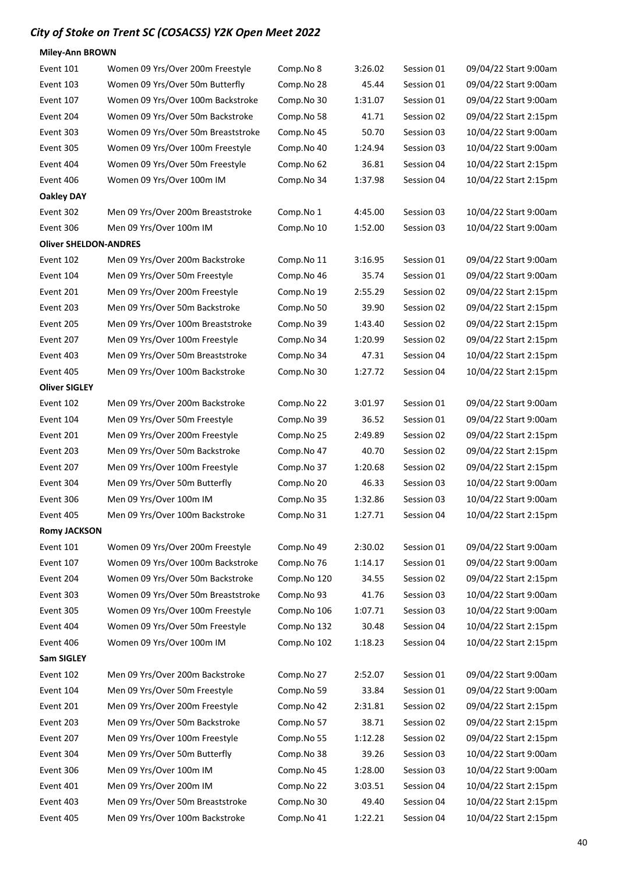Miley-Ann BROWN

| Event 101                    | Women 09 Yrs/Over 200m Freestyle   | Comp.No 8   | 3:26.02 | Session 01 | 09/04/22 Start 9:00am |
|------------------------------|------------------------------------|-------------|---------|------------|-----------------------|
| Event 103                    | Women 09 Yrs/Over 50m Butterfly    | Comp.No 28  | 45.44   | Session 01 | 09/04/22 Start 9:00am |
| Event 107                    | Women 09 Yrs/Over 100m Backstroke  | Comp.No 30  | 1:31.07 | Session 01 | 09/04/22 Start 9:00am |
| Event 204                    | Women 09 Yrs/Over 50m Backstroke   | Comp.No 58  | 41.71   | Session 02 | 09/04/22 Start 2:15pm |
| Event 303                    | Women 09 Yrs/Over 50m Breaststroke | Comp.No 45  | 50.70   | Session 03 | 10/04/22 Start 9:00am |
| Event 305                    | Women 09 Yrs/Over 100m Freestyle   | Comp.No 40  | 1:24.94 | Session 03 | 10/04/22 Start 9:00am |
| Event 404                    | Women 09 Yrs/Over 50m Freestyle    | Comp.No 62  | 36.81   | Session 04 | 10/04/22 Start 2:15pm |
| Event 406                    | Women 09 Yrs/Over 100m IM          | Comp.No 34  | 1:37.98 | Session 04 | 10/04/22 Start 2:15pm |
| <b>Oakley DAY</b>            |                                    |             |         |            |                       |
| Event 302                    | Men 09 Yrs/Over 200m Breaststroke  | Comp.No 1   | 4:45.00 | Session 03 | 10/04/22 Start 9:00am |
| Event 306                    | Men 09 Yrs/Over 100m IM            | Comp.No 10  | 1:52.00 | Session 03 | 10/04/22 Start 9:00am |
| <b>Oliver SHELDON-ANDRES</b> |                                    |             |         |            |                       |
| Event 102                    | Men 09 Yrs/Over 200m Backstroke    | Comp.No 11  | 3:16.95 | Session 01 | 09/04/22 Start 9:00am |
| Event 104                    | Men 09 Yrs/Over 50m Freestyle      | Comp.No 46  | 35.74   | Session 01 | 09/04/22 Start 9:00am |
| Event 201                    | Men 09 Yrs/Over 200m Freestyle     | Comp.No 19  | 2:55.29 | Session 02 | 09/04/22 Start 2:15pm |
| Event 203                    | Men 09 Yrs/Over 50m Backstroke     | Comp.No 50  | 39.90   | Session 02 | 09/04/22 Start 2:15pm |
| Event 205                    | Men 09 Yrs/Over 100m Breaststroke  | Comp.No 39  | 1:43.40 | Session 02 | 09/04/22 Start 2:15pm |
| Event 207                    | Men 09 Yrs/Over 100m Freestyle     | Comp.No 34  | 1:20.99 | Session 02 | 09/04/22 Start 2:15pm |
| Event 403                    | Men 09 Yrs/Over 50m Breaststroke   | Comp.No 34  | 47.31   | Session 04 | 10/04/22 Start 2:15pm |
| Event 405                    | Men 09 Yrs/Over 100m Backstroke    | Comp.No 30  | 1:27.72 | Session 04 | 10/04/22 Start 2:15pm |
| <b>Oliver SIGLEY</b>         |                                    |             |         |            |                       |
| Event 102                    | Men 09 Yrs/Over 200m Backstroke    | Comp.No 22  | 3:01.97 | Session 01 | 09/04/22 Start 9:00am |
| Event 104                    | Men 09 Yrs/Over 50m Freestyle      | Comp.No 39  | 36.52   | Session 01 | 09/04/22 Start 9:00am |
| Event 201                    | Men 09 Yrs/Over 200m Freestyle     | Comp.No 25  | 2:49.89 | Session 02 | 09/04/22 Start 2:15pm |
| Event 203                    | Men 09 Yrs/Over 50m Backstroke     | Comp.No 47  | 40.70   | Session 02 | 09/04/22 Start 2:15pm |
| Event 207                    | Men 09 Yrs/Over 100m Freestyle     | Comp.No 37  | 1:20.68 | Session 02 | 09/04/22 Start 2:15pm |
| Event 304                    | Men 09 Yrs/Over 50m Butterfly      | Comp.No 20  | 46.33   | Session 03 | 10/04/22 Start 9:00am |
| Event 306                    | Men 09 Yrs/Over 100m IM            | Comp.No 35  | 1:32.86 | Session 03 | 10/04/22 Start 9:00am |
| Event 405                    | Men 09 Yrs/Over 100m Backstroke    | Comp.No 31  | 1:27.71 | Session 04 | 10/04/22 Start 2:15pm |
| <b>Romy JACKSON</b>          |                                    |             |         |            |                       |
| Event 101                    | Women 09 Yrs/Over 200m Freestyle   | Comp.No 49  | 2:30.02 | Session 01 | 09/04/22 Start 9:00am |
| Event 107                    | Women 09 Yrs/Over 100m Backstroke  | Comp.No 76  | 1:14.17 | Session 01 | 09/04/22 Start 9:00am |
| Event 204                    | Women 09 Yrs/Over 50m Backstroke   | Comp.No 120 | 34.55   | Session 02 | 09/04/22 Start 2:15pm |
| Event 303                    | Women 09 Yrs/Over 50m Breaststroke | Comp.No 93  | 41.76   | Session 03 | 10/04/22 Start 9:00am |
| Event 305                    | Women 09 Yrs/Over 100m Freestyle   | Comp.No 106 | 1:07.71 | Session 03 | 10/04/22 Start 9:00am |
| Event 404                    | Women 09 Yrs/Over 50m Freestyle    | Comp.No 132 | 30.48   | Session 04 | 10/04/22 Start 2:15pm |
| Event 406                    | Women 09 Yrs/Over 100m IM          | Comp.No 102 | 1:18.23 | Session 04 | 10/04/22 Start 2:15pm |
| <b>Sam SIGLEY</b>            |                                    |             |         |            |                       |
| Event 102                    | Men 09 Yrs/Over 200m Backstroke    | Comp.No 27  | 2:52.07 | Session 01 | 09/04/22 Start 9:00am |
| Event 104                    | Men 09 Yrs/Over 50m Freestyle      | Comp.No 59  | 33.84   | Session 01 | 09/04/22 Start 9:00am |
| Event 201                    | Men 09 Yrs/Over 200m Freestyle     | Comp.No 42  | 2:31.81 | Session 02 | 09/04/22 Start 2:15pm |
| Event 203                    | Men 09 Yrs/Over 50m Backstroke     | Comp.No 57  | 38.71   | Session 02 | 09/04/22 Start 2:15pm |
| Event 207                    | Men 09 Yrs/Over 100m Freestyle     | Comp.No 55  | 1:12.28 | Session 02 | 09/04/22 Start 2:15pm |
| Event 304                    | Men 09 Yrs/Over 50m Butterfly      | Comp.No 38  | 39.26   | Session 03 | 10/04/22 Start 9:00am |
| Event 306                    | Men 09 Yrs/Over 100m IM            | Comp.No 45  | 1:28.00 | Session 03 | 10/04/22 Start 9:00am |
| Event 401                    | Men 09 Yrs/Over 200m IM            | Comp.No 22  | 3:03.51 | Session 04 | 10/04/22 Start 2:15pm |
| Event 403                    | Men 09 Yrs/Over 50m Breaststroke   | Comp.No 30  | 49.40   | Session 04 | 10/04/22 Start 2:15pm |
| Event 405                    | Men 09 Yrs/Over 100m Backstroke    | Comp.No 41  | 1:22.21 | Session 04 | 10/04/22 Start 2:15pm |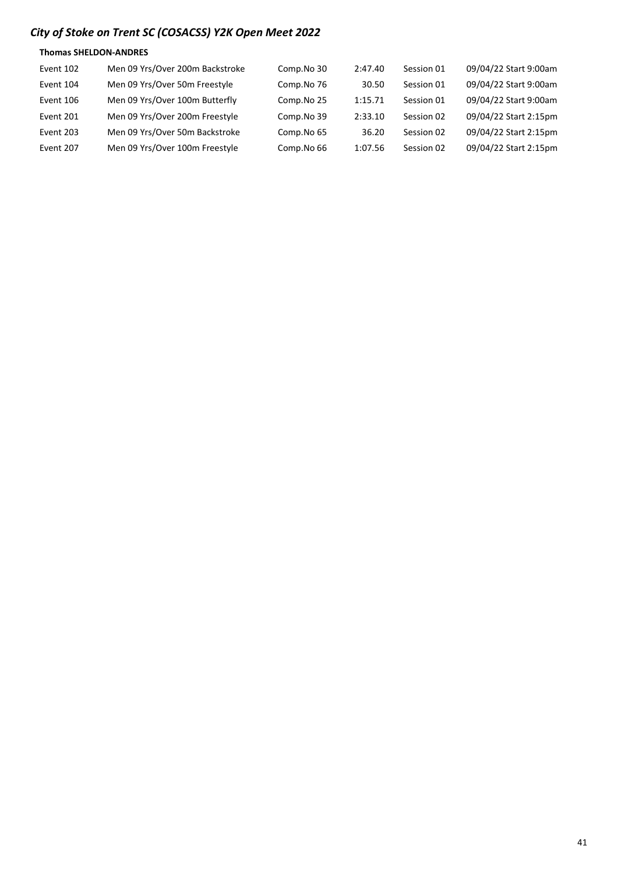#### Thomas SHELDON-ANDRES

| Event 102 | Men 09 Yrs/Over 200m Backstroke | Comp.No 30 | 2:47.40 | Session 01 | 09/04/22 Start 9:00am |
|-----------|---------------------------------|------------|---------|------------|-----------------------|
| Event 104 | Men 09 Yrs/Over 50m Freestyle   | Comp.No 76 | 30.50   | Session 01 | 09/04/22 Start 9:00am |
| Event 106 | Men 09 Yrs/Over 100m Butterfly  | Comp.No 25 | 1:15.71 | Session 01 | 09/04/22 Start 9:00am |
| Event 201 | Men 09 Yrs/Over 200m Freestyle  | Comp.No 39 | 2:33.10 | Session 02 | 09/04/22 Start 2:15pm |
| Event 203 | Men 09 Yrs/Over 50m Backstroke  | Comp.No 65 | 36.20   | Session 02 | 09/04/22 Start 2:15pm |
| Event 207 | Men 09 Yrs/Over 100m Freestyle  | Comp.No 66 | 1:07.56 | Session 02 | 09/04/22 Start 2:15pm |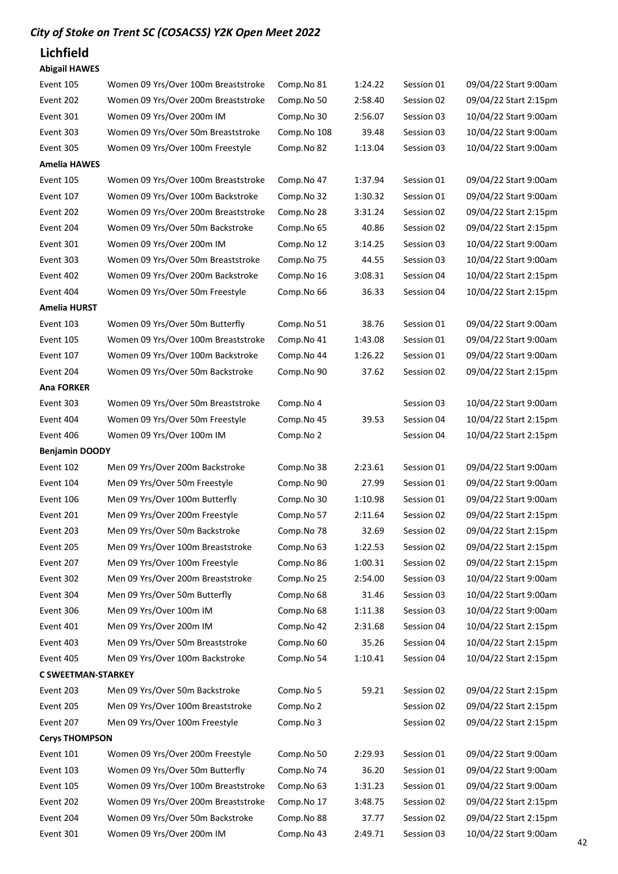### Lichfield

#### Abigail HAWES

| Event 105                 | Women 09 Yrs/Over 100m Breaststroke | Comp.No 81  | 1:24.22 | Session 01 | 09/04/22 Start 9:00am |
|---------------------------|-------------------------------------|-------------|---------|------------|-----------------------|
| Event 202                 | Women 09 Yrs/Over 200m Breaststroke | Comp.No 50  | 2:58.40 | Session 02 | 09/04/22 Start 2:15pm |
| Event 301                 | Women 09 Yrs/Over 200m IM           | Comp.No 30  | 2:56.07 | Session 03 | 10/04/22 Start 9:00am |
| Event 303                 | Women 09 Yrs/Over 50m Breaststroke  | Comp.No 108 | 39.48   | Session 03 | 10/04/22 Start 9:00am |
| Event 305                 | Women 09 Yrs/Over 100m Freestyle    | Comp.No 82  | 1:13.04 | Session 03 | 10/04/22 Start 9:00am |
| <b>Amelia HAWES</b>       |                                     |             |         |            |                       |
| Event 105                 | Women 09 Yrs/Over 100m Breaststroke | Comp.No 47  | 1:37.94 | Session 01 | 09/04/22 Start 9:00am |
| Event 107                 | Women 09 Yrs/Over 100m Backstroke   | Comp.No 32  | 1:30.32 | Session 01 | 09/04/22 Start 9:00am |
| Event 202                 | Women 09 Yrs/Over 200m Breaststroke | Comp.No 28  | 3:31.24 | Session 02 | 09/04/22 Start 2:15pm |
| Event 204                 | Women 09 Yrs/Over 50m Backstroke    | Comp.No 65  | 40.86   | Session 02 | 09/04/22 Start 2:15pm |
| Event 301                 | Women 09 Yrs/Over 200m IM           | Comp.No 12  | 3:14.25 | Session 03 | 10/04/22 Start 9:00am |
| Event 303                 | Women 09 Yrs/Over 50m Breaststroke  | Comp.No 75  | 44.55   | Session 03 | 10/04/22 Start 9:00am |
| Event 402                 | Women 09 Yrs/Over 200m Backstroke   | Comp.No 16  | 3:08.31 | Session 04 | 10/04/22 Start 2:15pm |
| Event 404                 | Women 09 Yrs/Over 50m Freestyle     | Comp.No 66  | 36.33   | Session 04 | 10/04/22 Start 2:15pm |
| <b>Amelia HURST</b>       |                                     |             |         |            |                       |
| Event 103                 | Women 09 Yrs/Over 50m Butterfly     | Comp.No 51  | 38.76   | Session 01 | 09/04/22 Start 9:00am |
| Event 105                 | Women 09 Yrs/Over 100m Breaststroke | Comp.No 41  | 1:43.08 | Session 01 | 09/04/22 Start 9:00am |
| Event 107                 | Women 09 Yrs/Over 100m Backstroke   | Comp.No 44  | 1:26.22 | Session 01 | 09/04/22 Start 9:00am |
| Event 204                 | Women 09 Yrs/Over 50m Backstroke    | Comp.No 90  | 37.62   | Session 02 | 09/04/22 Start 2:15pm |
| <b>Ana FORKER</b>         |                                     |             |         |            |                       |
| Event 303                 | Women 09 Yrs/Over 50m Breaststroke  | Comp.No 4   |         | Session 03 | 10/04/22 Start 9:00am |
| Event 404                 | Women 09 Yrs/Over 50m Freestyle     | Comp.No 45  | 39.53   | Session 04 | 10/04/22 Start 2:15pm |
| Event 406                 | Women 09 Yrs/Over 100m IM           | Comp.No 2   |         | Session 04 | 10/04/22 Start 2:15pm |
| <b>Benjamin DOODY</b>     |                                     |             |         |            |                       |
| Event 102                 | Men 09 Yrs/Over 200m Backstroke     | Comp.No 38  | 2:23.61 | Session 01 | 09/04/22 Start 9:00am |
| Event 104                 | Men 09 Yrs/Over 50m Freestyle       | Comp.No 90  | 27.99   | Session 01 | 09/04/22 Start 9:00am |
| Event 106                 | Men 09 Yrs/Over 100m Butterfly      | Comp.No 30  | 1:10.98 | Session 01 | 09/04/22 Start 9:00am |
| Event 201                 | Men 09 Yrs/Over 200m Freestyle      | Comp.No 57  | 2:11.64 | Session 02 | 09/04/22 Start 2:15pm |
| Event 203                 | Men 09 Yrs/Over 50m Backstroke      | Comp.No 78  | 32.69   | Session 02 | 09/04/22 Start 2:15pm |
| Event 205                 | Men 09 Yrs/Over 100m Breaststroke   | Comp.No 63  | 1:22.53 | Session 02 | 09/04/22 Start 2:15pm |
| Event 207                 | Men 09 Yrs/Over 100m Freestyle      | Comp.No 86  | 1:00.31 | Session 02 | 09/04/22 Start 2:15pm |
| Event 302                 | Men 09 Yrs/Over 200m Breaststroke   | Comp.No 25  | 2:54.00 | Session 03 | 10/04/22 Start 9:00am |
| Event 304                 | Men 09 Yrs/Over 50m Butterfly       | Comp.No 68  | 31.46   | Session 03 | 10/04/22 Start 9:00am |
| Event 306                 | Men 09 Yrs/Over 100m IM             | Comp.No 68  | 1:11.38 | Session 03 | 10/04/22 Start 9:00am |
| Event 401                 | Men 09 Yrs/Over 200m IM             | Comp.No 42  | 2:31.68 | Session 04 | 10/04/22 Start 2:15pm |
| Event 403                 | Men 09 Yrs/Over 50m Breaststroke    | Comp.No 60  | 35.26   | Session 04 | 10/04/22 Start 2:15pm |
| Event 405                 | Men 09 Yrs/Over 100m Backstroke     | Comp.No 54  | 1:10.41 | Session 04 | 10/04/22 Start 2:15pm |
| <b>C SWEETMAN-STARKEY</b> |                                     |             |         |            |                       |
| Event 203                 | Men 09 Yrs/Over 50m Backstroke      | Comp.No 5   | 59.21   | Session 02 | 09/04/22 Start 2:15pm |
| Event 205                 | Men 09 Yrs/Over 100m Breaststroke   | Comp.No 2   |         | Session 02 | 09/04/22 Start 2:15pm |
| Event 207                 | Men 09 Yrs/Over 100m Freestyle      | Comp.No 3   |         | Session 02 | 09/04/22 Start 2:15pm |
| <b>Cerys THOMPSON</b>     |                                     |             |         |            |                       |
| Event 101                 | Women 09 Yrs/Over 200m Freestyle    | Comp.No 50  | 2:29.93 | Session 01 | 09/04/22 Start 9:00am |
| Event 103                 | Women 09 Yrs/Over 50m Butterfly     | Comp.No 74  | 36.20   | Session 01 | 09/04/22 Start 9:00am |
| Event 105                 | Women 09 Yrs/Over 100m Breaststroke | Comp.No 63  | 1:31.23 | Session 01 | 09/04/22 Start 9:00am |
| Event 202                 | Women 09 Yrs/Over 200m Breaststroke | Comp.No 17  | 3:48.75 | Session 02 | 09/04/22 Start 2:15pm |
| Event 204                 | Women 09 Yrs/Over 50m Backstroke    | Comp.No 88  | 37.77   | Session 02 | 09/04/22 Start 2:15pm |
| Event 301                 | Women 09 Yrs/Over 200m IM           | Comp.No 43  | 2:49.71 | Session 03 | 10/04/22 Start 9:00am |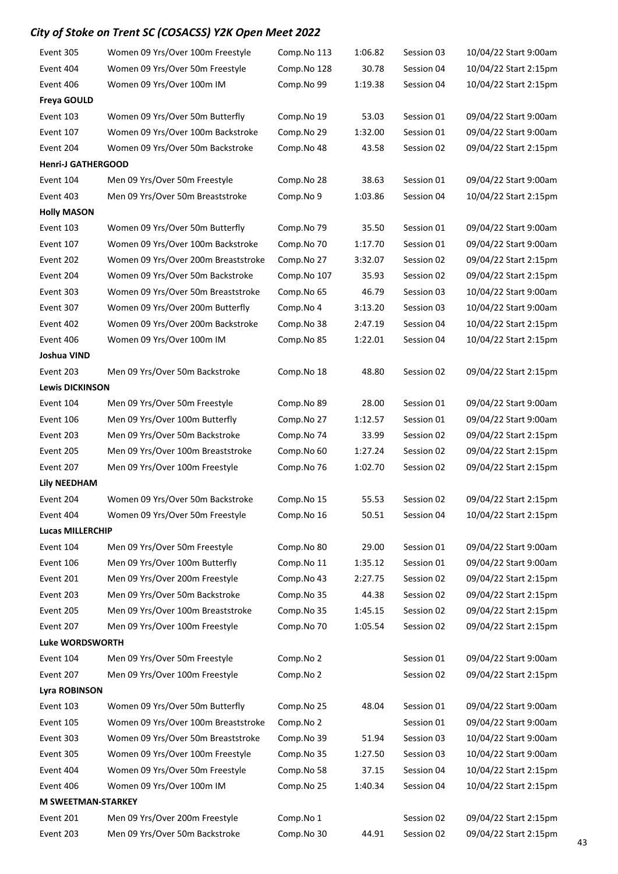| Event 305                 | Women 09 Yrs/Over 100m Freestyle    | Comp.No 113 | 1:06.82 | Session 03 | 10/04/22 Start 9:00am |
|---------------------------|-------------------------------------|-------------|---------|------------|-----------------------|
| Event 404                 | Women 09 Yrs/Over 50m Freestyle     | Comp.No 128 | 30.78   | Session 04 | 10/04/22 Start 2:15pm |
| Event 406                 | Women 09 Yrs/Over 100m IM           | Comp.No 99  | 1:19.38 | Session 04 | 10/04/22 Start 2:15pm |
| <b>Freya GOULD</b>        |                                     |             |         |            |                       |
| Event 103                 | Women 09 Yrs/Over 50m Butterfly     | Comp.No 19  | 53.03   | Session 01 | 09/04/22 Start 9:00am |
| Event 107                 | Women 09 Yrs/Over 100m Backstroke   | Comp.No 29  | 1:32.00 | Session 01 | 09/04/22 Start 9:00am |
| Event 204                 | Women 09 Yrs/Over 50m Backstroke    | Comp.No 48  | 43.58   | Session 02 | 09/04/22 Start 2:15pm |
| <b>Henri-J GATHERGOOD</b> |                                     |             |         |            |                       |
| Event 104                 | Men 09 Yrs/Over 50m Freestyle       | Comp.No 28  | 38.63   | Session 01 | 09/04/22 Start 9:00am |
| Event 403                 | Men 09 Yrs/Over 50m Breaststroke    | Comp.No 9   | 1:03.86 | Session 04 | 10/04/22 Start 2:15pm |
| <b>Holly MASON</b>        |                                     |             |         |            |                       |
| Event 103                 | Women 09 Yrs/Over 50m Butterfly     | Comp.No 79  | 35.50   | Session 01 | 09/04/22 Start 9:00am |
| Event 107                 | Women 09 Yrs/Over 100m Backstroke   | Comp.No 70  | 1:17.70 | Session 01 | 09/04/22 Start 9:00am |
| Event 202                 | Women 09 Yrs/Over 200m Breaststroke | Comp.No 27  | 3:32.07 | Session 02 | 09/04/22 Start 2:15pm |
| Event 204                 | Women 09 Yrs/Over 50m Backstroke    | Comp.No 107 | 35.93   | Session 02 | 09/04/22 Start 2:15pm |
| Event 303                 | Women 09 Yrs/Over 50m Breaststroke  | Comp.No 65  | 46.79   | Session 03 | 10/04/22 Start 9:00am |
| Event 307                 | Women 09 Yrs/Over 200m Butterfly    | Comp.No 4   | 3:13.20 | Session 03 | 10/04/22 Start 9:00am |
| Event 402                 | Women 09 Yrs/Over 200m Backstroke   | Comp.No 38  | 2:47.19 | Session 04 | 10/04/22 Start 2:15pm |
| Event 406                 | Women 09 Yrs/Over 100m IM           | Comp.No 85  | 1:22.01 | Session 04 | 10/04/22 Start 2:15pm |
| Joshua VIND               |                                     |             |         |            |                       |
| Event 203                 | Men 09 Yrs/Over 50m Backstroke      | Comp.No 18  | 48.80   | Session 02 | 09/04/22 Start 2:15pm |
| <b>Lewis DICKINSON</b>    |                                     |             |         |            |                       |
| Event 104                 | Men 09 Yrs/Over 50m Freestyle       | Comp.No 89  | 28.00   | Session 01 | 09/04/22 Start 9:00am |
| Event 106                 | Men 09 Yrs/Over 100m Butterfly      | Comp.No 27  | 1:12.57 | Session 01 | 09/04/22 Start 9:00am |
| Event 203                 | Men 09 Yrs/Over 50m Backstroke      | Comp.No 74  | 33.99   | Session 02 | 09/04/22 Start 2:15pm |
| Event 205                 | Men 09 Yrs/Over 100m Breaststroke   | Comp.No 60  | 1:27.24 | Session 02 | 09/04/22 Start 2:15pm |
| Event 207                 | Men 09 Yrs/Over 100m Freestyle      | Comp.No 76  | 1:02.70 | Session 02 | 09/04/22 Start 2:15pm |
| <b>Lily NEEDHAM</b>       |                                     |             |         |            |                       |
| Event 204                 | Women 09 Yrs/Over 50m Backstroke    | Comp.No 15  | 55.53   | Session 02 | 09/04/22 Start 2:15pm |
| Event 404                 | Women 09 Yrs/Over 50m Freestyle     | Comp.No 16  | 50.51   | Session 04 | 10/04/22 Start 2:15pm |
| <b>Lucas MILLERCHIP</b>   |                                     |             |         |            |                       |
| Event 104                 | Men 09 Yrs/Over 50m Freestyle       | Comp.No 80  | 29.00   | Session 01 | 09/04/22 Start 9:00am |
| Event 106                 | Men 09 Yrs/Over 100m Butterfly      | Comp.No 11  | 1:35.12 | Session 01 | 09/04/22 Start 9:00am |
| Event 201                 | Men 09 Yrs/Over 200m Freestyle      | Comp.No 43  | 2:27.75 | Session 02 | 09/04/22 Start 2:15pm |
| Event 203                 | Men 09 Yrs/Over 50m Backstroke      | Comp.No 35  | 44.38   | Session 02 | 09/04/22 Start 2:15pm |
| Event 205                 | Men 09 Yrs/Over 100m Breaststroke   | Comp.No 35  | 1:45.15 | Session 02 | 09/04/22 Start 2:15pm |
| Event 207                 | Men 09 Yrs/Over 100m Freestyle      | Comp.No 70  | 1:05.54 | Session 02 | 09/04/22 Start 2:15pm |
| <b>Luke WORDSWORTH</b>    |                                     |             |         |            |                       |
| Event 104                 | Men 09 Yrs/Over 50m Freestyle       | Comp.No 2   |         | Session 01 | 09/04/22 Start 9:00am |
| Event 207                 | Men 09 Yrs/Over 100m Freestyle      | Comp.No 2   |         | Session 02 | 09/04/22 Start 2:15pm |
| Lyra ROBINSON             |                                     |             |         |            |                       |
| Event 103                 | Women 09 Yrs/Over 50m Butterfly     | Comp.No 25  | 48.04   | Session 01 | 09/04/22 Start 9:00am |
| Event 105                 | Women 09 Yrs/Over 100m Breaststroke | Comp.No 2   |         | Session 01 | 09/04/22 Start 9:00am |
| Event 303                 | Women 09 Yrs/Over 50m Breaststroke  | Comp.No 39  | 51.94   | Session 03 | 10/04/22 Start 9:00am |
| Event 305                 | Women 09 Yrs/Over 100m Freestyle    | Comp.No 35  | 1:27.50 | Session 03 | 10/04/22 Start 9:00am |
| Event 404                 | Women 09 Yrs/Over 50m Freestyle     | Comp.No 58  | 37.15   | Session 04 | 10/04/22 Start 2:15pm |
| Event 406                 | Women 09 Yrs/Over 100m IM           | Comp.No 25  | 1:40.34 | Session 04 | 10/04/22 Start 2:15pm |
| <b>M SWEETMAN-STARKEY</b> |                                     |             |         |            |                       |
| Event 201                 | Men 09 Yrs/Over 200m Freestyle      | Comp.No 1   |         | Session 02 | 09/04/22 Start 2:15pm |
| Event 203                 | Men 09 Yrs/Over 50m Backstroke      | Comp.No 30  | 44.91   | Session 02 | 09/04/22 Start 2:15pm |
|                           |                                     |             |         |            |                       |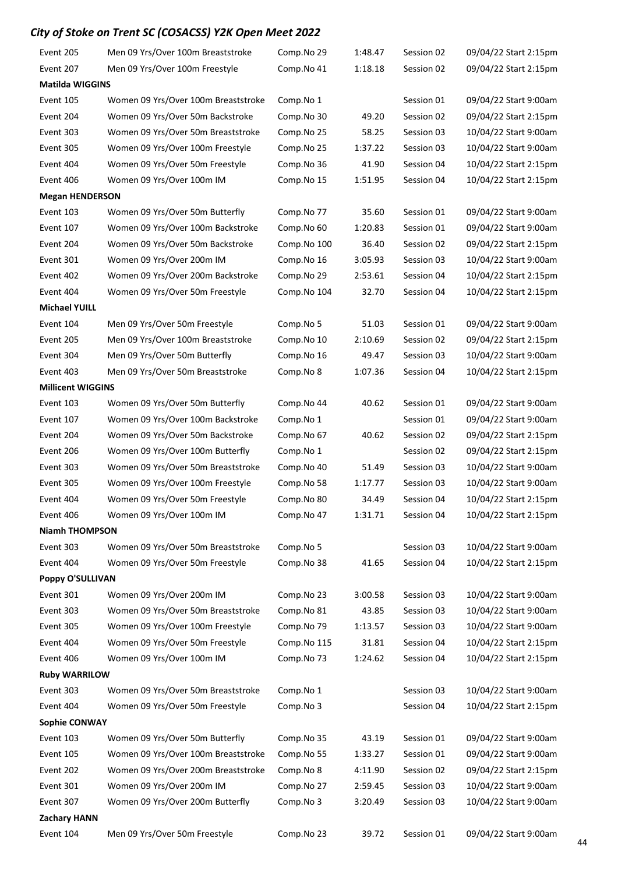| Event 205                | Men 09 Yrs/Over 100m Breaststroke   | Comp.No 29  | 1:48.47 | Session 02 | 09/04/22 Start 2:15pm |  |  |  |
|--------------------------|-------------------------------------|-------------|---------|------------|-----------------------|--|--|--|
| Event 207                | Men 09 Yrs/Over 100m Freestyle      | Comp.No 41  | 1:18.18 | Session 02 | 09/04/22 Start 2:15pm |  |  |  |
| <b>Matilda WIGGINS</b>   |                                     |             |         |            |                       |  |  |  |
| Event 105                | Women 09 Yrs/Over 100m Breaststroke | Comp.No 1   |         | Session 01 | 09/04/22 Start 9:00am |  |  |  |
| Event 204                | Women 09 Yrs/Over 50m Backstroke    | Comp.No 30  | 49.20   | Session 02 | 09/04/22 Start 2:15pm |  |  |  |
| Event 303                | Women 09 Yrs/Over 50m Breaststroke  | Comp.No 25  | 58.25   | Session 03 | 10/04/22 Start 9:00am |  |  |  |
| Event 305                | Women 09 Yrs/Over 100m Freestyle    | Comp.No 25  | 1:37.22 | Session 03 | 10/04/22 Start 9:00am |  |  |  |
| Event 404                | Women 09 Yrs/Over 50m Freestyle     | Comp.No 36  | 41.90   | Session 04 | 10/04/22 Start 2:15pm |  |  |  |
| Event 406                | Women 09 Yrs/Over 100m IM           | Comp.No 15  | 1:51.95 | Session 04 | 10/04/22 Start 2:15pm |  |  |  |
| <b>Megan HENDERSON</b>   |                                     |             |         |            |                       |  |  |  |
| Event 103                | Women 09 Yrs/Over 50m Butterfly     | Comp.No 77  | 35.60   | Session 01 | 09/04/22 Start 9:00am |  |  |  |
| Event 107                | Women 09 Yrs/Over 100m Backstroke   | Comp.No 60  | 1:20.83 | Session 01 | 09/04/22 Start 9:00am |  |  |  |
| Event 204                | Women 09 Yrs/Over 50m Backstroke    | Comp.No 100 | 36.40   | Session 02 | 09/04/22 Start 2:15pm |  |  |  |
| Event 301                | Women 09 Yrs/Over 200m IM           | Comp.No 16  | 3:05.93 | Session 03 | 10/04/22 Start 9:00am |  |  |  |
| Event 402                | Women 09 Yrs/Over 200m Backstroke   | Comp.No 29  | 2:53.61 | Session 04 | 10/04/22 Start 2:15pm |  |  |  |
| Event 404                | Women 09 Yrs/Over 50m Freestyle     | Comp.No 104 | 32.70   | Session 04 | 10/04/22 Start 2:15pm |  |  |  |
| <b>Michael YUILL</b>     |                                     |             |         |            |                       |  |  |  |
| Event 104                | Men 09 Yrs/Over 50m Freestyle       | Comp.No 5   | 51.03   | Session 01 | 09/04/22 Start 9:00am |  |  |  |
| Event 205                | Men 09 Yrs/Over 100m Breaststroke   | Comp.No 10  | 2:10.69 | Session 02 | 09/04/22 Start 2:15pm |  |  |  |
| Event 304                | Men 09 Yrs/Over 50m Butterfly       | Comp.No 16  | 49.47   | Session 03 | 10/04/22 Start 9:00am |  |  |  |
| Event 403                | Men 09 Yrs/Over 50m Breaststroke    | Comp.No 8   | 1:07.36 | Session 04 | 10/04/22 Start 2:15pm |  |  |  |
| <b>Millicent WIGGINS</b> |                                     |             |         |            |                       |  |  |  |
| Event 103                | Women 09 Yrs/Over 50m Butterfly     | Comp.No 44  | 40.62   | Session 01 | 09/04/22 Start 9:00am |  |  |  |
| Event 107                | Women 09 Yrs/Over 100m Backstroke   | Comp.No 1   |         | Session 01 | 09/04/22 Start 9:00am |  |  |  |
| Event 204                | Women 09 Yrs/Over 50m Backstroke    | Comp.No 67  | 40.62   | Session 02 | 09/04/22 Start 2:15pm |  |  |  |
| Event 206                | Women 09 Yrs/Over 100m Butterfly    | Comp.No 1   |         | Session 02 | 09/04/22 Start 2:15pm |  |  |  |
| Event 303                | Women 09 Yrs/Over 50m Breaststroke  | Comp.No 40  | 51.49   | Session 03 | 10/04/22 Start 9:00am |  |  |  |
| Event 305                | Women 09 Yrs/Over 100m Freestyle    | Comp.No 58  | 1:17.77 | Session 03 | 10/04/22 Start 9:00am |  |  |  |
| Event 404                | Women 09 Yrs/Over 50m Freestyle     | Comp.No 80  | 34.49   | Session 04 | 10/04/22 Start 2:15pm |  |  |  |
| Event 406                | Women 09 Yrs/Over 100m IM           | Comp.No 47  | 1:31.71 | Session 04 | 10/04/22 Start 2:15pm |  |  |  |
| <b>Niamh THOMPSON</b>    |                                     |             |         |            |                       |  |  |  |
| Event 303                | Women 09 Yrs/Over 50m Breaststroke  | Comp.No 5   |         | Session 03 | 10/04/22 Start 9:00am |  |  |  |
| Event 404                | Women 09 Yrs/Over 50m Freestyle     | Comp.No 38  | 41.65   | Session 04 | 10/04/22 Start 2:15pm |  |  |  |
| Poppy O'SULLIVAN         |                                     |             |         |            |                       |  |  |  |
| Event 301                | Women 09 Yrs/Over 200m IM           | Comp.No 23  | 3:00.58 | Session 03 | 10/04/22 Start 9:00am |  |  |  |
| Event 303                | Women 09 Yrs/Over 50m Breaststroke  | Comp.No 81  | 43.85   | Session 03 | 10/04/22 Start 9:00am |  |  |  |
| Event 305                | Women 09 Yrs/Over 100m Freestyle    | Comp.No 79  | 1:13.57 | Session 03 | 10/04/22 Start 9:00am |  |  |  |
| Event 404                | Women 09 Yrs/Over 50m Freestyle     | Comp.No 115 | 31.81   | Session 04 | 10/04/22 Start 2:15pm |  |  |  |
| Event 406                | Women 09 Yrs/Over 100m IM           | Comp.No 73  | 1:24.62 | Session 04 | 10/04/22 Start 2:15pm |  |  |  |
| <b>Ruby WARRILOW</b>     |                                     |             |         |            |                       |  |  |  |
| Event 303                | Women 09 Yrs/Over 50m Breaststroke  | Comp.No 1   |         | Session 03 | 10/04/22 Start 9:00am |  |  |  |
| Event 404                | Women 09 Yrs/Over 50m Freestyle     | Comp.No 3   |         | Session 04 | 10/04/22 Start 2:15pm |  |  |  |
| <b>Sophie CONWAY</b>     |                                     |             |         |            |                       |  |  |  |
| Event 103                | Women 09 Yrs/Over 50m Butterfly     | Comp.No 35  | 43.19   | Session 01 | 09/04/22 Start 9:00am |  |  |  |
| Event 105                | Women 09 Yrs/Over 100m Breaststroke | Comp.No 55  | 1:33.27 | Session 01 | 09/04/22 Start 9:00am |  |  |  |
| Event 202                | Women 09 Yrs/Over 200m Breaststroke | Comp.No 8   | 4:11.90 | Session 02 | 09/04/22 Start 2:15pm |  |  |  |
| Event 301                | Women 09 Yrs/Over 200m IM           | Comp.No 27  | 2:59.45 | Session 03 | 10/04/22 Start 9:00am |  |  |  |
| Event 307                | Women 09 Yrs/Over 200m Butterfly    | Comp.No 3   | 3:20.49 | Session 03 | 10/04/22 Start 9:00am |  |  |  |
| <b>Zachary HANN</b>      |                                     |             |         |            |                       |  |  |  |
| Event 104                | Men 09 Yrs/Over 50m Freestyle       | Comp.No 23  | 39.72   | Session 01 | 09/04/22 Start 9:00am |  |  |  |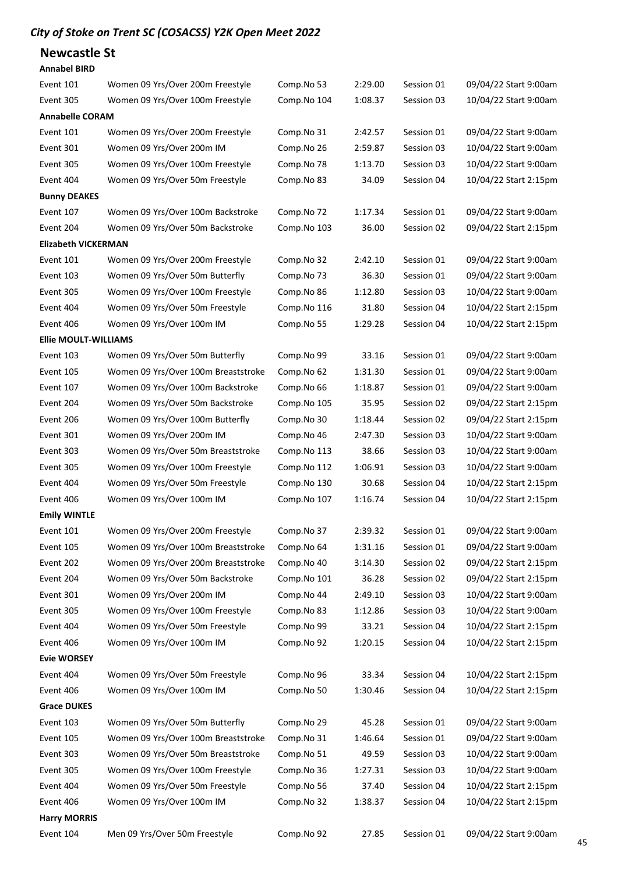### Newcastle St

| <b>Annabel BIRD</b>        |                                     |             |         |            |                       |  |  |  |
|----------------------------|-------------------------------------|-------------|---------|------------|-----------------------|--|--|--|
| Event 101                  | Women 09 Yrs/Over 200m Freestyle    | Comp.No 53  | 2:29.00 | Session 01 | 09/04/22 Start 9:00am |  |  |  |
| Event 305                  | Women 09 Yrs/Over 100m Freestyle    | Comp.No 104 | 1:08.37 | Session 03 | 10/04/22 Start 9:00am |  |  |  |
| <b>Annabelle CORAM</b>     |                                     |             |         |            |                       |  |  |  |
| Event 101                  | Women 09 Yrs/Over 200m Freestyle    | Comp.No 31  | 2:42.57 | Session 01 | 09/04/22 Start 9:00am |  |  |  |
| Event 301                  | Women 09 Yrs/Over 200m IM           | Comp.No 26  | 2:59.87 | Session 03 | 10/04/22 Start 9:00am |  |  |  |
| Event 305                  | Women 09 Yrs/Over 100m Freestyle    | Comp.No 78  | 1:13.70 | Session 03 | 10/04/22 Start 9:00am |  |  |  |
| Event 404                  | Women 09 Yrs/Over 50m Freestyle     | Comp.No 83  | 34.09   | Session 04 | 10/04/22 Start 2:15pm |  |  |  |
| <b>Bunny DEAKES</b>        |                                     |             |         |            |                       |  |  |  |
| Event 107                  | Women 09 Yrs/Over 100m Backstroke   | Comp.No 72  | 1:17.34 | Session 01 | 09/04/22 Start 9:00am |  |  |  |
| Event 204                  | Women 09 Yrs/Over 50m Backstroke    | Comp.No 103 | 36.00   | Session 02 | 09/04/22 Start 2:15pm |  |  |  |
| <b>Elizabeth VICKERMAN</b> |                                     |             |         |            |                       |  |  |  |
| Event 101                  | Women 09 Yrs/Over 200m Freestyle    | Comp.No 32  | 2:42.10 | Session 01 | 09/04/22 Start 9:00am |  |  |  |
| Event 103                  | Women 09 Yrs/Over 50m Butterfly     | Comp.No 73  | 36.30   | Session 01 | 09/04/22 Start 9:00am |  |  |  |
| Event 305                  | Women 09 Yrs/Over 100m Freestyle    | Comp.No 86  | 1:12.80 | Session 03 | 10/04/22 Start 9:00am |  |  |  |
| Event 404                  | Women 09 Yrs/Over 50m Freestyle     | Comp.No 116 | 31.80   | Session 04 | 10/04/22 Start 2:15pm |  |  |  |
| Event 406                  | Women 09 Yrs/Over 100m IM           | Comp.No 55  | 1:29.28 | Session 04 | 10/04/22 Start 2:15pm |  |  |  |
| Ellie MOULT-WILLIAMS       |                                     |             |         |            |                       |  |  |  |
| Event 103                  | Women 09 Yrs/Over 50m Butterfly     | Comp.No 99  | 33.16   | Session 01 | 09/04/22 Start 9:00am |  |  |  |
| Event 105                  | Women 09 Yrs/Over 100m Breaststroke | Comp.No 62  | 1:31.30 | Session 01 | 09/04/22 Start 9:00am |  |  |  |
| Event 107                  | Women 09 Yrs/Over 100m Backstroke   | Comp.No 66  | 1:18.87 | Session 01 | 09/04/22 Start 9:00am |  |  |  |
| Event 204                  | Women 09 Yrs/Over 50m Backstroke    | Comp.No 105 | 35.95   | Session 02 | 09/04/22 Start 2:15pm |  |  |  |
| Event 206                  | Women 09 Yrs/Over 100m Butterfly    | Comp.No 30  | 1:18.44 | Session 02 | 09/04/22 Start 2:15pm |  |  |  |
| Event 301                  | Women 09 Yrs/Over 200m IM           | Comp.No 46  | 2:47.30 | Session 03 | 10/04/22 Start 9:00am |  |  |  |
| Event 303                  | Women 09 Yrs/Over 50m Breaststroke  | Comp.No 113 | 38.66   | Session 03 | 10/04/22 Start 9:00am |  |  |  |
| Event 305                  | Women 09 Yrs/Over 100m Freestyle    | Comp.No 112 | 1:06.91 | Session 03 | 10/04/22 Start 9:00am |  |  |  |
| Event 404                  | Women 09 Yrs/Over 50m Freestyle     | Comp.No 130 | 30.68   | Session 04 | 10/04/22 Start 2:15pm |  |  |  |
| Event 406                  | Women 09 Yrs/Over 100m IM           | Comp.No 107 | 1:16.74 | Session 04 | 10/04/22 Start 2:15pm |  |  |  |
| <b>Emily WINTLE</b>        |                                     |             |         |            |                       |  |  |  |
| Event 101                  | Women 09 Yrs/Over 200m Freestyle    | Comp.No 37  | 2:39.32 | Session 01 | 09/04/22 Start 9:00am |  |  |  |
| Event 105                  | Women 09 Yrs/Over 100m Breaststroke | Comp.No 64  | 1:31.16 | Session 01 | 09/04/22 Start 9:00am |  |  |  |
| Event 202                  | Women 09 Yrs/Over 200m Breaststroke | Comp.No 40  | 3:14.30 | Session 02 | 09/04/22 Start 2:15pm |  |  |  |
| Event 204                  | Women 09 Yrs/Over 50m Backstroke    | Comp.No 101 | 36.28   | Session 02 | 09/04/22 Start 2:15pm |  |  |  |
| Event 301                  | Women 09 Yrs/Over 200m IM           | Comp.No 44  | 2:49.10 | Session 03 | 10/04/22 Start 9:00am |  |  |  |
| Event 305                  | Women 09 Yrs/Over 100m Freestyle    | Comp.No 83  | 1:12.86 | Session 03 | 10/04/22 Start 9:00am |  |  |  |
| Event 404                  | Women 09 Yrs/Over 50m Freestyle     | Comp.No 99  | 33.21   | Session 04 | 10/04/22 Start 2:15pm |  |  |  |
| Event 406                  | Women 09 Yrs/Over 100m IM           | Comp.No 92  | 1:20.15 | Session 04 | 10/04/22 Start 2:15pm |  |  |  |
| <b>Evie WORSEY</b>         |                                     |             |         |            |                       |  |  |  |
| Event 404                  | Women 09 Yrs/Over 50m Freestyle     | Comp.No 96  | 33.34   | Session 04 | 10/04/22 Start 2:15pm |  |  |  |
| Event 406                  | Women 09 Yrs/Over 100m IM           | Comp.No 50  | 1:30.46 | Session 04 | 10/04/22 Start 2:15pm |  |  |  |
| <b>Grace DUKES</b>         |                                     |             |         |            |                       |  |  |  |
| Event 103                  | Women 09 Yrs/Over 50m Butterfly     | Comp.No 29  | 45.28   | Session 01 | 09/04/22 Start 9:00am |  |  |  |
| Event 105                  | Women 09 Yrs/Over 100m Breaststroke | Comp.No 31  | 1:46.64 | Session 01 | 09/04/22 Start 9:00am |  |  |  |
| Event 303                  | Women 09 Yrs/Over 50m Breaststroke  | Comp.No 51  | 49.59   | Session 03 | 10/04/22 Start 9:00am |  |  |  |
| Event 305                  | Women 09 Yrs/Over 100m Freestyle    | Comp.No 36  | 1:27.31 | Session 03 | 10/04/22 Start 9:00am |  |  |  |
| Event 404                  | Women 09 Yrs/Over 50m Freestyle     | Comp.No 56  | 37.40   | Session 04 | 10/04/22 Start 2:15pm |  |  |  |
| Event 406                  | Women 09 Yrs/Over 100m IM           | Comp.No 32  | 1:38.37 | Session 04 | 10/04/22 Start 2:15pm |  |  |  |
| <b>Harry MORRIS</b>        |                                     |             |         |            |                       |  |  |  |
| Event 104                  | Men 09 Yrs/Over 50m Freestyle       | Comp.No 92  | 27.85   | Session 01 | 09/04/22 Start 9:00am |  |  |  |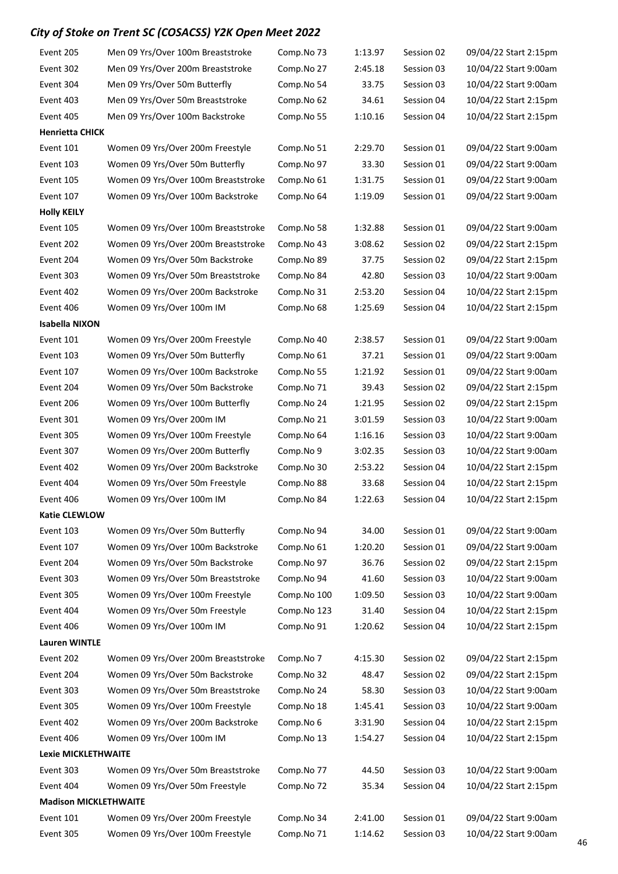| Event 205                    | Men 09 Yrs/Over 100m Breaststroke   | Comp.No 73  | 1:13.97 | Session 02 | 09/04/22 Start 2:15pm |
|------------------------------|-------------------------------------|-------------|---------|------------|-----------------------|
| Event 302                    | Men 09 Yrs/Over 200m Breaststroke   | Comp.No 27  | 2:45.18 | Session 03 | 10/04/22 Start 9:00am |
| Event 304                    | Men 09 Yrs/Over 50m Butterfly       | Comp.No 54  | 33.75   | Session 03 | 10/04/22 Start 9:00am |
| Event 403                    | Men 09 Yrs/Over 50m Breaststroke    | Comp.No 62  | 34.61   | Session 04 | 10/04/22 Start 2:15pm |
| Event 405                    | Men 09 Yrs/Over 100m Backstroke     | Comp.No 55  | 1:10.16 | Session 04 | 10/04/22 Start 2:15pm |
| <b>Henrietta CHICK</b>       |                                     |             |         |            |                       |
| Event 101                    | Women 09 Yrs/Over 200m Freestyle    | Comp.No 51  | 2:29.70 | Session 01 | 09/04/22 Start 9:00am |
| Event 103                    | Women 09 Yrs/Over 50m Butterfly     | Comp.No 97  | 33.30   | Session 01 | 09/04/22 Start 9:00am |
| Event 105                    | Women 09 Yrs/Over 100m Breaststroke | Comp.No 61  | 1:31.75 | Session 01 | 09/04/22 Start 9:00am |
| Event 107                    | Women 09 Yrs/Over 100m Backstroke   | Comp.No 64  | 1:19.09 | Session 01 | 09/04/22 Start 9:00am |
| <b>Holly KEILY</b>           |                                     |             |         |            |                       |
| Event 105                    | Women 09 Yrs/Over 100m Breaststroke | Comp.No 58  | 1:32.88 | Session 01 | 09/04/22 Start 9:00am |
| Event 202                    | Women 09 Yrs/Over 200m Breaststroke | Comp.No 43  | 3:08.62 | Session 02 | 09/04/22 Start 2:15pm |
| Event 204                    | Women 09 Yrs/Over 50m Backstroke    | Comp.No 89  | 37.75   | Session 02 | 09/04/22 Start 2:15pm |
| Event 303                    | Women 09 Yrs/Over 50m Breaststroke  | Comp.No 84  | 42.80   | Session 03 | 10/04/22 Start 9:00am |
| Event 402                    | Women 09 Yrs/Over 200m Backstroke   | Comp.No 31  | 2:53.20 | Session 04 | 10/04/22 Start 2:15pm |
| Event 406                    | Women 09 Yrs/Over 100m IM           | Comp.No 68  | 1:25.69 | Session 04 | 10/04/22 Start 2:15pm |
| <b>Isabella NIXON</b>        |                                     |             |         |            |                       |
| Event 101                    | Women 09 Yrs/Over 200m Freestyle    | Comp.No 40  | 2:38.57 | Session 01 | 09/04/22 Start 9:00am |
| Event 103                    | Women 09 Yrs/Over 50m Butterfly     | Comp.No 61  | 37.21   | Session 01 | 09/04/22 Start 9:00am |
| Event 107                    | Women 09 Yrs/Over 100m Backstroke   | Comp.No 55  | 1:21.92 | Session 01 | 09/04/22 Start 9:00am |
| Event 204                    | Women 09 Yrs/Over 50m Backstroke    | Comp.No 71  | 39.43   | Session 02 | 09/04/22 Start 2:15pm |
| Event 206                    | Women 09 Yrs/Over 100m Butterfly    | Comp.No 24  | 1:21.95 | Session 02 | 09/04/22 Start 2:15pm |
| Event 301                    | Women 09 Yrs/Over 200m IM           | Comp.No 21  | 3:01.59 | Session 03 | 10/04/22 Start 9:00am |
| Event 305                    | Women 09 Yrs/Over 100m Freestyle    | Comp.No 64  | 1:16.16 | Session 03 | 10/04/22 Start 9:00am |
| Event 307                    | Women 09 Yrs/Over 200m Butterfly    | Comp.No 9   | 3:02.35 | Session 03 | 10/04/22 Start 9:00am |
| Event 402                    | Women 09 Yrs/Over 200m Backstroke   | Comp.No 30  | 2:53.22 | Session 04 | 10/04/22 Start 2:15pm |
| Event 404                    | Women 09 Yrs/Over 50m Freestyle     | Comp.No 88  | 33.68   | Session 04 | 10/04/22 Start 2:15pm |
| Event 406                    | Women 09 Yrs/Over 100m IM           | Comp.No 84  | 1:22.63 | Session 04 | 10/04/22 Start 2:15pm |
| <b>Katie CLEWLOW</b>         |                                     |             |         |            |                       |
| Event 103                    | Women 09 Yrs/Over 50m Butterfly     | Comp.No 94  | 34.00   | Session 01 | 09/04/22 Start 9:00am |
| Event 107                    | Women 09 Yrs/Over 100m Backstroke   | Comp.No 61  | 1:20.20 | Session 01 | 09/04/22 Start 9:00am |
| Event 204                    | Women 09 Yrs/Over 50m Backstroke    | Comp.No 97  | 36.76   | Session 02 | 09/04/22 Start 2:15pm |
| Event 303                    | Women 09 Yrs/Over 50m Breaststroke  | Comp.No 94  | 41.60   | Session 03 | 10/04/22 Start 9:00am |
| Event 305                    | Women 09 Yrs/Over 100m Freestyle    | Comp.No 100 | 1:09.50 | Session 03 | 10/04/22 Start 9:00am |
| Event 404                    | Women 09 Yrs/Over 50m Freestyle     | Comp.No 123 | 31.40   | Session 04 | 10/04/22 Start 2:15pm |
| Event 406                    | Women 09 Yrs/Over 100m IM           | Comp.No 91  | 1:20.62 | Session 04 | 10/04/22 Start 2:15pm |
| <b>Lauren WINTLE</b>         |                                     |             |         |            |                       |
| Event 202                    | Women 09 Yrs/Over 200m Breaststroke | Comp.No 7   | 4:15.30 | Session 02 | 09/04/22 Start 2:15pm |
| Event 204                    | Women 09 Yrs/Over 50m Backstroke    | Comp.No 32  | 48.47   | Session 02 | 09/04/22 Start 2:15pm |
| Event 303                    | Women 09 Yrs/Over 50m Breaststroke  | Comp.No 24  | 58.30   | Session 03 | 10/04/22 Start 9:00am |
| Event 305                    | Women 09 Yrs/Over 100m Freestyle    | Comp.No 18  | 1:45.41 | Session 03 | 10/04/22 Start 9:00am |
| Event 402                    | Women 09 Yrs/Over 200m Backstroke   | Comp.No 6   | 3:31.90 | Session 04 | 10/04/22 Start 2:15pm |
| Event 406                    | Women 09 Yrs/Over 100m IM           | Comp.No 13  | 1:54.27 | Session 04 | 10/04/22 Start 2:15pm |
| <b>Lexie MICKLETHWAITE</b>   |                                     |             |         |            |                       |
| Event 303                    | Women 09 Yrs/Over 50m Breaststroke  | Comp.No 77  | 44.50   | Session 03 | 10/04/22 Start 9:00am |
| Event 404                    | Women 09 Yrs/Over 50m Freestyle     | Comp.No 72  | 35.34   | Session 04 | 10/04/22 Start 2:15pm |
| <b>Madison MICKLETHWAITE</b> |                                     |             |         |            |                       |
| Event 101                    | Women 09 Yrs/Over 200m Freestyle    | Comp.No 34  | 2:41.00 | Session 01 | 09/04/22 Start 9:00am |
| Event 305                    | Women 09 Yrs/Over 100m Freestyle    | Comp.No 71  | 1:14.62 | Session 03 | 10/04/22 Start 9:00am |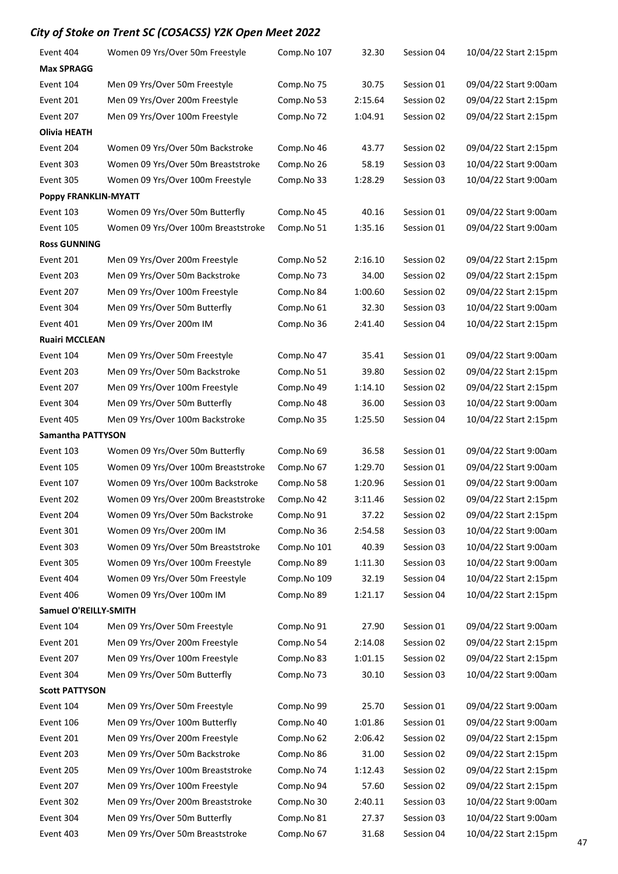| Event 404                   | Women 09 Yrs/Over 50m Freestyle     | Comp.No 107 | 32.30   | Session 04 | 10/04/22 Start 2:15pm |
|-----------------------------|-------------------------------------|-------------|---------|------------|-----------------------|
| <b>Max SPRAGG</b>           |                                     |             |         |            |                       |
| Event 104                   | Men 09 Yrs/Over 50m Freestyle       | Comp.No 75  | 30.75   | Session 01 | 09/04/22 Start 9:00am |
| Event 201                   | Men 09 Yrs/Over 200m Freestyle      | Comp.No 53  | 2:15.64 | Session 02 | 09/04/22 Start 2:15pm |
| Event 207                   | Men 09 Yrs/Over 100m Freestyle      | Comp.No 72  | 1:04.91 | Session 02 | 09/04/22 Start 2:15pm |
| Olivia HEATH                |                                     |             |         |            |                       |
| Event 204                   | Women 09 Yrs/Over 50m Backstroke    | Comp.No 46  | 43.77   | Session 02 | 09/04/22 Start 2:15pm |
| Event 303                   | Women 09 Yrs/Over 50m Breaststroke  | Comp.No 26  | 58.19   | Session 03 | 10/04/22 Start 9:00am |
| Event 305                   | Women 09 Yrs/Over 100m Freestyle    | Comp.No 33  | 1:28.29 | Session 03 | 10/04/22 Start 9:00am |
| <b>Poppy FRANKLIN-MYATT</b> |                                     |             |         |            |                       |
| Event 103                   | Women 09 Yrs/Over 50m Butterfly     | Comp.No 45  | 40.16   | Session 01 | 09/04/22 Start 9:00am |
| Event 105                   | Women 09 Yrs/Over 100m Breaststroke | Comp.No 51  | 1:35.16 | Session 01 | 09/04/22 Start 9:00am |
| <b>Ross GUNNING</b>         |                                     |             |         |            |                       |
| Event 201                   | Men 09 Yrs/Over 200m Freestyle      | Comp.No 52  | 2:16.10 | Session 02 | 09/04/22 Start 2:15pm |
| Event 203                   | Men 09 Yrs/Over 50m Backstroke      | Comp.No 73  | 34.00   | Session 02 | 09/04/22 Start 2:15pm |
| Event 207                   | Men 09 Yrs/Over 100m Freestyle      | Comp.No 84  | 1:00.60 | Session 02 | 09/04/22 Start 2:15pm |
| Event 304                   | Men 09 Yrs/Over 50m Butterfly       | Comp.No 61  | 32.30   | Session 03 | 10/04/22 Start 9:00am |
| Event 401                   | Men 09 Yrs/Over 200m IM             | Comp.No 36  | 2:41.40 | Session 04 | 10/04/22 Start 2:15pm |
| <b>Ruairi MCCLEAN</b>       |                                     |             |         |            |                       |
| Event 104                   | Men 09 Yrs/Over 50m Freestyle       | Comp.No 47  | 35.41   | Session 01 | 09/04/22 Start 9:00am |
| Event 203                   | Men 09 Yrs/Over 50m Backstroke      | Comp.No 51  | 39.80   | Session 02 | 09/04/22 Start 2:15pm |
| Event 207                   | Men 09 Yrs/Over 100m Freestyle      | Comp.No 49  | 1:14.10 | Session 02 | 09/04/22 Start 2:15pm |
| Event 304                   | Men 09 Yrs/Over 50m Butterfly       | Comp.No 48  | 36.00   | Session 03 | 10/04/22 Start 9:00am |
| Event 405                   | Men 09 Yrs/Over 100m Backstroke     | Comp.No 35  | 1:25.50 | Session 04 | 10/04/22 Start 2:15pm |
| <b>Samantha PATTYSON</b>    |                                     |             |         |            |                       |
| Event 103                   | Women 09 Yrs/Over 50m Butterfly     | Comp.No 69  | 36.58   | Session 01 | 09/04/22 Start 9:00am |
| Event 105                   | Women 09 Yrs/Over 100m Breaststroke | Comp.No 67  | 1:29.70 | Session 01 | 09/04/22 Start 9:00am |
| Event 107                   | Women 09 Yrs/Over 100m Backstroke   | Comp.No 58  | 1:20.96 | Session 01 | 09/04/22 Start 9:00am |
| Event 202                   | Women 09 Yrs/Over 200m Breaststroke | Comp.No 42  | 3:11.46 | Session 02 | 09/04/22 Start 2:15pm |
| Event 204                   | Women 09 Yrs/Over 50m Backstroke    | Comp.No 91  | 37.22   | Session 02 | 09/04/22 Start 2:15pm |
| Event 301                   | Women 09 Yrs/Over 200m IM           | Comp.No 36  | 2:54.58 | Session 03 | 10/04/22 Start 9:00am |
| Event 303                   | Women 09 Yrs/Over 50m Breaststroke  | Comp.No 101 | 40.39   | Session 03 | 10/04/22 Start 9:00am |
| Event 305                   | Women 09 Yrs/Over 100m Freestyle    | Comp.No 89  | 1:11.30 | Session 03 | 10/04/22 Start 9:00am |
| Event 404                   | Women 09 Yrs/Over 50m Freestyle     | Comp.No 109 | 32.19   | Session 04 | 10/04/22 Start 2:15pm |
| Event 406                   | Women 09 Yrs/Over 100m IM           | Comp.No 89  | 1:21.17 | Session 04 | 10/04/22 Start 2:15pm |
| Samuel O'REILLY-SMITH       |                                     |             |         |            |                       |
| Event 104                   | Men 09 Yrs/Over 50m Freestyle       | Comp.No 91  | 27.90   | Session 01 | 09/04/22 Start 9:00am |
| Event 201                   | Men 09 Yrs/Over 200m Freestyle      | Comp.No 54  | 2:14.08 | Session 02 | 09/04/22 Start 2:15pm |
| Event 207                   | Men 09 Yrs/Over 100m Freestyle      | Comp.No 83  | 1:01.15 | Session 02 | 09/04/22 Start 2:15pm |
| Event 304                   | Men 09 Yrs/Over 50m Butterfly       | Comp.No 73  | 30.10   | Session 03 | 10/04/22 Start 9:00am |
| <b>Scott PATTYSON</b>       |                                     |             |         |            |                       |
| Event 104                   | Men 09 Yrs/Over 50m Freestyle       | Comp.No 99  | 25.70   | Session 01 | 09/04/22 Start 9:00am |
| Event 106                   | Men 09 Yrs/Over 100m Butterfly      | Comp.No 40  | 1:01.86 | Session 01 | 09/04/22 Start 9:00am |
| Event 201                   | Men 09 Yrs/Over 200m Freestyle      | Comp.No 62  | 2:06.42 | Session 02 | 09/04/22 Start 2:15pm |
| Event 203                   | Men 09 Yrs/Over 50m Backstroke      | Comp.No 86  | 31.00   | Session 02 | 09/04/22 Start 2:15pm |
| Event 205                   | Men 09 Yrs/Over 100m Breaststroke   | Comp.No 74  | 1:12.43 | Session 02 | 09/04/22 Start 2:15pm |
| Event 207                   | Men 09 Yrs/Over 100m Freestyle      | Comp.No 94  | 57.60   | Session 02 | 09/04/22 Start 2:15pm |
| Event 302                   | Men 09 Yrs/Over 200m Breaststroke   | Comp.No 30  | 2:40.11 | Session 03 | 10/04/22 Start 9:00am |
| Event 304                   | Men 09 Yrs/Over 50m Butterfly       | Comp.No 81  | 27.37   | Session 03 | 10/04/22 Start 9:00am |
| Event 403                   | Men 09 Yrs/Over 50m Breaststroke    | Comp.No 67  | 31.68   | Session 04 | 10/04/22 Start 2:15pm |
|                             |                                     |             |         |            |                       |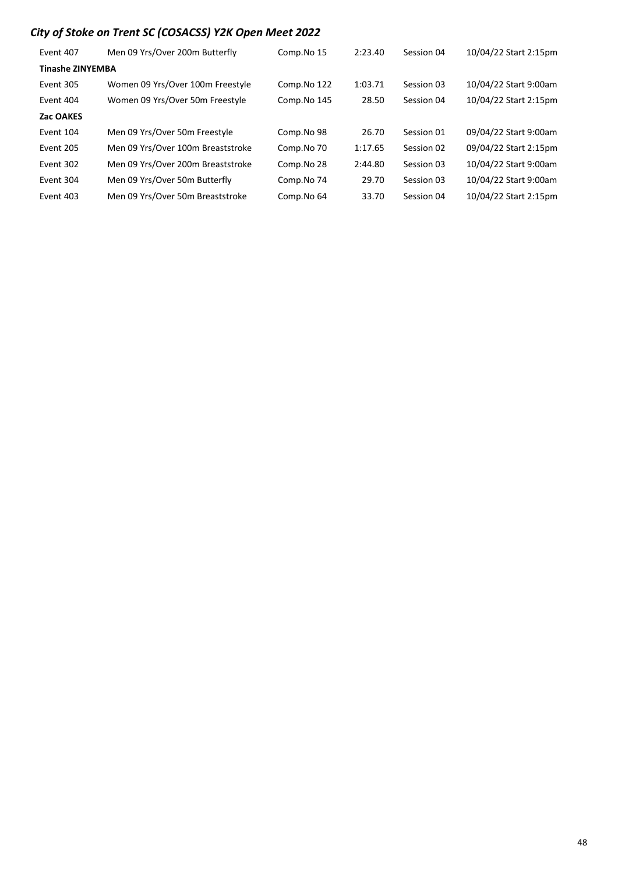| Event 407               | Men 09 Yrs/Over 200m Butterfly    | Comp.No 15  | 2:23.40 | Session 04 | 10/04/22 Start 2:15pm |
|-------------------------|-----------------------------------|-------------|---------|------------|-----------------------|
| <b>Tinashe ZINYEMBA</b> |                                   |             |         |            |                       |
| Event 305               | Women 09 Yrs/Over 100m Freestyle  | Comp.No 122 | 1:03.71 | Session 03 | 10/04/22 Start 9:00am |
| Event 404               | Women 09 Yrs/Over 50m Freestyle   | Comp.No 145 | 28.50   | Session 04 | 10/04/22 Start 2:15pm |
| Zac OAKES               |                                   |             |         |            |                       |
| Event 104               | Men 09 Yrs/Over 50m Freestyle     | Comp.No 98  | 26.70   | Session 01 | 09/04/22 Start 9:00am |
| Event 205               | Men 09 Yrs/Over 100m Breaststroke | Comp.No 70  | 1:17.65 | Session 02 | 09/04/22 Start 2:15pm |
| Event 302               | Men 09 Yrs/Over 200m Breaststroke | Comp.No 28  | 2:44.80 | Session 03 | 10/04/22 Start 9:00am |
| Event 304               | Men 09 Yrs/Over 50m Butterfly     | Comp.No 74  | 29.70   | Session 03 | 10/04/22 Start 9:00am |
| Event 403               | Men 09 Yrs/Over 50m Breaststroke  | Comp.No 64  | 33.70   | Session 04 | 10/04/22 Start 2:15pm |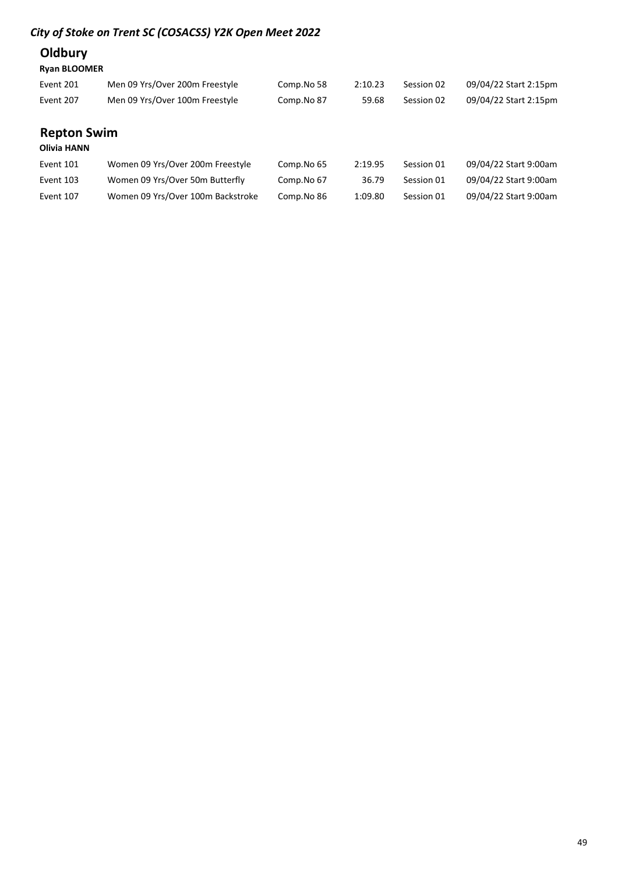## **Oldbury**

### Ryan BLOOMER

| Event 201 | Men 09 Yrs/Over 200m Freestyle | Comp.No 58 | 2:10.23 | Session 02 | 09/04/22 Start 2:15pm |
|-----------|--------------------------------|------------|---------|------------|-----------------------|
| Event 207 | Men 09 Yrs/Over 100m Freestyle | Comp.No 87 | 59.68   | Session 02 | 09/04/22 Start 2:15pm |

# Repton Swim

### Olivia HANN

| Event 101 | Women 09 Yrs/Over 200m Freestyle  | Comp.No 65 | 2:19.95 | Session 01 | 09/04/22 Start 9:00am |
|-----------|-----------------------------------|------------|---------|------------|-----------------------|
| Event 103 | Women 09 Yrs/Over 50m Butterfly   | Comp.No 67 | 36.79   | Session 01 | 09/04/22 Start 9:00am |
| Event 107 | Women 09 Yrs/Over 100m Backstroke | Comp.No 86 | 1:09.80 | Session 01 | 09/04/22 Start 9:00am |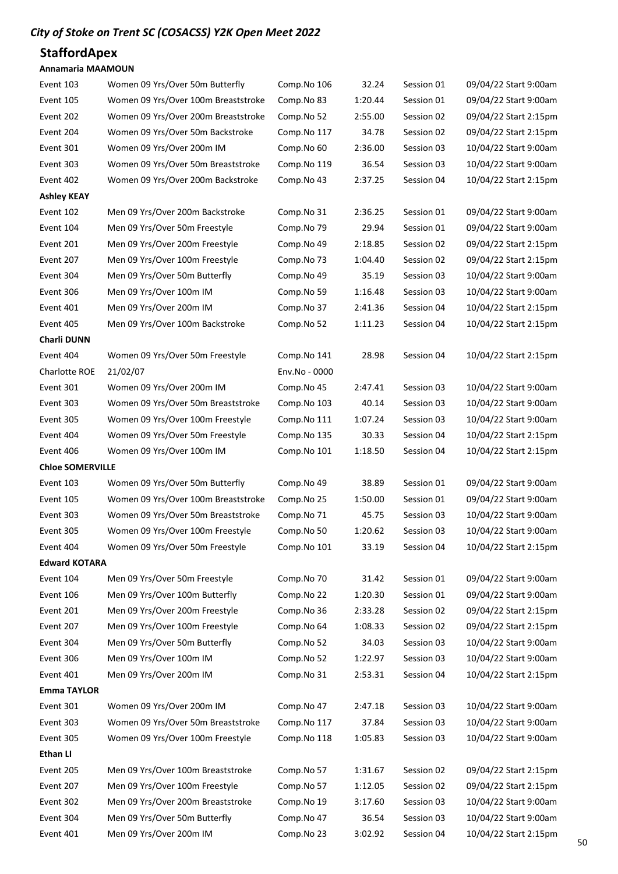### **StaffordApex**

#### Annamaria MAAMOUN

| Event 103               | Women 09 Yrs/Over 50m Butterfly     | Comp.No 106   | 32.24   | Session 01 | 09/04/22 Start 9:00am |
|-------------------------|-------------------------------------|---------------|---------|------------|-----------------------|
| Event 105               | Women 09 Yrs/Over 100m Breaststroke | Comp.No 83    | 1:20.44 | Session 01 | 09/04/22 Start 9:00am |
| Event 202               | Women 09 Yrs/Over 200m Breaststroke | Comp.No 52    | 2:55.00 | Session 02 | 09/04/22 Start 2:15pm |
| Event 204               | Women 09 Yrs/Over 50m Backstroke    | Comp.No 117   | 34.78   | Session 02 | 09/04/22 Start 2:15pm |
| Event 301               | Women 09 Yrs/Over 200m IM           | Comp.No 60    | 2:36.00 | Session 03 | 10/04/22 Start 9:00am |
| Event 303               | Women 09 Yrs/Over 50m Breaststroke  | Comp.No 119   | 36.54   | Session 03 | 10/04/22 Start 9:00am |
| Event 402               | Women 09 Yrs/Over 200m Backstroke   | Comp.No 43    | 2:37.25 | Session 04 | 10/04/22 Start 2:15pm |
| <b>Ashley KEAY</b>      |                                     |               |         |            |                       |
| Event 102               | Men 09 Yrs/Over 200m Backstroke     | Comp.No 31    | 2:36.25 | Session 01 | 09/04/22 Start 9:00am |
| Event 104               | Men 09 Yrs/Over 50m Freestyle       | Comp.No 79    | 29.94   | Session 01 | 09/04/22 Start 9:00am |
| Event 201               | Men 09 Yrs/Over 200m Freestyle      | Comp.No 49    | 2:18.85 | Session 02 | 09/04/22 Start 2:15pm |
| Event 207               | Men 09 Yrs/Over 100m Freestyle      | Comp.No 73    | 1:04.40 | Session 02 | 09/04/22 Start 2:15pm |
| Event 304               | Men 09 Yrs/Over 50m Butterfly       | Comp.No 49    | 35.19   | Session 03 | 10/04/22 Start 9:00am |
| Event 306               | Men 09 Yrs/Over 100m IM             | Comp.No 59    | 1:16.48 | Session 03 | 10/04/22 Start 9:00am |
| Event 401               | Men 09 Yrs/Over 200m IM             | Comp.No 37    | 2:41.36 | Session 04 | 10/04/22 Start 2:15pm |
| Event 405               | Men 09 Yrs/Over 100m Backstroke     | Comp.No 52    | 1:11.23 | Session 04 | 10/04/22 Start 2:15pm |
| Charli DUNN             |                                     |               |         |            |                       |
| Event 404               | Women 09 Yrs/Over 50m Freestyle     | Comp.No 141   | 28.98   | Session 04 | 10/04/22 Start 2:15pm |
| Charlotte ROE           | 21/02/07                            | Env.No - 0000 |         |            |                       |
| Event 301               | Women 09 Yrs/Over 200m IM           | Comp.No 45    | 2:47.41 | Session 03 | 10/04/22 Start 9:00am |
| Event 303               | Women 09 Yrs/Over 50m Breaststroke  | Comp.No 103   | 40.14   | Session 03 | 10/04/22 Start 9:00am |
| Event 305               | Women 09 Yrs/Over 100m Freestyle    | Comp.No 111   | 1:07.24 | Session 03 | 10/04/22 Start 9:00am |
| Event 404               | Women 09 Yrs/Over 50m Freestyle     | Comp.No 135   | 30.33   | Session 04 | 10/04/22 Start 2:15pm |
| Event 406               | Women 09 Yrs/Over 100m IM           | Comp.No 101   | 1:18.50 | Session 04 | 10/04/22 Start 2:15pm |
|                         |                                     |               |         |            |                       |
| <b>Chloe SOMERVILLE</b> |                                     |               |         |            |                       |
| Event 103               | Women 09 Yrs/Over 50m Butterfly     | Comp.No 49    | 38.89   | Session 01 | 09/04/22 Start 9:00am |
| Event 105               | Women 09 Yrs/Over 100m Breaststroke | Comp.No 25    | 1:50.00 | Session 01 | 09/04/22 Start 9:00am |
| Event 303               | Women 09 Yrs/Over 50m Breaststroke  | Comp.No 71    | 45.75   | Session 03 | 10/04/22 Start 9:00am |
| Event 305               | Women 09 Yrs/Over 100m Freestyle    | Comp.No 50    | 1:20.62 | Session 03 | 10/04/22 Start 9:00am |
| Event 404               | Women 09 Yrs/Over 50m Freestyle     | Comp.No 101   | 33.19   | Session 04 | 10/04/22 Start 2:15pm |
| <b>Edward KOTARA</b>    |                                     |               |         |            |                       |
| Event 104               | Men 09 Yrs/Over 50m Freestyle       | Comp.No 70    | 31.42   | Session 01 | 09/04/22 Start 9:00am |
| Event 106               | Men 09 Yrs/Over 100m Butterfly      | Comp.No 22    | 1:20.30 | Session 01 | 09/04/22 Start 9:00am |
| Event 201               | Men 09 Yrs/Over 200m Freestyle      | Comp.No 36    | 2:33.28 | Session 02 | 09/04/22 Start 2:15pm |
| Event 207               | Men 09 Yrs/Over 100m Freestyle      | Comp.No 64    | 1:08.33 | Session 02 | 09/04/22 Start 2:15pm |
| Event 304               | Men 09 Yrs/Over 50m Butterfly       | Comp.No 52    | 34.03   | Session 03 | 10/04/22 Start 9:00am |
| Event 306               | Men 09 Yrs/Over 100m IM             | Comp.No 52    | 1:22.97 | Session 03 | 10/04/22 Start 9:00am |
| Event 401               | Men 09 Yrs/Over 200m IM             | Comp.No 31    | 2:53.31 | Session 04 | 10/04/22 Start 2:15pm |
| <b>Emma TAYLOR</b>      |                                     |               |         |            |                       |
| Event 301               | Women 09 Yrs/Over 200m IM           | Comp.No 47    | 2:47.18 | Session 03 | 10/04/22 Start 9:00am |
| Event 303               | Women 09 Yrs/Over 50m Breaststroke  | Comp.No 117   | 37.84   | Session 03 | 10/04/22 Start 9:00am |
| Event 305               | Women 09 Yrs/Over 100m Freestyle    | Comp.No 118   | 1:05.83 | Session 03 | 10/04/22 Start 9:00am |
| <b>Ethan LI</b>         |                                     |               |         |            |                       |
| Event 205               | Men 09 Yrs/Over 100m Breaststroke   | Comp.No 57    | 1:31.67 | Session 02 | 09/04/22 Start 2:15pm |
| Event 207               | Men 09 Yrs/Over 100m Freestyle      | Comp.No 57    | 1:12.05 | Session 02 | 09/04/22 Start 2:15pm |
| Event 302               | Men 09 Yrs/Over 200m Breaststroke   | Comp.No 19    | 3:17.60 | Session 03 | 10/04/22 Start 9:00am |
| Event 304               | Men 09 Yrs/Over 50m Butterfly       | Comp.No 47    | 36.54   | Session 03 | 10/04/22 Start 9:00am |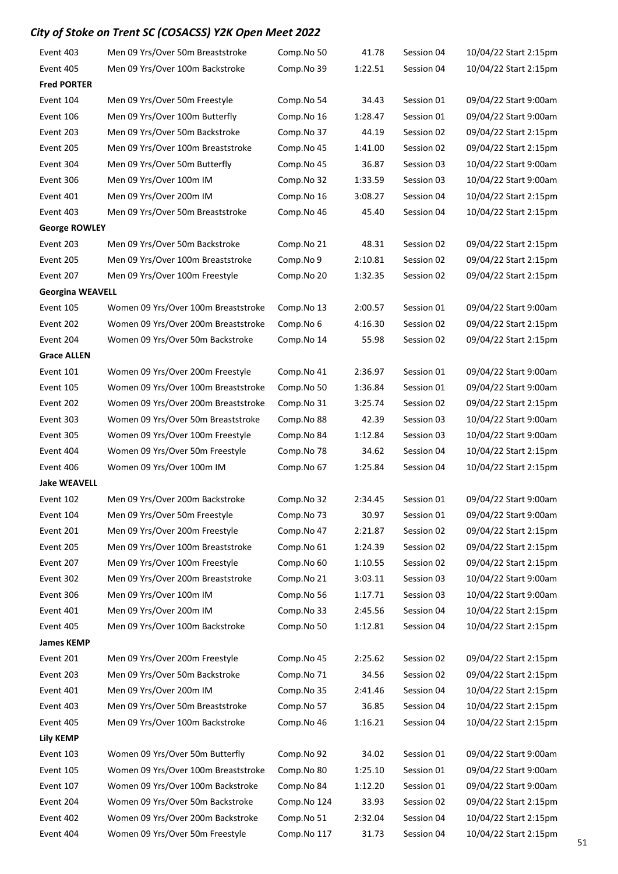| Event 403               | Men 09 Yrs/Over 50m Breaststroke    | Comp.No 50  | 41.78   | Session 04 | 10/04/22 Start 2:15pm |
|-------------------------|-------------------------------------|-------------|---------|------------|-----------------------|
| Event 405               | Men 09 Yrs/Over 100m Backstroke     | Comp.No 39  | 1:22.51 | Session 04 | 10/04/22 Start 2:15pm |
| <b>Fred PORTER</b>      |                                     |             |         |            |                       |
| Event 104               | Men 09 Yrs/Over 50m Freestyle       | Comp.No 54  | 34.43   | Session 01 | 09/04/22 Start 9:00am |
| Event 106               | Men 09 Yrs/Over 100m Butterfly      | Comp.No 16  | 1:28.47 | Session 01 | 09/04/22 Start 9:00am |
| Event 203               | Men 09 Yrs/Over 50m Backstroke      | Comp.No 37  | 44.19   | Session 02 | 09/04/22 Start 2:15pm |
| Event 205               | Men 09 Yrs/Over 100m Breaststroke   | Comp.No 45  | 1:41.00 | Session 02 | 09/04/22 Start 2:15pm |
| Event 304               | Men 09 Yrs/Over 50m Butterfly       | Comp.No 45  | 36.87   | Session 03 | 10/04/22 Start 9:00am |
| Event 306               | Men 09 Yrs/Over 100m IM             | Comp.No 32  | 1:33.59 | Session 03 | 10/04/22 Start 9:00am |
| Event 401               | Men 09 Yrs/Over 200m IM             | Comp.No 16  | 3:08.27 | Session 04 | 10/04/22 Start 2:15pm |
| Event 403               | Men 09 Yrs/Over 50m Breaststroke    | Comp.No 46  | 45.40   | Session 04 | 10/04/22 Start 2:15pm |
| <b>George ROWLEY</b>    |                                     |             |         |            |                       |
| Event 203               | Men 09 Yrs/Over 50m Backstroke      | Comp.No 21  | 48.31   | Session 02 | 09/04/22 Start 2:15pm |
| Event 205               | Men 09 Yrs/Over 100m Breaststroke   | Comp.No 9   | 2:10.81 | Session 02 | 09/04/22 Start 2:15pm |
| Event 207               | Men 09 Yrs/Over 100m Freestyle      | Comp.No 20  | 1:32.35 | Session 02 | 09/04/22 Start 2:15pm |
| <b>Georgina WEAVELL</b> |                                     |             |         |            |                       |
| Event 105               | Women 09 Yrs/Over 100m Breaststroke | Comp.No 13  | 2:00.57 | Session 01 | 09/04/22 Start 9:00am |
| Event 202               | Women 09 Yrs/Over 200m Breaststroke | Comp.No 6   | 4:16.30 | Session 02 | 09/04/22 Start 2:15pm |
| Event 204               | Women 09 Yrs/Over 50m Backstroke    | Comp.No 14  | 55.98   | Session 02 | 09/04/22 Start 2:15pm |
| <b>Grace ALLEN</b>      |                                     |             |         |            |                       |
| Event 101               | Women 09 Yrs/Over 200m Freestyle    | Comp.No 41  | 2:36.97 | Session 01 | 09/04/22 Start 9:00am |
| Event 105               | Women 09 Yrs/Over 100m Breaststroke | Comp.No 50  | 1:36.84 | Session 01 | 09/04/22 Start 9:00am |
| Event 202               | Women 09 Yrs/Over 200m Breaststroke | Comp.No 31  | 3:25.74 | Session 02 | 09/04/22 Start 2:15pm |
| Event 303               | Women 09 Yrs/Over 50m Breaststroke  | Comp.No 88  | 42.39   | Session 03 | 10/04/22 Start 9:00am |
| Event 305               | Women 09 Yrs/Over 100m Freestyle    | Comp.No 84  | 1:12.84 | Session 03 | 10/04/22 Start 9:00am |
| Event 404               | Women 09 Yrs/Over 50m Freestyle     | Comp.No 78  | 34.62   | Session 04 | 10/04/22 Start 2:15pm |
| Event 406               | Women 09 Yrs/Over 100m IM           | Comp.No 67  | 1:25.84 | Session 04 | 10/04/22 Start 2:15pm |
| <b>Jake WEAVELL</b>     |                                     |             |         |            |                       |
| Event 102               | Men 09 Yrs/Over 200m Backstroke     | Comp.No 32  | 2:34.45 | Session 01 | 09/04/22 Start 9:00am |
| Event 104               | Men 09 Yrs/Over 50m Freestyle       | Comp.No 73  | 30.97   | Session 01 | 09/04/22 Start 9:00am |
| Event 201               | Men 09 Yrs/Over 200m Freestyle      | Comp.No 47  | 2:21.87 | Session 02 | 09/04/22 Start 2:15pm |
| Event 205               | Men 09 Yrs/Over 100m Breaststroke   | Comp.No 61  | 1:24.39 | Session 02 | 09/04/22 Start 2:15pm |
| Event 207               | Men 09 Yrs/Over 100m Freestyle      | Comp.No 60  | 1:10.55 | Session 02 | 09/04/22 Start 2:15pm |
| Event 302               | Men 09 Yrs/Over 200m Breaststroke   | Comp.No 21  | 3:03.11 | Session 03 | 10/04/22 Start 9:00am |
| Event 306               | Men 09 Yrs/Over 100m IM             | Comp.No 56  | 1:17.71 | Session 03 | 10/04/22 Start 9:00am |
| Event 401               | Men 09 Yrs/Over 200m IM             | Comp.No 33  | 2:45.56 | Session 04 | 10/04/22 Start 2:15pm |
| Event 405               | Men 09 Yrs/Over 100m Backstroke     | Comp.No 50  | 1:12.81 | Session 04 | 10/04/22 Start 2:15pm |
| <b>James KEMP</b>       |                                     |             |         |            |                       |
| Event 201               | Men 09 Yrs/Over 200m Freestyle      | Comp.No 45  | 2:25.62 | Session 02 | 09/04/22 Start 2:15pm |
| Event 203               | Men 09 Yrs/Over 50m Backstroke      | Comp.No 71  | 34.56   | Session 02 | 09/04/22 Start 2:15pm |
| Event 401               | Men 09 Yrs/Over 200m IM             | Comp.No 35  | 2:41.46 | Session 04 | 10/04/22 Start 2:15pm |
| Event 403               | Men 09 Yrs/Over 50m Breaststroke    | Comp.No 57  | 36.85   | Session 04 | 10/04/22 Start 2:15pm |
| Event 405               | Men 09 Yrs/Over 100m Backstroke     | Comp.No 46  | 1:16.21 | Session 04 | 10/04/22 Start 2:15pm |
| <b>Lily KEMP</b>        |                                     |             |         |            |                       |
| Event 103               | Women 09 Yrs/Over 50m Butterfly     | Comp.No 92  | 34.02   | Session 01 | 09/04/22 Start 9:00am |
| Event 105               | Women 09 Yrs/Over 100m Breaststroke | Comp.No 80  | 1:25.10 | Session 01 | 09/04/22 Start 9:00am |
| Event 107               | Women 09 Yrs/Over 100m Backstroke   | Comp.No 84  | 1:12.20 | Session 01 | 09/04/22 Start 9:00am |
| Event 204               | Women 09 Yrs/Over 50m Backstroke    | Comp.No 124 | 33.93   | Session 02 | 09/04/22 Start 2:15pm |
| Event 402               | Women 09 Yrs/Over 200m Backstroke   | Comp.No 51  | 2:32.04 | Session 04 | 10/04/22 Start 2:15pm |
| Event 404               | Women 09 Yrs/Over 50m Freestyle     | Comp.No 117 | 31.73   | Session 04 | 10/04/22 Start 2:15pm |
|                         |                                     |             |         |            |                       |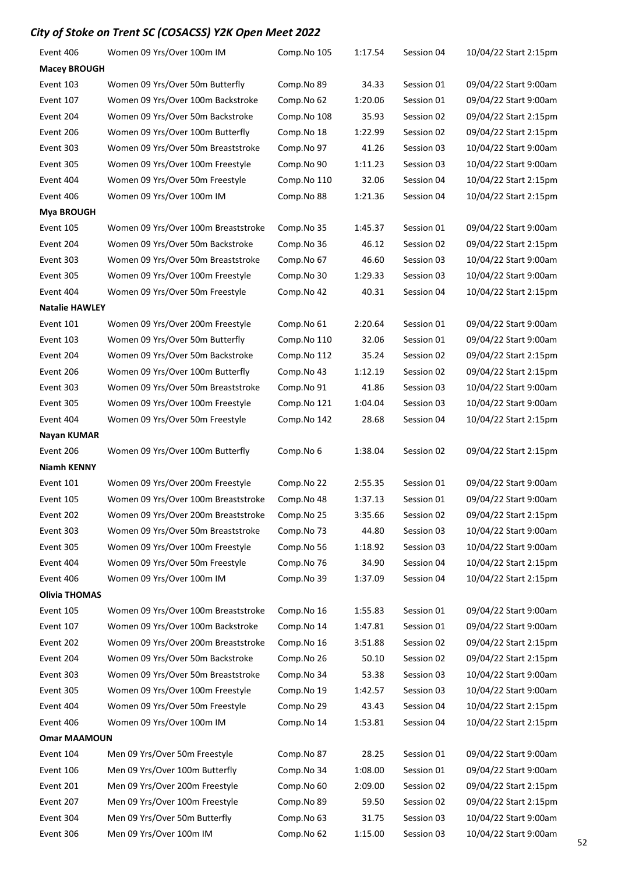| Event 406             | Women 09 Yrs/Over 100m IM           | Comp.No 105 | 1:17.54 | Session 04 | 10/04/22 Start 2:15pm |
|-----------------------|-------------------------------------|-------------|---------|------------|-----------------------|
| <b>Macey BROUGH</b>   |                                     |             |         |            |                       |
| Event 103             | Women 09 Yrs/Over 50m Butterfly     | Comp.No 89  | 34.33   | Session 01 | 09/04/22 Start 9:00am |
| Event 107             | Women 09 Yrs/Over 100m Backstroke   | Comp.No 62  | 1:20.06 | Session 01 | 09/04/22 Start 9:00am |
| Event 204             | Women 09 Yrs/Over 50m Backstroke    | Comp.No 108 | 35.93   | Session 02 | 09/04/22 Start 2:15pm |
| Event 206             | Women 09 Yrs/Over 100m Butterfly    | Comp.No 18  | 1:22.99 | Session 02 | 09/04/22 Start 2:15pm |
| Event 303             | Women 09 Yrs/Over 50m Breaststroke  | Comp.No 97  | 41.26   | Session 03 | 10/04/22 Start 9:00am |
| Event 305             | Women 09 Yrs/Over 100m Freestyle    | Comp.No 90  | 1:11.23 | Session 03 | 10/04/22 Start 9:00am |
| Event 404             | Women 09 Yrs/Over 50m Freestyle     | Comp.No 110 | 32.06   | Session 04 | 10/04/22 Start 2:15pm |
| Event 406             | Women 09 Yrs/Over 100m IM           | Comp.No 88  | 1:21.36 | Session 04 | 10/04/22 Start 2:15pm |
| Mya BROUGH            |                                     |             |         |            |                       |
| Event 105             | Women 09 Yrs/Over 100m Breaststroke | Comp.No 35  | 1:45.37 | Session 01 | 09/04/22 Start 9:00am |
| Event 204             | Women 09 Yrs/Over 50m Backstroke    | Comp.No 36  | 46.12   | Session 02 | 09/04/22 Start 2:15pm |
| Event 303             | Women 09 Yrs/Over 50m Breaststroke  | Comp.No 67  | 46.60   | Session 03 | 10/04/22 Start 9:00am |
| Event 305             | Women 09 Yrs/Over 100m Freestyle    | Comp.No 30  | 1:29.33 | Session 03 | 10/04/22 Start 9:00am |
| Event 404             | Women 09 Yrs/Over 50m Freestyle     | Comp.No 42  | 40.31   | Session 04 | 10/04/22 Start 2:15pm |
| <b>Natalie HAWLEY</b> |                                     |             |         |            |                       |
| Event 101             | Women 09 Yrs/Over 200m Freestyle    | Comp.No 61  | 2:20.64 | Session 01 | 09/04/22 Start 9:00am |
| Event 103             | Women 09 Yrs/Over 50m Butterfly     | Comp.No 110 | 32.06   | Session 01 | 09/04/22 Start 9:00am |
| Event 204             | Women 09 Yrs/Over 50m Backstroke    | Comp.No 112 | 35.24   | Session 02 | 09/04/22 Start 2:15pm |
| Event 206             | Women 09 Yrs/Over 100m Butterfly    | Comp.No 43  | 1:12.19 | Session 02 | 09/04/22 Start 2:15pm |
| Event 303             | Women 09 Yrs/Over 50m Breaststroke  | Comp.No 91  | 41.86   | Session 03 | 10/04/22 Start 9:00am |
| Event 305             | Women 09 Yrs/Over 100m Freestyle    | Comp.No 121 | 1:04.04 | Session 03 | 10/04/22 Start 9:00am |
| Event 404             | Women 09 Yrs/Over 50m Freestyle     | Comp.No 142 | 28.68   | Session 04 | 10/04/22 Start 2:15pm |
| Nayan KUMAR           |                                     |             |         |            |                       |
| Event 206             | Women 09 Yrs/Over 100m Butterfly    | Comp.No 6   | 1:38.04 | Session 02 | 09/04/22 Start 2:15pm |
| <b>Niamh KENNY</b>    |                                     |             |         |            |                       |
| Event 101             | Women 09 Yrs/Over 200m Freestyle    | Comp.No 22  | 2:55.35 | Session 01 | 09/04/22 Start 9:00am |
| Event 105             | Women 09 Yrs/Over 100m Breaststroke | Comp.No 48  | 1:37.13 | Session 01 | 09/04/22 Start 9:00am |
| Event 202             | Women 09 Yrs/Over 200m Breaststroke | Comp.No 25  | 3:35.66 | Session 02 | 09/04/22 Start 2:15pm |
| Event 303             | Women 09 Yrs/Over 50m Breaststroke  | Comp.No 73  | 44.80   | Session 03 | 10/04/22 Start 9:00am |
| Event 305             | Women 09 Yrs/Over 100m Freestyle    | Comp.No 56  | 1:18.92 | Session 03 | 10/04/22 Start 9:00am |
| Event 404             | Women 09 Yrs/Over 50m Freestyle     | Comp.No 76  | 34.90   | Session 04 | 10/04/22 Start 2:15pm |
| Event 406             | Women 09 Yrs/Over 100m IM           | Comp.No 39  | 1:37.09 | Session 04 | 10/04/22 Start 2:15pm |
| <b>Olivia THOMAS</b>  |                                     |             |         |            |                       |
| Event 105             | Women 09 Yrs/Over 100m Breaststroke | Comp.No 16  | 1:55.83 | Session 01 | 09/04/22 Start 9:00am |
| Event 107             | Women 09 Yrs/Over 100m Backstroke   | Comp.No 14  | 1:47.81 | Session 01 | 09/04/22 Start 9:00am |
| Event 202             | Women 09 Yrs/Over 200m Breaststroke | Comp.No 16  | 3:51.88 | Session 02 | 09/04/22 Start 2:15pm |
| Event 204             | Women 09 Yrs/Over 50m Backstroke    | Comp.No 26  | 50.10   | Session 02 | 09/04/22 Start 2:15pm |
| Event 303             | Women 09 Yrs/Over 50m Breaststroke  | Comp.No 34  | 53.38   | Session 03 | 10/04/22 Start 9:00am |
| Event 305             |                                     |             |         |            |                       |
| Event 404             | Women 09 Yrs/Over 100m Freestyle    | Comp.No 19  | 1:42.57 | Session 03 | 10/04/22 Start 9:00am |
|                       | Women 09 Yrs/Over 50m Freestyle     | Comp.No 29  | 43.43   | Session 04 | 10/04/22 Start 2:15pm |
| Event 406             | Women 09 Yrs/Over 100m IM           | Comp.No 14  | 1:53.81 | Session 04 | 10/04/22 Start 2:15pm |
| <b>Omar MAAMOUN</b>   |                                     |             |         |            |                       |
| Event 104             | Men 09 Yrs/Over 50m Freestyle       | Comp.No 87  | 28.25   | Session 01 | 09/04/22 Start 9:00am |
| Event 106             | Men 09 Yrs/Over 100m Butterfly      | Comp.No 34  | 1:08.00 | Session 01 | 09/04/22 Start 9:00am |
| Event 201             | Men 09 Yrs/Over 200m Freestyle      | Comp.No 60  | 2:09.00 | Session 02 | 09/04/22 Start 2:15pm |
| Event 207             | Men 09 Yrs/Over 100m Freestyle      | Comp.No 89  | 59.50   | Session 02 | 09/04/22 Start 2:15pm |
| Event 304             | Men 09 Yrs/Over 50m Butterfly       | Comp.No 63  | 31.75   | Session 03 | 10/04/22 Start 9:00am |
| Event 306             | Men 09 Yrs/Over 100m IM             | Comp.No 62  | 1:15.00 | Session 03 | 10/04/22 Start 9:00am |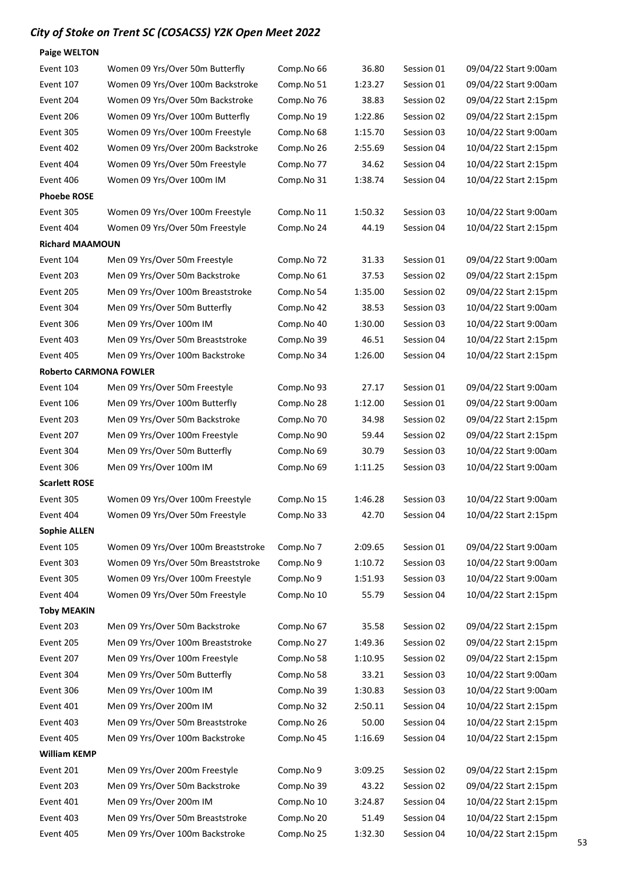| <b>Paige WELTON</b>           |                                     |            |         |            |                       |
|-------------------------------|-------------------------------------|------------|---------|------------|-----------------------|
| Event 103                     | Women 09 Yrs/Over 50m Butterfly     | Comp.No 66 | 36.80   | Session 01 | 09/04/22 Start 9:00am |
| Event 107                     | Women 09 Yrs/Over 100m Backstroke   | Comp.No 51 | 1:23.27 | Session 01 | 09/04/22 Start 9:00am |
| Event 204                     | Women 09 Yrs/Over 50m Backstroke    | Comp.No 76 | 38.83   | Session 02 | 09/04/22 Start 2:15pm |
| Event 206                     | Women 09 Yrs/Over 100m Butterfly    | Comp.No 19 | 1:22.86 | Session 02 | 09/04/22 Start 2:15pm |
| Event 305                     | Women 09 Yrs/Over 100m Freestyle    | Comp.No 68 | 1:15.70 | Session 03 | 10/04/22 Start 9:00am |
| Event 402                     | Women 09 Yrs/Over 200m Backstroke   | Comp.No 26 | 2:55.69 | Session 04 | 10/04/22 Start 2:15pm |
| Event 404                     | Women 09 Yrs/Over 50m Freestyle     | Comp.No 77 | 34.62   | Session 04 | 10/04/22 Start 2:15pm |
| Event 406                     | Women 09 Yrs/Over 100m IM           | Comp.No 31 | 1:38.74 | Session 04 | 10/04/22 Start 2:15pm |
| <b>Phoebe ROSE</b>            |                                     |            |         |            |                       |
| Event 305                     | Women 09 Yrs/Over 100m Freestyle    | Comp.No 11 | 1:50.32 | Session 03 | 10/04/22 Start 9:00am |
| Event 404                     | Women 09 Yrs/Over 50m Freestyle     | Comp.No 24 | 44.19   | Session 04 | 10/04/22 Start 2:15pm |
| <b>Richard MAAMOUN</b>        |                                     |            |         |            |                       |
| Event 104                     | Men 09 Yrs/Over 50m Freestyle       | Comp.No 72 | 31.33   | Session 01 | 09/04/22 Start 9:00am |
| Event 203                     | Men 09 Yrs/Over 50m Backstroke      | Comp.No 61 | 37.53   | Session 02 | 09/04/22 Start 2:15pm |
| Event 205                     | Men 09 Yrs/Over 100m Breaststroke   | Comp.No 54 | 1:35.00 | Session 02 | 09/04/22 Start 2:15pm |
| Event 304                     | Men 09 Yrs/Over 50m Butterfly       | Comp.No 42 | 38.53   | Session 03 | 10/04/22 Start 9:00am |
| Event 306                     | Men 09 Yrs/Over 100m IM             | Comp.No 40 | 1:30.00 | Session 03 | 10/04/22 Start 9:00am |
| Event 403                     | Men 09 Yrs/Over 50m Breaststroke    | Comp.No 39 | 46.51   | Session 04 | 10/04/22 Start 2:15pm |
| Event 405                     | Men 09 Yrs/Over 100m Backstroke     | Comp.No 34 | 1:26.00 | Session 04 | 10/04/22 Start 2:15pm |
| <b>Roberto CARMONA FOWLER</b> |                                     |            |         |            |                       |
| Event 104                     | Men 09 Yrs/Over 50m Freestyle       | Comp.No 93 | 27.17   | Session 01 | 09/04/22 Start 9:00am |
| Event 106                     | Men 09 Yrs/Over 100m Butterfly      | Comp.No 28 | 1:12.00 | Session 01 | 09/04/22 Start 9:00am |
| Event 203                     | Men 09 Yrs/Over 50m Backstroke      | Comp.No 70 | 34.98   | Session 02 | 09/04/22 Start 2:15pm |
| Event 207                     | Men 09 Yrs/Over 100m Freestyle      | Comp.No 90 | 59.44   | Session 02 | 09/04/22 Start 2:15pm |
| Event 304                     | Men 09 Yrs/Over 50m Butterfly       | Comp.No 69 | 30.79   | Session 03 | 10/04/22 Start 9:00am |
| Event 306                     | Men 09 Yrs/Over 100m IM             | Comp.No 69 | 1:11.25 | Session 03 | 10/04/22 Start 9:00am |
| <b>Scarlett ROSE</b>          |                                     |            |         |            |                       |
| Event 305                     | Women 09 Yrs/Over 100m Freestyle    | Comp.No 15 | 1:46.28 | Session 03 | 10/04/22 Start 9:00am |
| Event 404                     | Women 09 Yrs/Over 50m Freestyle     | Comp.No 33 | 42.70   | Session 04 | 10/04/22 Start 2:15pm |
| <b>Sophie ALLEN</b>           |                                     |            |         |            |                       |
| Event 105                     | Women 09 Yrs/Over 100m Breaststroke | Comp.No 7  | 2:09.65 | Session 01 | 09/04/22 Start 9:00am |
| Event 303                     | Women 09 Yrs/Over 50m Breaststroke  | Comp.No 9  | 1:10.72 | Session 03 | 10/04/22 Start 9:00am |
| Event 305                     | Women 09 Yrs/Over 100m Freestyle    | Comp.No 9  | 1:51.93 | Session 03 | 10/04/22 Start 9:00am |
| Event 404                     | Women 09 Yrs/Over 50m Freestyle     | Comp.No 10 | 55.79   | Session 04 | 10/04/22 Start 2:15pm |
| <b>Toby MEAKIN</b>            |                                     |            |         |            |                       |
| Event 203                     | Men 09 Yrs/Over 50m Backstroke      | Comp.No 67 | 35.58   | Session 02 | 09/04/22 Start 2:15pm |
| Event 205                     | Men 09 Yrs/Over 100m Breaststroke   | Comp.No 27 | 1:49.36 | Session 02 | 09/04/22 Start 2:15pm |
| Event 207                     | Men 09 Yrs/Over 100m Freestyle      | Comp.No 58 | 1:10.95 | Session 02 | 09/04/22 Start 2:15pm |
| Event 304                     | Men 09 Yrs/Over 50m Butterfly       | Comp.No 58 | 33.21   | Session 03 | 10/04/22 Start 9:00am |
| Event 306                     | Men 09 Yrs/Over 100m IM             | Comp.No 39 | 1:30.83 | Session 03 | 10/04/22 Start 9:00am |
| Event 401                     | Men 09 Yrs/Over 200m IM             | Comp.No 32 | 2:50.11 | Session 04 | 10/04/22 Start 2:15pm |
| Event 403                     | Men 09 Yrs/Over 50m Breaststroke    | Comp.No 26 | 50.00   | Session 04 | 10/04/22 Start 2:15pm |
| Event 405                     | Men 09 Yrs/Over 100m Backstroke     | Comp.No 45 | 1:16.69 | Session 04 | 10/04/22 Start 2:15pm |
| <b>William KEMP</b>           |                                     |            |         |            |                       |
| Event 201                     | Men 09 Yrs/Over 200m Freestyle      | Comp.No 9  | 3:09.25 | Session 02 | 09/04/22 Start 2:15pm |
| Event 203                     | Men 09 Yrs/Over 50m Backstroke      | Comp.No 39 | 43.22   | Session 02 | 09/04/22 Start 2:15pm |
| Event 401                     | Men 09 Yrs/Over 200m IM             | Comp.No 10 | 3:24.87 | Session 04 | 10/04/22 Start 2:15pm |
| Event 403                     | Men 09 Yrs/Over 50m Breaststroke    | Comp.No 20 | 51.49   | Session 04 | 10/04/22 Start 2:15pm |
| Event 405                     | Men 09 Yrs/Over 100m Backstroke     | Comp.No 25 | 1:32.30 | Session 04 | 10/04/22 Start 2:15pm |
|                               |                                     |            |         |            |                       |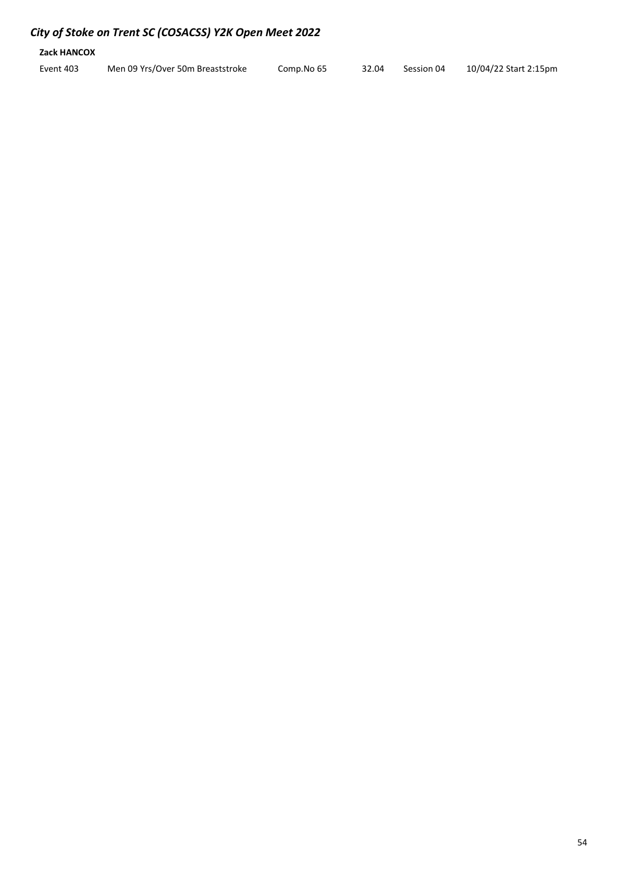| Zack HANCOX |                                  |            |       |            |                       |
|-------------|----------------------------------|------------|-------|------------|-----------------------|
| Event 403   | Men 09 Yrs/Over 50m Breaststroke | Comp.No 65 | 32.04 | Session 04 | 10/04/22 Start 2:15pm |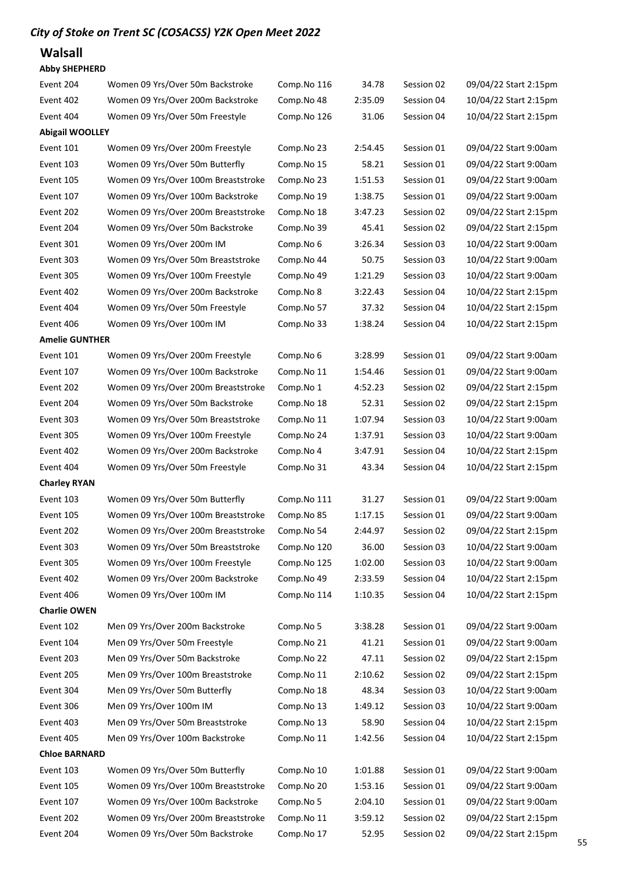### Walsall

#### Abby SHEPHERD

| Event 204              | Women 09 Yrs/Over 50m Backstroke    | Comp.No 116 | 34.78   | Session 02 | 09/04/22 Start 2:15pm |
|------------------------|-------------------------------------|-------------|---------|------------|-----------------------|
| Event 402              | Women 09 Yrs/Over 200m Backstroke   | Comp.No 48  | 2:35.09 | Session 04 | 10/04/22 Start 2:15pm |
| Event 404              | Women 09 Yrs/Over 50m Freestyle     | Comp.No 126 | 31.06   | Session 04 | 10/04/22 Start 2:15pm |
| <b>Abigail WOOLLEY</b> |                                     |             |         |            |                       |
| Event 101              | Women 09 Yrs/Over 200m Freestyle    | Comp.No 23  | 2:54.45 | Session 01 | 09/04/22 Start 9:00am |
| Event 103              | Women 09 Yrs/Over 50m Butterfly     | Comp.No 15  | 58.21   | Session 01 | 09/04/22 Start 9:00am |
| Event 105              | Women 09 Yrs/Over 100m Breaststroke | Comp.No 23  | 1:51.53 | Session 01 | 09/04/22 Start 9:00am |
| Event 107              | Women 09 Yrs/Over 100m Backstroke   | Comp.No 19  | 1:38.75 | Session 01 | 09/04/22 Start 9:00am |
| Event 202              | Women 09 Yrs/Over 200m Breaststroke | Comp.No 18  | 3:47.23 | Session 02 | 09/04/22 Start 2:15pm |
| Event 204              | Women 09 Yrs/Over 50m Backstroke    | Comp.No 39  | 45.41   | Session 02 | 09/04/22 Start 2:15pm |
| Event 301              | Women 09 Yrs/Over 200m IM           | Comp.No 6   | 3:26.34 | Session 03 | 10/04/22 Start 9:00am |
| Event 303              | Women 09 Yrs/Over 50m Breaststroke  | Comp.No 44  | 50.75   | Session 03 | 10/04/22 Start 9:00am |
| Event 305              | Women 09 Yrs/Over 100m Freestyle    | Comp.No 49  | 1:21.29 | Session 03 | 10/04/22 Start 9:00am |
| Event 402              | Women 09 Yrs/Over 200m Backstroke   | Comp.No 8   | 3:22.43 | Session 04 | 10/04/22 Start 2:15pm |
| Event 404              | Women 09 Yrs/Over 50m Freestyle     | Comp.No 57  | 37.32   | Session 04 | 10/04/22 Start 2:15pm |
| Event 406              | Women 09 Yrs/Over 100m IM           | Comp.No 33  | 1:38.24 | Session 04 | 10/04/22 Start 2:15pm |
| <b>Amelie GUNTHER</b>  |                                     |             |         |            |                       |
| Event 101              | Women 09 Yrs/Over 200m Freestyle    | Comp.No 6   | 3:28.99 | Session 01 | 09/04/22 Start 9:00am |
| Event 107              | Women 09 Yrs/Over 100m Backstroke   | Comp.No 11  | 1:54.46 | Session 01 | 09/04/22 Start 9:00am |
| Event 202              | Women 09 Yrs/Over 200m Breaststroke | Comp.No 1   | 4:52.23 | Session 02 | 09/04/22 Start 2:15pm |
| Event 204              | Women 09 Yrs/Over 50m Backstroke    | Comp.No 18  | 52.31   | Session 02 | 09/04/22 Start 2:15pm |
| Event 303              | Women 09 Yrs/Over 50m Breaststroke  | Comp.No 11  | 1:07.94 | Session 03 | 10/04/22 Start 9:00am |
| Event 305              | Women 09 Yrs/Over 100m Freestyle    | Comp.No 24  | 1:37.91 | Session 03 | 10/04/22 Start 9:00am |
| Event 402              | Women 09 Yrs/Over 200m Backstroke   | Comp.No 4   | 3:47.91 | Session 04 | 10/04/22 Start 2:15pm |
| Event 404              | Women 09 Yrs/Over 50m Freestyle     | Comp.No 31  | 43.34   | Session 04 | 10/04/22 Start 2:15pm |
| <b>Charley RYAN</b>    |                                     |             |         |            |                       |
| Event 103              | Women 09 Yrs/Over 50m Butterfly     | Comp.No 111 | 31.27   | Session 01 | 09/04/22 Start 9:00am |
| Event 105              | Women 09 Yrs/Over 100m Breaststroke | Comp.No 85  | 1:17.15 | Session 01 | 09/04/22 Start 9:00am |
| Event 202              | Women 09 Yrs/Over 200m Breaststroke | Comp.No 54  | 2:44.97 | Session 02 | 09/04/22 Start 2:15pm |
| Event 303              | Women 09 Yrs/Over 50m Breaststroke  | Comp.No 120 | 36.00   | Session 03 | 10/04/22 Start 9:00am |
| Event 305              | Women 09 Yrs/Over 100m Freestyle    | Comp.No 125 | 1:02.00 | Session 03 | 10/04/22 Start 9:00am |
| Event 402              | Women 09 Yrs/Over 200m Backstroke   | Comp.No 49  | 2:33.59 | Session 04 | 10/04/22 Start 2:15pm |
| Event 406              | Women 09 Yrs/Over 100m IM           | Comp.No 114 | 1:10.35 | Session 04 | 10/04/22 Start 2:15pm |
| <b>Charlie OWEN</b>    |                                     |             |         |            |                       |
| Event 102              | Men 09 Yrs/Over 200m Backstroke     | Comp.No 5   | 3:38.28 | Session 01 | 09/04/22 Start 9:00am |
| Event 104              | Men 09 Yrs/Over 50m Freestyle       | Comp.No 21  | 41.21   | Session 01 | 09/04/22 Start 9:00am |
| Event 203              | Men 09 Yrs/Over 50m Backstroke      | Comp.No 22  | 47.11   | Session 02 | 09/04/22 Start 2:15pm |
| Event 205              | Men 09 Yrs/Over 100m Breaststroke   | Comp.No 11  | 2:10.62 | Session 02 | 09/04/22 Start 2:15pm |
| Event 304              | Men 09 Yrs/Over 50m Butterfly       | Comp.No 18  | 48.34   | Session 03 | 10/04/22 Start 9:00am |
| Event 306              | Men 09 Yrs/Over 100m IM             | Comp.No 13  | 1:49.12 | Session 03 | 10/04/22 Start 9:00am |
| Event 403              | Men 09 Yrs/Over 50m Breaststroke    | Comp.No 13  | 58.90   | Session 04 | 10/04/22 Start 2:15pm |
| Event 405              | Men 09 Yrs/Over 100m Backstroke     | Comp.No 11  | 1:42.56 | Session 04 | 10/04/22 Start 2:15pm |
| <b>Chloe BARNARD</b>   |                                     |             |         |            |                       |
| Event 103              | Women 09 Yrs/Over 50m Butterfly     | Comp.No 10  | 1:01.88 | Session 01 | 09/04/22 Start 9:00am |
| Event 105              | Women 09 Yrs/Over 100m Breaststroke | Comp.No 20  | 1:53.16 | Session 01 | 09/04/22 Start 9:00am |
| Event 107              | Women 09 Yrs/Over 100m Backstroke   | Comp.No 5   | 2:04.10 | Session 01 | 09/04/22 Start 9:00am |
| Event 202              | Women 09 Yrs/Over 200m Breaststroke | Comp.No 11  | 3:59.12 | Session 02 | 09/04/22 Start 2:15pm |
| Event 204              | Women 09 Yrs/Over 50m Backstroke    | Comp.No 17  | 52.95   | Session 02 | 09/04/22 Start 2:15pm |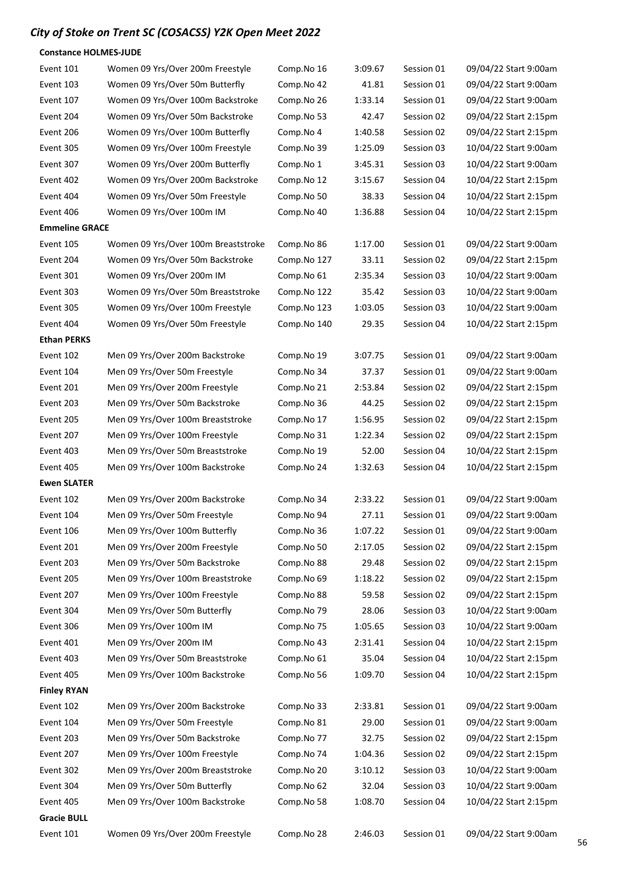#### Constance HOLMES-JUDE

| Event 101             | Women 09 Yrs/Over 200m Freestyle    | Comp.No 16  | 3:09.67 | Session 01 | 09/04/22 Start 9:00am |
|-----------------------|-------------------------------------|-------------|---------|------------|-----------------------|
| Event 103             | Women 09 Yrs/Over 50m Butterfly     | Comp.No 42  | 41.81   | Session 01 | 09/04/22 Start 9:00am |
| Event 107             | Women 09 Yrs/Over 100m Backstroke   | Comp.No 26  | 1:33.14 | Session 01 | 09/04/22 Start 9:00am |
| Event 204             | Women 09 Yrs/Over 50m Backstroke    | Comp.No 53  | 42.47   | Session 02 | 09/04/22 Start 2:15pm |
| Event 206             | Women 09 Yrs/Over 100m Butterfly    | Comp.No 4   | 1:40.58 | Session 02 | 09/04/22 Start 2:15pm |
| Event 305             | Women 09 Yrs/Over 100m Freestyle    | Comp.No 39  | 1:25.09 | Session 03 | 10/04/22 Start 9:00am |
| Event 307             | Women 09 Yrs/Over 200m Butterfly    | Comp.No 1   | 3:45.31 | Session 03 | 10/04/22 Start 9:00am |
| Event 402             | Women 09 Yrs/Over 200m Backstroke   | Comp.No 12  | 3:15.67 | Session 04 | 10/04/22 Start 2:15pm |
| Event 404             | Women 09 Yrs/Over 50m Freestyle     | Comp.No 50  | 38.33   | Session 04 | 10/04/22 Start 2:15pm |
| Event 406             | Women 09 Yrs/Over 100m IM           | Comp.No 40  | 1:36.88 | Session 04 | 10/04/22 Start 2:15pm |
| <b>Emmeline GRACE</b> |                                     |             |         |            |                       |
| Event 105             | Women 09 Yrs/Over 100m Breaststroke | Comp.No 86  | 1:17.00 | Session 01 | 09/04/22 Start 9:00am |
| Event 204             | Women 09 Yrs/Over 50m Backstroke    | Comp.No 127 | 33.11   | Session 02 | 09/04/22 Start 2:15pm |
| Event 301             | Women 09 Yrs/Over 200m IM           | Comp.No 61  | 2:35.34 | Session 03 | 10/04/22 Start 9:00am |
| Event 303             | Women 09 Yrs/Over 50m Breaststroke  | Comp.No 122 | 35.42   | Session 03 | 10/04/22 Start 9:00am |
| Event 305             | Women 09 Yrs/Over 100m Freestyle    | Comp.No 123 | 1:03.05 | Session 03 | 10/04/22 Start 9:00am |
| Event 404             | Women 09 Yrs/Over 50m Freestyle     | Comp.No 140 | 29.35   | Session 04 | 10/04/22 Start 2:15pm |
| <b>Ethan PERKS</b>    |                                     |             |         |            |                       |
| Event 102             | Men 09 Yrs/Over 200m Backstroke     | Comp.No 19  | 3:07.75 | Session 01 | 09/04/22 Start 9:00am |
| Event 104             | Men 09 Yrs/Over 50m Freestyle       | Comp.No 34  | 37.37   | Session 01 | 09/04/22 Start 9:00am |
| Event 201             | Men 09 Yrs/Over 200m Freestyle      | Comp.No 21  | 2:53.84 | Session 02 | 09/04/22 Start 2:15pm |
| Event 203             | Men 09 Yrs/Over 50m Backstroke      | Comp.No 36  | 44.25   | Session 02 | 09/04/22 Start 2:15pm |
| Event 205             | Men 09 Yrs/Over 100m Breaststroke   | Comp.No 17  | 1:56.95 | Session 02 | 09/04/22 Start 2:15pm |
| Event 207             | Men 09 Yrs/Over 100m Freestyle      | Comp.No 31  | 1:22.34 | Session 02 | 09/04/22 Start 2:15pm |
| Event 403             | Men 09 Yrs/Over 50m Breaststroke    | Comp.No 19  | 52.00   | Session 04 | 10/04/22 Start 2:15pm |
| Event 405             | Men 09 Yrs/Over 100m Backstroke     | Comp.No 24  | 1:32.63 | Session 04 | 10/04/22 Start 2:15pm |
| <b>Ewen SLATER</b>    |                                     |             |         |            |                       |
| Event 102             | Men 09 Yrs/Over 200m Backstroke     | Comp.No 34  | 2:33.22 | Session 01 | 09/04/22 Start 9:00am |
| Event 104             | Men 09 Yrs/Over 50m Freestyle       | Comp.No 94  | 27.11   | Session 01 | 09/04/22 Start 9:00am |
| Event 106             | Men 09 Yrs/Over 100m Butterfly      | Comp.No 36  | 1:07.22 | Session 01 | 09/04/22 Start 9:00am |
| Event 201             | Men 09 Yrs/Over 200m Freestyle      | Comp.No 50  | 2:17.05 | Session 02 | 09/04/22 Start 2:15pm |
| Event 203             | Men 09 Yrs/Over 50m Backstroke      | Comp.No 88  | 29.48   | Session 02 | 09/04/22 Start 2:15pm |
| Event 205             | Men 09 Yrs/Over 100m Breaststroke   | Comp.No 69  | 1:18.22 | Session 02 | 09/04/22 Start 2:15pm |
| Event 207             | Men 09 Yrs/Over 100m Freestyle      | Comp.No 88  | 59.58   | Session 02 | 09/04/22 Start 2:15pm |
| Event 304             | Men 09 Yrs/Over 50m Butterfly       | Comp.No 79  | 28.06   | Session 03 | 10/04/22 Start 9:00am |
| Event 306             | Men 09 Yrs/Over 100m IM             | Comp.No 75  | 1:05.65 | Session 03 | 10/04/22 Start 9:00am |
| Event 401             | Men 09 Yrs/Over 200m IM             | Comp.No 43  | 2:31.41 | Session 04 | 10/04/22 Start 2:15pm |
| Event 403             | Men 09 Yrs/Over 50m Breaststroke    | Comp.No 61  | 35.04   | Session 04 | 10/04/22 Start 2:15pm |
| Event 405             | Men 09 Yrs/Over 100m Backstroke     | Comp.No 56  | 1:09.70 | Session 04 | 10/04/22 Start 2:15pm |
| <b>Finley RYAN</b>    |                                     |             |         |            |                       |
| Event 102             | Men 09 Yrs/Over 200m Backstroke     | Comp.No 33  | 2:33.81 | Session 01 | 09/04/22 Start 9:00am |
| Event 104             | Men 09 Yrs/Over 50m Freestyle       | Comp.No 81  | 29.00   | Session 01 | 09/04/22 Start 9:00am |
| Event 203             | Men 09 Yrs/Over 50m Backstroke      | Comp.No 77  | 32.75   | Session 02 | 09/04/22 Start 2:15pm |
| Event 207             | Men 09 Yrs/Over 100m Freestyle      | Comp.No 74  | 1:04.36 | Session 02 | 09/04/22 Start 2:15pm |
| Event 302             | Men 09 Yrs/Over 200m Breaststroke   | Comp.No 20  | 3:10.12 | Session 03 | 10/04/22 Start 9:00am |
| Event 304             | Men 09 Yrs/Over 50m Butterfly       | Comp.No 62  | 32.04   | Session 03 | 10/04/22 Start 9:00am |
| Event 405             | Men 09 Yrs/Over 100m Backstroke     | Comp.No 58  | 1:08.70 | Session 04 | 10/04/22 Start 2:15pm |
| <b>Gracie BULL</b>    |                                     |             |         |            |                       |
| Event 101             | Women 09 Yrs/Over 200m Freestyle    | Comp.No 28  | 2:46.03 | Session 01 | 09/04/22 Start 9:00am |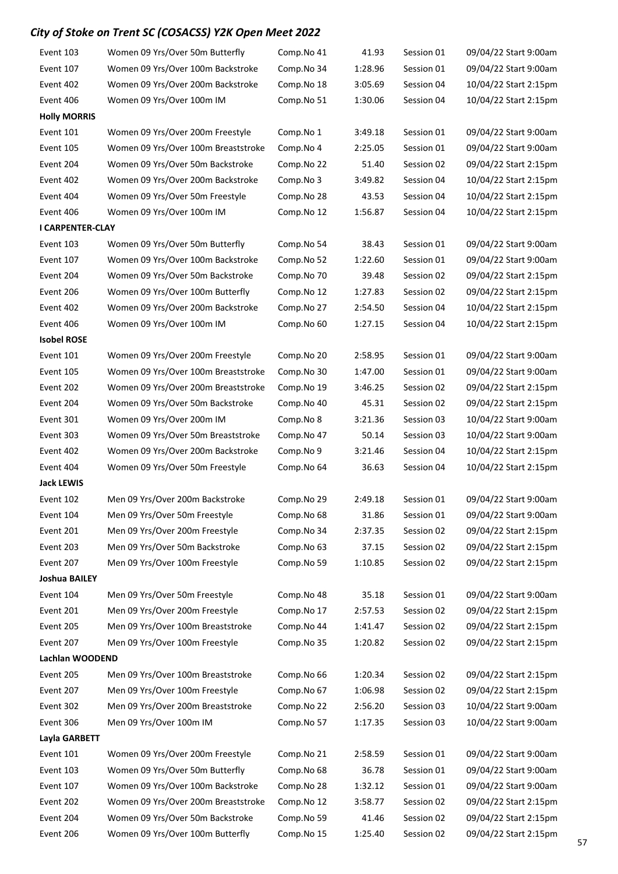| Event 103            | Women 09 Yrs/Over 50m Butterfly     | Comp.No 41 | 41.93   | Session 01 | 09/04/22 Start 9:00am |  |  |
|----------------------|-------------------------------------|------------|---------|------------|-----------------------|--|--|
| Event 107            | Women 09 Yrs/Over 100m Backstroke   | Comp.No 34 | 1:28.96 | Session 01 | 09/04/22 Start 9:00am |  |  |
| Event 402            | Women 09 Yrs/Over 200m Backstroke   | Comp.No 18 | 3:05.69 | Session 04 | 10/04/22 Start 2:15pm |  |  |
| Event 406            | Women 09 Yrs/Over 100m IM           | Comp.No 51 | 1:30.06 | Session 04 | 10/04/22 Start 2:15pm |  |  |
| <b>Holly MORRIS</b>  |                                     |            |         |            |                       |  |  |
| Event 101            | Women 09 Yrs/Over 200m Freestyle    | Comp.No 1  | 3:49.18 | Session 01 | 09/04/22 Start 9:00am |  |  |
| Event 105            | Women 09 Yrs/Over 100m Breaststroke | Comp.No 4  | 2:25.05 | Session 01 | 09/04/22 Start 9:00am |  |  |
| Event 204            | Women 09 Yrs/Over 50m Backstroke    | Comp.No 22 | 51.40   | Session 02 | 09/04/22 Start 2:15pm |  |  |
| Event 402            | Women 09 Yrs/Over 200m Backstroke   | Comp.No 3  | 3:49.82 | Session 04 | 10/04/22 Start 2:15pm |  |  |
| Event 404            | Women 09 Yrs/Over 50m Freestyle     | Comp.No 28 | 43.53   | Session 04 | 10/04/22 Start 2:15pm |  |  |
| Event 406            | Women 09 Yrs/Over 100m IM           | Comp.No 12 | 1:56.87 | Session 04 | 10/04/22 Start 2:15pm |  |  |
| I CARPENTER-CLAY     |                                     |            |         |            |                       |  |  |
| Event 103            | Women 09 Yrs/Over 50m Butterfly     | Comp.No 54 | 38.43   | Session 01 | 09/04/22 Start 9:00am |  |  |
| Event 107            | Women 09 Yrs/Over 100m Backstroke   | Comp.No 52 | 1:22.60 | Session 01 | 09/04/22 Start 9:00am |  |  |
| Event 204            | Women 09 Yrs/Over 50m Backstroke    | Comp.No 70 | 39.48   | Session 02 | 09/04/22 Start 2:15pm |  |  |
| Event 206            | Women 09 Yrs/Over 100m Butterfly    | Comp.No 12 | 1:27.83 | Session 02 | 09/04/22 Start 2:15pm |  |  |
| Event 402            | Women 09 Yrs/Over 200m Backstroke   | Comp.No 27 | 2:54.50 | Session 04 | 10/04/22 Start 2:15pm |  |  |
| Event 406            | Women 09 Yrs/Over 100m IM           | Comp.No 60 | 1:27.15 | Session 04 | 10/04/22 Start 2:15pm |  |  |
| <b>Isobel ROSE</b>   |                                     |            |         |            |                       |  |  |
| Event 101            | Women 09 Yrs/Over 200m Freestyle    | Comp.No 20 | 2:58.95 | Session 01 | 09/04/22 Start 9:00am |  |  |
| Event 105            | Women 09 Yrs/Over 100m Breaststroke | Comp.No 30 | 1:47.00 | Session 01 | 09/04/22 Start 9:00am |  |  |
| Event 202            | Women 09 Yrs/Over 200m Breaststroke | Comp.No 19 | 3:46.25 | Session 02 | 09/04/22 Start 2:15pm |  |  |
| Event 204            | Women 09 Yrs/Over 50m Backstroke    | Comp.No 40 | 45.31   | Session 02 | 09/04/22 Start 2:15pm |  |  |
| Event 301            | Women 09 Yrs/Over 200m IM           | Comp.No 8  | 3:21.36 | Session 03 | 10/04/22 Start 9:00am |  |  |
| Event 303            | Women 09 Yrs/Over 50m Breaststroke  | Comp.No 47 | 50.14   | Session 03 | 10/04/22 Start 9:00am |  |  |
| Event 402            | Women 09 Yrs/Over 200m Backstroke   | Comp.No 9  | 3:21.46 | Session 04 | 10/04/22 Start 2:15pm |  |  |
| Event 404            | Women 09 Yrs/Over 50m Freestyle     | Comp.No 64 | 36.63   | Session 04 | 10/04/22 Start 2:15pm |  |  |
| <b>Jack LEWIS</b>    |                                     |            |         |            |                       |  |  |
| Event 102            | Men 09 Yrs/Over 200m Backstroke     | Comp.No 29 | 2:49.18 | Session 01 | 09/04/22 Start 9:00am |  |  |
| Event 104            | Men 09 Yrs/Over 50m Freestyle       | Comp.No 68 | 31.86   | Session 01 | 09/04/22 Start 9:00am |  |  |
| Event 201            | Men 09 Yrs/Over 200m Freestyle      | Comp.No 34 | 2:37.35 | Session 02 | 09/04/22 Start 2:15pm |  |  |
| Event 203            | Men 09 Yrs/Over 50m Backstroke      | Comp.No 63 | 37.15   | Session 02 | 09/04/22 Start 2:15pm |  |  |
| Event 207            | Men 09 Yrs/Over 100m Freestyle      | Comp.No 59 | 1:10.85 | Session 02 | 09/04/22 Start 2:15pm |  |  |
| <b>Joshua BAILEY</b> |                                     |            |         |            |                       |  |  |
| Event 104            | Men 09 Yrs/Over 50m Freestyle       | Comp.No 48 | 35.18   | Session 01 | 09/04/22 Start 9:00am |  |  |
| Event 201            | Men 09 Yrs/Over 200m Freestyle      | Comp.No 17 | 2:57.53 | Session 02 | 09/04/22 Start 2:15pm |  |  |
| Event 205            | Men 09 Yrs/Over 100m Breaststroke   | Comp.No 44 | 1:41.47 | Session 02 | 09/04/22 Start 2:15pm |  |  |
| Event 207            | Men 09 Yrs/Over 100m Freestyle      | Comp.No 35 | 1:20.82 | Session 02 | 09/04/22 Start 2:15pm |  |  |
| Lachlan WOODEND      |                                     |            |         |            |                       |  |  |
| Event 205            | Men 09 Yrs/Over 100m Breaststroke   | Comp.No 66 | 1:20.34 | Session 02 | 09/04/22 Start 2:15pm |  |  |
| Event 207            | Men 09 Yrs/Over 100m Freestyle      | Comp.No 67 | 1:06.98 | Session 02 | 09/04/22 Start 2:15pm |  |  |
| Event 302            | Men 09 Yrs/Over 200m Breaststroke   | Comp.No 22 | 2:56.20 | Session 03 | 10/04/22 Start 9:00am |  |  |
| Event 306            | Men 09 Yrs/Over 100m IM             | Comp.No 57 | 1:17.35 | Session 03 | 10/04/22 Start 9:00am |  |  |
| Layla GARBETT        |                                     |            |         |            |                       |  |  |
| Event 101            | Women 09 Yrs/Over 200m Freestyle    | Comp.No 21 | 2:58.59 | Session 01 | 09/04/22 Start 9:00am |  |  |
| Event 103            | Women 09 Yrs/Over 50m Butterfly     | Comp.No 68 | 36.78   | Session 01 | 09/04/22 Start 9:00am |  |  |
| Event 107            | Women 09 Yrs/Over 100m Backstroke   | Comp.No 28 | 1:32.12 | Session 01 | 09/04/22 Start 9:00am |  |  |
| Event 202            | Women 09 Yrs/Over 200m Breaststroke | Comp.No 12 | 3:58.77 | Session 02 | 09/04/22 Start 2:15pm |  |  |
| Event 204            | Women 09 Yrs/Over 50m Backstroke    | Comp.No 59 | 41.46   | Session 02 | 09/04/22 Start 2:15pm |  |  |
| Event 206            | Women 09 Yrs/Over 100m Butterfly    | Comp.No 15 | 1:25.40 | Session 02 | 09/04/22 Start 2:15pm |  |  |
|                      |                                     |            |         |            |                       |  |  |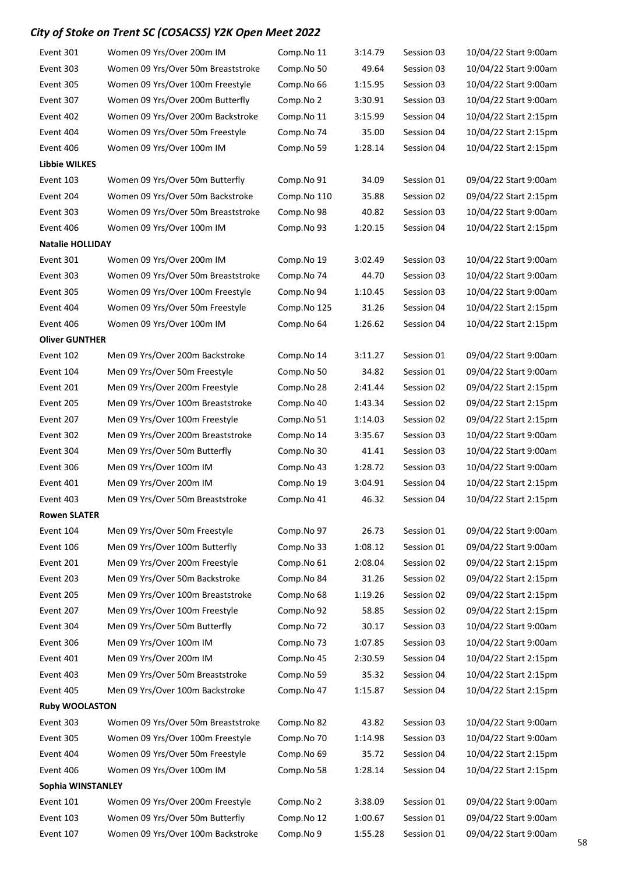| Event 301                                                                                                    | Women 09 Yrs/Over 200m IM          | Comp.No 11  | 3:14.79 | Session 03 | 10/04/22 Start 9:00am |  |  |
|--------------------------------------------------------------------------------------------------------------|------------------------------------|-------------|---------|------------|-----------------------|--|--|
| Event 303                                                                                                    | Women 09 Yrs/Over 50m Breaststroke | Comp.No 50  | 49.64   | Session 03 | 10/04/22 Start 9:00am |  |  |
| Event 305                                                                                                    | Women 09 Yrs/Over 100m Freestyle   | Comp.No 66  | 1:15.95 | Session 03 | 10/04/22 Start 9:00am |  |  |
| Event 307                                                                                                    | Women 09 Yrs/Over 200m Butterfly   | Comp.No 2   | 3:30.91 | Session 03 | 10/04/22 Start 9:00am |  |  |
| Event 402                                                                                                    | Women 09 Yrs/Over 200m Backstroke  | Comp.No 11  | 3:15.99 | Session 04 | 10/04/22 Start 2:15pm |  |  |
| Event 404                                                                                                    | Women 09 Yrs/Over 50m Freestyle    | Comp.No 74  | 35.00   | Session 04 | 10/04/22 Start 2:15pm |  |  |
| Event 406                                                                                                    | Women 09 Yrs/Over 100m IM          | Comp.No 59  | 1:28.14 | Session 04 | 10/04/22 Start 2:15pm |  |  |
| Libbie WILKES                                                                                                |                                    |             |         |            |                       |  |  |
| Event 103                                                                                                    | Women 09 Yrs/Over 50m Butterfly    | Comp.No 91  | 34.09   | Session 01 | 09/04/22 Start 9:00am |  |  |
| Event 204                                                                                                    | Women 09 Yrs/Over 50m Backstroke   | Comp.No 110 | 35.88   | Session 02 | 09/04/22 Start 2:15pm |  |  |
| Event 303                                                                                                    | Women 09 Yrs/Over 50m Breaststroke | Comp.No 98  | 40.82   | Session 03 | 10/04/22 Start 9:00am |  |  |
| Event 406                                                                                                    | Women 09 Yrs/Over 100m IM          | Comp.No 93  | 1:20.15 | Session 04 | 10/04/22 Start 2:15pm |  |  |
| <b>Natalie HOLLIDAY</b>                                                                                      |                                    |             |         |            |                       |  |  |
| Event 301                                                                                                    | Women 09 Yrs/Over 200m IM          | Comp.No 19  | 3:02.49 | Session 03 | 10/04/22 Start 9:00am |  |  |
| Event 303                                                                                                    | Women 09 Yrs/Over 50m Breaststroke | Comp.No 74  | 44.70   | Session 03 | 10/04/22 Start 9:00am |  |  |
| Event 305                                                                                                    | Women 09 Yrs/Over 100m Freestyle   | Comp.No 94  | 1:10.45 | Session 03 | 10/04/22 Start 9:00am |  |  |
| Event 404                                                                                                    | Women 09 Yrs/Over 50m Freestyle    | Comp.No 125 | 31.26   | Session 04 | 10/04/22 Start 2:15pm |  |  |
| Event 406                                                                                                    | Women 09 Yrs/Over 100m IM          | Comp.No 64  | 1:26.62 | Session 04 | 10/04/22 Start 2:15pm |  |  |
| <b>Oliver GUNTHER</b>                                                                                        |                                    |             |         |            |                       |  |  |
| Event 102                                                                                                    | Men 09 Yrs/Over 200m Backstroke    | Comp.No 14  | 3:11.27 | Session 01 | 09/04/22 Start 9:00am |  |  |
| Event 104                                                                                                    | Men 09 Yrs/Over 50m Freestyle      | Comp.No 50  | 34.82   | Session 01 | 09/04/22 Start 9:00am |  |  |
| Event 201                                                                                                    | Men 09 Yrs/Over 200m Freestyle     | Comp.No 28  | 2:41.44 | Session 02 | 09/04/22 Start 2:15pm |  |  |
| Event 205                                                                                                    | Men 09 Yrs/Over 100m Breaststroke  | Comp.No 40  | 1:43.34 | Session 02 | 09/04/22 Start 2:15pm |  |  |
| Event 207                                                                                                    | Men 09 Yrs/Over 100m Freestyle     | Comp.No 51  | 1:14.03 | Session 02 | 09/04/22 Start 2:15pm |  |  |
| Event 302                                                                                                    | Men 09 Yrs/Over 200m Breaststroke  | Comp.No 14  | 3:35.67 | Session 03 | 10/04/22 Start 9:00am |  |  |
| Event 304                                                                                                    | Men 09 Yrs/Over 50m Butterfly      | Comp.No 30  | 41.41   | Session 03 | 10/04/22 Start 9:00am |  |  |
| Event 306                                                                                                    | Men 09 Yrs/Over 100m IM            | Comp.No 43  | 1:28.72 | Session 03 | 10/04/22 Start 9:00am |  |  |
| Event 401                                                                                                    | Men 09 Yrs/Over 200m IM            | Comp.No 19  | 3:04.91 | Session 04 | 10/04/22 Start 2:15pm |  |  |
| Event 403                                                                                                    | Men 09 Yrs/Over 50m Breaststroke   | Comp.No 41  | 46.32   | Session 04 | 10/04/22 Start 2:15pm |  |  |
| <b>Rowen SLATER</b>                                                                                          |                                    |             |         |            |                       |  |  |
| Event 104                                                                                                    | Men 09 Yrs/Over 50m Freestyle      | Comp.No 97  | 26.73   | Session 01 | 09/04/22 Start 9:00am |  |  |
| Event 106                                                                                                    | Men 09 Yrs/Over 100m Butterfly     | Comp.No 33  | 1:08.12 | Session 01 | 09/04/22 Start 9:00am |  |  |
| Event 201                                                                                                    | Men 09 Yrs/Over 200m Freestyle     | Comp.No 61  | 2:08.04 | Session 02 | 09/04/22 Start 2:15pm |  |  |
| Event 203                                                                                                    | Men 09 Yrs/Over 50m Backstroke     | Comp.No 84  | 31.26   | Session 02 | 09/04/22 Start 2:15pm |  |  |
| Event 205                                                                                                    | Men 09 Yrs/Over 100m Breaststroke  | Comp.No 68  | 1:19.26 | Session 02 | 09/04/22 Start 2:15pm |  |  |
| Event 207                                                                                                    | Men 09 Yrs/Over 100m Freestyle     | Comp.No 92  | 58.85   | Session 02 | 09/04/22 Start 2:15pm |  |  |
| Event 304                                                                                                    | Men 09 Yrs/Over 50m Butterfly      | Comp.No 72  | 30.17   | Session 03 | 10/04/22 Start 9:00am |  |  |
| Event 306                                                                                                    | Men 09 Yrs/Over 100m IM            | Comp.No 73  | 1:07.85 | Session 03 | 10/04/22 Start 9:00am |  |  |
| Event 401                                                                                                    | Men 09 Yrs/Over 200m IM            | Comp.No 45  | 2:30.59 | Session 04 | 10/04/22 Start 2:15pm |  |  |
| Event 403                                                                                                    | Men 09 Yrs/Over 50m Breaststroke   | Comp.No 59  | 35.32   | Session 04 | 10/04/22 Start 2:15pm |  |  |
| Event 405                                                                                                    | Men 09 Yrs/Over 100m Backstroke    | Comp.No 47  | 1:15.87 | Session 04 | 10/04/22 Start 2:15pm |  |  |
| <b>Ruby WOOLASTON</b>                                                                                        |                                    |             |         |            |                       |  |  |
| Event 303                                                                                                    | Women 09 Yrs/Over 50m Breaststroke | Comp.No 82  | 43.82   | Session 03 | 10/04/22 Start 9:00am |  |  |
| Event 305                                                                                                    | Women 09 Yrs/Over 100m Freestyle   | Comp.No 70  | 1:14.98 | Session 03 | 10/04/22 Start 9:00am |  |  |
| Event 404                                                                                                    | Women 09 Yrs/Over 50m Freestyle    | Comp.No 69  | 35.72   | Session 04 | 10/04/22 Start 2:15pm |  |  |
| Event 406                                                                                                    | Women 09 Yrs/Over 100m IM          | Comp.No 58  | 1:28.14 | Session 04 | 10/04/22 Start 2:15pm |  |  |
| Sophia WINSTANLEY                                                                                            |                                    |             |         |            |                       |  |  |
| Event 101<br>Women 09 Yrs/Over 200m Freestyle<br>Session 01<br>Comp.No 2<br>3:38.09<br>09/04/22 Start 9:00am |                                    |             |         |            |                       |  |  |
| Event 103                                                                                                    | Women 09 Yrs/Over 50m Butterfly    | Comp.No 12  | 1:00.67 | Session 01 | 09/04/22 Start 9:00am |  |  |
| Event 107                                                                                                    | Women 09 Yrs/Over 100m Backstroke  | Comp.No 9   | 1:55.28 | Session 01 | 09/04/22 Start 9:00am |  |  |
|                                                                                                              |                                    |             |         |            |                       |  |  |